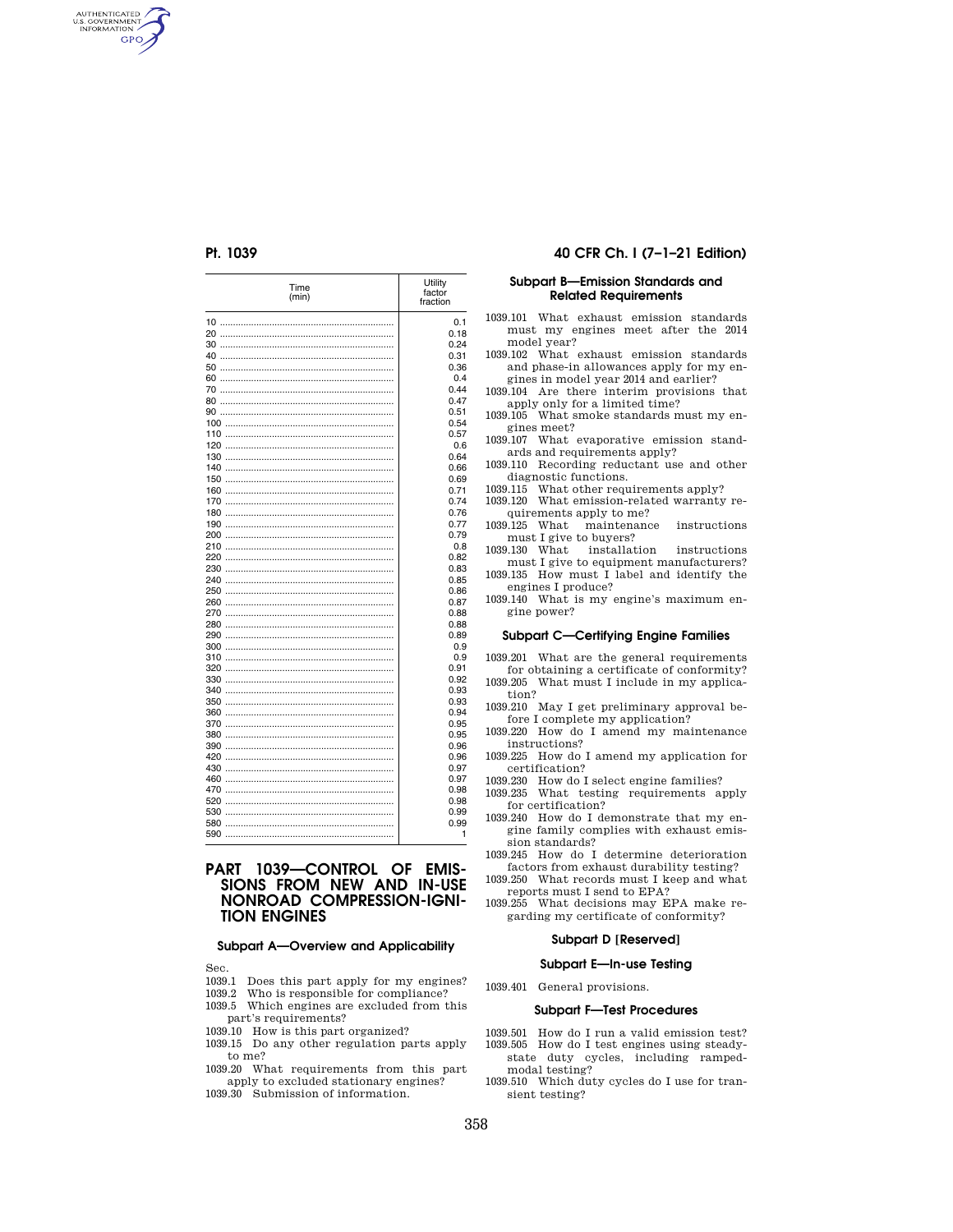AUTHENTICATED<br>U.S. GOVERNMENT<br>INFORMATION **GPO** 

| Time<br>(min) | Utility<br>factor<br>fraction |
|---------------|-------------------------------|
|               | 0.1                           |
|               | 0.18                          |
|               | 0.24                          |
|               | 0.31                          |
|               | 0.36                          |
|               | 0.4                           |
|               | 0.44                          |
|               | 0.47                          |
|               | 0.51                          |
|               | 0.54                          |
|               | 0.57                          |
|               |                               |
|               | 0.6<br>0.64                   |
|               |                               |
| 150           | 0.66                          |
|               | 0.69                          |
| 160           | 0.71                          |
| 170           | 0.74                          |
| 180           | 0.76                          |
| 190           | 0.77                          |
| 200           | 0.79                          |
| 210           | 0.8                           |
| 220           | 0.82                          |
|               | 0.83                          |
|               | 0.85                          |
|               | 0.86                          |
|               | 0.87                          |
|               | 0.88                          |
|               | 0.88                          |
|               | 0.89                          |
|               | 0.9                           |
|               | 0.9                           |
|               | 0.91                          |
|               | 0.92                          |
|               | 0.93                          |
|               | 0.93                          |
|               | 0.94                          |
| 370           | 0.95                          |
| 380           | 0.95                          |
| 390           | 0.96                          |
| 420           | 0.96                          |
| 430           | 0.97                          |
|               | 0.97                          |
| 470           | 0.98                          |
| 520           | 0.98                          |
|               | 0.99                          |
|               | 0.99                          |
|               | 1                             |

# **PART 1039—CONTROL OF EMIS-SIONS FROM NEW AND IN-USE NONROAD COMPRESSION-IGNI-TION ENGINES**

# **Subpart A—Overview and Applicability**

Sec.

- 1039.1 Does this part apply for my engines?
- 1039.2 Who is responsible for compliance?
- 1039.5 Which engines are excluded from this part's requirements?
- 1039.10 How is this part organized?
- 1039.15 Do any other regulation parts apply to me?
- 1039.20 What requirements from this part apply to excluded stationary engines?
- 1039.30 Submission of information.

## **Pt. 1039 40 CFR Ch. I (7–1–21 Edition)**

### **Subpart B—Emission Standards and Related Requirements**

- 1039.101 What exhaust emission standards must my engines meet after the 2014 model year?
- 1039.102 What exhaust emission standards and phase-in allowances apply for my engines in model year 2014 and earlier?
- 1039.104 Are there interim provisions that apply only for a limited time?
- 1039.105 What smoke standards must my engines meet?
- 1039.107 What evaporative emission standards and requirements apply?
- 1039.110 Recording reductant use and other diagnostic functions.
- 1039.115 What other requirements apply?
- 1039.120 What emission-related warranty re-

quirements apply to me?

1039.125 What maintenance instructions must I give to buyers? 1039.130 What installation instructions

- must I give to equipment manufacturers?
- 1039.135 How must I label and identify the engines I produce?
- 1039.140 What is my engine's maximum engine power?

#### **Subpart C—Certifying Engine Families**

1039.201 What are the general requirements for obtaining a certificate of conformity? 1039.205 What must I include in my applica-

- tion? 1039.210 May I get preliminary approval be-
- fore I complete my application? 1039.220 How do I amend my maintenance instructions?
- 1039.225 How do I amend my application for certification?
- 1039.230 How do I select engine families?
- 1039.235 What testing requirements apply for certification?
- 1039.240 How do I demonstrate that my engine family complies with exhaust emission standards?
- 1039.245 How do I determine deterioration factors from exhaust durability testing?
- 1039.250 What records must I keep and what reports must I send to EPA?
- 1039.255 What decisions may EPA make regarding my certificate of conformity?

### **Subpart D [Reserved]**

#### **Subpart E—In-use Testing**

1039.401 General provisions.

#### **Subpart F—Test Procedures**

- 1039.501 How do I run a valid emission test? 1039.505 How do I test engines using steadystate duty cycles, including ramped-
- modal testing? 1039.510 Which duty cycles do I use for tran-
- sient testing?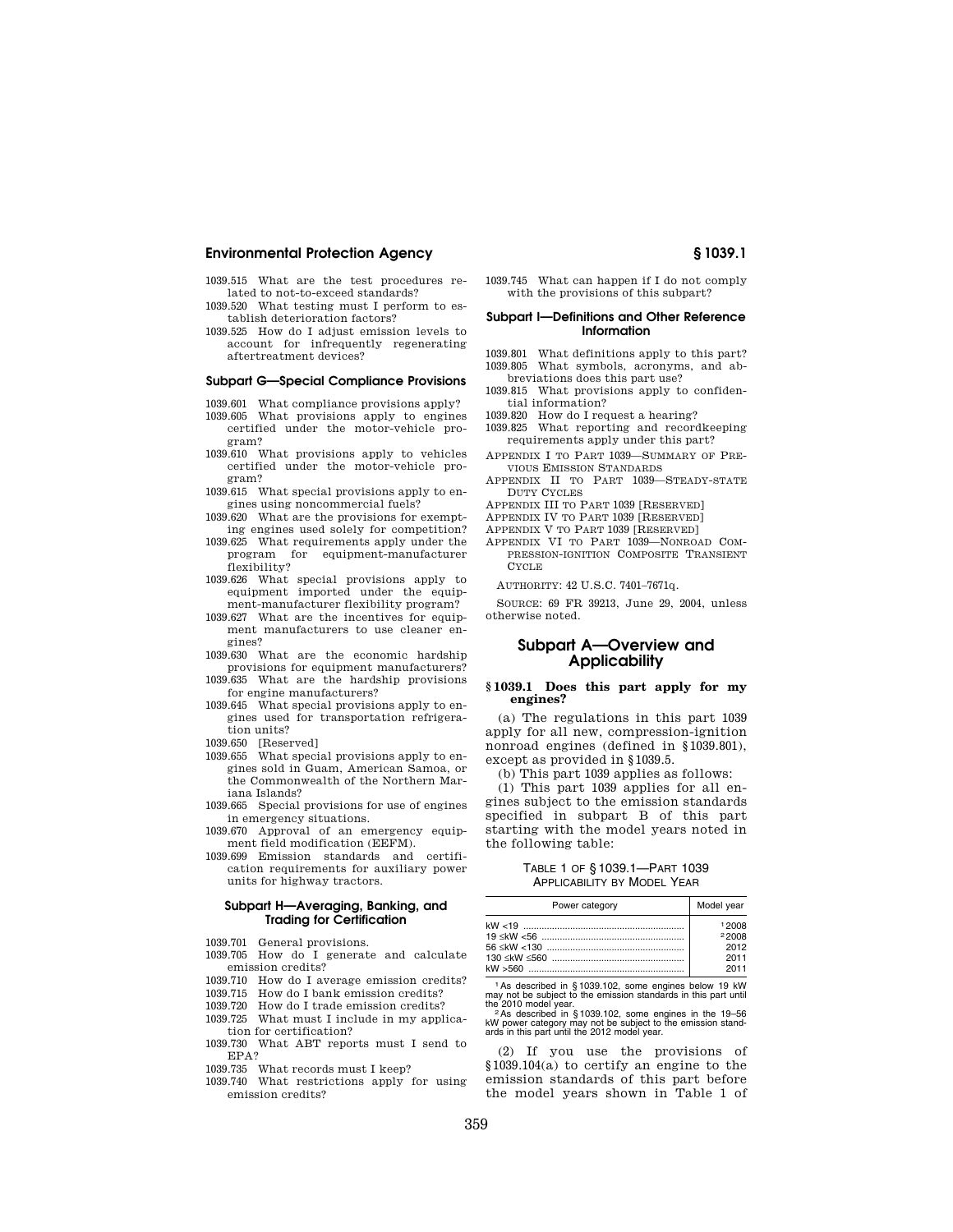- 1039.515 What are the test procedures related to not-to-exceed standards?
- 1039.520 What testing must I perform to establish deterioration factors?
- 1039.525 How do I adjust emission levels to account for infrequently regenerating aftertreatment devices?

#### **Subpart G—Special Compliance Provisions**

- 1039.601 What compliance provisions apply? 1039.605 What provisions apply to engines certified under the motor-vehicle program?
- 1039.610 What provisions apply to vehicles certified under the motor-vehicle program?
- 1039.615 What special provisions apply to engines using noncommercial fuels?
- 1039.620 What are the provisions for exempting engines used solely for competition?
- 1039.625 What requirements apply under the program for equipment-manufacturer flexibility?
- 1039.626 What special provisions apply to equipment imported under the equipment-manufacturer flexibility program?
- 1039.627 What are the incentives for equipment manufacturers to use cleaner engines?
- 1039.630 What are the economic hardship provisions for equipment manufacturers?
- 1039.635 What are the hardship provisions for engine manufacturers?
- 1039.645 What special provisions apply to engines used for transportation refrigeration units?
- 1039.650 [Reserved]
- 1039.655 What special provisions apply to engines sold in Guam, American Samoa, or the Commonwealth of the Northern Mariana Islands?
- 1039.665 Special provisions for use of engines in emergency situations.
- 1039.670 Approval of an emergency equipment field modification (EEFM).
- 1039.699 Emission standards and certification requirements for auxiliary power units for highway tractors.

#### **Subpart H—Averaging, Banking, and Trading for Certification**

- 1039.701 General provisions.
- 1039.705 How do I generate and calculate emission credits?
- 1039.710 How do I average emission credits?
- 1039.715 How do I bank emission credits?
- 1039.720 How do I trade emission credits?
- 1039.725 What must I include in my applica-
- tion for certification?
- 1039.730 What ABT reports must I send to EPA?
- 1039.735 What records must I keep?
- 1039.740 What restrictions apply for using emission credits?

1039.745 What can happen if I do not comply with the provisions of this subpart?

## **Subpart I—Definitions and Other Reference Information**

- 1039.801 What definitions apply to this part? 1039.805 What symbols, acronyms, and abbreviations does this part use?
- 1039.815 What provisions apply to confidential information?
- 1039.820 How do I request a hearing?
- 1039.825 What reporting and recordkeeping requirements apply under this part?
- APPENDIX I TO PART 1039—SUMMARY OF PRE-VIOUS EMISSION STANDARDS
- APPENDIX II TO PART 1039—STEADY-STATE DUTY CYCLES
- APPENDIX III TO PART 1039 [RESERVED]
- APPENDIX IV TO PART 1039 [RESERVED]
- APPENDIX V TO PART 1039 [RESERVED]
- APPENDIX VI TO PART 1039—NONROAD COM-PRESSION-IGNITION COMPOSITE TRANSIENT CYCLE

AUTHORITY: 42 U.S.C. 7401–7671q.

SOURCE: 69 FR 39213, June 29, 2004, unless otherwise noted.

# **Subpart A—Overview and Applicability**

#### **§ 1039.1 Does this part apply for my engines?**

(a) The regulations in this part 1039 apply for all new, compression-ignition nonroad engines (defined in §1039.801), except as provided in §1039.5.

(b) This part 1039 applies as follows:

(1) This part 1039 applies for all engines subject to the emission standards specified in subpart B of this part starting with the model years noted in the following table:

# TABLE 1 OF § 1039.1—PART 1039 APPLICABILITY BY MODEL YEAR

| Power category | Model year |
|----------------|------------|
|                | 12008      |
|                | 22008      |
|                | 2012       |
|                | 2011       |
|                | 2011       |

1As described in § 1039.102, some engines below 19 kW may not be subject to the emission standards in this part until

the 2010 model year.<br><sup>2</sup> As described in § 1039.102, some engines in the 19–56<br>kW power category may not be subject to the emission stand-<br>ards in this part until the 2012 model year.

(2) If you use the provisions of §1039.104(a) to certify an engine to the emission standards of this part before the model years shown in Table 1 of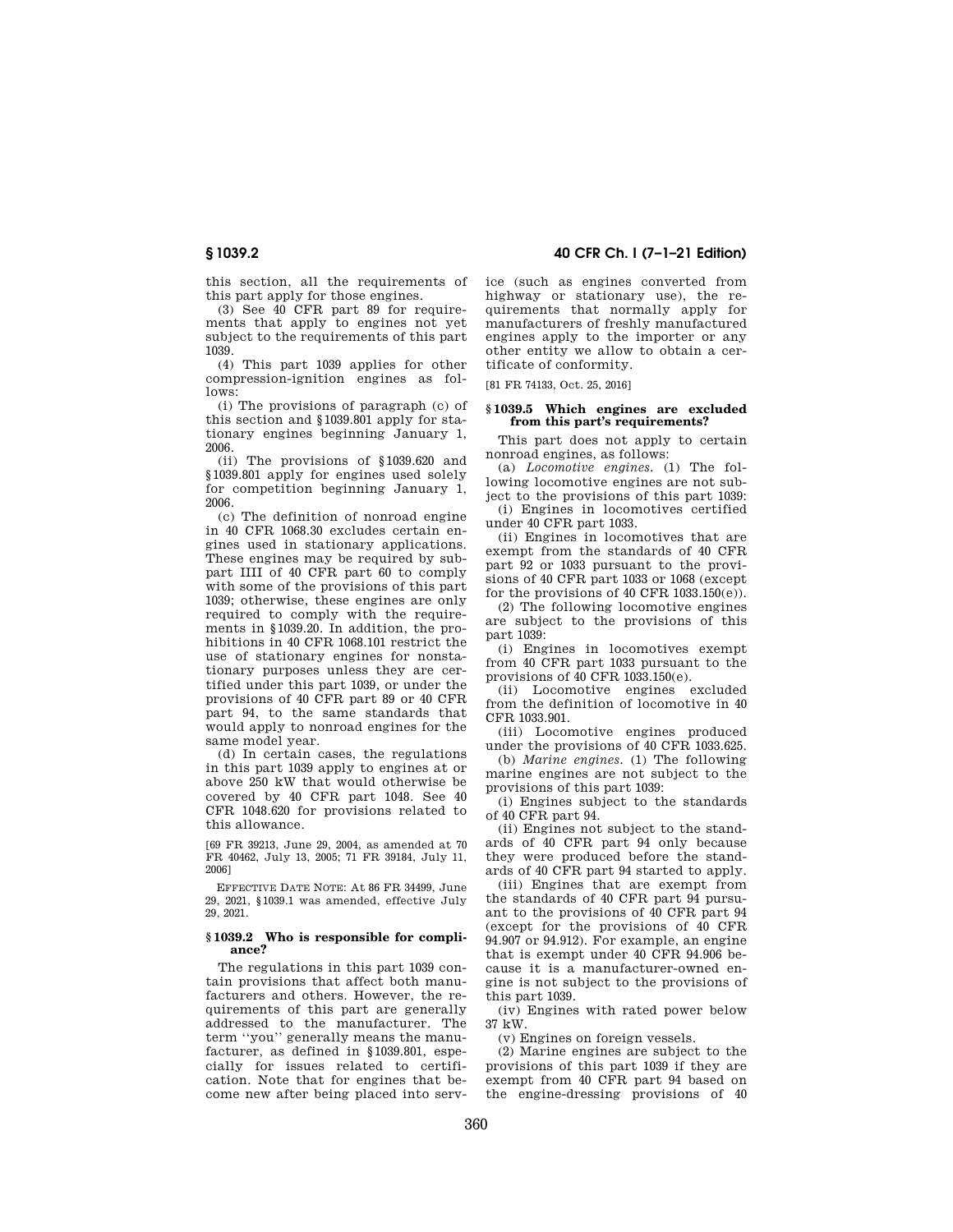# **§ 1039.2 40 CFR Ch. I (7–1–21 Edition)**

this section, all the requirements of this part apply for those engines.

(3) See 40 CFR part 89 for requirements that apply to engines not yet subject to the requirements of this part 1039.

(4) This part 1039 applies for other compression-ignition engines as follows:

(i) The provisions of paragraph (c) of this section and §1039.801 apply for stationary engines beginning January 1, 2006.

(ii) The provisions of §1039.620 and §1039.801 apply for engines used solely for competition beginning January 1, 2006.

(c) The definition of nonroad engine in 40 CFR 1068.30 excludes certain engines used in stationary applications. These engines may be required by subpart IIII of 40 CFR part 60 to comply with some of the provisions of this part 1039; otherwise, these engines are only required to comply with the requirements in §1039.20. In addition, the prohibitions in 40 CFR 1068.101 restrict the use of stationary engines for nonstationary purposes unless they are certified under this part 1039, or under the provisions of 40 CFR part 89 or 40 CFR part 94, to the same standards that would apply to nonroad engines for the same model year.

(d) In certain cases, the regulations in this part 1039 apply to engines at or above 250 kW that would otherwise be covered by 40 CFR part 1048. See 40 CFR 1048.620 for provisions related to this allowance.

[69 FR 39213, June 29, 2004, as amended at 70 FR 40462, July 13, 2005; 71 FR 39184, July 11, 2006]

EFFECTIVE DATE NOTE: At 86 FR 34499, June 29, 2021, §1039.1 was amended, effective July 29, 2021.

## **§ 1039.2 Who is responsible for compliance?**

The regulations in this part 1039 contain provisions that affect both manufacturers and others. However, the requirements of this part are generally addressed to the manufacturer. The term ''you'' generally means the manufacturer, as defined in §1039.801, especially for issues related to certification. Note that for engines that become new after being placed into service (such as engines converted from highway or stationary use), the requirements that normally apply for manufacturers of freshly manufactured engines apply to the importer or any other entity we allow to obtain a certificate of conformity.

[81 FR 74133, Oct. 25, 2016]

#### **§ 1039.5 Which engines are excluded from this part's requirements?**

This part does not apply to certain nonroad engines, as follows:

(a) *Locomotive engines.* (1) The following locomotive engines are not subject to the provisions of this part 1039:

(i) Engines in locomotives certified under 40 CFR part 1033.

(ii) Engines in locomotives that are exempt from the standards of 40 CFR part 92 or 1033 pursuant to the provisions of 40 CFR part 1033 or 1068 (except for the provisions of 40 CFR  $1033.150(e)$ .

(2) The following locomotive engines are subject to the provisions of this part 1039:

(i) Engines in locomotives exempt from 40 CFR part 1033 pursuant to the provisions of 40 CFR 1033.150(e).

(ii) Locomotive engines excluded from the definition of locomotive in 40 CFR 1033.901.

(iii) Locomotive engines produced under the provisions of 40 CFR 1033.625.

(b) *Marine engines.* (1) The following marine engines are not subject to the provisions of this part 1039:

(i) Engines subject to the standards of 40 CFR part 94.

(ii) Engines not subject to the standards of 40 CFR part 94 only because they were produced before the standards of 40 CFR part 94 started to apply.

(iii) Engines that are exempt from the standards of 40 CFR part 94 pursuant to the provisions of 40 CFR part 94 (except for the provisions of 40 CFR 94.907 or 94.912). For example, an engine that is exempt under 40 CFR 94.906 because it is a manufacturer-owned engine is not subject to the provisions of this part 1039.

(iv) Engines with rated power below 37 kW.

(v) Engines on foreign vessels.

(2) Marine engines are subject to the provisions of this part 1039 if they are exempt from 40 CFR part 94 based on the engine-dressing provisions of 40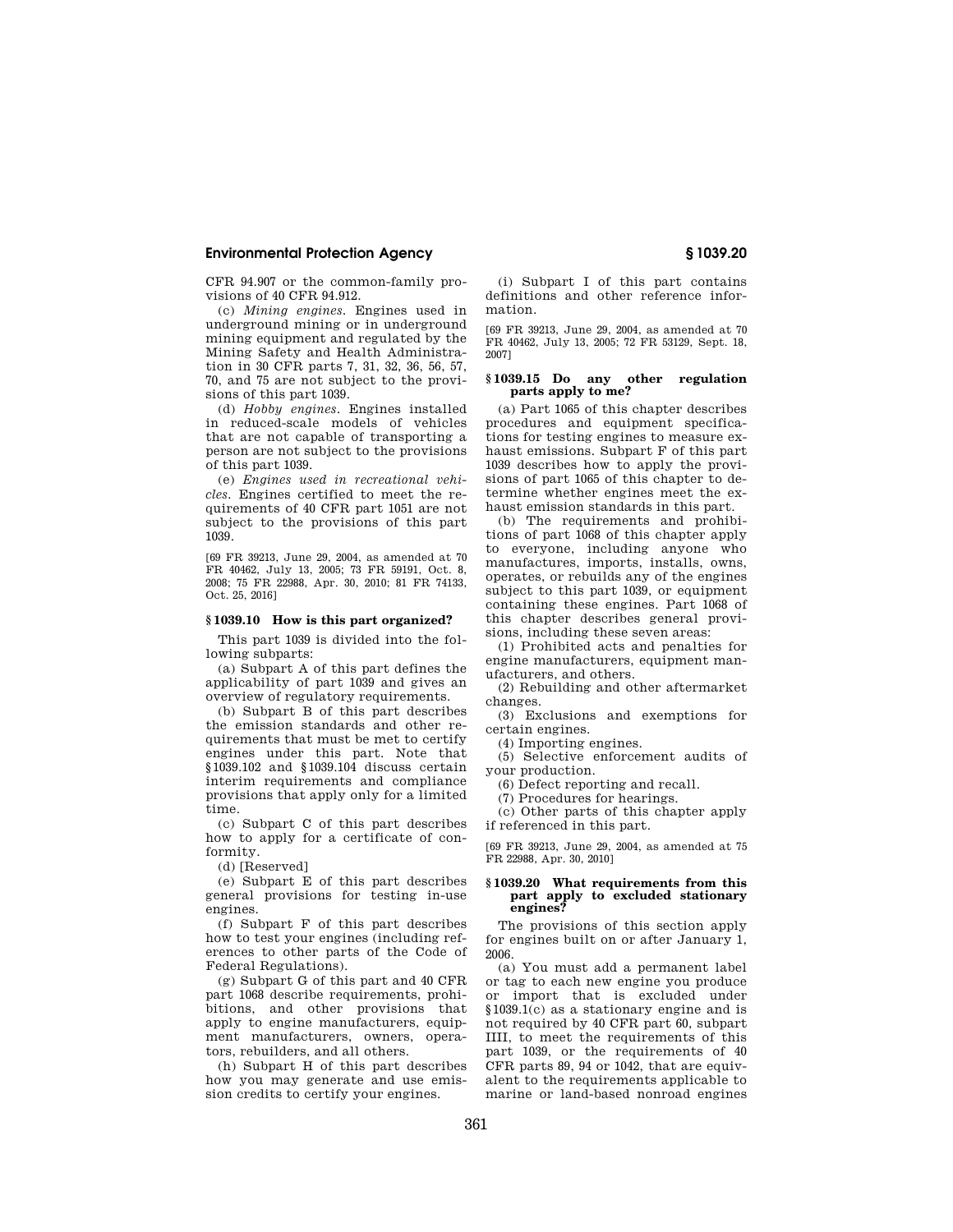CFR 94.907 or the common-family provisions of 40 CFR 94.912.

(c) *Mining engines.* Engines used in underground mining or in underground mining equipment and regulated by the Mining Safety and Health Administration in 30 CFR parts 7, 31, 32, 36, 56, 57, 70, and 75 are not subject to the provisions of this part 1039.

(d) *Hobby engines.* Engines installed in reduced-scale models of vehicles that are not capable of transporting a person are not subject to the provisions of this part 1039.

(e) *Engines used in recreational vehicles.* Engines certified to meet the requirements of 40 CFR part 1051 are not subject to the provisions of this part 1039.

[69 FR 39213, June 29, 2004, as amended at 70 FR 40462, July 13, 2005; 73 FR 59191, Oct. 8, 2008; 75 FR 22988, Apr. 30, 2010; 81 FR 74133, Oct. 25, 2016]

### **§ 1039.10 How is this part organized?**

This part 1039 is divided into the following subparts:

(a) Subpart A of this part defines the applicability of part 1039 and gives an overview of regulatory requirements.

(b) Subpart B of this part describes the emission standards and other requirements that must be met to certify engines under this part. Note that §1039.102 and §1039.104 discuss certain interim requirements and compliance provisions that apply only for a limited time.

(c) Subpart C of this part describes how to apply for a certificate of conformity.

(d) [Reserved]

(e) Subpart E of this part describes general provisions for testing in-use engines.

(f) Subpart F of this part describes how to test your engines (including references to other parts of the Code of Federal Regulations).

(g) Subpart G of this part and 40 CFR part 1068 describe requirements, prohibitions, and other provisions that apply to engine manufacturers, equipment manufacturers, owners, operators, rebuilders, and all others.

(h) Subpart H of this part describes how you may generate and use emission credits to certify your engines.

(i) Subpart I of this part contains definitions and other reference information.

[69 FR 39213, June 29, 2004, as amended at 70 FR 40462, July 13, 2005; 72 FR 53129, Sept. 18, 2007]

## **§ 1039.15 Do any other regulation parts apply to me?**

(a) Part 1065 of this chapter describes procedures and equipment specifications for testing engines to measure exhaust emissions. Subpart F of this part 1039 describes how to apply the provisions of part 1065 of this chapter to determine whether engines meet the exhaust emission standards in this part.

(b) The requirements and prohibitions of part 1068 of this chapter apply to everyone, including anyone who manufactures, imports, installs, owns, operates, or rebuilds any of the engines subject to this part 1039, or equipment containing these engines. Part 1068 of this chapter describes general provisions, including these seven areas:

(1) Prohibited acts and penalties for engine manufacturers, equipment manufacturers, and others.

(2) Rebuilding and other aftermarket changes.

(3) Exclusions and exemptions for certain engines.

(4) Importing engines.

(5) Selective enforcement audits of your production.

(6) Defect reporting and recall.

(7) Procedures for hearings.

(c) Other parts of this chapter apply if referenced in this part.

[69 FR 39213, June 29, 2004, as amended at 75 FR 22988, Apr. 30, 2010]

### **§ 1039.20 What requirements from this part apply to excluded stationary engines?**

The provisions of this section apply for engines built on or after January 1, 2006.

(a) You must add a permanent label or tag to each new engine you produce or import that is excluded under §1039.1(c) as a stationary engine and is not required by 40 CFR part 60, subpart IIII, to meet the requirements of this part 1039, or the requirements of 40 CFR parts  $89, 94$  or  $1042$ , that are equivalent to the requirements applicable to marine or land-based nonroad engines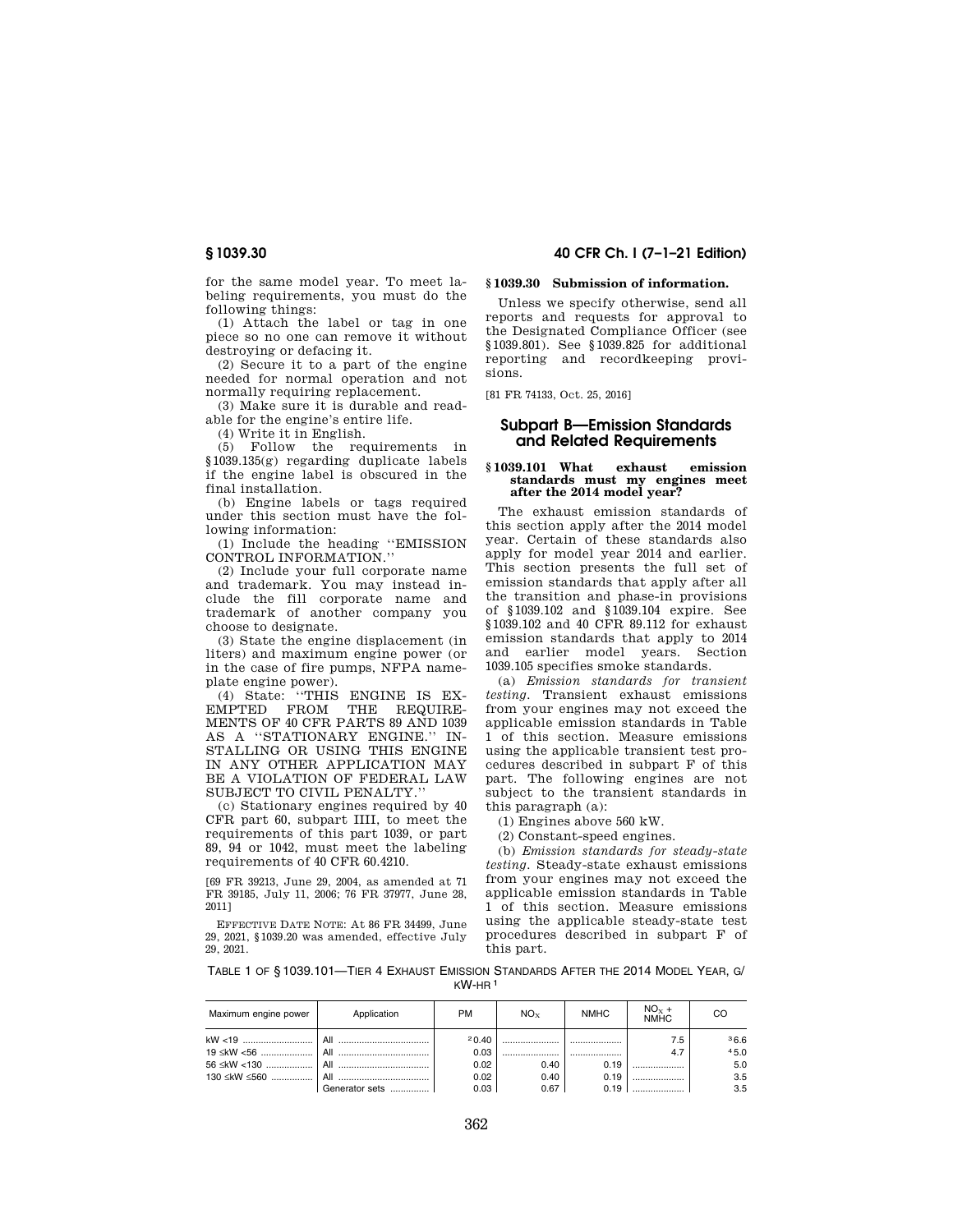for the same model year. To meet labeling requirements, you must do the following things:

(1) Attach the label or tag in one piece so no one can remove it without destroying or defacing it.

(2) Secure it to a part of the engine needed for normal operation and not normally requiring replacement.

(3) Make sure it is durable and readable for the engine's entire life.

(4) Write it in English.

(5) Follow the requirements in §1039.135(g) regarding duplicate labels if the engine label is obscured in the final installation.

(b) Engine labels or tags required under this section must have the following information:

(1) Include the heading ''EMISSION CONTROL INFORMATION.''

(2) Include your full corporate name and trademark. You may instead include the fill corporate name and trademark of another company you choose to designate.

(3) State the engine displacement (in liters) and maximum engine power (or in the case of fire pumps, NFPA nameplate engine power).

(4) State: ''THIS ENGINE IS EX-EMPTED FROM THE REQUIRE-MENTS OF 40 CFR PARTS 89 AND 1039 AS A ''STATIONARY ENGINE.'' IN-STALLING OR USING THIS ENGINE IN ANY OTHER APPLICATION MAY BE A VIOLATION OF FEDERAL LAW SUBJECT TO CIVIL PENALTY.''

(c) Stationary engines required by 40 CFR part 60, subpart IIII, to meet the requirements of this part 1039, or part 89, 94 or 1042, must meet the labeling requirements of 40 CFR 60.4210.

[69 FR 39213, June 29, 2004, as amended at 71 FR 39185, July 11, 2006; 76 FR 37977, June 28, 2011]

EFFECTIVE DATE NOTE: At 86 FR 34499, June 29, 2021, §1039.20 was amended, effective July 29, 2021.

# **§ 1039.30 40 CFR Ch. I (7–1–21 Edition)**

## **§ 1039.30 Submission of information.**

Unless we specify otherwise, send all reports and requests for approval to the Designated Compliance Officer (see §1039.801). See §1039.825 for additional reporting and recordkeeping provisions.

[81 FR 74133, Oct. 25, 2016]

# **Subpart B—Emission Standards and Related Requirements**

#### **§ 1039.101 What exhaust emission standards must my engines meet after the 2014 model year?**

The exhaust emission standards of this section apply after the 2014 model year. Certain of these standards also apply for model year 2014 and earlier. This section presents the full set of emission standards that apply after all the transition and phase-in provisions of §1039.102 and §1039.104 expire. See §1039.102 and 40 CFR 89.112 for exhaust emission standards that apply to 2014 and earlier model years. Section 1039.105 specifies smoke standards.

(a) *Emission standards for transient testing.* Transient exhaust emissions from your engines may not exceed the applicable emission standards in Table 1 of this section. Measure emissions using the applicable transient test procedures described in subpart F of this part. The following engines are not subject to the transient standards in this paragraph (a):

(1) Engines above 560 kW.

(2) Constant-speed engines.

(b) *Emission standards for steady-state testing.* Steady-state exhaust emissions from your engines may not exceed the applicable emission standards in Table 1 of this section. Measure emissions using the applicable steady-state test procedures described in subpart F of this part.

TABLE 1 OF § 1039.101—TIER 4 EXHAUST EMISSION STANDARDS AFTER THE 2014 MODEL YEAR, G/ KW-HR 1

| Maximum engine power | Application    | PM    | $NO_{x}$ | <b>NMHC</b> | $NOx +NMHC$ | CO   |
|----------------------|----------------|-------|----------|-------------|-------------|------|
|                      |                | 20.40 |          |             | 7.5         | 36.6 |
|                      |                | 0.03  |          |             |             | 45.0 |
|                      |                | 0.02  | 0.40     | 0.19        |             | 5.0  |
|                      |                | 0.02  | 0.40     | 0.19        |             | 3.5  |
|                      | Generator sets | 0.03  | 0.67     | 0.19        |             | 3.5  |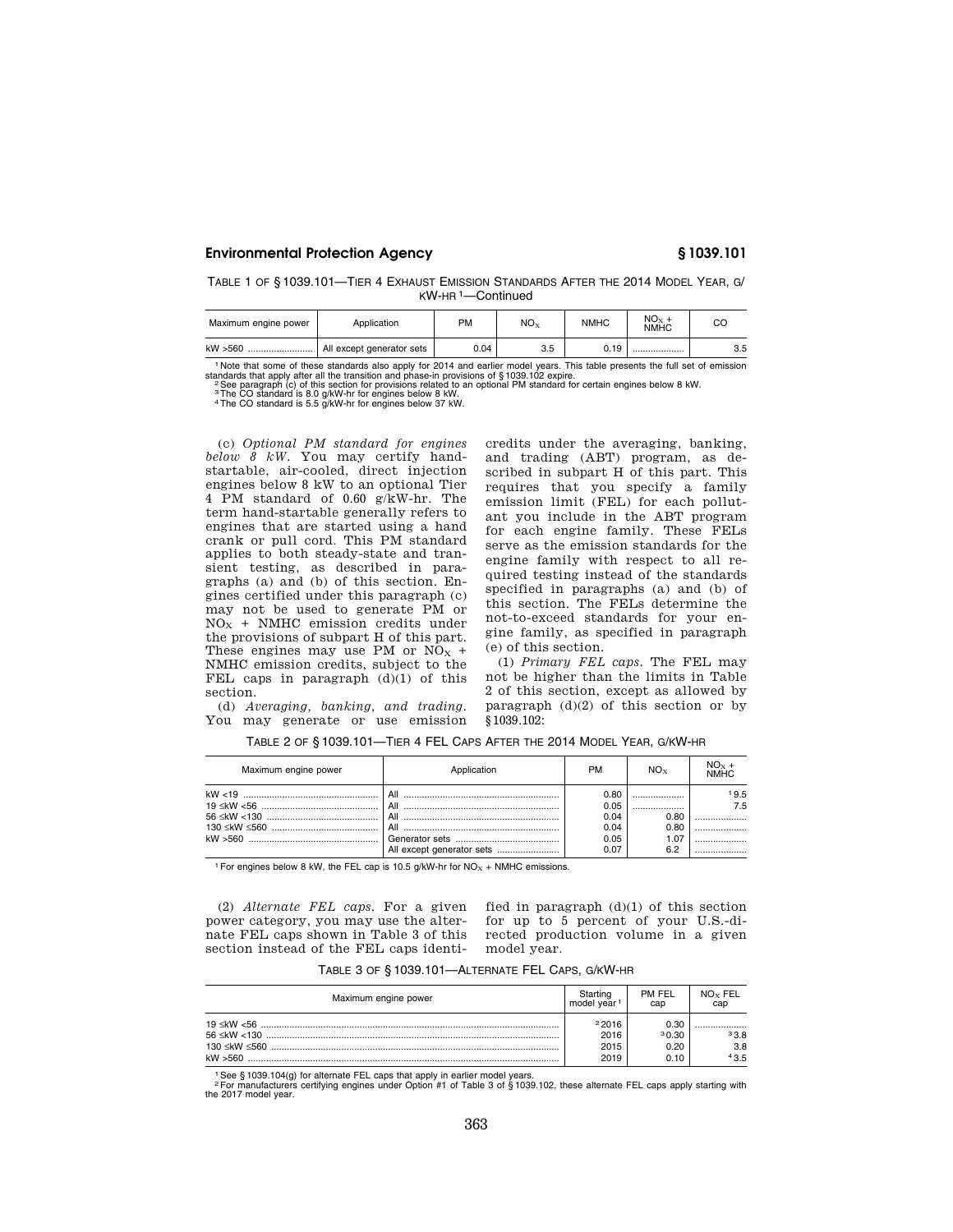TABLE 1 OF § 1039.101—TIER 4 EXHAUST EMISSION STANDARDS AFTER THE 2014 MODEL YEAR, G/ KW-HR 1—Continued

| Maximum engine power | Application               | PM   | $NO_{X}$ | <b>NMHC</b> | $NOx +$<br><b>NMHC</b> | CС  |
|----------------------|---------------------------|------|----------|-------------|------------------------|-----|
| kW >560              | All except generator sets | 0.04 | 3.5      | 0.19        |                        | 3.5 |

<sup>1</sup> Note that some of these standards also apply for 2014 and earlier model years. This table presents the full set of emission standards that apply after all the transition and phase-in provisions related to an optional P

(c) *Optional PM standard for engines below 8 kW.* You may certify handstartable, air-cooled, direct injection engines below 8 kW to an optional Tier 4 PM standard of 0.60 g/kW-hr. The term hand-startable generally refers to engines that are started using a hand crank or pull cord. This PM standard applies to both steady-state and transient testing, as described in paragraphs (a) and (b) of this section. Engines certified under this paragraph (c) may not be used to generate PM or  $NO<sub>X</sub>$  + NMHC emission credits under the provisions of subpart H of this part. These engines may use PM or  $NO<sub>x</sub>$  + NMHC emission credits, subject to the FEL caps in paragraph  $(d)(1)$  of this section. (d) *Averaging, banking, and trading.* 

You may generate or use emission

scribed in subpart H of this part. This requires that you specify a family emission limit (FEL) for each pollutant you include in the ABT program for each engine family. These FELs serve as the emission standards for the engine family with respect to all required testing instead of the standards specified in paragraphs (a) and (b) of this section. The FELs determine the not-to-exceed standards for your engine family, as specified in paragraph (e) of this section.

credits under the averaging, banking, and trading (ABT) program, as de-

(1) *Primary FEL caps.* The FEL may not be higher than the limits in Table 2 of this section, except as allowed by paragraph  $(d)(2)$  of this section or by §1039.102:

| Maximum engine power | Application | <b>PM</b>                                    | $NO_{Y}$                    | $NOx +NMHC$ |
|----------------------|-------------|----------------------------------------------|-----------------------------|-------------|
|                      |             | 0.80<br>0.05<br>0.04<br>0.04<br>0.05<br>0.07 | 0.80<br>0.80<br>1.07<br>6.2 | 19.5<br>7.5 |

TABLE 2 OF § 1039.101—TIER 4 FEL CAPS AFTER THE 2014 MODEL YEAR, G/KW-HR

<sup>1</sup> For engines below 8 kW, the FEL cap is 10.5 g/kW-hr for  $NO<sub>X</sub> + NMHC$  emissions.

(2) *Alternate FEL caps.* For a given fied in paragraph  $(d)(1)$  of this section power category, you may use the alternate FEL caps shown in Table 3 of this section instead of the FEL caps identi-

for up to 5 percent of your U.S.-directed production volume in a given model year.

|  |  |  | TABLE 3 OF § 1039.101—ALTERNATE FEL CAPS, G/KW-HR |  |  |  |
|--|--|--|---------------------------------------------------|--|--|--|
|--|--|--|---------------------------------------------------|--|--|--|

| Maximum engine power | Starting                      | PM FEL                        | NO <sub>x</sub> FEL |
|----------------------|-------------------------------|-------------------------------|---------------------|
|                      | model year <sup>1</sup>       | cap                           | cap                 |
|                      | 22016<br>2016<br>2015<br>2019 | 0.30<br>30.30<br>0.20<br>0.10 | 33.8<br>3.8<br>43.5 |

1See § 1039.104(g) for alternate FEL caps that apply in earlier model years. 2For manufacturers certifying engines under Option #1 of Table 3 of § 1039.102, these alternate FEL caps apply starting with the 2017 model year.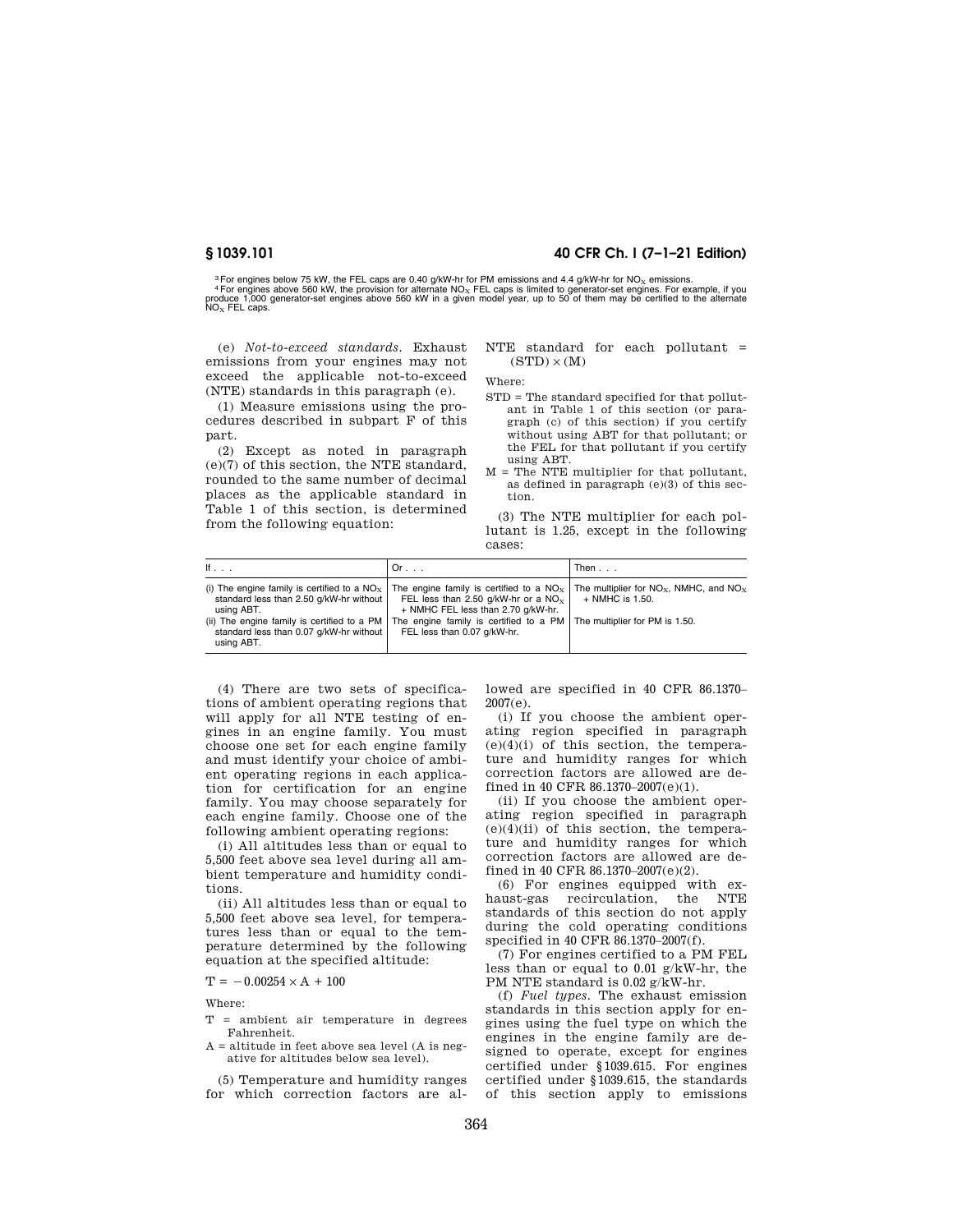# **§ 1039.101 40 CFR Ch. I (7–1–21 Edition)**

<sup>3</sup> For engines below 75 kW, the FEL caps are 0.40 g/kW-hr for PM emissions and 4.4 g/kW-hr for NO<sub>X</sub> emissions.<br><sup>4</sup> For engines above 560 kW, the provision for alternate NO<sub>X</sub> FEL caps is limited to generator-set engines  $NO<sub>x</sub>$  FEL caps.

(e) *Not-to-exceed standards.* Exhaust emissions from your engines may not exceed the applicable not-to-exceed (NTE) standards in this paragraph (e).

(1) Measure emissions using the procedures described in subpart F of this part.

(2) Except as noted in paragraph (e)(7) of this section, the NTE standard, rounded to the same number of decimal places as the applicable standard in Table 1 of this section, is determined from the following equation:

NTE standard for each pollutant =  $(STD) \times (M)$ 

Where:

- STD = The standard specified for that pollutant in Table 1 of this section (or paragraph (c) of this section) if you certify without using ABT for that pollutant; or the FEL for that pollutant if you certify using ABT.
- M = The NTE multiplier for that pollutant, as defined in paragraph (e)(3) of this section.

(3) The NTE multiplier for each pollutant is 1.25, except in the following cases:

| If $\ldots$                                                                                                                                                       | Or.                                                                                                                                                                                                                                                                                                                                                                                 | Then              |
|-------------------------------------------------------------------------------------------------------------------------------------------------------------------|-------------------------------------------------------------------------------------------------------------------------------------------------------------------------------------------------------------------------------------------------------------------------------------------------------------------------------------------------------------------------------------|-------------------|
| standard less than 2.50 g/kW-hr without<br>using ABT.<br>(ii) The engine family is certified to a PM $ $<br>standard less than 0.07 g/kW-hr without<br>using ABT. | (i) The engine family is certified to a NO <sub>x</sub>   The engine family is certified to a NO <sub>x</sub>   The multiplier for NO <sub>x</sub> , NMHC, and NO <sub>x</sub><br>FEL less than 2.50 g/kW-hr or a NO <sub>x</sub>  <br>+ NMHC FEL less than 2.70 q/kW-hr.<br>The engine family is certified to a $PM$ The multiplier for PM is 1.50.<br>FEL less than 0.07 g/kW-hr. | $+$ NMHC is 1.50. |

(4) There are two sets of specifications of ambient operating regions that will apply for all NTE testing of engines in an engine family. You must choose one set for each engine family and must identify your choice of ambient operating regions in each application for certification for an engine family. You may choose separately for each engine family. Choose one of the following ambient operating regions:

(i) All altitudes less than or equal to 5,500 feet above sea level during all ambient temperature and humidity conditions.

(ii) All altitudes less than or equal to 5,500 feet above sea level, for temperatures less than or equal to the temperature determined by the following equation at the specified altitude:

 $T = -0.00254 \times A + 100$ 

Where:

- T = ambient air temperature in degrees Fahrenheit.
- $A =$  altitude in feet above sea level  $(A \text{ is } n \text{e}$ ative for altitudes below sea level).

(5) Temperature and humidity ranges for which correction factors are al-

lowed are specified in 40 CFR 86.1370– 2007(e).

(i) If you choose the ambient operating region specified in paragraph  $(e)(4)(i)$  of this section, the temperature and humidity ranges for which correction factors are allowed are defined in 40 CFR 86.1370–2007(e)(1).

(ii) If you choose the ambient operating region specified in paragraph  $(e)(4)(ii)$  of this section, the temperature and humidity ranges for which correction factors are allowed are defined in 40 CFR 86.1370–2007(e)(2).

(6) For engines equipped with exhaust-gas recirculation, the NTE standards of this section do not apply during the cold operating conditions specified in 40 CFR 86.1370–2007(f).

(7) For engines certified to a PM FEL less than or equal to 0.01 g/kW-hr, the PM NTE standard is 0.02 g/kW-hr.

(f) *Fuel types.* The exhaust emission standards in this section apply for engines using the fuel type on which the engines in the engine family are designed to operate, except for engines certified under §1039.615. For engines certified under §1039.615, the standards of this section apply to emissions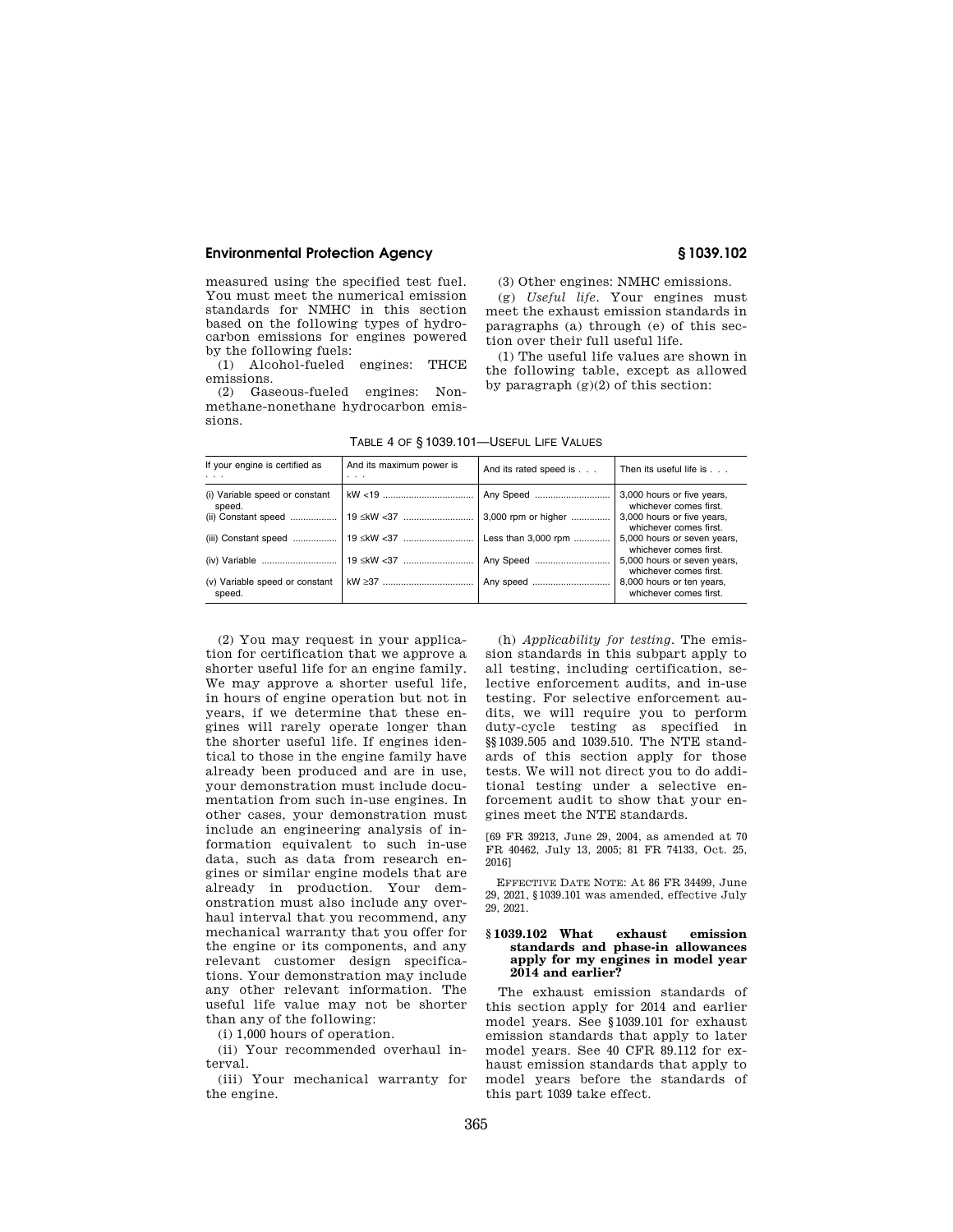measured using the specified test fuel. You must meet the numerical emission standards for NMHC in this section based on the following types of hydrocarbon emissions for engines powered by the following fuels:

(1) Alcohol-fueled engines: THCE emissions.

(2) Gaseous-fueled engines: Nonmethane-nonethane hydrocarbon emissions.

(3) Other engines: NMHC emissions.

(g) *Useful life.* Your engines must meet the exhaust emission standards in paragraphs (a) through (e) of this section over their full useful life.

(1) The useful life values are shown in the following table, except as allowed by paragraph (g)(2) of this section:

| If your engine is certified as<br>.      | And its maximum power is<br>$\cdots$ | And its rated speed is | Then its useful life is                               |
|------------------------------------------|--------------------------------------|------------------------|-------------------------------------------------------|
| (i) Variable speed or constant<br>speed. |                                      | Any Speed              | 3,000 hours or five years,<br>whichever comes first.  |
| (ii) Constant speed                      | 19 ≤kW <37                           | 3,000 rpm or higher    | 3,000 hours or five years,<br>whichever comes first.  |
| (iii) Constant speed    19 ≤kW <37       |                                      | Less than 3,000 rpm    | 5,000 hours or seven years,<br>whichever comes first. |
| (iv) Variable    19 ≤kW <37              |                                      | Any Speed              | 5,000 hours or seven years,<br>whichever comes first. |
| (v) Variable speed or constant<br>speed. |                                      |                        | 8,000 hours or ten years,<br>whichever comes first.   |
|                                          |                                      |                        |                                                       |

TABLE 4 OF § 1039.101—USEFUL LIFE VALUES

(2) You may request in your application for certification that we approve a shorter useful life for an engine family. We may approve a shorter useful life, in hours of engine operation but not in years, if we determine that these engines will rarely operate longer than the shorter useful life. If engines identical to those in the engine family have already been produced and are in use, your demonstration must include documentation from such in-use engines. In other cases, your demonstration must include an engineering analysis of information equivalent to such in-use data, such as data from research engines or similar engine models that are already in production. Your demonstration must also include any overhaul interval that you recommend, any mechanical warranty that you offer for the engine or its components, and any relevant customer design specifications. Your demonstration may include any other relevant information. The useful life value may not be shorter than any of the following:

(i) 1,000 hours of operation.

(ii) Your recommended overhaul interval.

(iii) Your mechanical warranty for the engine.

(h) *Applicability for testing.* The emission standards in this subpart apply to all testing, including certification, selective enforcement audits, and in-use testing. For selective enforcement audits, we will require you to perform duty-cycle testing as specified in §§1039.505 and 1039.510. The NTE standards of this section apply for those tests. We will not direct you to do additional testing under a selective enforcement audit to show that your engines meet the NTE standards.

[69 FR 39213, June 29, 2004, as amended at 70 FR 40462, July 13, 2005; 81 FR 74133, Oct. 25, 2016]

EFFECTIVE DATE NOTE: At 86 FR 34499, June 29, 2021, §1039.101 was amended, effective July 29, 2021.

### **§ 1039.102 What exhaust emission standards and phase-in allowances apply for my engines in model year 2014 and earlier?**

The exhaust emission standards of this section apply for 2014 and earlier model years. See §1039.101 for exhaust emission standards that apply to later model years. See 40 CFR 89.112 for exhaust emission standards that apply to model years before the standards of this part 1039 take effect.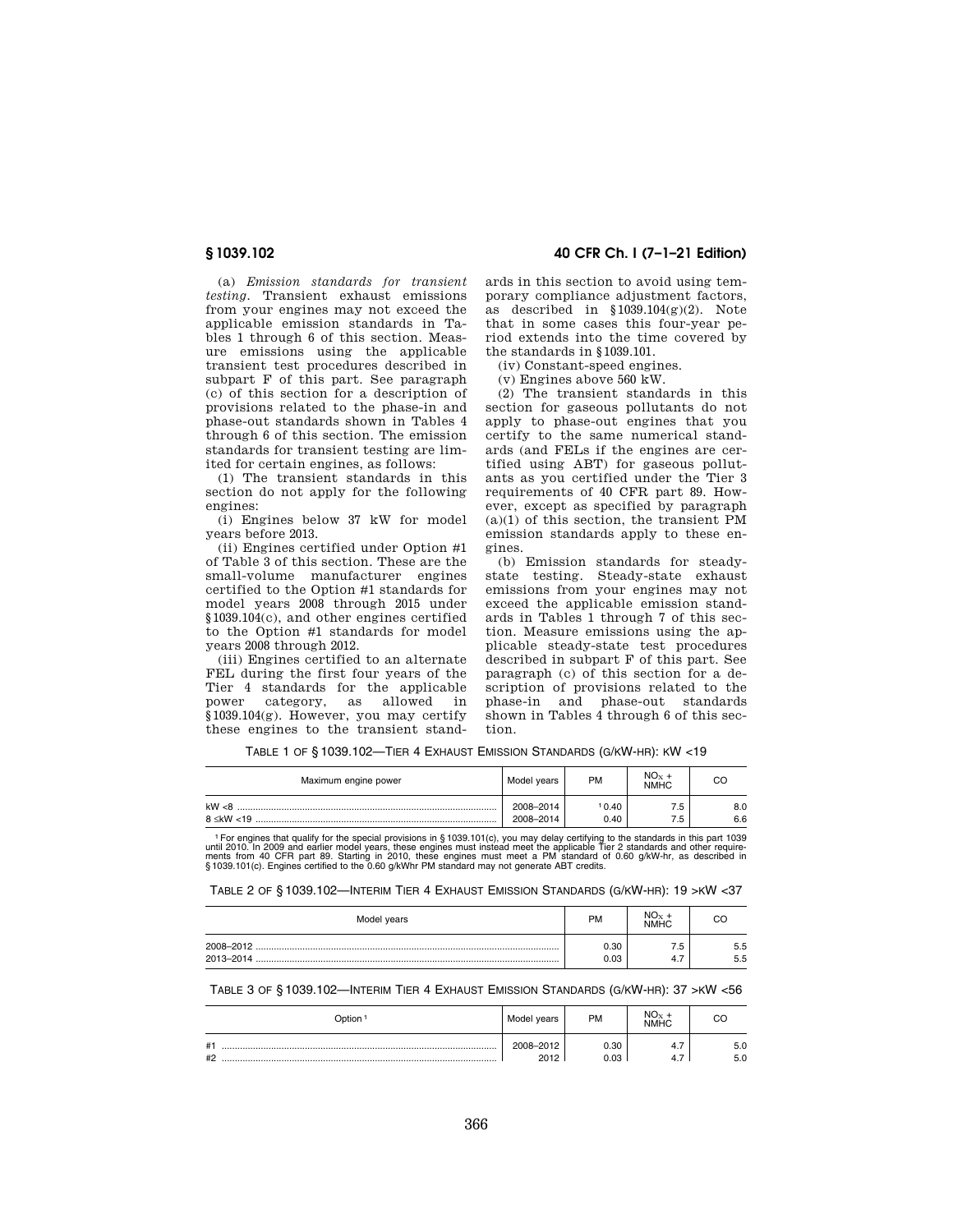(a) *Emission standards for transient testing.* Transient exhaust emissions from your engines may not exceed the applicable emission standards in Tables 1 through 6 of this section. Measure emissions using the applicable transient test procedures described in subpart F of this part. See paragraph (c) of this section for a description of provisions related to the phase-in and phase-out standards shown in Tables 4 through 6 of this section. The emission standards for transient testing are limited for certain engines, as follows:

(1) The transient standards in this section do not apply for the following engines:

(i) Engines below 37 kW for model years before 2013.

(ii) Engines certified under Option #1 of Table 3 of this section. These are the small-volume manufacturer engines certified to the Option #1 standards for model years 2008 through 2015 under §1039.104(c), and other engines certified to the Option #1 standards for model years 2008 through 2012.

(iii) Engines certified to an alternate FEL during the first four years of the Tier 4 standards for the applicable power category, as allowed in §1039.104(g). However, you may certify these engines to the transient stand-

**§ 1039.102 40 CFR Ch. I (7–1–21 Edition)** 

ards in this section to avoid using temporary compliance adjustment factors, as described in §1039.104(g)(2). Note that in some cases this four-year period extends into the time covered by the standards in §1039.101.

(iv) Constant-speed engines.

(v) Engines above 560 kW.

(2) The transient standards in this section for gaseous pollutants do not apply to phase-out engines that you certify to the same numerical standards (and FELs if the engines are certified using ABT) for gaseous pollutants as you certified under the Tier 3 requirements of 40 CFR part 89. However, except as specified by paragraph (a)(1) of this section, the transient PM emission standards apply to these engines.

(b) Emission standards for steadystate testing. Steady-state exhaust emissions from your engines may not exceed the applicable emission standards in Tables 1 through 7 of this section. Measure emissions using the applicable steady-state test procedures described in subpart F of this part. See paragraph (c) of this section for a description of provisions related to the phase-in and phase-out standards shown in Tables 4 through 6 of this section.

TABLE 1 OF § 1039.102—TIER 4 EXHAUST EMISSION STANDARDS (G/KW-HR): KW <19

| Maximum engine power         | Model years            | PM            | $NO_{x}$ +<br><b>NMHC</b> | CC         |
|------------------------------|------------------------|---------------|---------------------------|------------|
| kW < 8<br>$8 \leq$ kW $< 19$ | 2008-2014<br>2008-2014 | 10.40<br>0.40 | .5<br>.5                  | 8.0<br>6.6 |

<sup>1</sup> For engines that qualify for the special provisions in § 1039.101(c), you may delay certifying to the standards in this part 1039 until 2010. In 2009 and earlier model years, these engines must instead meet the applica

TABLE 2 OF § 1039.102—INTERIM TIER 4 EXHAUST EMISSION STANDARDS (G/KW-HR): 19 >KW <37

| Model years | <b>PM</b> | $NO_{Y}$<br>NMHC |     |
|-------------|-----------|------------------|-----|
|             | 0.30      | ه.               | 5.5 |
|             | 0.03      | 4.,              | 5.5 |

## TABLE 3 OF § 1039.102—INTERIM TIER 4 EXHAUST EMISSION STANDARDS (G/KW-HR): 37 >KW <56

| Dption               | Model years       | <b>PM</b>    | $NO_{X}$<br><b>NMHC</b> |            |
|----------------------|-------------------|--------------|-------------------------|------------|
| # <sup>1</sup><br>#2 | 2008-2012<br>2012 | 0.30<br>0.03 | 4.,<br>-                | 5.0<br>5.0 |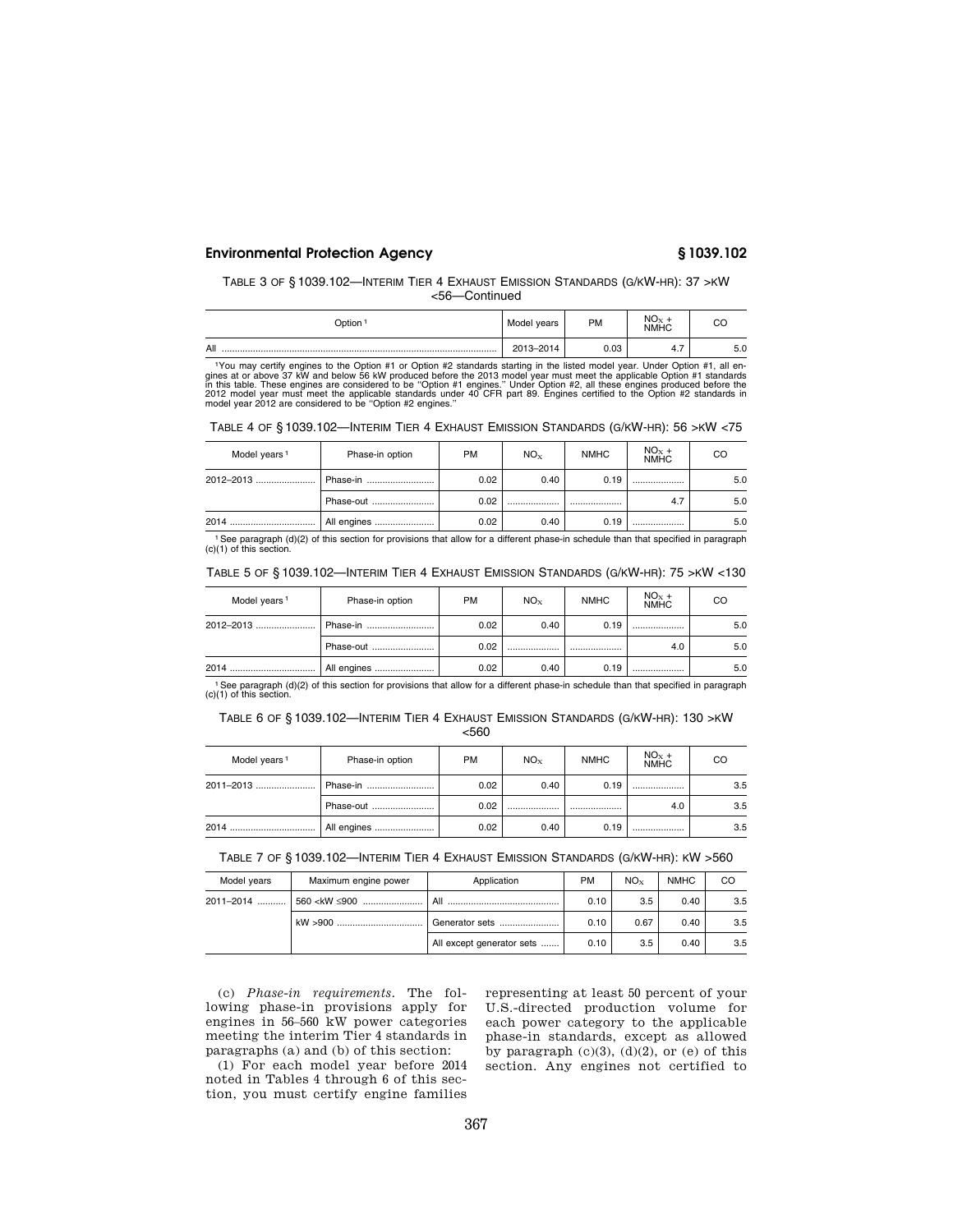### TABLE 3 OF § 1039.102—INTERIM TIER 4 EXHAUST EMISSION STANDARDS (G/KW-HR): 37 >KW <56—Continued

| ⊃ption <sup>-</sup> | Model years | PM   | $NO_{X}$<br>NMHC |     |  |
|---------------------|-------------|------|------------------|-----|--|
| All                 | 2013-2014   | 0.03 | 4.1              | 5.0 |  |

<sup>11</sup>You may certify engines to the Option #1 or Option #2 standards starting in the listed model year. Under Option #1, all engines at or above 56 kW produced before the 2013 model year in ust is the may in this table. The

| TABLE 4 OF §1039.102—INTERIM TIER 4 EXHAUST EMISSION STANDARDS (G/KW-HR): 56 > KW < 75 |  |  |
|----------------------------------------------------------------------------------------|--|--|
|----------------------------------------------------------------------------------------|--|--|

| Model years <sup>1</sup> | Phase-in option | <b>PM</b> | NO <sub>x</sub> | <b>NMHC</b> | $NOx +NMHC$ | CO  |
|--------------------------|-----------------|-----------|-----------------|-------------|-------------|-----|
| 2012-2013                | Phase-in        | 0.02      | 0.40            | 0.19        |             | 5.0 |
|                          | Phase-out       | 0.02      |                 |             | 4.7         | 5.0 |
| 2014                     | All engines     | 0.02      | 0.40            | 0.19        |             | 5.0 |

1See paragraph (d)(2) of this section for provisions that allow for a different phase-in schedule than that specified in paragraph (c)(1) of this section.

| TABLE 5 OF § 1039.102—INTERIM TIER 4 EXHAUST EMISSION STANDARDS (G/KW-HR): 75 > KW < 130 |  |  |  |  |
|------------------------------------------------------------------------------------------|--|--|--|--|
|------------------------------------------------------------------------------------------|--|--|--|--|

| Model years <sup>1</sup> | Phase-in option | <b>PM</b> | $NO_{x}$ | <b>NMHC</b> | $NOx +NMHC$ | CO  |
|--------------------------|-----------------|-----------|----------|-------------|-------------|-----|
|                          | Phase-in        | 0.02      | 0.40     | 0.19        |             | 5.0 |
|                          | Phase-out       | 0.02      |          |             | 4.0         | 5.0 |
|                          | All engines     | 0.02      | 0.40     | 0.19        |             | 5.0 |

1See paragraph (d)(2) of this section for provisions that allow for a different phase-in schedule than that specified in paragraph (c)(1) of this section.

TABLE 6 OF § 1039.102—INTERIM TIER 4 EXHAUST EMISSION STANDARDS (G/KW-HR): 130 >KW <560

| Model years <sup>1</sup> | Phase-in option | <b>PM</b> | NO <sub>x</sub> | <b>NMHC</b> | $NOx +NMHC$ | CO  |
|--------------------------|-----------------|-----------|-----------------|-------------|-------------|-----|
| 2011-2013                | Phase-in        | 0.02      | 0.40            | 0.19        |             | 3.5 |
|                          | Phase-out       | 0.02      |                 |             | 4.0         | 3.5 |
| 2014                     | All engines     | 0.02      | 0.40            | 0.19        |             | 3.5 |

TABLE 7 OF § 1039.102—INTERIM TIER 4 EXHAUST EMISSION STANDARDS (G/KW-HR): KW >560

| Model years | Maximum engine power                                                                           | Application               | <b>PM</b> | $NO_{Y}$ | <b>NMHC</b> | CO  |
|-------------|------------------------------------------------------------------------------------------------|---------------------------|-----------|----------|-------------|-----|
| 2011-2014   | 560 <kw <="" td="" ≤900=""><td>All</td><td>0.10</td><td>3.5</td><td>0.40</td><td>3.5</td></kw> | All                       | 0.10      | 3.5      | 0.40        | 3.5 |
|             | kW >900                                                                                        | Generator sets            | 0.10      | 0.67     | 0.40        | 3.5 |
|             |                                                                                                | All except generator sets | 0.10      | 3.5      | 0.40        | 3.5 |

(c) *Phase-in requirements.* The following phase-in provisions apply for engines in 56–560 kW power categories meeting the interim Tier 4 standards in paragraphs (a) and (b) of this section:

(1) For each model year before 2014 noted in Tables 4 through 6 of this section, you must certify engine families

representing at least 50 percent of your U.S.-directed production volume for each power category to the applicable phase-in standards, except as allowed by paragraph  $(c)(3)$ ,  $(d)(2)$ , or  $(e)$  of this section. Any engines not certified to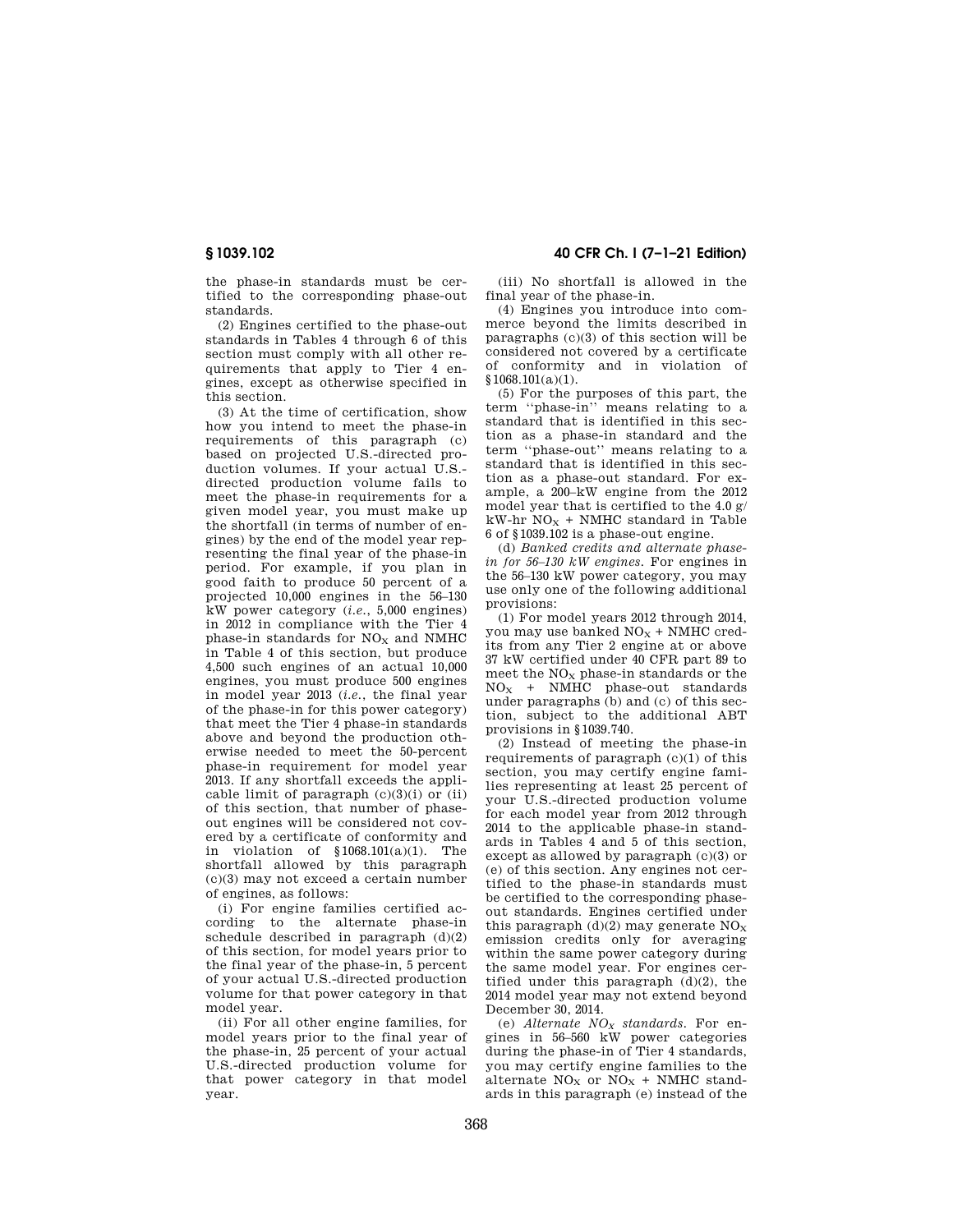the phase-in standards must be certified to the corresponding phase-out standards.

(2) Engines certified to the phase-out standards in Tables 4 through 6 of this section must comply with all other requirements that apply to Tier 4 engines, except as otherwise specified in this section.

(3) At the time of certification, show how you intend to meet the phase-in requirements of this paragraph (c) based on projected U.S.-directed production volumes. If your actual U.S. directed production volume fails to meet the phase-in requirements for a given model year, you must make up the shortfall (in terms of number of engines) by the end of the model year representing the final year of the phase-in period. For example, if you plan in good faith to produce 50 percent of a projected 10,000 engines in the 56–130 kW power category (*i.e.*, 5,000 engines) in 2012 in compliance with the Tier 4 phase-in standards for  $NO<sub>X</sub>$  and NMHC in Table 4 of this section, but produce 4,500 such engines of an actual 10,000 engines, you must produce 500 engines in model year 2013 (*i.e.*, the final year of the phase-in for this power category) that meet the Tier 4 phase-in standards above and beyond the production otherwise needed to meet the 50-percent phase-in requirement for model year 2013. If any shortfall exceeds the applicable limit of paragraph  $(c)(3)(i)$  or  $(ii)$ of this section, that number of phaseout engines will be considered not covered by a certificate of conformity and in violation of §1068.101(a)(1). The shortfall allowed by this paragraph (c)(3) may not exceed a certain number of engines, as follows:

(i) For engine families certified according to the alternate phase-in schedule described in paragraph  $(d)(2)$ of this section, for model years prior to the final year of the phase-in, 5 percent of your actual U.S.-directed production volume for that power category in that model year.

(ii) For all other engine families, for model years prior to the final year of the phase-in, 25 percent of your actual U.S.-directed production volume for that power category in that model year.

**§ 1039.102 40 CFR Ch. I (7–1–21 Edition)** 

(iii) No shortfall is allowed in the final year of the phase-in.

(4) Engines you introduce into commerce beyond the limits described in paragraphs (c)(3) of this section will be considered not covered by a certificate of conformity and in violation of  $$1068.101(a)(1)$ .

(5) For the purposes of this part, the term ''phase-in'' means relating to a standard that is identified in this section as a phase-in standard and the term ''phase-out'' means relating to a standard that is identified in this section as a phase-out standard. For example, a 200–kW engine from the 2012 model year that is certified to the 4.0 g/  $kW-hr\stackrel{\cdot}{N}O_X + NMHC$  standard in Table 6 of §1039.102 is a phase-out engine.

(d) *Banked credits and alternate phasein for 56–130 kW engines.* For engines in the 56–130 kW power category, you may use only one of the following additional provisions:

(1) For model years 2012 through 2014, you may use banked  $NO<sub>x</sub> + NMIC$  credits from any Tier 2 engine at or above 37 kW certified under 40 CFR part 89 to meet the  $NO<sub>x</sub>$  phase-in standards or the  $NO<sub>x</sub>$  + NMHC phase-out standards under paragraphs (b) and (c) of this section, subject to the additional ABT provisions in §1039.740.

(2) Instead of meeting the phase-in requirements of paragraph (c)(1) of this section, you may certify engine families representing at least 25 percent of your U.S.-directed production volume for each model year from 2012 through 2014 to the applicable phase-in standards in Tables 4 and 5 of this section, except as allowed by paragraph (c)(3) or (e) of this section. Any engines not certified to the phase-in standards must be certified to the corresponding phaseout standards. Engines certified under this paragraph  $(d)(2)$  may generate  $NO<sub>x</sub>$ emission credits only for averaging within the same power category during the same model year. For engines certified under this paragraph  $(d)(2)$ , the 2014 model year may not extend beyond December 30, 2014.

(e) *Alternate NO<sup>X</sup> standards.* For engines in 56–560 kW power categories during the phase-in of Tier 4 standards, you may certify engine families to the alternate  $NO<sub>X</sub>$  or  $NO<sub>X</sub>$  + NMHC standards in this paragraph (e) instead of the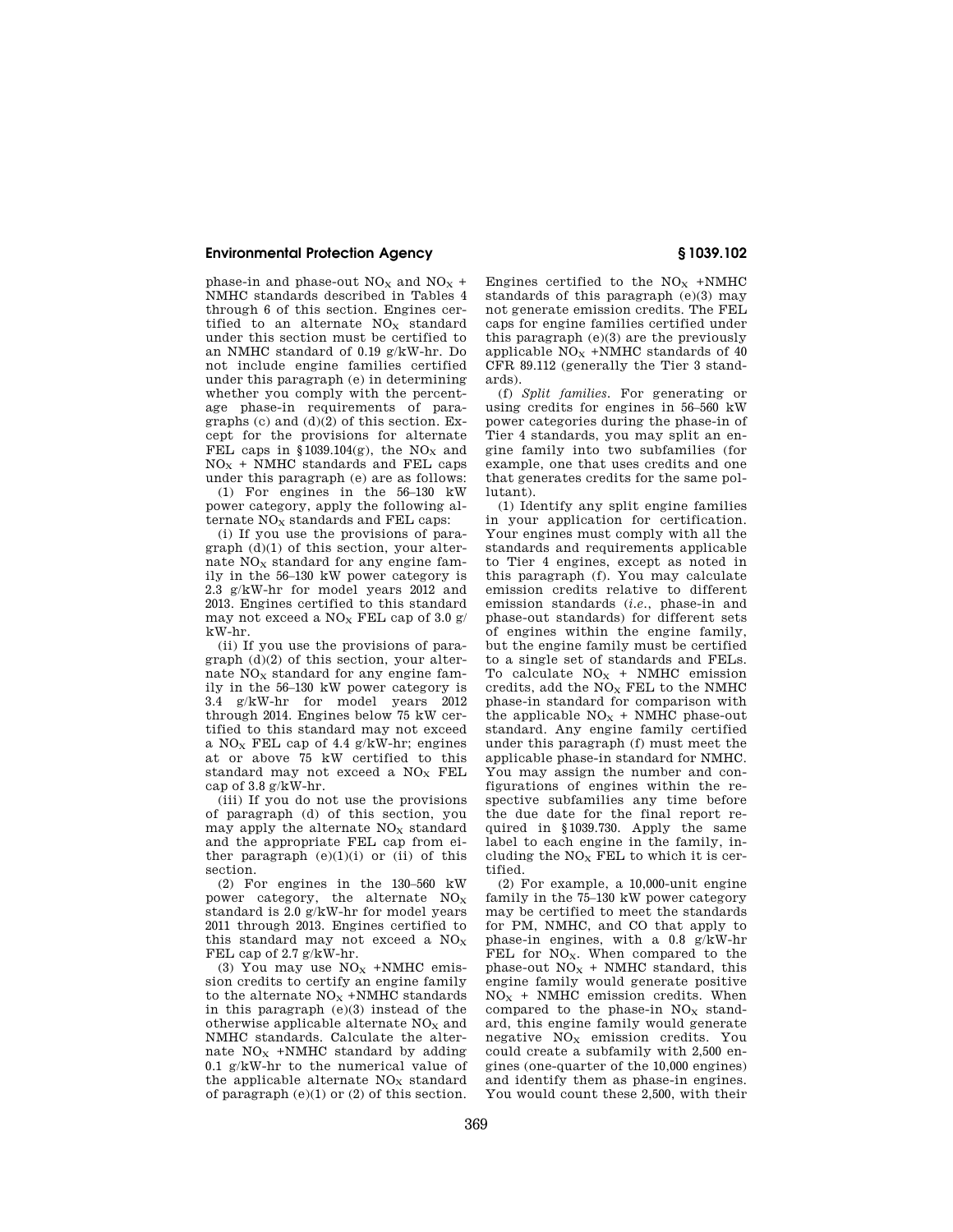phase-in and phase-out  $NO<sub>X</sub>$  and  $NO<sub>X</sub>$  + NMHC standards described in Tables 4 through 6 of this section. Engines certified to an alternate  $NO<sub>X</sub>$  standard under this section must be certified to an NMHC standard of 0.19 g/kW-hr. Do not include engine families certified under this paragraph (e) in determining whether you comply with the percentage phase-in requirements of paragraphs (c) and  $(d)(2)$  of this section. Except for the provisions for alternate FEL caps in §1039.104(g), the NO<sub>x</sub> and  $NO<sub>X</sub>$  + NMHC standards and FEL caps under this paragraph (e) are as follows:

(1) For engines in the 56–130 kW power category, apply the following alternate  $NO<sub>x</sub>$  standards and FEL caps:

(i) If you use the provisions of paragraph  $(d)(1)$  of this section, your alternate  $NO<sub>x</sub>$  standard for any engine family in the 56–130 kW power category is 2.3 g/kW-hr for model years 2012 and 2013. Engines certified to this standard may not exceed a  $NO<sub>X</sub>$  FEL cap of 3.0 g/ kW-hr.

(ii) If you use the provisions of paragraph (d)(2) of this section, your alternate  $NO<sub>x</sub>$  standard for any engine family in the 56–130 kW power category is 3.4 g/kW-hr for model years 2012 through 2014. Engines below 75 kW certified to this standard may not exceed a NO<sub>x</sub> FEL cap of 4.4  $g/kW-hr$ ; engines at or above 75 kW certified to this standard may not exceed a NO<sub>x</sub> FEL cap of  $3.8 \frac{\text{g}}{\text{K}}\text{W-hr}$ .

(iii) If you do not use the provisions of paragraph (d) of this section, you may apply the alternate  $NO<sub>x</sub>$  standard and the appropriate FEL cap from either paragraph  $(e)(1)(i)$  or  $(ii)$  of this section.

(2) For engines in the 130–560 kW power category, the alternate  $NO<sub>x</sub>$ standard is 2.0 g/kW-hr for model years 2011 through 2013. Engines certified to this standard may not exceed a  $NO<sub>x</sub>$ FEL cap of 2.7 g/kW-hr.

(3) You may use  $NO<sub>x</sub> + NMHC$  emission credits to certify an engine family to the alternate  $\mathrm{NO_{X}}$  +NMHC standards in this paragraph (e)(3) instead of the otherwise applicable alternate  $NO<sub>x</sub>$  and NMHC standards. Calculate the alternate  $NO<sub>x</sub>$  +NMHC standard by adding 0.1 g/kW-hr to the numerical value of the applicable alternate  $NO<sub>x</sub>$  standard of paragraph (e)(1) or (2) of this section. Engines certified to the  $NO<sub>X</sub>$  +NMHC standards of this paragraph (e)(3) may not generate emission credits. The FEL caps for engine families certified under this paragraph (e)(3) are the previously applicable  $NO<sub>X</sub>$  +NMHC standards of 40 CFR 89.112 (generally the Tier 3 standards).

(f) *Split families.* For generating or using credits for engines in 56–560 kW power categories during the phase-in of Tier 4 standards, you may split an engine family into two subfamilies (for example, one that uses credits and one that generates credits for the same pollutant).

(1) Identify any split engine families in your application for certification. Your engines must comply with all the standards and requirements applicable to Tier 4 engines, except as noted in this paragraph (f). You may calculate emission credits relative to different emission standards (*i.e.*, phase-in and phase-out standards) for different sets of engines within the engine family, but the engine family must be certified to a single set of standards and FELs. To calculate  $NO<sub>x</sub> + NMHC$  emission credits, add the  $NO<sub>X</sub>$  FEL to the NMHC phase-in standard for comparison with the applicable  $NO<sub>X</sub>$  + NMHC phase-out standard. Any engine family certified under this paragraph (f) must meet the applicable phase-in standard for NMHC. You may assign the number and configurations of engines within the respective subfamilies any time before the due date for the final report required in §1039.730. Apply the same label to each engine in the family, including the  $NO<sub>x</sub>$  FEL to which it is certified.

(2) For example, a 10,000-unit engine family in the 75–130 kW power category may be certified to meet the standards for PM, NMHC, and CO that apply to phase-in engines, with a 0.8 g/kW-hr FEL for NO<sub>x</sub>. When compared to the phase-out  $NO<sub>X</sub>$  + NMHC standard, this engine family would generate positive  $NO<sub>X</sub>$  + NMHC emission credits. When compared to the phase-in  $NO<sub>x</sub>$  standard, this engine family would generate negative  $NO<sub>x</sub>$  emission credits. You could create a subfamily with 2,500 engines (one-quarter of the 10,000 engines) and identify them as phase-in engines. You would count these 2,500, with their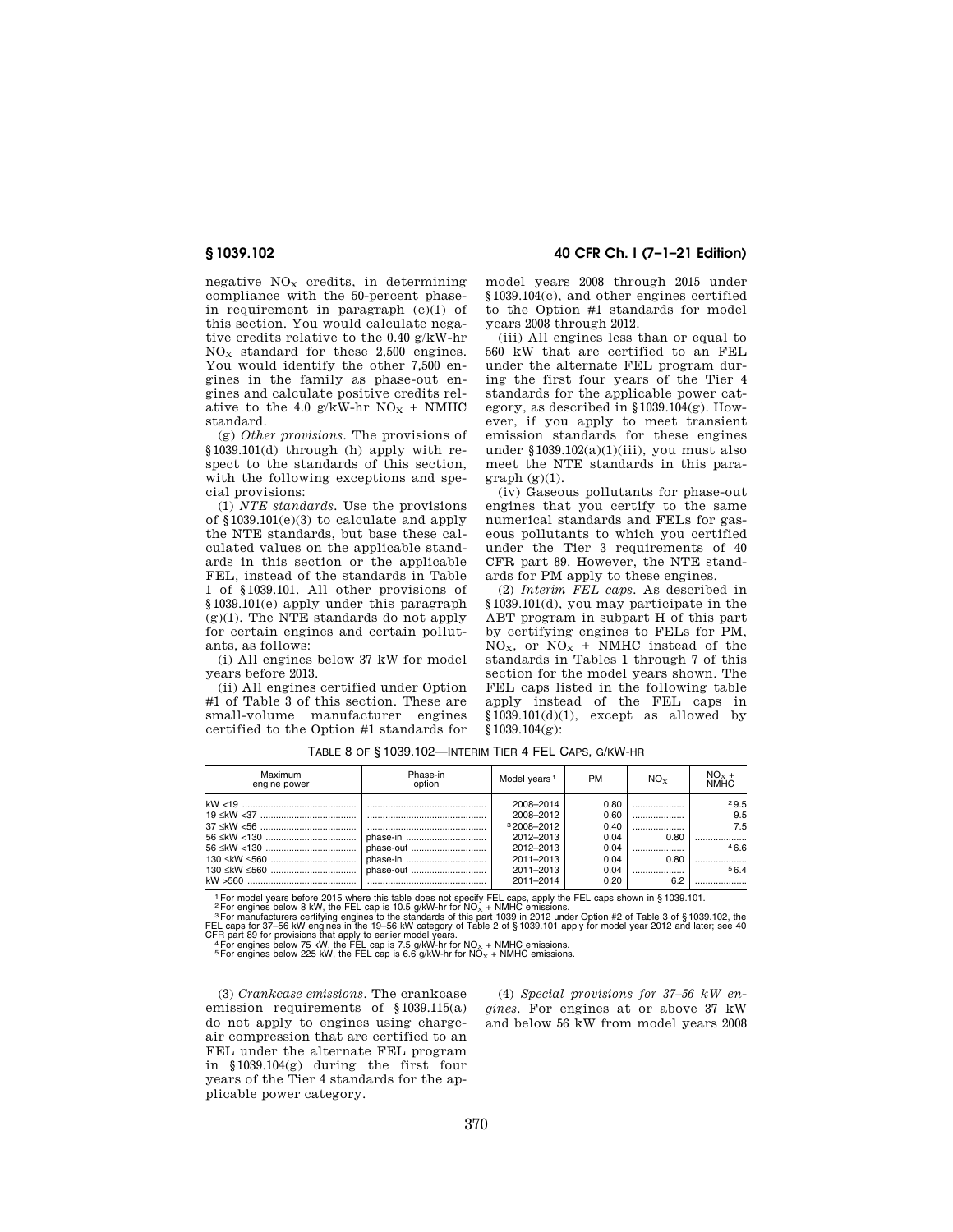negative  $NO<sub>x</sub>$  credits, in determining compliance with the 50-percent phasein requirement in paragraph  $(c)(1)$  of this section. You would calculate negative credits relative to the 0.40 g/kW-hr  $NO<sub>x</sub>$  standard for these 2,500 engines. You would identify the other 7,500 engines in the family as phase-out engines and calculate positive credits relative to the 4.0 g/kW-hr  $NO<sub>x</sub>$  + NMHC standard.

(g) *Other provisions.* The provisions of §1039.101(d) through (h) apply with respect to the standards of this section, with the following exceptions and special provisions:

(1) *NTE standards.* Use the provisions of §1039.101(e)(3) to calculate and apply the NTE standards, but base these calculated values on the applicable standards in this section or the applicable FEL, instead of the standards in Table 1 of §1039.101. All other provisions of §1039.101(e) apply under this paragraph  $(g)(1)$ . The NTE standards do not apply for certain engines and certain pollutants, as follows:

(i) All engines below 37 kW for model years before 2013.

(ii) All engines certified under Option #1 of Table 3 of this section. These are small-volume manufacturer engines certified to the Option #1 standards for

**§ 1039.102 40 CFR Ch. I (7–1–21 Edition)** 

model years 2008 through 2015 under §1039.104(c), and other engines certified to the Option #1 standards for model years 2008 through 2012.

(iii) All engines less than or equal to 560 kW that are certified to an FEL under the alternate FEL program during the first four years of the Tier 4 standards for the applicable power category, as described in  $$1039.104$ (g). However, if you apply to meet transient emission standards for these engines under  $$1039.102(a)(1)(iii)$ , you must also meet the NTE standards in this para $graph (g)(1)$ .

(iv) Gaseous pollutants for phase-out engines that you certify to the same numerical standards and FELs for gaseous pollutants to which you certified under the Tier 3 requirements of 40 CFR part 89. However, the NTE standards for PM apply to these engines.

(2) *Interim FEL caps.* As described in §1039.101(d), you may participate in the ABT program in subpart H of this part by certifying engines to FELs for PM,  $NO<sub>X</sub>$ , or  $NO<sub>X</sub>$  + NMHC instead of the standards in Tables 1 through 7 of this section for the model years shown. The FEL caps listed in the following table apply instead of the FEL caps in  $$1039.101(d)(1)$ , except as allowed by §1039.104(g):

| Maximum<br>engine power | Phase-in<br>option | Model years <sup>1</sup> | <b>PM</b> | $NO_{Y}$ | $NOx +$<br><b>NMHC</b> |
|-------------------------|--------------------|--------------------------|-----------|----------|------------------------|
|                         |                    | 2008-2014                | 0.80      |          | 29.5                   |
|                         |                    | 2008-2012                | 0.60      |          | 9.5                    |
|                         |                    | 32008-2012               | 0.40      |          | 7.5                    |
|                         | phase-in           | 2012-2013                | 0.04      | 0.80     |                        |
|                         | phase-out          | 2012-2013                | 0.04      |          | 466                    |
|                         | phase-in           | 2011-2013                | 0.04      | 0.80     |                        |
|                         | phase-out          | 2011-2013                | 0.04      |          | 564                    |
|                         |                    | 2011-2014                | 0.20      | 6.2      |                        |

TABLE 8 OF § 1039.102—INTERIM TIER 4 FEL CAPS, G/KW-HR

<sup>1</sup> For model years before 2015 where this table does not specify FEL caps, apply the FEL caps shown in § 1039.101.<br><sup>2</sup> For engines below 8 kW, the FEL cap is 10.5 g/kW-hr for NO<sub>X</sub> + NMHC emissions.<br><sup>3</sup> For manufacturers

(3) *Crankcase emissions.* The crankcase emission requirements of §1039.115(a) do not apply to engines using chargeair compression that are certified to an FEL under the alternate FEL program in §1039.104(g) during the first four years of the Tier 4 standards for the applicable power category.

(4) *Special provisions for 37–56 kW engines.* For engines at or above 37 kW and below 56 kW from model years 2008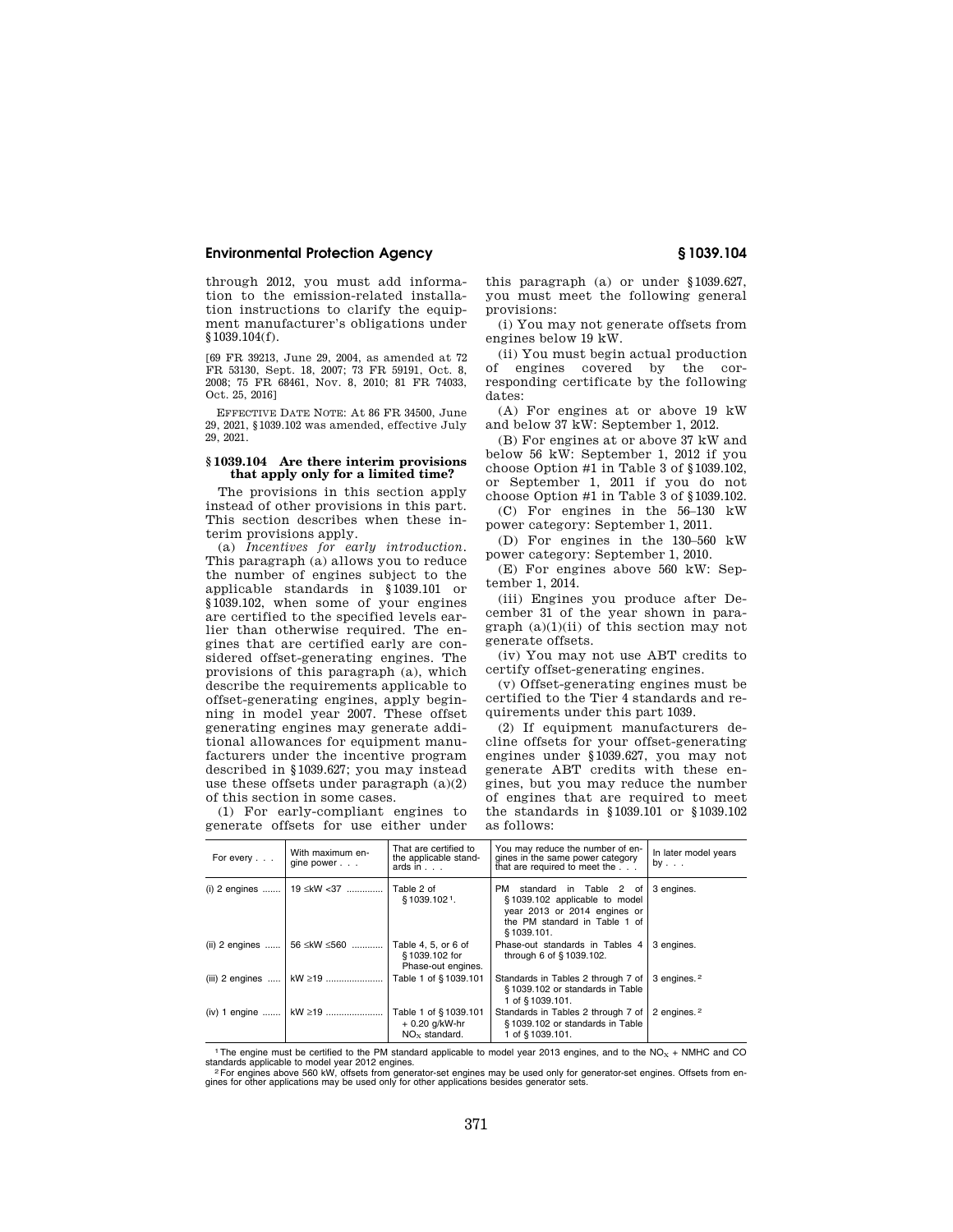through 2012, you must add information to the emission-related installation instructions to clarify the equipment manufacturer's obligations under §1039.104(f).

[69 FR 39213, June 29, 2004, as amended at 72 FR 53130, Sept. 18, 2007; 73 FR 59191, Oct. 8, 2008; 75 FR 68461, Nov. 8, 2010; 81 FR 74033, Oct. 25, 2016]

EFFECTIVE DATE NOTE: At 86 FR 34500, June 29, 2021, §1039.102 was amended, effective July 29, 2021.

## **§ 1039.104 Are there interim provisions that apply only for a limited time?**

The provisions in this section apply instead of other provisions in this part. This section describes when these interim provisions apply.

(a) *Incentives for early introduction.*  This paragraph (a) allows you to reduce the number of engines subject to the applicable standards in §1039.101 or §1039.102, when some of your engines are certified to the specified levels earlier than otherwise required. The engines that are certified early are considered offset-generating engines. The provisions of this paragraph (a), which describe the requirements applicable to offset-generating engines, apply beginning in model year 2007. These offset generating engines may generate additional allowances for equipment manufacturers under the incentive program described in §1039.627; you may instead use these offsets under paragraph  $(a)(2)$ of this section in some cases.

(1) For early-compliant engines to generate offsets for use either under this paragraph (a) or under §1039.627, you must meet the following general provisions:

(i) You may not generate offsets from engines below 19 kW.

(ii) You must begin actual production of engines covered by the corresponding certificate by the following dates:

(A) For engines at or above 19 kW and below 37 kW: September 1, 2012.

(B) For engines at or above 37 kW and below 56 kW: September 1, 2012 if you choose Option #1 in Table 3 of §1039.102, or September 1, 2011 if you do not choose Option #1 in Table 3 of §1039.102.

(C) For engines in the 56–130 kW power category: September 1, 2011.

(D) For engines in the 130–560 kW power category: September 1, 2010.

(E) For engines above 560 kW: September 1, 2014.

(iii) Engines you produce after December 31 of the year shown in para $graph (a)(1)(ii)$  of this section may not generate offsets.

(iv) You may not use ABT credits to certify offset-generating engines.

(v) Offset-generating engines must be certified to the Tier 4 standards and requirements under this part 1039.

(2) If equipment manufacturers decline offsets for your offset-generating engines under §1039.627, you may not generate ABT credits with these engines, but you may reduce the number of engines that are required to meet the standards in §1039.101 or §1039.102 as follows:

| For every         | With maximum en-<br>gine power | That are certified to<br>the applicable stand-<br>ards in $\ldots$ | You may reduce the number of en-<br>gines in the same power category<br>that are required to meet the                                      | In later model years<br>$by \ldots$ |
|-------------------|--------------------------------|--------------------------------------------------------------------|--------------------------------------------------------------------------------------------------------------------------------------------|-------------------------------------|
| $(i)$ 2 engines   | 19 ≤kW <37                     | Table 2 of<br>§1039.102 <sup>1</sup> .                             | PM standard in Table 2 of<br>§1039.102 applicable to model<br>year 2013 or 2014 engines or<br>the PM standard in Table 1 of<br>\$1039.101. | 3 engines.                          |
| $(ii)$ 2 engines  | 56 ≤kW ≤560                    | Table 4, 5, or 6 of<br>§ 1039.102 for<br>Phase-out engines.        | Phase-out standards in Tables 4<br>through 6 of §1039.102.                                                                                 | 3 engines.                          |
| $(iii)$ 2 engines | kW ≥19                         | Table 1 of §1039.101                                               | Standards in Tables 2 through 7 of<br>§1039.102 or standards in Table<br>1 of §1039.101.                                                   | 3 engines. <sup>2</sup>             |
| (iv) 1 engine $ $ | $kW \ge 19$                    | Table 1 of §1039.101<br>+ 0.20 g/kW-hr<br>$NO_x$ standard.         | Standards in Tables 2 through 7 of<br>§1039.102 or standards in Table<br>1 of §1039.101.                                                   | 2 engines. <sup>2</sup>             |

<sup>1</sup>The engine must be certified to the PM standard applicable to model year 2013 engines, and to the NO<sub>X</sub> + NMHC and CO

standards applicable to model year 2012 engines.<br>" For engines above 560 kW, offsets from generator-set engines may be used only for generator-set engines. Offsets from en-<br>gines for other applications may be used only fo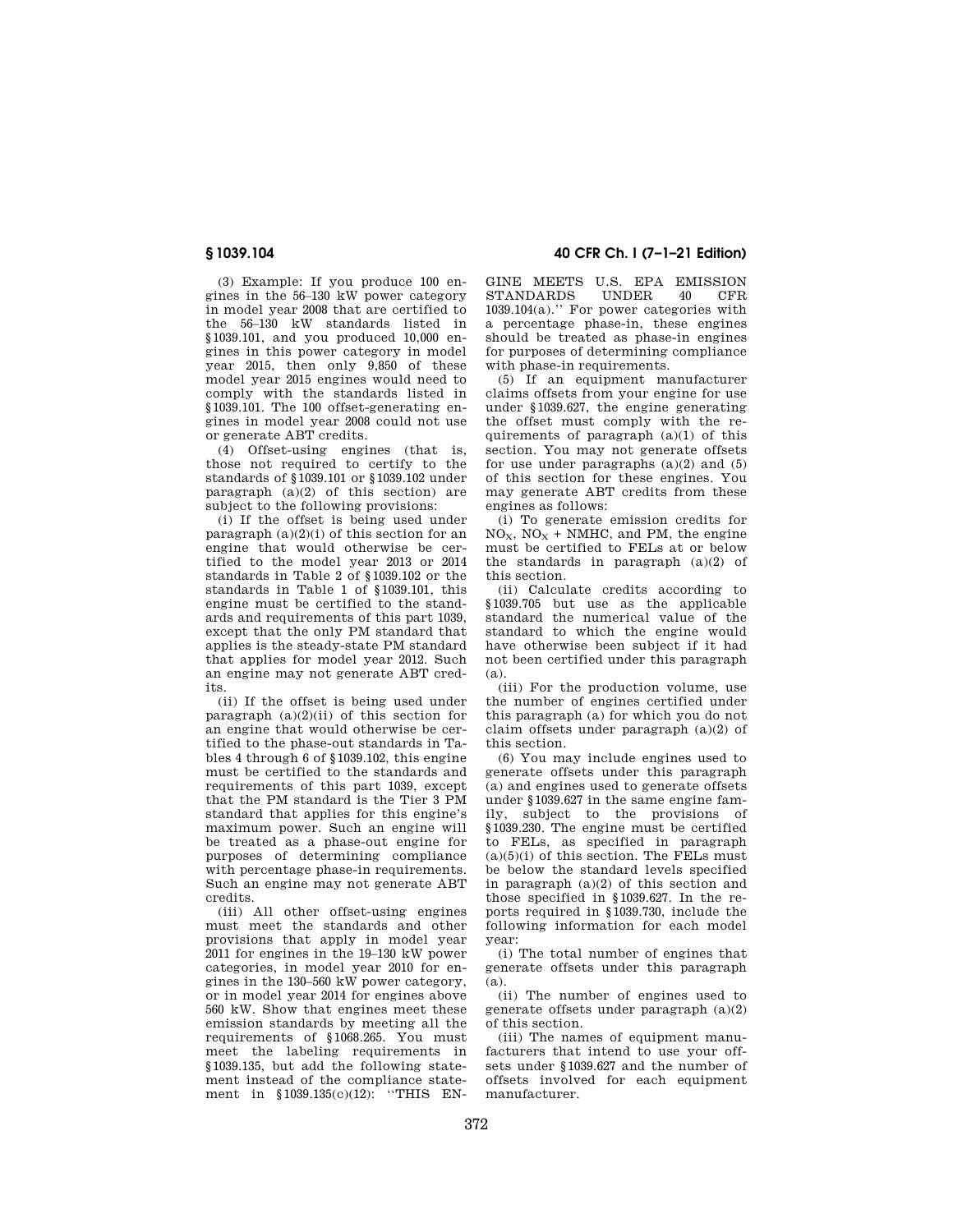(3) Example: If you produce 100 engines in the 56–130 kW power category in model year 2008 that are certified to the 56–130 kW standards listed in §1039.101, and you produced 10,000 engines in this power category in model year 2015, then only 9,850 of these model year 2015 engines would need to comply with the standards listed in §1039.101. The 100 offset-generating engines in model year 2008 could not use or generate ABT credits.

(4) Offset-using engines (that is, those not required to certify to the standards of §1039.101 or §1039.102 under paragraph  $(a)(2)$  of this section) are subject to the following provisions:

(i) If the offset is being used under paragraph  $(a)(2)(i)$  of this section for an engine that would otherwise be certified to the model year 2013 or 2014 standards in Table 2 of §1039.102 or the standards in Table 1 of §1039.101, this engine must be certified to the standards and requirements of this part 1039, except that the only PM standard that applies is the steady-state PM standard that applies for model year 2012. Such an engine may not generate ABT credits.

(ii) If the offset is being used under paragraph  $(a)(2)(ii)$  of this section for an engine that would otherwise be certified to the phase-out standards in Tables 4 through 6 of §1039.102, this engine must be certified to the standards and requirements of this part 1039, except that the PM standard is the Tier 3 PM standard that applies for this engine's maximum power. Such an engine will be treated as a phase-out engine for purposes of determining compliance with percentage phase-in requirements. Such an engine may not generate ABT credits.

(iii) All other offset-using engines must meet the standards and other provisions that apply in model year 2011 for engines in the 19–130 kW power categories, in model year 2010 for engines in the 130–560 kW power category, or in model year 2014 for engines above 560 kW. Show that engines meet these emission standards by meeting all the requirements of §1068.265. You must meet the labeling requirements in §1039.135, but add the following statement instead of the compliance statement in §1039.135(c)(12): "THIS EN-

# **§ 1039.104 40 CFR Ch. I (7–1–21 Edition)**

GINE MEETS U.S. EPA EMISSION<br>STANDARDS UNDER 40 CFR STANDARDS UNDER 40 CFR 1039.104(a).'' For power categories with a percentage phase-in, these engines should be treated as phase-in engines for purposes of determining compliance with phase-in requirements.

(5) If an equipment manufacturer claims offsets from your engine for use under §1039.627, the engine generating the offset must comply with the requirements of paragraph  $(a)(1)$  of this section. You may not generate offsets for use under paragraphs  $(a)(2)$  and  $(5)$ of this section for these engines. You may generate ABT credits from these engines as follows:

(i) To generate emission credits for  $NO<sub>x</sub>$ ,  $NO<sub>x</sub>$  + NMHC, and PM, the engine must be certified to FELs at or below the standards in paragraph  $(a)(2)$  of this section.

(ii) Calculate credits according to §1039.705 but use as the applicable standard the numerical value of the standard to which the engine would have otherwise been subject if it had not been certified under this paragraph (a).

(iii) For the production volume, use the number of engines certified under this paragraph (a) for which you do not claim offsets under paragraph (a)(2) of this section.

(6) You may include engines used to generate offsets under this paragraph (a) and engines used to generate offsets under §1039.627 in the same engine family, subject to the provisions of §1039.230. The engine must be certified to FELs, as specified in paragraph  $(a)(5)(i)$  of this section. The FELs must be below the standard levels specified in paragraph (a)(2) of this section and those specified in §1039.627. In the reports required in §1039.730, include the following information for each model year:

(i) The total number of engines that generate offsets under this paragraph (a).

(ii) The number of engines used to generate offsets under paragraph (a)(2) of this section.

(iii) The names of equipment manufacturers that intend to use your offsets under §1039.627 and the number of offsets involved for each equipment manufacturer.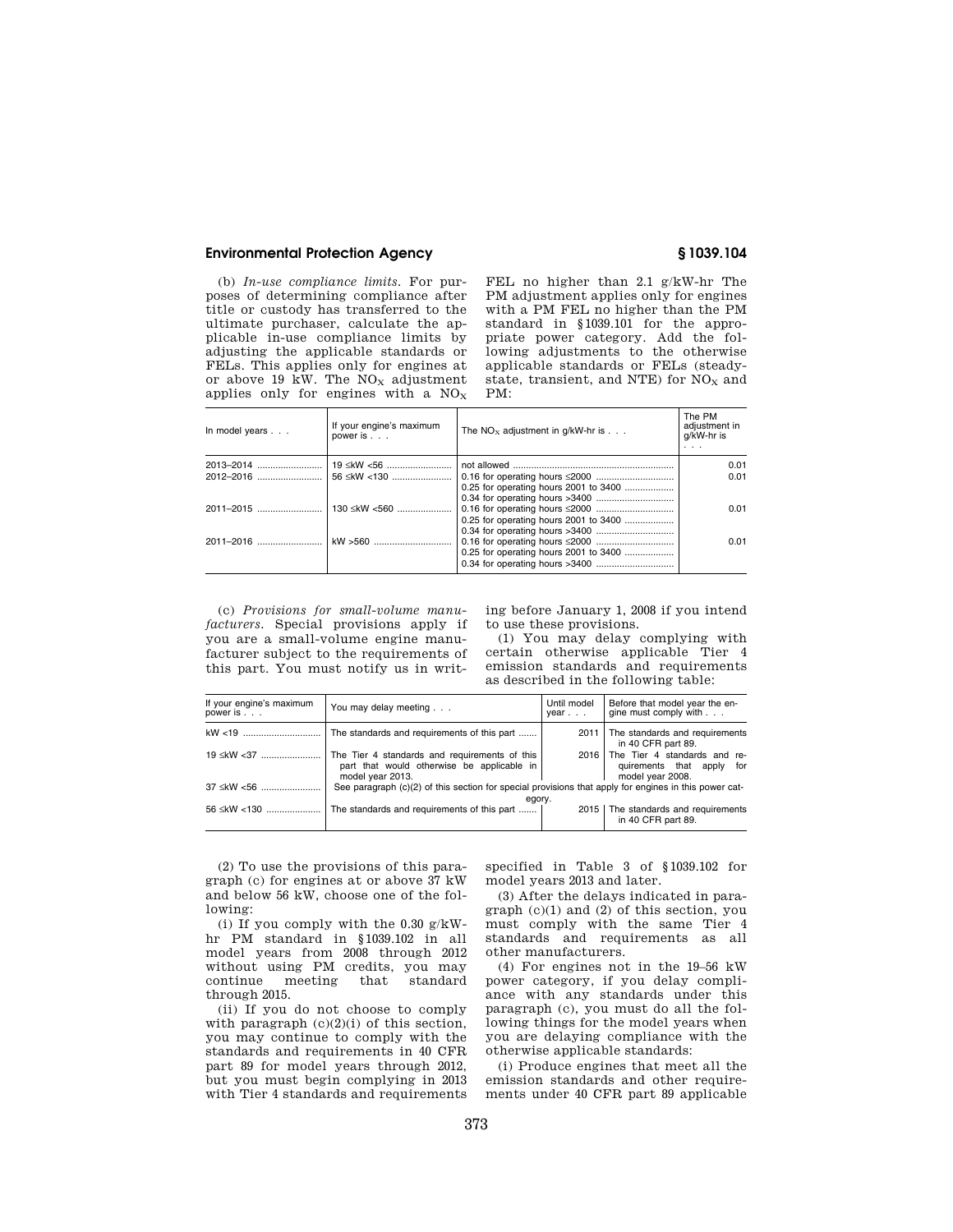(b) *In-use compliance limits.* For purposes of determining compliance after title or custody has transferred to the ultimate purchaser, calculate the applicable in-use compliance limits by adjusting the applicable standards or FELs. This applies only for engines at or above 19 kW. The  $NO<sub>X</sub>$  adjustment applies only for engines with a  $NO<sub>x</sub>$ 

FEL no higher than 2.1 g/kW-hr The PM adjustment applies only for engines with a PM FEL no higher than the PM standard in §1039.101 for the appropriate power category. Add the following adjustments to the otherwise applicable standards or FELs (steadystate, transient, and NTE) for NO<sub>x</sub> and PM:

| In model years | If your engine's maximum<br>power is | The $NO_x$ adjustment in $q/kW$ -hr is | The PM<br>adiustment in<br>g/kW-hr is<br>$\cdots$ |
|----------------|--------------------------------------|----------------------------------------|---------------------------------------------------|
| 2013-2014      | 19 ≤kW <56                           |                                        | 0.01                                              |
|                |                                      |                                        | 0.01                                              |
|                |                                      | 0.25 for operating hours 2001 to 3400  |                                                   |
|                |                                      |                                        |                                                   |
| 2011-2015      | 130 ≤kW <560                         |                                        | 0.01                                              |
|                |                                      | 0.25 for operating hours 2001 to 3400  |                                                   |
|                |                                      |                                        |                                                   |
| 2011-2016      |                                      |                                        | 0.01                                              |
|                |                                      | 0.25 for operating hours 2001 to 3400  |                                                   |
|                |                                      |                                        |                                                   |
|                |                                      |                                        |                                                   |

(c) *Provisions for small-volume manufacturers.* Special provisions apply if you are a small-volume engine manufacturer subject to the requirements of this part. You must notify us in writing before January 1, 2008 if you intend to use these provisions.

(1) You may delay complying with certain otherwise applicable Tier 4 emission standards and requirements as described in the following table:

| If your engine's maximum<br>power is | You may delay meeting                                                                                           | Until model<br>$year.$ . | Before that model year the en-<br>gine must comply with                       |  |  |
|--------------------------------------|-----------------------------------------------------------------------------------------------------------------|--------------------------|-------------------------------------------------------------------------------|--|--|
|                                      | The standards and requirements of this part                                                                     | 2011 l                   | The standards and requirements<br>in 40 CFR part 89.                          |  |  |
| 19 ≤kW <37                           | The Tier 4 standards and requirements of this<br>part that would otherwise be applicable in<br>model year 2013. | 2016                     | The Tier 4 standards and re-<br>quirements that apply for<br>model year 2008. |  |  |
| 37 ≤kW <56                           | See paragraph (c)(2) of this section for special provisions that apply for engines in this power cat-<br>egory. |                          |                                                                               |  |  |
| 56 ≤kW <130                          | The standards and requirements of this part                                                                     |                          | 2015   The standards and requirements<br>in 40 CFR part 89.                   |  |  |

(2) To use the provisions of this paragraph (c) for engines at or above 37 kW and below 56 kW, choose one of the following:

(i) If you comply with the 0.30 g/kWhr PM standard in §1039.102 in all model years from 2008 through 2012 without using PM credits, you may continue meeting that standard through 2015.

(ii) If you do not choose to comply with paragraph  $(c)(2)(i)$  of this section, you may continue to comply with the standards and requirements in 40 CFR part 89 for model years through 2012, but you must begin complying in 2013 with Tier 4 standards and requirements specified in Table 3 of §1039.102 for model years 2013 and later.

(3) After the delays indicated in para $graph (c)(1)$  and  $(2)$  of this section, you must comply with the same Tier 4 standards and requirements as all other manufacturers.

(4) For engines not in the 19–56 kW power category, if you delay compliance with any standards under this paragraph (c), you must do all the following things for the model years when you are delaying compliance with the otherwise applicable standards:

(i) Produce engines that meet all the emission standards and other requirements under 40 CFR part 89 applicable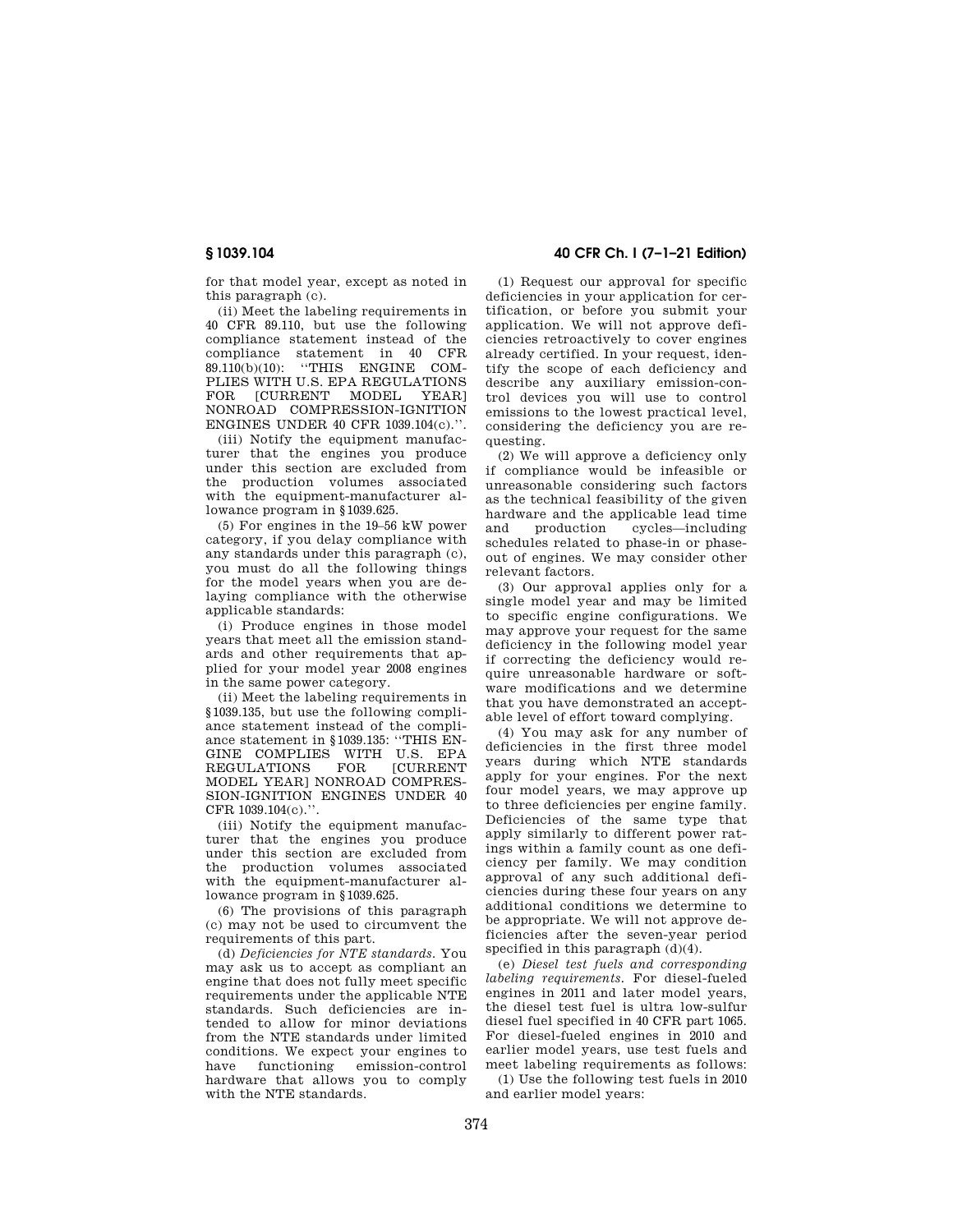for that model year, except as noted in this paragraph (c).

(ii) Meet the labeling requirements in 40 CFR 89.110, but use the following compliance statement instead of the compliance statement in 40 CFR 89.110(b)(10): ''THIS ENGINE COM-PLIES WITH U.S. EPA REGULATIONS FOR [CURRENT MODEL YEAR] NONROAD COMPRESSION-IGNITION ENGINES UNDER 40 CFR 1039.104(c).''.

(iii) Notify the equipment manufacturer that the engines you produce under this section are excluded from the production volumes associated with the equipment-manufacturer allowance program in §1039.625.

(5) For engines in the 19–56 kW power category, if you delay compliance with any standards under this paragraph (c), you must do all the following things for the model years when you are delaying compliance with the otherwise applicable standards:

(i) Produce engines in those model years that meet all the emission standards and other requirements that applied for your model year 2008 engines in the same power category.

(ii) Meet the labeling requirements in §1039.135, but use the following compliance statement instead of the compliance statement in §1039.135: ''THIS EN-GINE COMPLIES WITH U.S. EPA<br>REGULATIONS FOR [CURRENT REGULATIONS MODEL YEAR] NONROAD COMPRES-SION-IGNITION ENGINES UNDER 40 CFR 1039.104(c).''.

(iii) Notify the equipment manufacturer that the engines you produce under this section are excluded from the production volumes associated with the equipment-manufacturer allowance program in §1039.625.

(6) The provisions of this paragraph (c) may not be used to circumvent the requirements of this part.

(d) *Deficiencies for NTE standards.* You may ask us to accept as compliant an engine that does not fully meet specific requirements under the applicable NTE standards. Such deficiencies are intended to allow for minor deviations from the NTE standards under limited conditions. We expect your engines to have functioning emission-control hardware that allows you to comply with the NTE standards.

# **§ 1039.104 40 CFR Ch. I (7–1–21 Edition)**

(1) Request our approval for specific deficiencies in your application for certification, or before you submit your application. We will not approve deficiencies retroactively to cover engines already certified. In your request, identify the scope of each deficiency and describe any auxiliary emission-control devices you will use to control emissions to the lowest practical level, considering the deficiency you are requesting.

(2) We will approve a deficiency only if compliance would be infeasible or unreasonable considering such factors as the technical feasibility of the given hardware and the applicable lead time and production cycles—including schedules related to phase-in or phaseout of engines. We may consider other relevant factors.

(3) Our approval applies only for a single model year and may be limited to specific engine configurations. We may approve your request for the same deficiency in the following model year if correcting the deficiency would require unreasonable hardware or software modifications and we determine that you have demonstrated an acceptable level of effort toward complying.

(4) You may ask for any number of deficiencies in the first three model years during which NTE standards apply for your engines. For the next four model years, we may approve up to three deficiencies per engine family. Deficiencies of the same type that apply similarly to different power ratings within a family count as one deficiency per family. We may condition approval of any such additional deficiencies during these four years on any additional conditions we determine to be appropriate. We will not approve deficiencies after the seven-year period specified in this paragraph (d)(4).

(e) *Diesel test fuels and corresponding labeling requirements.* For diesel-fueled engines in 2011 and later model years, the diesel test fuel is ultra low-sulfur diesel fuel specified in 40 CFR part 1065. For diesel-fueled engines in 2010 and earlier model years, use test fuels and meet labeling requirements as follows:

(1) Use the following test fuels in 2010 and earlier model years: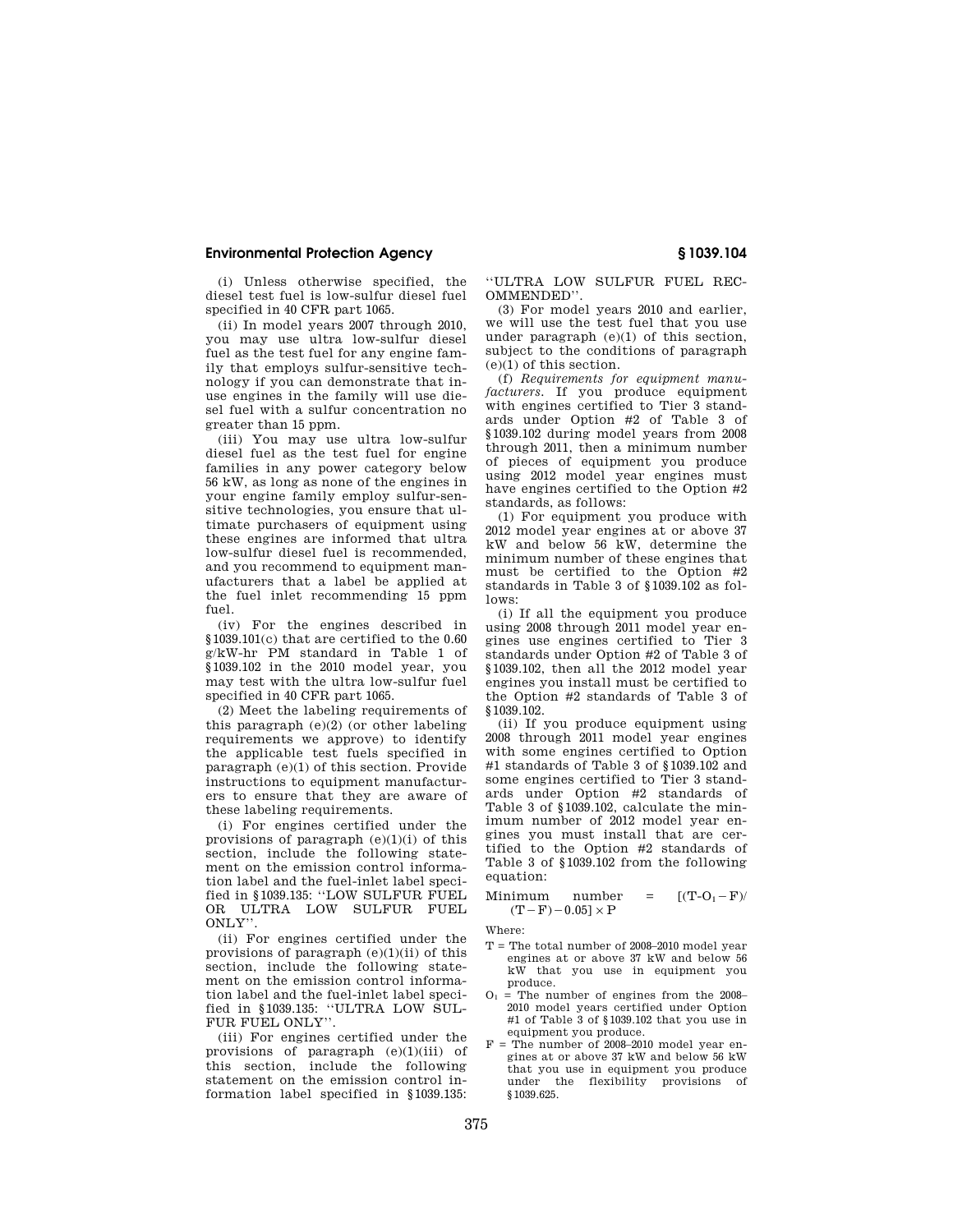(i) Unless otherwise specified, the diesel test fuel is low-sulfur diesel fuel specified in 40 CFR part 1065.

(ii) In model years 2007 through 2010, you may use ultra low-sulfur diesel fuel as the test fuel for any engine family that employs sulfur-sensitive technology if you can demonstrate that inuse engines in the family will use diesel fuel with a sulfur concentration no greater than 15 ppm.

(iii) You may use ultra low-sulfur diesel fuel as the test fuel for engine families in any power category below 56 kW, as long as none of the engines in your engine family employ sulfur-sensitive technologies, you ensure that ultimate purchasers of equipment using these engines are informed that ultra low-sulfur diesel fuel is recommended, and you recommend to equipment manufacturers that a label be applied at the fuel inlet recommending 15 ppm fuel.

(iv) For the engines described in §1039.101(c) that are certified to the 0.60 g/kW-hr PM standard in Table 1 of §1039.102 in the 2010 model year, you may test with the ultra low-sulfur fuel specified in 40 CFR part 1065.

(2) Meet the labeling requirements of this paragraph (e)(2) (or other labeling requirements we approve) to identify the applicable test fuels specified in paragraph (e)(1) of this section. Provide instructions to equipment manufacturers to ensure that they are aware of these labeling requirements.

(i) For engines certified under the provisions of paragraph  $(e)(1)(i)$  of this section, include the following statement on the emission control information label and the fuel-inlet label specified in §1039.135: ''LOW SULFUR FUEL OR ULTRA LOW SULFUR FUEL ONLY''.

(ii) For engines certified under the provisions of paragraph  $(e)(1)(ii)$  of this section, include the following statement on the emission control information label and the fuel-inlet label specified in §1039.135: ''ULTRA LOW SUL-FUR FUEL ONLY".

(iii) For engines certified under the provisions of paragraph (e)(1)(iii) of this section, include the following statement on the emission control information label specified in §1039.135:

''ULTRA LOW SULFUR FUEL REC-OMMENDED''.

(3) For model years 2010 and earlier, we will use the test fuel that you use under paragraph (e)(1) of this section, subject to the conditions of paragraph (e)(1) of this section.

(f) *Requirements for equipment manufacturers.* If you produce equipment with engines certified to Tier 3 standards under Option #2 of Table 3 of §1039.102 during model years from 2008 through 2011, then a minimum number of pieces of equipment you produce using 2012 model year engines must have engines certified to the Option #2 standards, as follows:

(1) For equipment you produce with 2012 model year engines at or above 37 kW and below 56 kW, determine the minimum number of these engines that must be certified to the Option #2 standards in Table 3 of §1039.102 as follows:

(i) If all the equipment you produce using 2008 through 2011 model year engines use engines certified to Tier 3 standards under Option #2 of Table 3 of §1039.102, then all the 2012 model year engines you install must be certified to the Option #2 standards of Table 3 of §1039.102.

(ii) If you produce equipment using 2008 through 2011 model year engines with some engines certified to Option #1 standards of Table 3 of §1039.102 and some engines certified to Tier 3 standards under Option #2 standards of Table 3 of §1039.102, calculate the minimum number of 2012 model year engines you must install that are certified to the Option #2 standards of Table 3 of §1039.102 from the following equation:

$$
\begin{array}{ll}\n\text{Minimum} & \text{number} = [(\text{T-O}_1 - \text{F})/\\
(\text{T}-\text{F}) - 0.05] \times \text{P}\n\end{array}
$$

Where:

- $T =$  The total number of 2008–2010 model year engines at or above 37 kW and below 56 kW that you use in equipment you produce.
- $O_1$  = The number of engines from the 2008– 2010 model years certified under Option #1 of Table 3 of §1039.102 that you use in equipment you produce.
- $F =$ The number of 2008–2010 model year engines at or above 37 kW and below 56 kW that you use in equipment you produce under the flexibility provisions of §1039.625.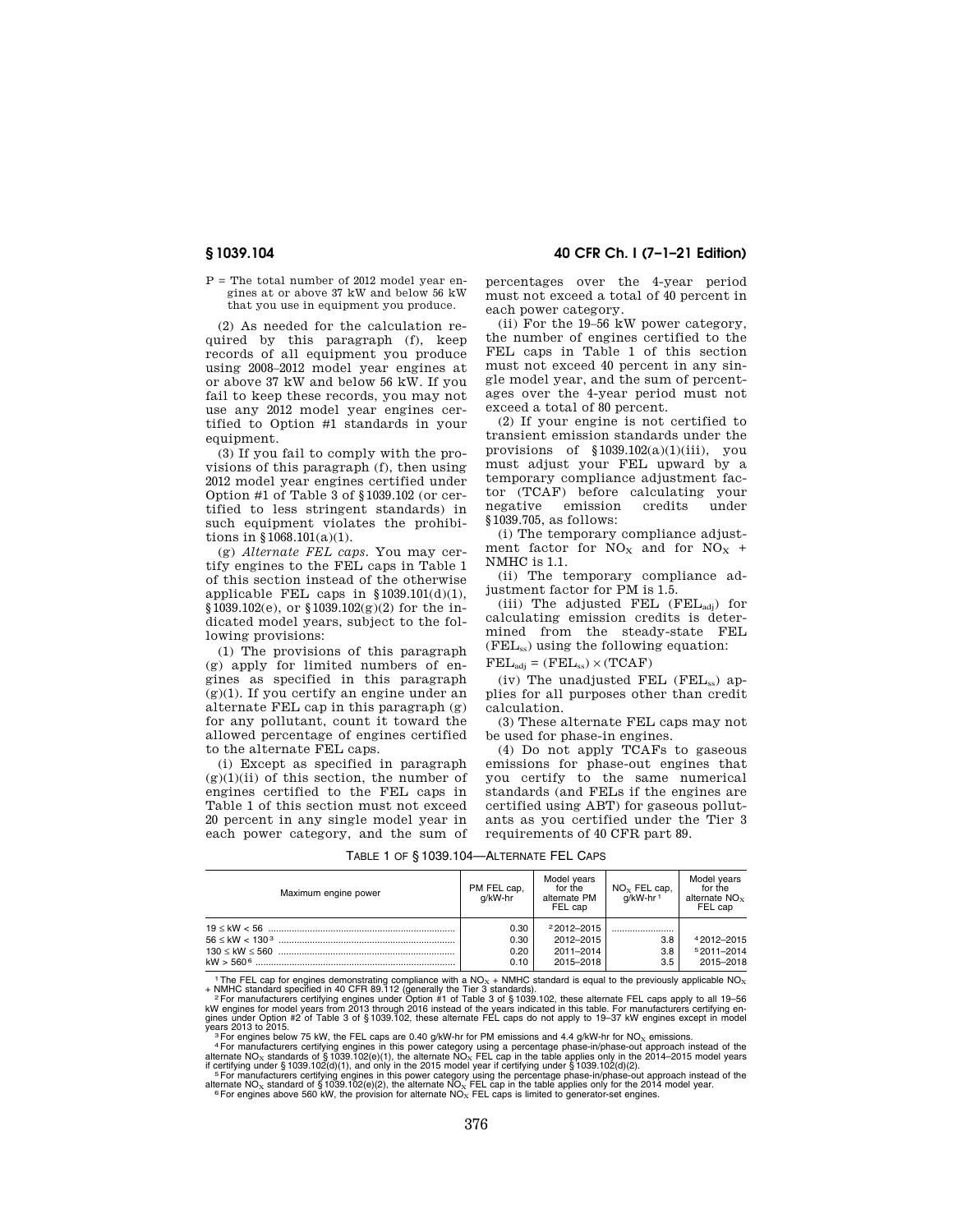P = The total number of 2012 model year engines at or above 37 kW and below 56 kW that you use in equipment you produce.

(2) As needed for the calculation required by this paragraph (f), keep records of all equipment you produce using 2008–2012 model year engines at or above 37 kW and below 56 kW. If you fail to keep these records, you may not use any 2012 model year engines certified to Option #1 standards in your equipment.

(3) If you fail to comply with the provisions of this paragraph (f), then using 2012 model year engines certified under Option #1 of Table 3 of §1039.102 (or certified to less stringent standards) in such equipment violates the prohibitions in §1068.101(a)(1).

(g) *Alternate FEL caps.* You may certify engines to the FEL caps in Table 1 of this section instead of the otherwise applicable FEL caps in  $$1039.101(d)(1)$ , §1039.102(e), or §1039.102(g)(2) for the indicated model years, subject to the following provisions:

(1) The provisions of this paragraph (g) apply for limited numbers of engines as specified in this paragraph (g)(1). If you certify an engine under an alternate FEL cap in this paragraph (g) for any pollutant, count it toward the allowed percentage of engines certified to the alternate FEL caps.

(i) Except as specified in paragraph  $(g)(1)(ii)$  of this section, the number of engines certified to the FEL caps in Table 1 of this section must not exceed 20 percent in any single model year in each power category, and the sum of

**§ 1039.104 40 CFR Ch. I (7–1–21 Edition)** 

percentages over the 4-year period must not exceed a total of 40 percent in each power category.

(ii) For the 19–56 kW power category, the number of engines certified to the FEL caps in Table 1 of this section must not exceed 40 percent in any single model year, and the sum of percentages over the 4-year period must not exceed a total of 80 percent.

(2) If your engine is not certified to transient emission standards under the provisions of §1039.102(a)(1)(iii), you must adjust your FEL upward by a temporary compliance adjustment factor (TCAF) before calculating your negative emission credits §1039.705, as follows:

(i) The temporary compliance adjustment factor for  $NO<sub>x</sub>$  and for  $NO<sub>x</sub>$  + NMHC is 1.1.

(ii) The temporary compliance adjustment factor for PM is 1.5.

(iii) The adjusted FEL  $(FEL_{adi})$  for calculating emission credits is determined from the steady-state FEL (FELss) using the following equation:

 $\text{FEL}_{\text{adj}} = (\text{FEL}_{\text{ss}}) \times (\text{TCAF})$ 

(iv) The unadjusted FEL (FEL $_{ss}$ ) applies for all purposes other than credit calculation.

(3) These alternate FEL caps may not be used for phase-in engines.

(4) Do not apply TCAFs to gaseous emissions for phase-out engines that you certify to the same numerical standards (and FELs if the engines are certified using ABT) for gaseous pollutants as you certified under the Tier 3 requirements of 40 CFR part 89.

| Maximum engine power | PM FEL cap,<br>a/kW-hr | Model vears<br>for the<br>alternate PM<br>FEL cap | $NOx$ FEL cap,<br>a/kW-hr <sup>1</sup> | Model vears<br>for the<br>alternate $NO_{x}$<br>FEL cap |
|----------------------|------------------------|---------------------------------------------------|----------------------------------------|---------------------------------------------------------|
|                      | 0.30                   | $22012 - 2015$                                    |                                        |                                                         |
|                      | 0.30                   | 2012-2015                                         | 3.8                                    | 42012-2015                                              |
|                      | 0.20                   | 2011-2014                                         | 3.8                                    | 52011-2014                                              |
|                      | 0.10                   | 2015-2018                                         | $3.5^{\circ}$                          | 2015-2018                                               |

TABLE 1 OF § 1039.104—ALTERNATE FEL CAPS

<sup>1</sup> The FEL cap for engines demonstrating compliance with a NO<sub>x</sub> + NMHC standard is equal to the previously applicable NO<sub>x</sub><br>
<sup>1</sup> The FEL caps apply to all 19-56<br>
<sup>2</sup> For manufacturers certifying engines under Option #1

years 2013 to 2015.<br><sup>9</sup> For engines below 75 kW, the FEL caps are 0.40 g/kW-hr for PM emissions and 4.4 g/kW-hr for NO<sub>x</sub> emissions.<br><sup>9</sup> For manufacturers certifying engines in this power category using a percentage phase

alternate NO<sub>x</sub> standard of § 1039.102(e)(2), the alternate NO<sub>x</sub> FEL cap in the table applies only for the 2014 model year.<br><sup>6</sup> For engines above 560 kW, the provision for alternate NO<sub>x</sub> FEL caps is limited to generator-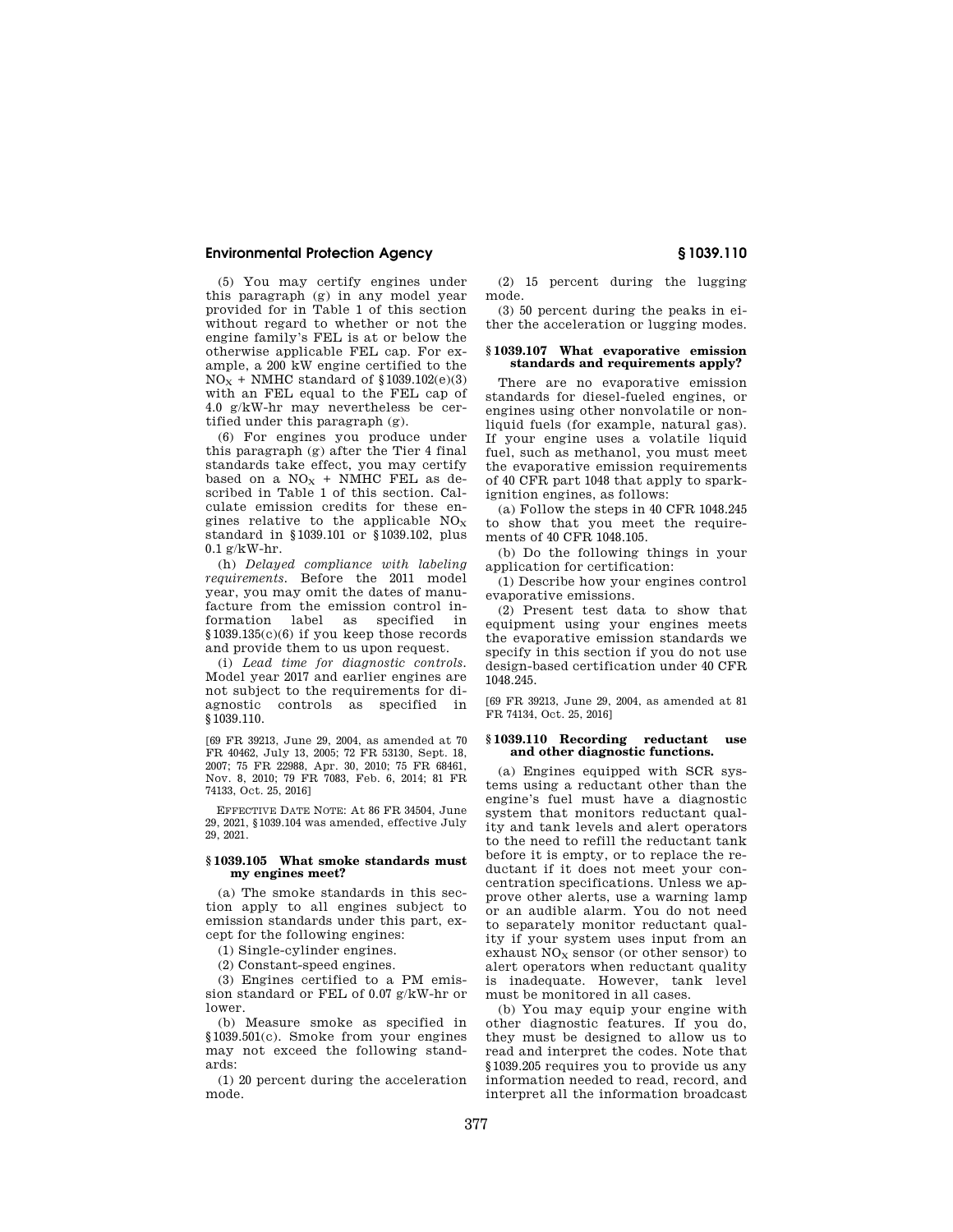(5) You may certify engines under this paragraph (g) in any model year provided for in Table 1 of this section without regard to whether or not the engine family's FEL is at or below the otherwise applicable FEL cap. For example, a 200 kW engine certified to the  $NO<sub>X</sub>$  + NMHC standard of §1039.102(e)(3) with an FEL equal to the FEL cap of 4.0 g/kW-hr may nevertheless be certified under this paragraph (g).

(6) For engines you produce under this paragraph (g) after the Tier 4 final standards take effect, you may certify based on a  $NO<sub>x</sub>$  + NMHC FEL as described in Table 1 of this section. Calculate emission credits for these engines relative to the applicable  $NO<sub>x</sub>$ standard in §1039.101 or §1039.102, plus  $0.1 \text{ g/kW-hr}$ .

(h) *Delayed compliance with labeling requirements.* Before the 2011 model year, you may omit the dates of manufacture from the emission control information label as specified in §1039.135(c)(6) if you keep those records and provide them to us upon request.

(i) *Lead time for diagnostic controls.*  Model year 2017 and earlier engines are not subject to the requirements for diagnostic controls as specified in §1039.110.

[69 FR 39213, June 29, 2004, as amended at 70 FR 40462, July 13, 2005; 72 FR 53130, Sept. 18, 2007; 75 FR 22988, Apr. 30, 2010; 75 FR 68461, Nov. 8, 2010; 79 FR 7083, Feb. 6, 2014; 81 FR 74133, Oct. 25, 2016]

EFFECTIVE DATE NOTE: At 86 FR 34504, June 29, 2021, §1039.104 was amended, effective July 29, 2021.

### **§ 1039.105 What smoke standards must my engines meet?**

(a) The smoke standards in this section apply to all engines subject to emission standards under this part, except for the following engines:

(1) Single-cylinder engines.

(2) Constant-speed engines.

(3) Engines certified to a PM emission standard or FEL of 0.07 g/kW-hr or lower.

(b) Measure smoke as specified in §1039.501(c). Smoke from your engines may not exceed the following standards:

(1) 20 percent during the acceleration mode.

(2) 15 percent during the lugging mode.

(3) 50 percent during the peaks in either the acceleration or lugging modes.

## **§ 1039.107 What evaporative emission standards and requirements apply?**

There are no evaporative emission standards for diesel-fueled engines, or engines using other nonvolatile or nonliquid fuels (for example, natural gas). If your engine uses a volatile liquid fuel, such as methanol, you must meet the evaporative emission requirements of 40 CFR part 1048 that apply to sparkignition engines, as follows:

(a) Follow the steps in 40 CFR 1048.245 to show that you meet the requirements of 40 CFR 1048.105.

(b) Do the following things in your application for certification:

(1) Describe how your engines control evaporative emissions.

(2) Present test data to show that equipment using your engines meets the evaporative emission standards we specify in this section if you do not use design-based certification under 40 CFR 1048.245.

[69 FR 39213, June 29, 2004, as amended at 81 FR 74134, Oct. 25, 2016]

#### **§ 1039.110 Recording reductant use and other diagnostic functions.**

(a) Engines equipped with SCR systems using a reductant other than the engine's fuel must have a diagnostic system that monitors reductant quality and tank levels and alert operators to the need to refill the reductant tank before it is empty, or to replace the reductant if it does not meet your concentration specifications. Unless we approve other alerts, use a warning lamp or an audible alarm. You do not need to separately monitor reductant quality if your system uses input from an exhaust  $NO<sub>x</sub>$  sensor (or other sensor) to alert operators when reductant quality is inadequate. However, tank level must be monitored in all cases.

(b) You may equip your engine with other diagnostic features. If you do, they must be designed to allow us to read and interpret the codes. Note that §1039.205 requires you to provide us any information needed to read, record, and interpret all the information broadcast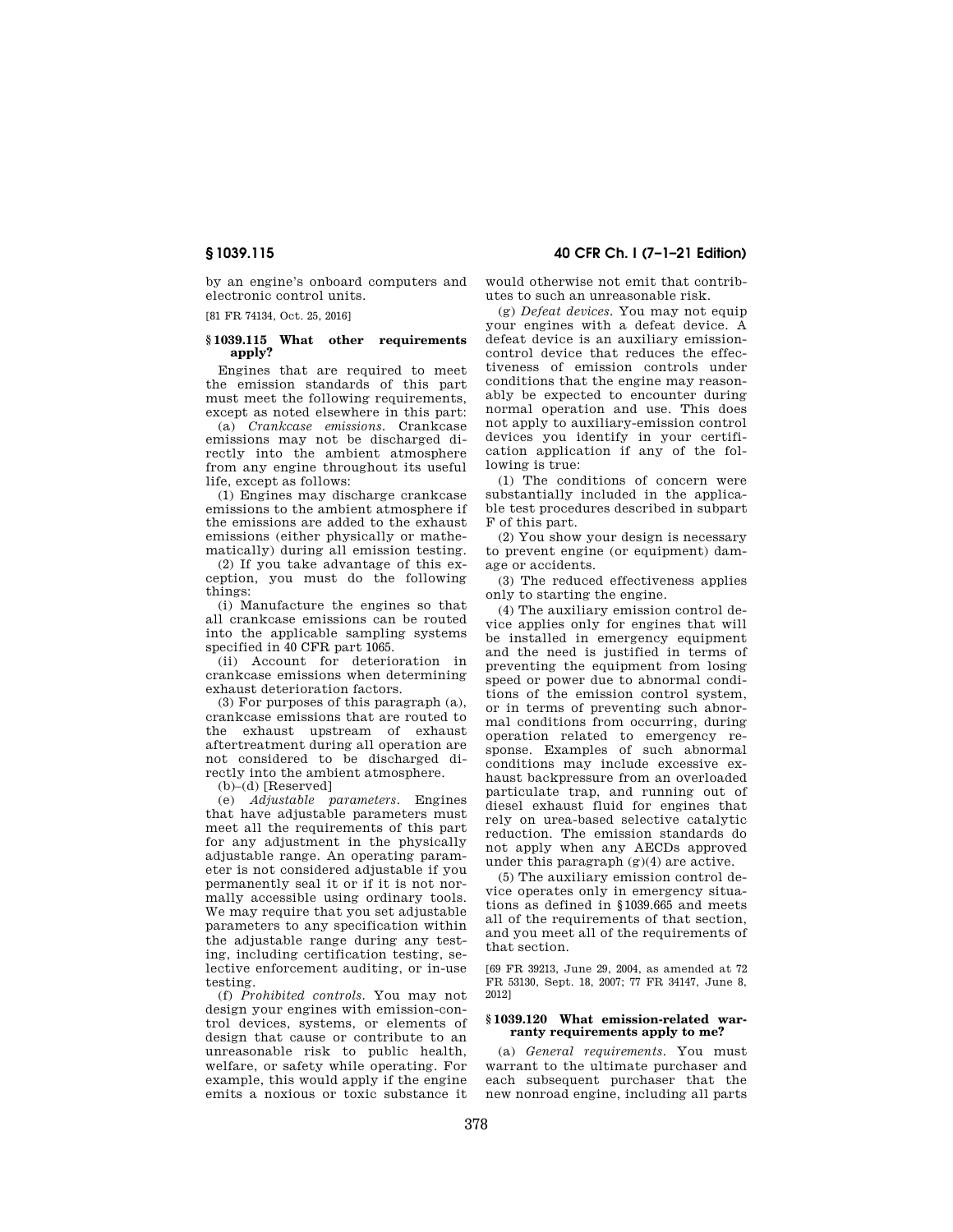by an engine's onboard computers and electronic control units.

[81 FR 74134, Oct. 25, 2016]

## **§ 1039.115 What other requirements apply?**

Engines that are required to meet the emission standards of this part must meet the following requirements, except as noted elsewhere in this part:

(a) *Crankcase emissions.* Crankcase emissions may not be discharged directly into the ambient atmosphere from any engine throughout its useful life, except as follows:

(1) Engines may discharge crankcase emissions to the ambient atmosphere if the emissions are added to the exhaust emissions (either physically or mathematically) during all emission testing.

(2) If you take advantage of this exception, you must do the following things:

(i) Manufacture the engines so that all crankcase emissions can be routed into the applicable sampling systems specified in 40 CFR part 1065.

(ii) Account for deterioration in crankcase emissions when determining exhaust deterioration factors.

(3) For purposes of this paragraph (a), crankcase emissions that are routed to the exhaust upstream of exhaust aftertreatment during all operation are not considered to be discharged directly into the ambient atmosphere.

(b)–(d) [Reserved]

(e) *Adjustable parameters.* Engines that have adjustable parameters must meet all the requirements of this part for any adjustment in the physically adjustable range. An operating parameter is not considered adjustable if you permanently seal it or if it is not normally accessible using ordinary tools. We may require that you set adjustable parameters to any specification within the adjustable range during any testing, including certification testing, selective enforcement auditing, or in-use testing.

(f) *Prohibited controls.* You may not design your engines with emission-control devices, systems, or elements of design that cause or contribute to an unreasonable risk to public health, welfare, or safety while operating. For example, this would apply if the engine emits a noxious or toxic substance it

# **§ 1039.115 40 CFR Ch. I (7–1–21 Edition)**

would otherwise not emit that contributes to such an unreasonable risk.

(g) *Defeat devices.* You may not equip your engines with a defeat device. A defeat device is an auxiliary emissioncontrol device that reduces the effectiveness of emission controls under conditions that the engine may reasonably be expected to encounter during normal operation and use. This does not apply to auxiliary-emission control devices you identify in your certification application if any of the following is true:

(1) The conditions of concern were substantially included in the applicable test procedures described in subpart F of this part.

(2) You show your design is necessary to prevent engine (or equipment) damage or accidents.

(3) The reduced effectiveness applies only to starting the engine.

(4) The auxiliary emission control device applies only for engines that will be installed in emergency equipment and the need is justified in terms of preventing the equipment from losing speed or power due to abnormal conditions of the emission control system, or in terms of preventing such abnormal conditions from occurring, during operation related to emergency response. Examples of such abnormal conditions may include excessive exhaust backpressure from an overloaded particulate trap, and running out of diesel exhaust fluid for engines that rely on urea-based selective catalytic reduction. The emission standards do not apply when any AECDs approved under this paragraph (g)(4) are active.

(5) The auxiliary emission control device operates only in emergency situations as defined in §1039.665 and meets all of the requirements of that section, and you meet all of the requirements of that section.

[69 FR 39213, June 29, 2004, as amended at 72 FR 53130, Sept. 18, 2007; 77 FR 34147, June 8, 2012]

# **§ 1039.120 What emission-related warranty requirements apply to me?**

(a) *General requirements.* You must warrant to the ultimate purchaser and each subsequent purchaser that the new nonroad engine, including all parts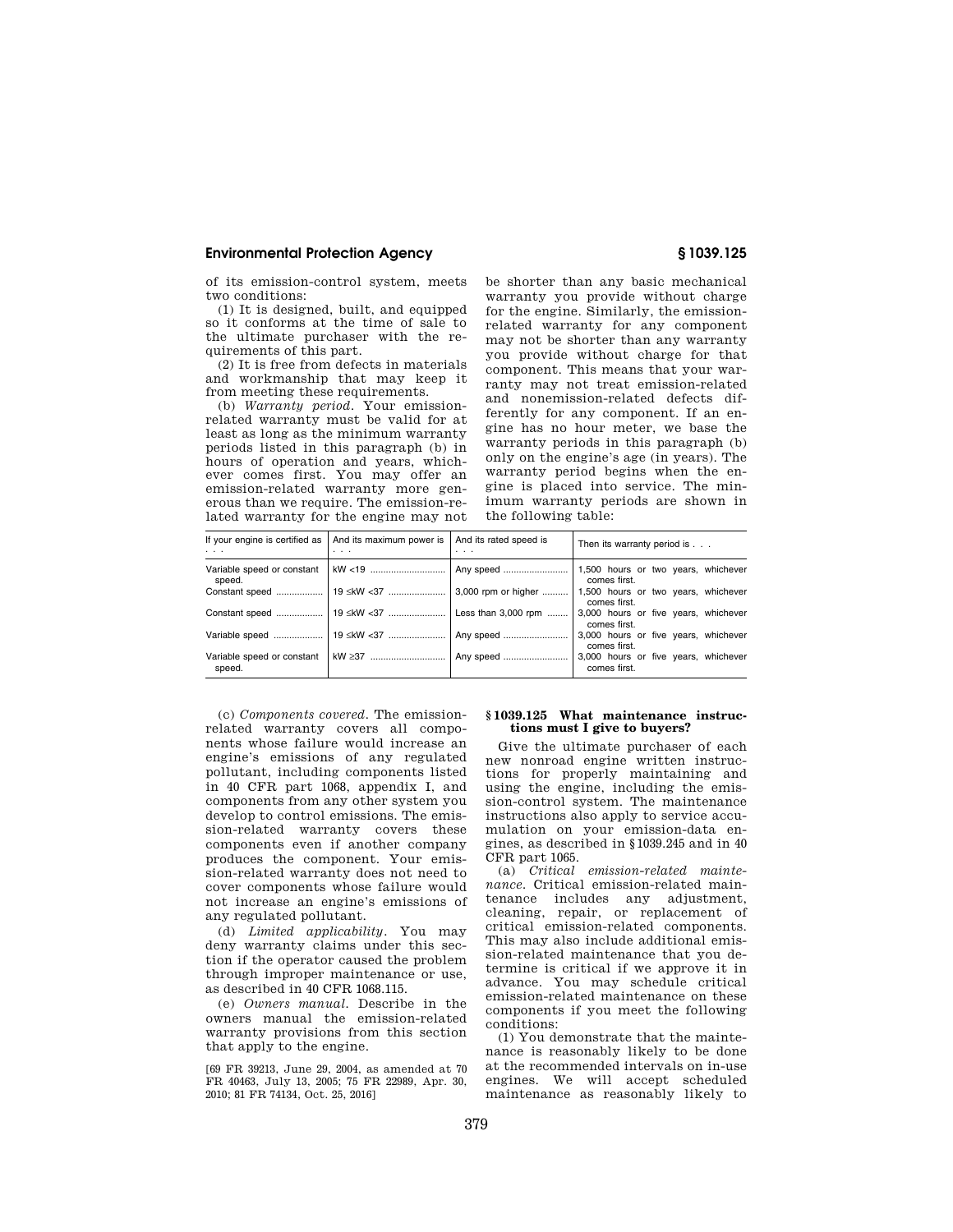of its emission-control system, meets two conditions:

(1) It is designed, built, and equipped so it conforms at the time of sale to the ultimate purchaser with the requirements of this part.

(2) It is free from defects in materials and workmanship that may keep it from meeting these requirements.

(b) *Warranty period.* Your emissionrelated warranty must be valid for at least as long as the minimum warranty periods listed in this paragraph (b) in hours of operation and years, whichever comes first. You may offer an emission-related warranty more generous than we require. The emission-related warranty for the engine may not be shorter than any basic mechanical warranty you provide without charge for the engine. Similarly, the emissionrelated warranty for any component may not be shorter than any warranty you provide without charge for that component. This means that your warranty may not treat emission-related and nonemission-related defects differently for any component. If an engine has no hour meter, we base the warranty periods in this paragraph (b) only on the engine's age (in years). The warranty period begins when the engine is placed into service. The minimum warranty periods are shown in the following table:

| If your engine is certified as<br>$\cdots$ | And its maximum power is<br>$\cdot$ $\cdot$ $\cdot$ | And its rated speed is<br>$\cdots$ | Then its warranty period is                          |
|--------------------------------------------|-----------------------------------------------------|------------------------------------|------------------------------------------------------|
| Variable speed or constant<br>speed.       |                                                     |                                    | 1,500 hours or two years, whichever<br>comes first.  |
| Constant speed                             | 19 ≤kW <37    3,000 rpm or higher                   |                                    | 1,500 hours or two years, whichever<br>comes first.  |
| Constant speed                             | 19 ≤kW <37    Less than 3,000 rpm                   |                                    | 3,000 hours or five years, whichever<br>comes first. |
| Variable speed                             | 19 ≤kW <37    Any speed                             |                                    | 3,000 hours or five years, whichever<br>comes first. |
| Variable speed or constant<br>speed.       |                                                     | kW ≥37    Any speed                | 3,000 hours or five years, whichever<br>comes first. |

(c) *Components covered.* The emissionrelated warranty covers all components whose failure would increase an engine's emissions of any regulated pollutant, including components listed in 40 CFR part 1068, appendix I, and components from any other system you develop to control emissions. The emission-related warranty covers these components even if another company produces the component. Your emission-related warranty does not need to cover components whose failure would not increase an engine's emissions of any regulated pollutant.

(d) *Limited applicability.* You may deny warranty claims under this section if the operator caused the problem through improper maintenance or use, as described in 40 CFR 1068.115.

(e) *Owners manual.* Describe in the owners manual the emission-related warranty provisions from this section that apply to the engine.

[69 FR 39213, June 29, 2004, as amended at 70 FR 40463, July 13, 2005; 75 FR 22989, Apr. 30, 2010; 81 FR 74134, Oct. 25, 2016]

### **§ 1039.125 What maintenance instructions must I give to buyers?**

Give the ultimate purchaser of each new nonroad engine written instructions for properly maintaining and using the engine, including the emission-control system. The maintenance instructions also apply to service accumulation on your emission-data engines, as described in §1039.245 and in 40 CFR part 1065.

(a) *Critical emission-related maintenance.* Critical emission-related maintenance includes any adjustment, cleaning, repair, or replacement of critical emission-related components. This may also include additional emission-related maintenance that you determine is critical if we approve it in advance. You may schedule critical emission-related maintenance on these components if you meet the following conditions:

(1) You demonstrate that the maintenance is reasonably likely to be done at the recommended intervals on in-use engines. We will accept scheduled maintenance as reasonably likely to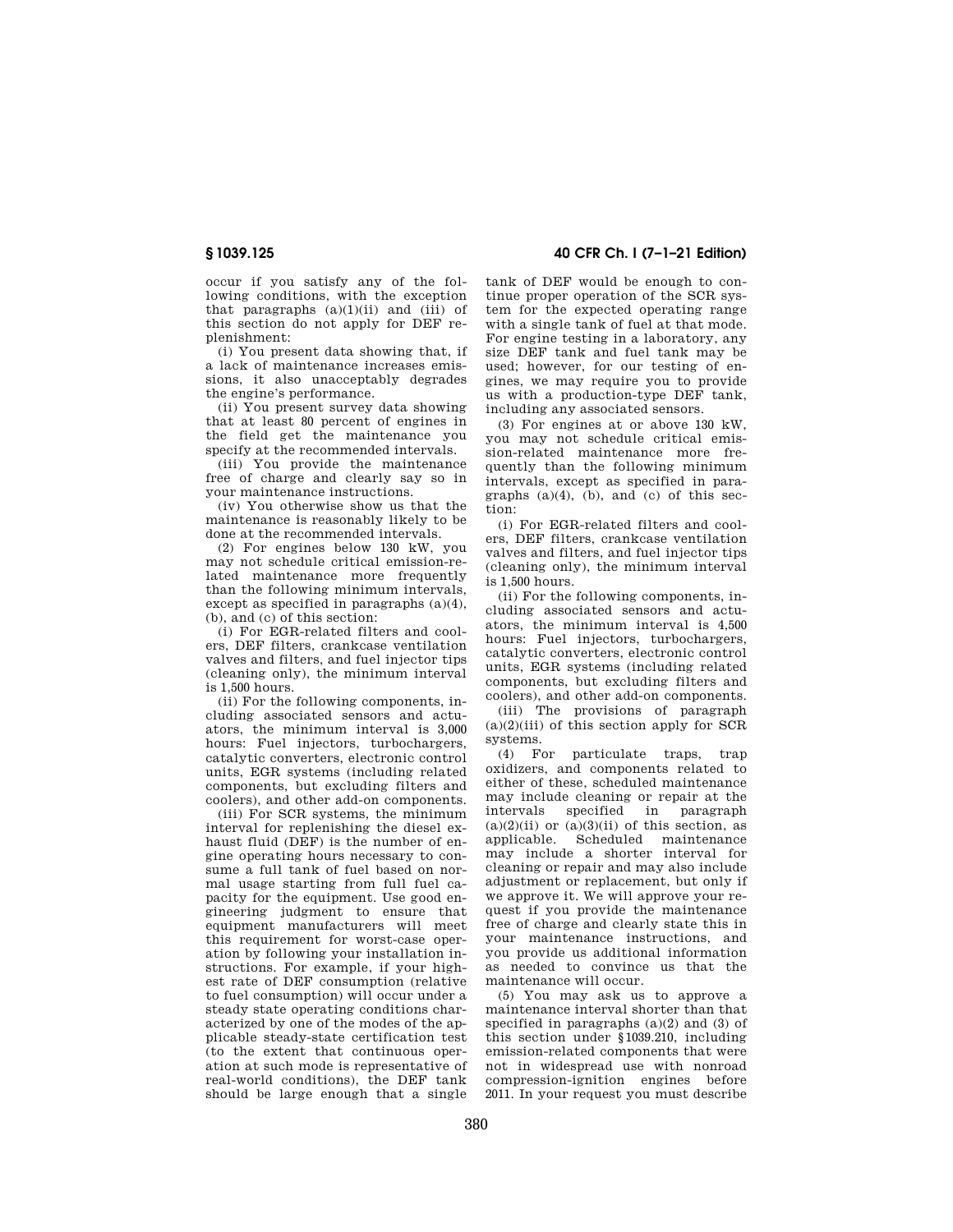occur if you satisfy any of the following conditions, with the exception that paragraphs  $(a)(1)(ii)$  and  $(iii)$  of this section do not apply for DEF replenishment:

(i) You present data showing that, if a lack of maintenance increases emissions, it also unacceptably degrades the engine's performance.

(ii) You present survey data showing that at least 80 percent of engines in the field get the maintenance you specify at the recommended intervals.

(iii) You provide the maintenance free of charge and clearly say so in your maintenance instructions.

(iv) You otherwise show us that the maintenance is reasonably likely to be done at the recommended intervals.

(2) For engines below 130 kW, you may not schedule critical emission-related maintenance more frequently than the following minimum intervals, except as specified in paragraphs (a)(4), (b), and (c) of this section:

(i) For EGR-related filters and coolers, DEF filters, crankcase ventilation valves and filters, and fuel injector tips (cleaning only), the minimum interval is 1,500 hours.

(ii) For the following components, including associated sensors and actuators, the minimum interval is 3,000 hours: Fuel injectors, turbochargers, catalytic converters, electronic control units, EGR systems (including related components, but excluding filters and coolers), and other add-on components.

(iii) For SCR systems, the minimum interval for replenishing the diesel exhaust fluid (DEF) is the number of engine operating hours necessary to consume a full tank of fuel based on normal usage starting from full fuel capacity for the equipment. Use good engineering judgment to ensure that equipment manufacturers will meet this requirement for worst-case operation by following your installation instructions. For example, if your highest rate of DEF consumption (relative to fuel consumption) will occur under a steady state operating conditions characterized by one of the modes of the applicable steady-state certification test (to the extent that continuous operation at such mode is representative of real-world conditions), the DEF tank should be large enough that a single

# **§ 1039.125 40 CFR Ch. I (7–1–21 Edition)**

tank of DEF would be enough to continue proper operation of the SCR system for the expected operating range with a single tank of fuel at that mode. For engine testing in a laboratory, any size DEF tank and fuel tank may be used; however, for our testing of engines, we may require you to provide us with a production-type DEF tank, including any associated sensors.

(3) For engines at or above 130 kW, you may not schedule critical emission-related maintenance more frequently than the following minimum intervals, except as specified in paragraphs  $(a)(4)$ ,  $(b)$ , and  $(c)$  of this section:

(i) For EGR-related filters and coolers, DEF filters, crankcase ventilation valves and filters, and fuel injector tips (cleaning only), the minimum interval is 1,500 hours.

(ii) For the following components, including associated sensors and actuators, the minimum interval is 4,500 hours: Fuel injectors, turbochargers, catalytic converters, electronic control units, EGR systems (including related components, but excluding filters and coolers), and other add-on components.

(iii) The provisions of paragraph  $(a)(2)(iii)$  of this section apply for SCR systems.

(4) For particulate traps, trap oxidizers, and components related to either of these, scheduled maintenance may include cleaning or repair at the intervals specified in paragraph  $(a)(2)(ii)$  or  $(a)(3)(ii)$  of this section, as applicable. Scheduled maintenance may include a shorter interval for cleaning or repair and may also include adjustment or replacement, but only if we approve it. We will approve your request if you provide the maintenance free of charge and clearly state this in your maintenance instructions, and you provide us additional information as needed to convince us that the maintenance will occur.

(5) You may ask us to approve a maintenance interval shorter than that specified in paragraphs  $(a)(2)$  and  $(3)$  of this section under §1039.210, including emission-related components that were not in widespread use with nonroad compression-ignition engines before 2011. In your request you must describe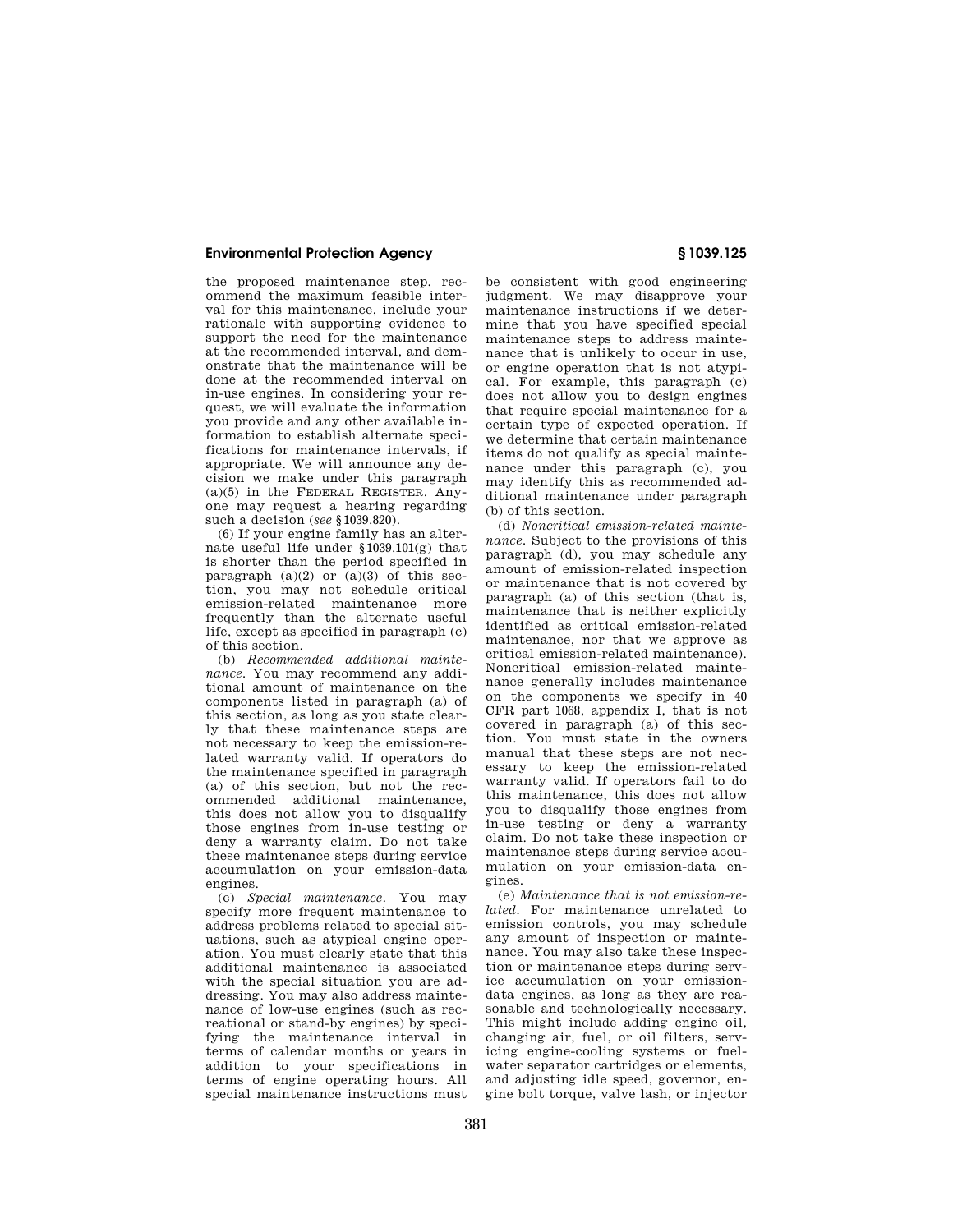the proposed maintenance step, recommend the maximum feasible interval for this maintenance, include your rationale with supporting evidence to support the need for the maintenance at the recommended interval, and demonstrate that the maintenance will be done at the recommended interval on in-use engines. In considering your request, we will evaluate the information you provide and any other available information to establish alternate specifications for maintenance intervals, if appropriate. We will announce any decision we make under this paragraph  $(a)(5)$  in the FEDERAL REGISTER. Anyone may request a hearing regarding such a decision (*see* §1039.820).

(6) If your engine family has an alternate useful life under §1039.101(g) that is shorter than the period specified in paragraph  $(a)(2)$  or  $(a)(3)$  of this section, you may not schedule critical emission-related maintenance more frequently than the alternate useful life, except as specified in paragraph (c) of this section.

(b) *Recommended additional maintenance.* You may recommend any additional amount of maintenance on the components listed in paragraph (a) of this section, as long as you state clearly that these maintenance steps are not necessary to keep the emission-related warranty valid. If operators do the maintenance specified in paragraph (a) of this section, but not the recommended additional maintenance, this does not allow you to disqualify those engines from in-use testing or deny a warranty claim. Do not take these maintenance steps during service accumulation on your emission-data engines.

(c) *Special maintenance.* You may specify more frequent maintenance to address problems related to special situations, such as atypical engine operation. You must clearly state that this additional maintenance is associated with the special situation you are addressing. You may also address maintenance of low-use engines (such as recreational or stand-by engines) by specifying the maintenance interval in terms of calendar months or years in addition to your specifications in terms of engine operating hours. All special maintenance instructions must

be consistent with good engineering judgment. We may disapprove your maintenance instructions if we determine that you have specified special maintenance steps to address maintenance that is unlikely to occur in use, or engine operation that is not atypical. For example, this paragraph (c) does not allow you to design engines that require special maintenance for a certain type of expected operation. If we determine that certain maintenance items do not qualify as special maintenance under this paragraph (c), you may identify this as recommended additional maintenance under paragraph (b) of this section.

(d) *Noncritical emission-related maintenance.* Subject to the provisions of this paragraph (d), you may schedule any amount of emission-related inspection or maintenance that is not covered by paragraph (a) of this section (that is, maintenance that is neither explicitly identified as critical emission-related maintenance, nor that we approve as critical emission-related maintenance). Noncritical emission-related maintenance generally includes maintenance on the components we specify in 40 CFR part 1068, appendix I, that is not covered in paragraph (a) of this section. You must state in the owners manual that these steps are not necessary to keep the emission-related warranty valid. If operators fail to do this maintenance, this does not allow you to disqualify those engines from in-use testing or deny a warranty claim. Do not take these inspection or maintenance steps during service accumulation on your emission-data engines.

(e) *Maintenance that is not emission-related.* For maintenance unrelated to emission controls, you may schedule any amount of inspection or maintenance. You may also take these inspection or maintenance steps during service accumulation on your emissiondata engines, as long as they are reasonable and technologically necessary. This might include adding engine oil, changing air, fuel, or oil filters, servicing engine-cooling systems or fuelwater separator cartridges or elements. and adjusting idle speed, governor, engine bolt torque, valve lash, or injector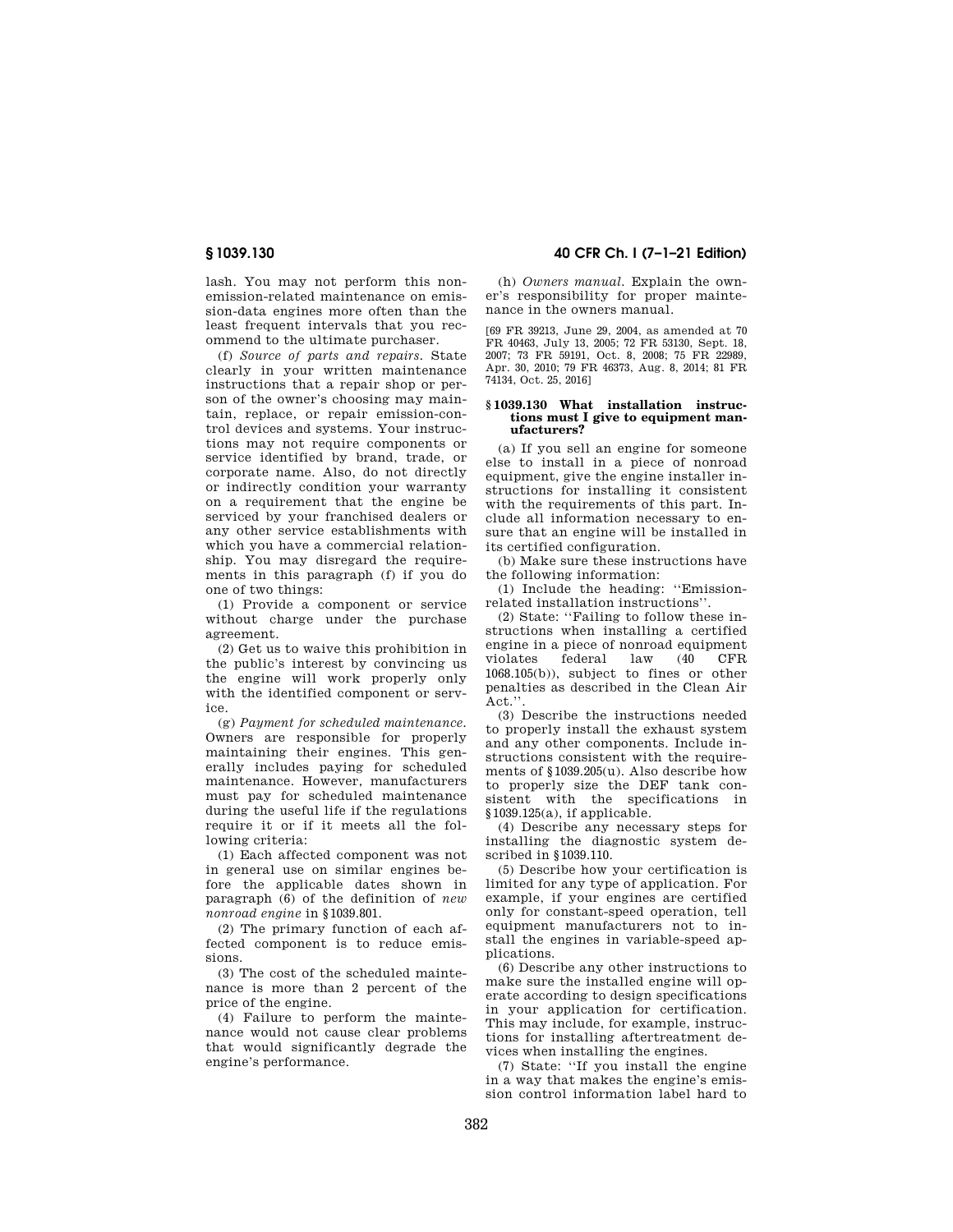lash. You may not perform this nonemission-related maintenance on emission-data engines more often than the least frequent intervals that you recommend to the ultimate purchaser.

(f) *Source of parts and repairs.* State clearly in your written maintenance instructions that a repair shop or person of the owner's choosing may maintain, replace, or repair emission-control devices and systems. Your instructions may not require components or service identified by brand, trade, or corporate name. Also, do not directly or indirectly condition your warranty on a requirement that the engine be serviced by your franchised dealers or any other service establishments with which you have a commercial relationship. You may disregard the requirements in this paragraph (f) if you do one of two things:

(1) Provide a component or service without charge under the purchase agreement.

(2) Get us to waive this prohibition in the public's interest by convincing us the engine will work properly only with the identified component or service.

(g) *Payment for scheduled maintenance.*  Owners are responsible for properly maintaining their engines. This generally includes paying for scheduled maintenance. However, manufacturers must pay for scheduled maintenance during the useful life if the regulations require it or if it meets all the following criteria:

(1) Each affected component was not in general use on similar engines before the applicable dates shown in paragraph (6) of the definition of *new nonroad engine* in §1039.801.

(2) The primary function of each affected component is to reduce emissions.

(3) The cost of the scheduled maintenance is more than 2 percent of the price of the engine.

(4) Failure to perform the maintenance would not cause clear problems that would significantly degrade the engine's performance.

**§ 1039.130 40 CFR Ch. I (7–1–21 Edition)** 

(h) *Owners manual.* Explain the owner's responsibility for proper maintenance in the owners manual.

[69 FR 39213, June 29, 2004, as amended at 70 FR 40463, July 13, 2005; 72 FR 53130, Sept. 18, 2007; 73 FR 59191, Oct. 8, 2008; 75 FR 22989, Apr. 30, 2010; 79 FR 46373, Aug. 8, 2014; 81 FR 74134, Oct. 25, 2016]

#### **§ 1039.130 What installation instructions must I give to equipment manufacturers?**

(a) If you sell an engine for someone else to install in a piece of nonroad equipment, give the engine installer instructions for installing it consistent with the requirements of this part. Include all information necessary to ensure that an engine will be installed in its certified configuration.

(b) Make sure these instructions have the following information:

(1) Include the heading: ''Emissionrelated installation instructions''.

(2) State: ''Failing to follow these instructions when installing a certified engine in a piece of nonroad equipment violates federal law (40 CFR 1068.105(b)), subject to fines or other penalties as described in the Clean Air Act.''.

(3) Describe the instructions needed to properly install the exhaust system and any other components. Include instructions consistent with the requirements of §1039.205(u). Also describe how to properly size the DEF tank consistent with the specifications in  $§1039.125(a)$ , if applicable.

(4) Describe any necessary steps for installing the diagnostic system described in §1039.110.

(5) Describe how your certification is limited for any type of application. For example, if your engines are certified only for constant-speed operation, tell equipment manufacturers not to install the engines in variable-speed applications.

(6) Describe any other instructions to make sure the installed engine will operate according to design specifications in your application for certification. This may include, for example, instructions for installing aftertreatment devices when installing the engines.

(7) State: ''If you install the engine in a way that makes the engine's emission control information label hard to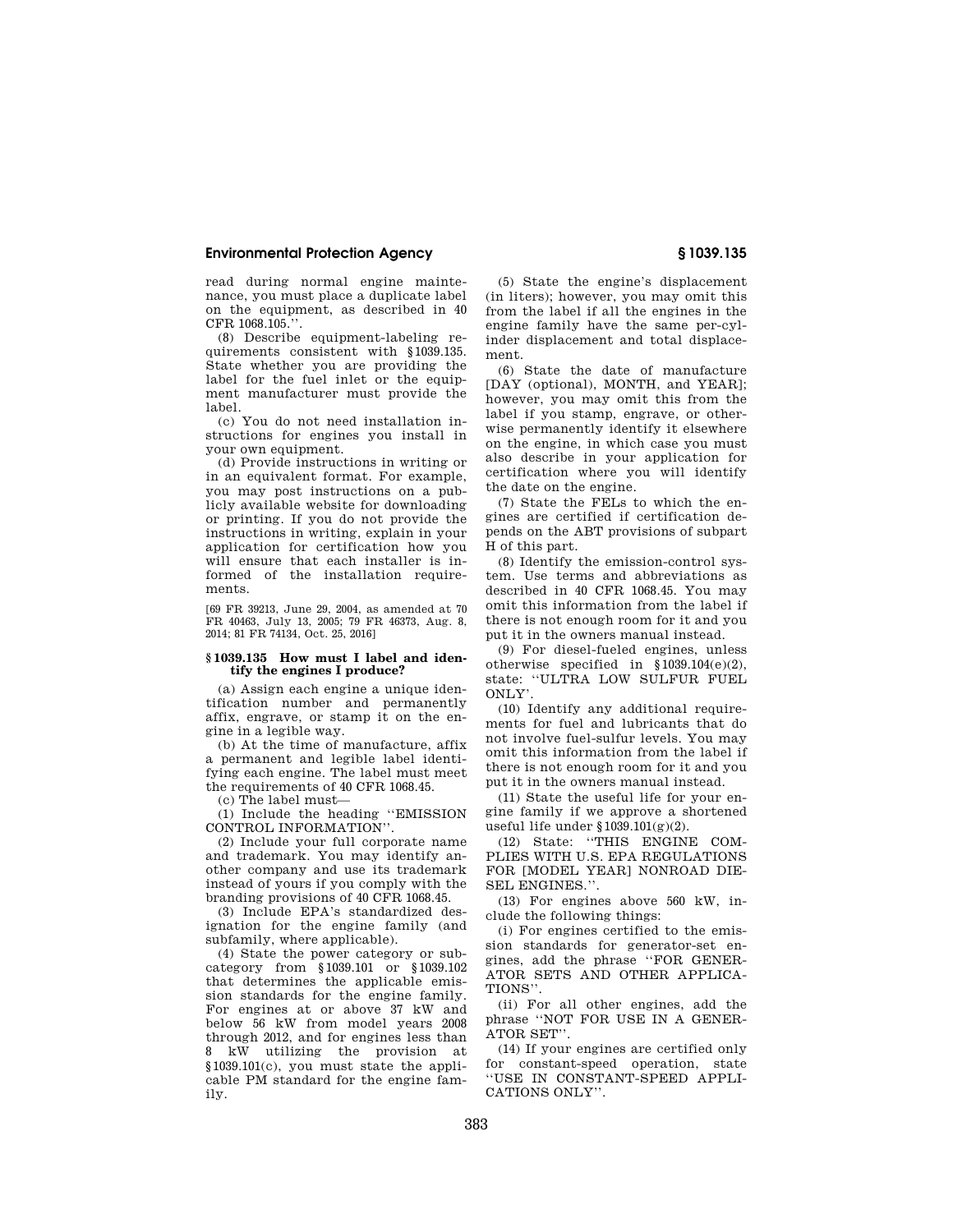read during normal engine maintenance, you must place a duplicate label on the equipment, as described in 40 CFR 1068.105.''.

(8) Describe equipment-labeling requirements consistent with §1039.135. State whether you are providing the label for the fuel inlet or the equipment manufacturer must provide the label.

(c) You do not need installation instructions for engines you install in your own equipment.

(d) Provide instructions in writing or in an equivalent format. For example, you may post instructions on a publicly available website for downloading or printing. If you do not provide the instructions in writing, explain in your application for certification how you will ensure that each installer is informed of the installation requirements.

[69 FR 39213, June 29, 2004, as amended at 70 FR 40463, July 13, 2005; 79 FR 46373, Aug. 8, 2014; 81 FR 74134, Oct. 25, 2016]

## **§ 1039.135 How must I label and identify the engines I produce?**

(a) Assign each engine a unique identification number and permanently affix, engrave, or stamp it on the engine in a legible way.

(b) At the time of manufacture, affix a permanent and legible label identifying each engine. The label must meet the requirements of 40 CFR 1068.45.

(c) The label must—

(1) Include the heading ''EMISSION CONTROL INFORMATION''.

(2) Include your full corporate name and trademark. You may identify another company and use its trademark instead of yours if you comply with the branding provisions of 40 CFR 1068.45.

(3) Include EPA's standardized designation for the engine family (and subfamily, where applicable).

(4) State the power category or subcategory from §1039.101 or §1039.102 that determines the applicable emission standards for the engine family. For engines at or above 37 kW and below 56 kW from model years 2008 through 2012, and for engines less than 8 kW utilizing the provision at §1039.101(c), you must state the applicable PM standard for the engine family.

(5) State the engine's displacement (in liters); however, you may omit this from the label if all the engines in the engine family have the same per-cylinder displacement and total displacement.

(6) State the date of manufacture [DAY (optional), MONTH, and YEAR]; however, you may omit this from the label if you stamp, engrave, or otherwise permanently identify it elsewhere on the engine, in which case you must also describe in your application for certification where you will identify the date on the engine.

(7) State the FELs to which the engines are certified if certification depends on the ABT provisions of subpart H of this part.

(8) Identify the emission-control system. Use terms and abbreviations as described in 40 CFR 1068.45. You may omit this information from the label if there is not enough room for it and you put it in the owners manual instead.

(9) For diesel-fueled engines, unless otherwise specified in §1039.104(e)(2), state: ''ULTRA LOW SULFUR FUEL ONLY'.

(10) Identify any additional requirements for fuel and lubricants that do not involve fuel-sulfur levels. You may omit this information from the label if there is not enough room for it and you put it in the owners manual instead.

(11) State the useful life for your engine family if we approve a shortened useful life under §1039.101(g)(2).

(12) State: ''THIS ENGINE COM-PLIES WITH U.S. EPA REGULATIONS FOR [MODEL YEAR] NONROAD DIE-SEL ENGINES.''.

(13) For engines above 560 kW, include the following things:

(i) For engines certified to the emission standards for generator-set engines, add the phrase ''FOR GENER-ATOR SETS AND OTHER APPLICA-TIONS''.

(ii) For all other engines, add the phrase ''NOT FOR USE IN A GENER-ATOR SET''.

(14) If your engines are certified only for constant-speed operation, state ''USE IN CONSTANT-SPEED APPLI-CATIONS ONLY''.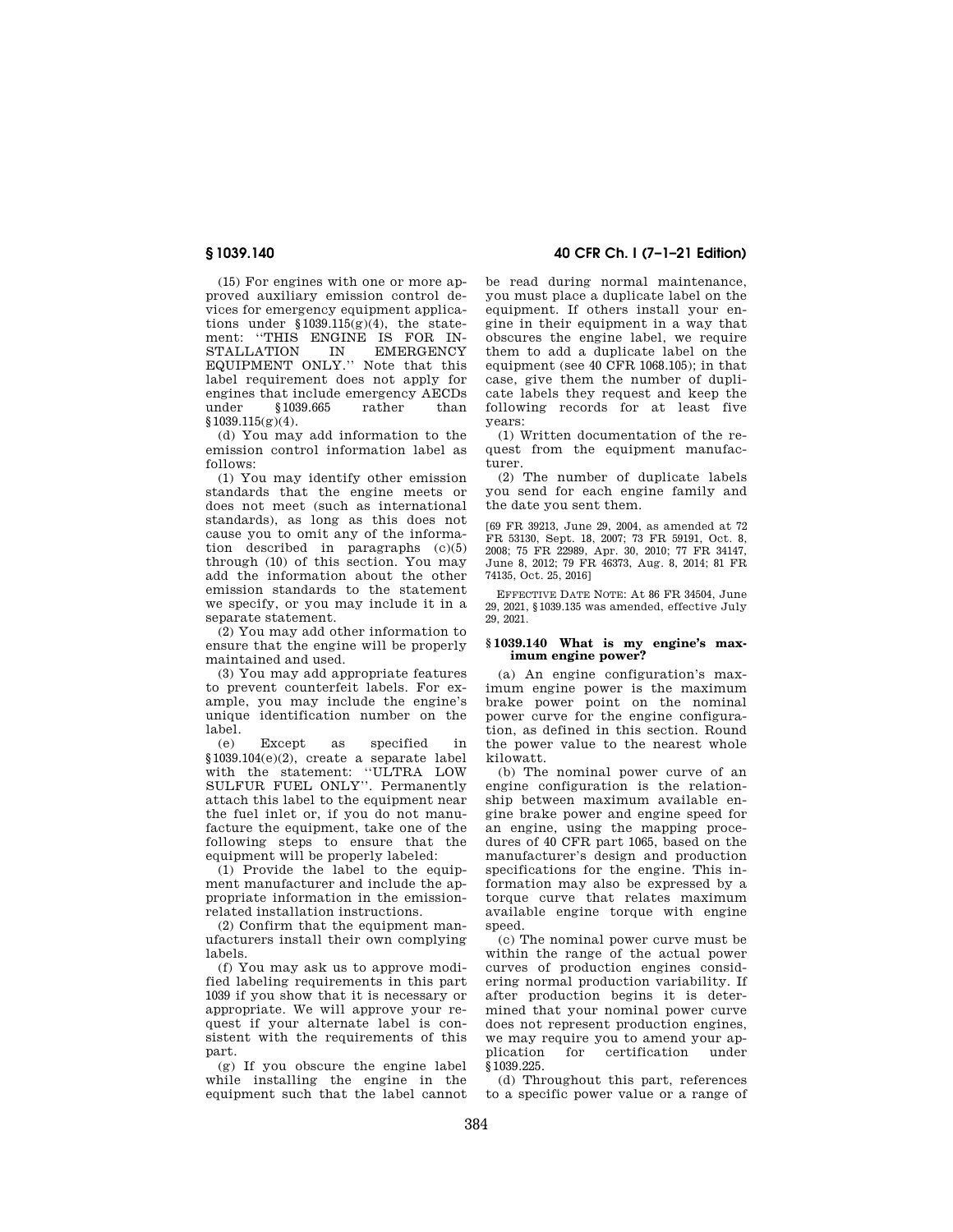(15) For engines with one or more approved auxiliary emission control devices for emergency equipment applications under  $$1039.115(g)(4)$ , the statement: "THIS ENGINE IS FOR IN-<br>STALLATION IN EMERGENCY STALLATION IN EQUIPMENT ONLY.'' Note that this label requirement does not apply for engines that include emergency AECDs<br>under \$1039,665 rather than under §1039.665 rather than  $$1039.115(g)(4).$ 

(d) You may add information to the emission control information label as follows:

(1) You may identify other emission standards that the engine meets or does not meet (such as international standards), as long as this does not cause you to omit any of the information described in paragraphs (c)(5) through (10) of this section. You may add the information about the other emission standards to the statement we specify, or you may include it in a separate statement.

(2) You may add other information to ensure that the engine will be properly maintained and used.

(3) You may add appropriate features to prevent counterfeit labels. For example, you may include the engine's unique identification number on the label.

(e) Except as specified in §1039.104(e)(2), create a separate label with the statement: ''ULTRA LOW SULFUR FUEL ONLY''. Permanently attach this label to the equipment near the fuel inlet or, if you do not manufacture the equipment, take one of the following steps to ensure that the equipment will be properly labeled:

(1) Provide the label to the equipment manufacturer and include the appropriate information in the emissionrelated installation instructions.

(2) Confirm that the equipment manufacturers install their own complying labels.

(f) You may ask us to approve modified labeling requirements in this part 1039 if you show that it is necessary or appropriate. We will approve your request if your alternate label is consistent with the requirements of this part.

(g) If you obscure the engine label while installing the engine in the equipment such that the label cannot

**§ 1039.140 40 CFR Ch. I (7–1–21 Edition)** 

be read during normal maintenance, you must place a duplicate label on the equipment. If others install your engine in their equipment in a way that obscures the engine label, we require them to add a duplicate label on the equipment (see 40  $CFR$  1068.105); in that case, give them the number of duplicate labels they request and keep the following records for at least five years:

(1) Written documentation of the request from the equipment manufacturer.

(2) The number of duplicate labels you send for each engine family and the date you sent them.

[69 FR 39213, June 29, 2004, as amended at 72 FR 53130, Sept. 18, 2007; 73 FR 59191, Oct. 8, 2008; 75 FR 22989, Apr. 30, 2010; 77 FR 34147, June 8, 2012; 79 FR 46373, Aug. 8, 2014; 81 FR 74135, Oct. 25, 2016]

EFFECTIVE DATE NOTE: At 86 FR 34504, June 29, 2021, §1039.135 was amended, effective July 29, 2021.

# **§ 1039.140 What is my engine's maximum engine power?**

(a) An engine configuration's maximum engine power is the maximum brake power point on the nominal power curve for the engine configuration, as defined in this section. Round the power value to the nearest whole kilowatt.

(b) The nominal power curve of an engine configuration is the relationship between maximum available engine brake power and engine speed for an engine, using the mapping procedures of 40 CFR part 1065, based on the manufacturer's design and production specifications for the engine. This information may also be expressed by a torque curve that relates maximum available engine torque with engine speed.

(c) The nominal power curve must be within the range of the actual power curves of production engines considering normal production variability. If after production begins it is determined that your nominal power curve does not represent production engines, we may require you to amend your ap-<br>plication for certification under certification §1039.225.

(d) Throughout this part, references to a specific power value or a range of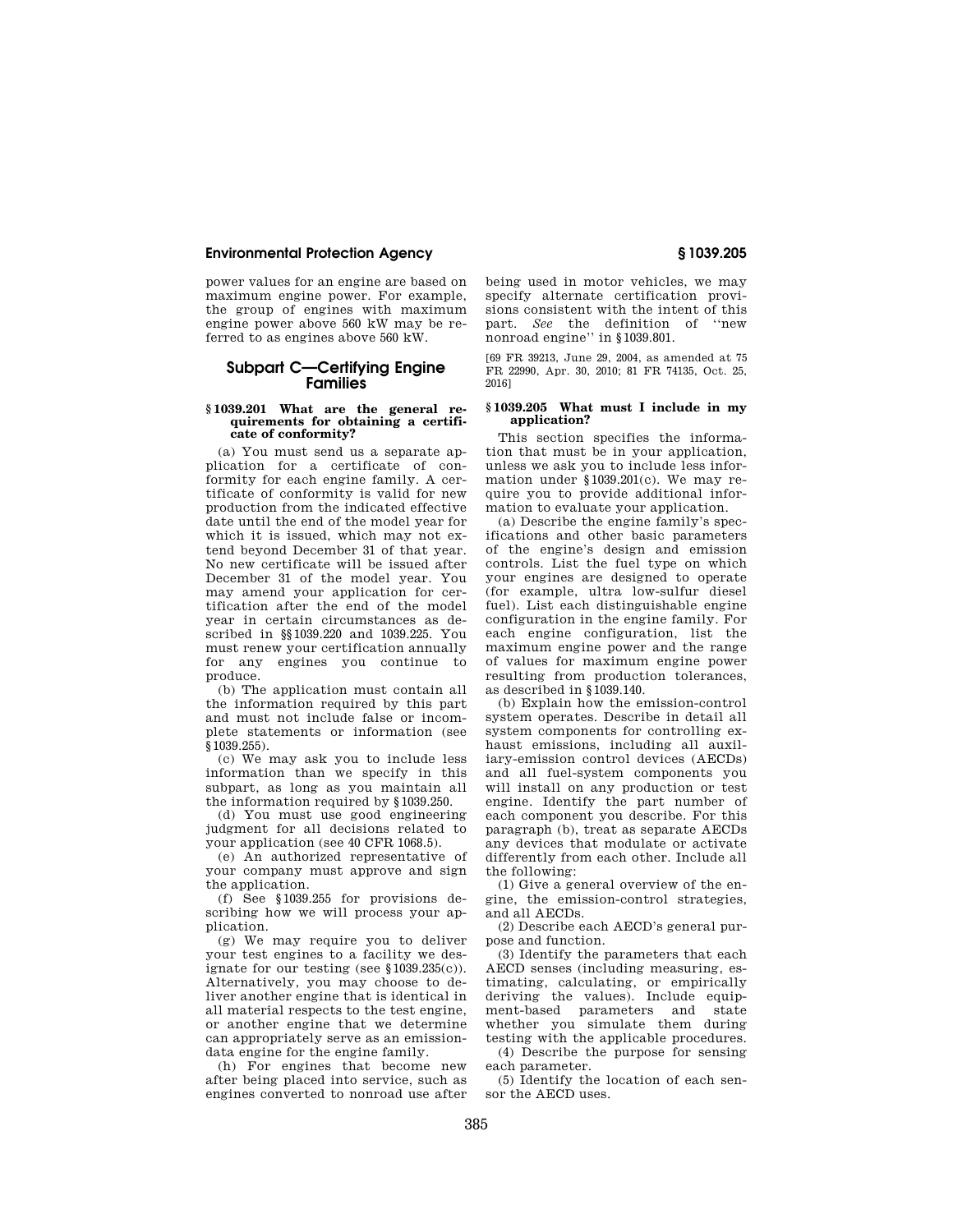power values for an engine are based on maximum engine power. For example, the group of engines with maximum engine power above 560 kW may be referred to as engines above 560 kW.

# **Subpart C—Certifying Engine Families**

## **§ 1039.201 What are the general requirements for obtaining a certificate of conformity?**

(a) You must send us a separate application for a certificate of conformity for each engine family. A certificate of conformity is valid for new production from the indicated effective date until the end of the model year for which it is issued, which may not extend beyond December 31 of that year. No new certificate will be issued after December 31 of the model year. You may amend your application for certification after the end of the model year in certain circumstances as described in §§1039.220 and 1039.225. You must renew your certification annually for any engines you continue to produce.

(b) The application must contain all the information required by this part and must not include false or incomplete statements or information (see §1039.255).

(c) We may ask you to include less information than we specify in this subpart, as long as you maintain all the information required by §1039.250.

(d) You must use good engineering judgment for all decisions related to your application (see 40 CFR 1068.5).

(e) An authorized representative of your company must approve and sign the application.

(f) See §1039.255 for provisions describing how we will process your application.

(g) We may require you to deliver your test engines to a facility we designate for our testing (see §1039.235(c)). Alternatively, you may choose to deliver another engine that is identical in all material respects to the test engine, or another engine that we determine can appropriately serve as an emissiondata engine for the engine family.

(h) For engines that become new after being placed into service, such as engines converted to nonroad use after being used in motor vehicles, we may specify alternate certification provisions consistent with the intent of this part. *See* the definition of ''new nonroad engine'' in §1039.801.

[69 FR 39213, June 29, 2004, as amended at 75 FR 22990, Apr. 30, 2010; 81 FR 74135, Oct. 25, 2016]

#### **§ 1039.205 What must I include in my application?**

This section specifies the information that must be in your application, unless we ask you to include less information under §1039.201(c). We may require you to provide additional information to evaluate your application.

(a) Describe the engine family's specifications and other basic parameters of the engine's design and emission controls. List the fuel type on which your engines are designed to operate (for example, ultra low-sulfur diesel fuel). List each distinguishable engine configuration in the engine family. For each engine configuration, list the maximum engine power and the range of values for maximum engine power resulting from production tolerances, as described in §1039.140.

(b) Explain how the emission-control system operates. Describe in detail all system components for controlling exhaust emissions, including all auxiliary-emission control devices (AECDs) and all fuel-system components you will install on any production or test engine. Identify the part number of each component you describe. For this paragraph (b), treat as separate AECDs any devices that modulate or activate differently from each other. Include all the following:

(1) Give a general overview of the engine, the emission-control strategies, and all AECDs.

(2) Describe each AECD's general purpose and function.

(3) Identify the parameters that each AECD senses (including measuring, estimating, calculating, or empirically deriving the values). Include equipment-based parameters and state whether you simulate them during testing with the applicable procedures.

(4) Describe the purpose for sensing each parameter.

(5) Identify the location of each sensor the AECD uses.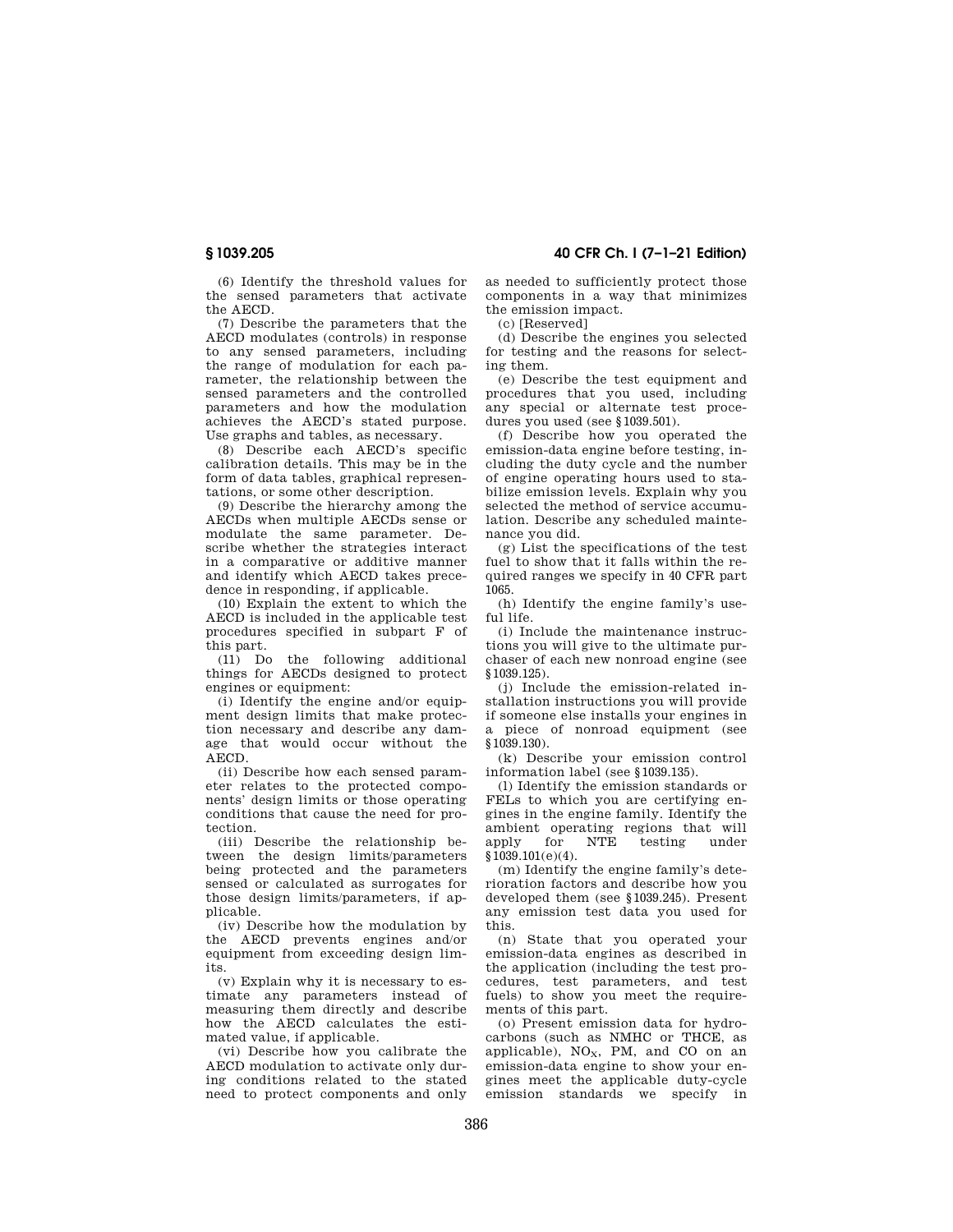(6) Identify the threshold values for the sensed parameters that activate the AECD.

(7) Describe the parameters that the AECD modulates (controls) in response to any sensed parameters, including the range of modulation for each parameter, the relationship between the sensed parameters and the controlled parameters and how the modulation achieves the AECD's stated purpose. Use graphs and tables, as necessary.

(8) Describe each AECD's specific calibration details. This may be in the form of data tables, graphical representations, or some other description.

(9) Describe the hierarchy among the AECDs when multiple AECDs sense or modulate the same parameter. Describe whether the strategies interact in a comparative or additive manner and identify which AECD takes precedence in responding, if applicable.

(10) Explain the extent to which the AECD is included in the applicable test procedures specified in subpart F of this part.

(11) Do the following additional things for AECDs designed to protect engines or equipment:

(i) Identify the engine and/or equipment design limits that make protection necessary and describe any damage that would occur without the AECD.

(ii) Describe how each sensed parameter relates to the protected components' design limits or those operating conditions that cause the need for protection.

(iii) Describe the relationship between the design limits/parameters being protected and the parameters sensed or calculated as surrogates for those design limits/parameters, if applicable.

(iv) Describe how the modulation by the AECD prevents engines and/or equipment from exceeding design limits.

(v) Explain why it is necessary to estimate any parameters instead of measuring them directly and describe how the AECD calculates the estimated value, if applicable.

(vi) Describe how you calibrate the AECD modulation to activate only during conditions related to the stated need to protect components and only

**§ 1039.205 40 CFR Ch. I (7–1–21 Edition)** 

as needed to sufficiently protect those components in a way that minimizes the emission impact.

(c) [Reserved]

(d) Describe the engines you selected for testing and the reasons for selecting them.

(e) Describe the test equipment and procedures that you used, including any special or alternate test procedures you used (see §1039.501).

(f) Describe how you operated the emission-data engine before testing, including the duty cycle and the number of engine operating hours used to stabilize emission levels. Explain why you selected the method of service accumulation. Describe any scheduled maintenance you did.

(g) List the specifications of the test fuel to show that it falls within the required ranges we specify in 40 CFR part 1065.

(h) Identify the engine family's useful life.

(i) Include the maintenance instructions you will give to the ultimate purchaser of each new nonroad engine (see §1039.125).

(j) Include the emission-related installation instructions you will provide if someone else installs your engines in a piece of nonroad equipment (see §1039.130).

(k) Describe your emission control information label (see §1039.135).

(l) Identify the emission standards or FELs to which you are certifying engines in the engine family. Identify the ambient operating regions that will<br>apply for NTE testing under apply for NTE testing under  $§1039.101(e)(4).$ 

(m) Identify the engine family's deterioration factors and describe how you developed them (see §1039.245). Present any emission test data you used for this.

(n) State that you operated your emission-data engines as described in the application (including the test procedures, test parameters, and test fuels) to show you meet the requirements of this part.

(o) Present emission data for hydrocarbons (such as NMHC or THCE, as applicable),  $NO<sub>x</sub>$ , PM, and CO on an emission-data engine to show your engines meet the applicable duty-cycle emission standards we specify in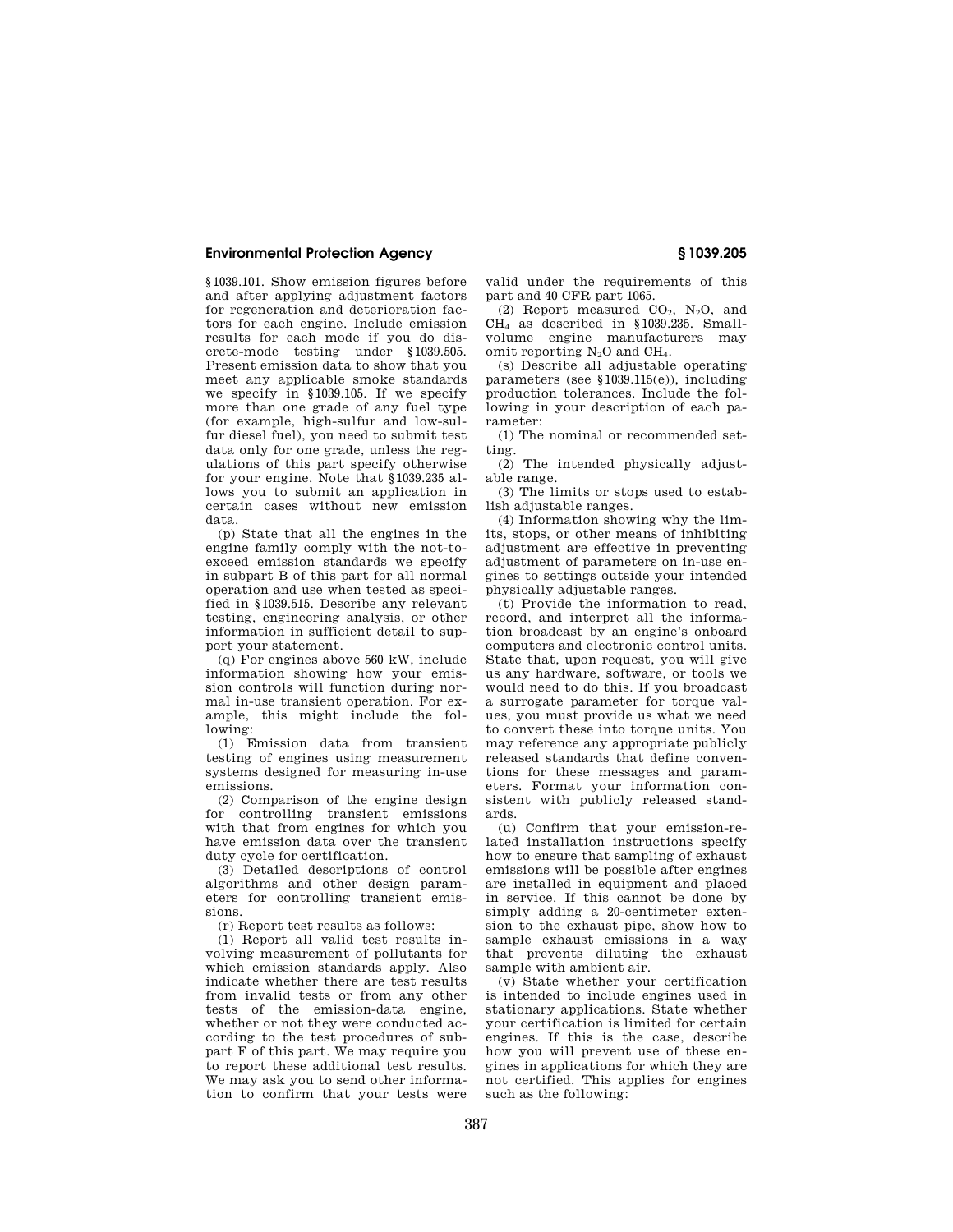§1039.101. Show emission figures before and after applying adjustment factors for regeneration and deterioration factors for each engine. Include emission results for each mode if you do discrete-mode testing under §1039.505. Present emission data to show that you meet any applicable smoke standards we specify in §1039.105. If we specify more than one grade of any fuel type (for example, high-sulfur and low-sulfur diesel fuel), you need to submit test data only for one grade, unless the regulations of this part specify otherwise for your engine. Note that §1039.235 allows you to submit an application in certain cases without new emission data.

(p) State that all the engines in the engine family comply with the not-toexceed emission standards we specify in subpart B of this part for all normal operation and use when tested as specified in §1039.515. Describe any relevant testing, engineering analysis, or other information in sufficient detail to support your statement.

(q) For engines above 560 kW, include information showing how your emission controls will function during normal in-use transient operation. For example, this might include the following:

(1) Emission data from transient testing of engines using measurement systems designed for measuring in-use emissions.

(2) Comparison of the engine design for controlling transient emissions with that from engines for which you have emission data over the transient duty cycle for certification.

(3) Detailed descriptions of control algorithms and other design parameters for controlling transient emissions.

(r) Report test results as follows:

(1) Report all valid test results involving measurement of pollutants for which emission standards apply. Also indicate whether there are test results from invalid tests or from any other tests of the emission-data engine, whether or not they were conducted according to the test procedures of subpart F of this part. We may require you to report these additional test results. We may ask you to send other information to confirm that your tests were valid under the requirements of this part and 40 CFR part 1065.

(2) Report measured  $CO<sub>2</sub>$ , N<sub>2</sub>O, and CH<sup>4</sup> as described in §1039.235. Smallvolume engine manufacturers may omit reporting N<sub>2</sub>O and CH<sub>4</sub>.

(s) Describe all adjustable operating parameters (see §1039.115(e)), including production tolerances. Include the following in your description of each parameter:

(1) The nominal or recommended setting.

(2) The intended physically adjustable range.

(3) The limits or stops used to establish adjustable ranges.

(4) Information showing why the limits, stops, or other means of inhibiting adjustment are effective in preventing adjustment of parameters on in-use engines to settings outside your intended physically adjustable ranges.

(t) Provide the information to read, record, and interpret all the information broadcast by an engine's onboard computers and electronic control units. State that, upon request, you will give us any hardware, software, or tools we would need to do this. If you broadcast a surrogate parameter for torque values, you must provide us what we need to convert these into torque units. You may reference any appropriate publicly released standards that define conventions for these messages and parameters. Format your information consistent with publicly released standards.

(u) Confirm that your emission-related installation instructions specify how to ensure that sampling of exhaust emissions will be possible after engines are installed in equipment and placed in service. If this cannot be done by simply adding a 20-centimeter extension to the exhaust pipe, show how to sample exhaust emissions in a way that prevents diluting the exhaust sample with ambient air.

(v) State whether your certification is intended to include engines used in stationary applications. State whether your certification is limited for certain engines. If this is the case, describe how you will prevent use of these engines in applications for which they are not certified. This applies for engines such as the following: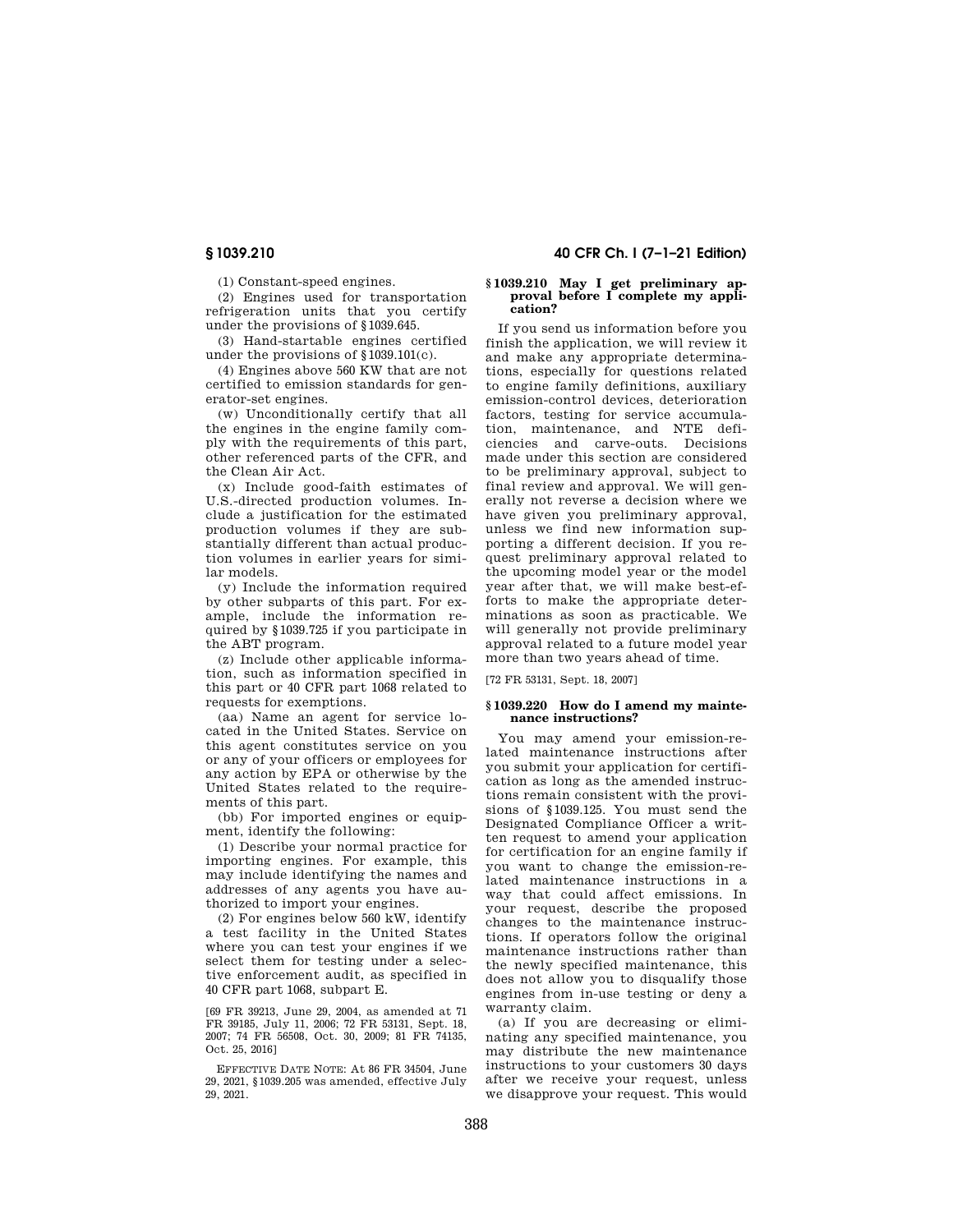(1) Constant-speed engines.

(2) Engines used for transportation refrigeration units that you certify under the provisions of §1039.645.

(3) Hand-startable engines certified under the provisions of §1039.101(c).

(4) Engines above 560 KW that are not certified to emission standards for generator-set engines.

(w) Unconditionally certify that all the engines in the engine family comply with the requirements of this part, other referenced parts of the CFR, and the Clean Air Act.

(x) Include good-faith estimates of U.S.-directed production volumes. Include a justification for the estimated production volumes if they are substantially different than actual production volumes in earlier years for similar models.

(y) Include the information required by other subparts of this part. For example, include the information required by §1039.725 if you participate in the ABT program.

(z) Include other applicable information, such as information specified in this part or 40 CFR part 1068 related to requests for exemptions.

(aa) Name an agent for service located in the United States. Service on this agent constitutes service on you or any of your officers or employees for any action by EPA or otherwise by the United States related to the requirements of this part.

(bb) For imported engines or equipment, identify the following:

(1) Describe your normal practice for importing engines. For example, this may include identifying the names and addresses of any agents you have authorized to import your engines.

(2) For engines below 560 kW, identify a test facility in the United States where you can test your engines if we select them for testing under a selective enforcement audit, as specified in 40 CFR part 1068, subpart E.

[69 FR 39213, June 29, 2004, as amended at 71 FR 39185, July 11, 2006; 72 FR 53131, Sept. 18, 2007; 74 FR 56508, Oct. 30, 2009; 81 FR 74135, Oct. 25, 2016]

EFFECTIVE DATE NOTE: At 86 FR 34504, June 29, 2021, §1039.205 was amended, effective July 29, 2021.

# **§ 1039.210 40 CFR Ch. I (7–1–21 Edition)**

#### **§ 1039.210 May I get preliminary ap**proval before I complete my appli**cation?**

If you send us information before you finish the application, we will review it and make any appropriate determinations, especially for questions related to engine family definitions, auxiliary emission-control devices, deterioration factors, testing for service accumulation, maintenance, and NTE deficiencies and carve-outs. Decisions made under this section are considered to be preliminary approval, subject to final review and approval. We will generally not reverse a decision where we have given you preliminary approval, unless we find new information supporting a different decision. If you request preliminary approval related to the upcoming model year or the model year after that, we will make best-efforts to make the appropriate determinations as soon as practicable. We will generally not provide preliminary approval related to a future model year more than two years ahead of time.

[72 FR 53131, Sept. 18, 2007]

#### **§ 1039.220 How do I amend my maintenance instructions?**

You may amend your emission-related maintenance instructions after you submit your application for certification as long as the amended instructions remain consistent with the provisions of §1039.125. You must send the Designated Compliance Officer a written request to amend your application for certification for an engine family if you want to change the emission-related maintenance instructions in a way that could affect emissions. In your request, describe the proposed changes to the maintenance instructions. If operators follow the original maintenance instructions rather than the newly specified maintenance, this does not allow you to disqualify those engines from in-use testing or deny a warranty claim.

(a) If you are decreasing or eliminating any specified maintenance, you may distribute the new maintenance instructions to your customers 30 days after we receive your request, unless we disapprove your request. This would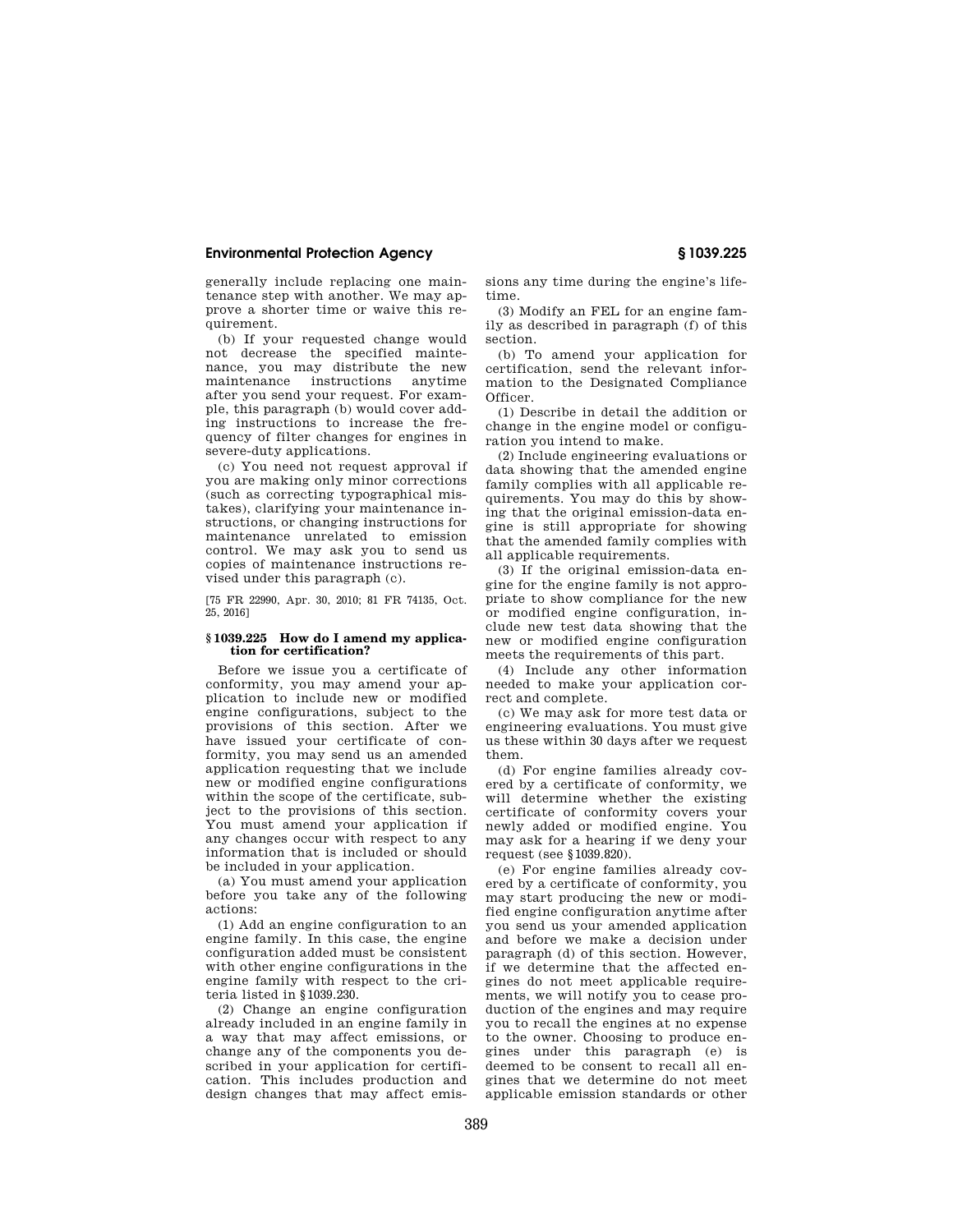generally include replacing one maintenance step with another. We may approve a shorter time or waive this requirement.

(b) If your requested change would not decrease the specified maintenance, you may distribute the new maintenance instructions anytime after you send your request. For example, this paragraph (b) would cover adding instructions to increase the frequency of filter changes for engines in severe-duty applications.

(c) You need not request approval if you are making only minor corrections (such as correcting typographical mistakes), clarifying your maintenance instructions, or changing instructions for maintenance unrelated to emission control. We may ask you to send us copies of maintenance instructions revised under this paragraph (c).

[75 FR 22990, Apr. 30, 2010; 81 FR 74135, Oct. 25, 2016]

### **§ 1039.225 How do I amend my application for certification?**

Before we issue you a certificate of conformity, you may amend your application to include new or modified engine configurations, subject to the provisions of this section. After we have issued your certificate of conformity, you may send us an amended application requesting that we include new or modified engine configurations within the scope of the certificate, subject to the provisions of this section. You must amend your application if any changes occur with respect to any information that is included or should be included in your application.

(a) You must amend your application before you take any of the following actions:

(1) Add an engine configuration to an engine family. In this case, the engine configuration added must be consistent with other engine configurations in the engine family with respect to the criteria listed in §1039.230.

(2) Change an engine configuration already included in an engine family in a way that may affect emissions, or change any of the components you described in your application for certification. This includes production and design changes that may affect emissions any time during the engine's lifetime.

(3) Modify an FEL for an engine family as described in paragraph (f) of this section.

(b) To amend your application for certification, send the relevant information to the Designated Compliance Officer.

(1) Describe in detail the addition or change in the engine model or configuration you intend to make.

(2) Include engineering evaluations or data showing that the amended engine family complies with all applicable requirements. You may do this by showing that the original emission-data engine is still appropriate for showing that the amended family complies with all applicable requirements.

(3) If the original emission-data engine for the engine family is not appropriate to show compliance for the new or modified engine configuration, include new test data showing that the new or modified engine configuration meets the requirements of this part.

(4) Include any other information needed to make your application correct and complete.

(c) We may ask for more test data or engineering evaluations. You must give us these within 30 days after we request them.

(d) For engine families already covered by a certificate of conformity, we will determine whether the existing certificate of conformity covers your newly added or modified engine. You may ask for a hearing if we deny your request (see §1039.820).

(e) For engine families already covered by a certificate of conformity, you may start producing the new or modified engine configuration anytime after you send us your amended application and before we make a decision under paragraph (d) of this section. However, if we determine that the affected engines do not meet applicable requirements, we will notify you to cease production of the engines and may require you to recall the engines at no expense to the owner. Choosing to produce engines under this paragraph (e) is deemed to be consent to recall all engines that we determine do not meet applicable emission standards or other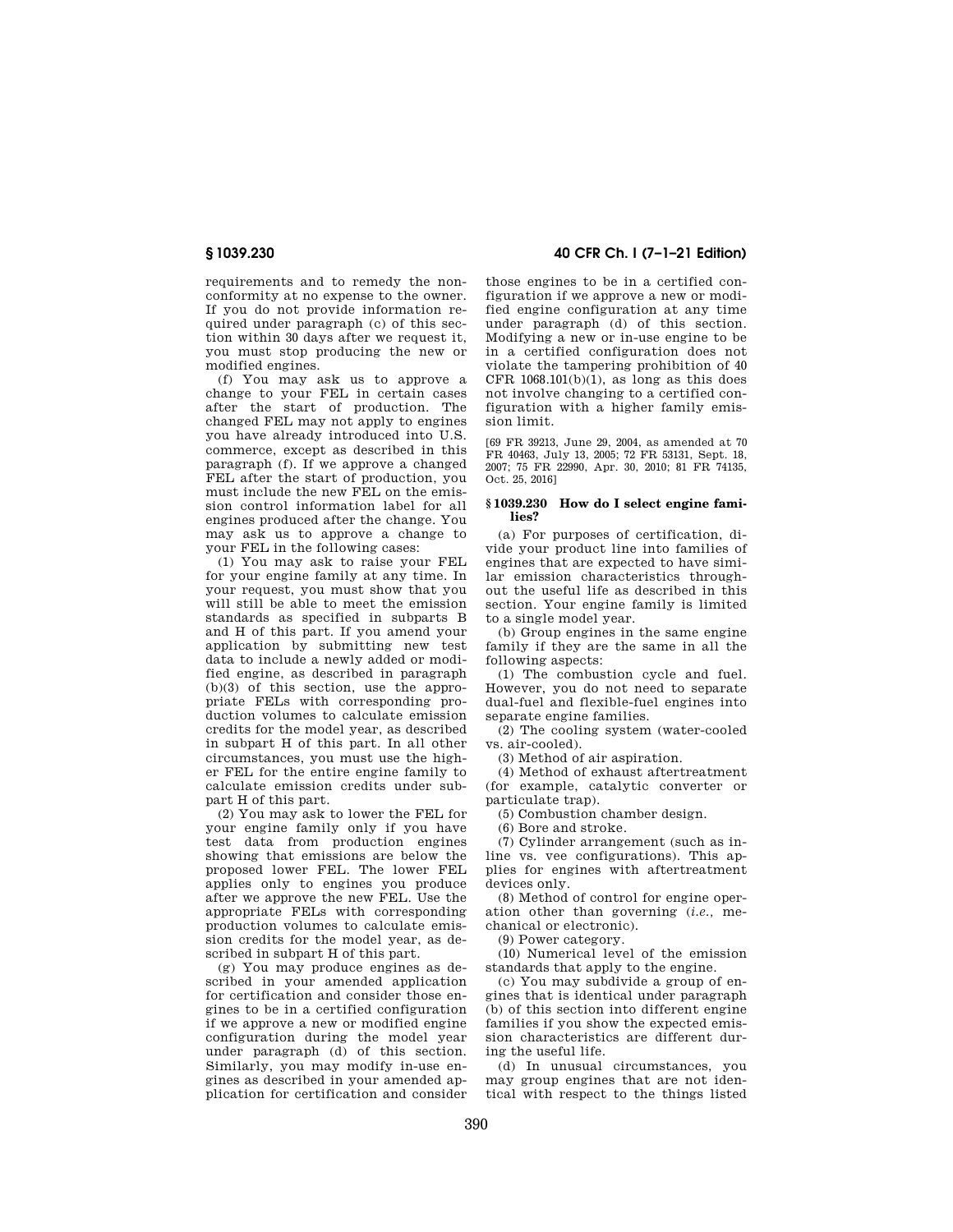requirements and to remedy the nonconformity at no expense to the owner. If you do not provide information required under paragraph (c) of this section within 30 days after we request it, you must stop producing the new or modified engines.

(f) You may ask us to approve a change to your FEL in certain cases after the start of production. The changed FEL may not apply to engines you have already introduced into U.S. commerce, except as described in this paragraph (f). If we approve a changed FEL after the start of production, you must include the new FEL on the emission control information label for all engines produced after the change. You may ask us to approve a change to your FEL in the following cases:

(1) You may ask to raise your FEL for your engine family at any time. In your request, you must show that you will still be able to meet the emission standards as specified in subparts B and H of this part. If you amend your application by submitting new test data to include a newly added or modified engine, as described in paragraph (b)(3) of this section, use the appropriate FELs with corresponding production volumes to calculate emission credits for the model year, as described in subpart H of this part. In all other circumstances, you must use the higher FEL for the entire engine family to calculate emission credits under subpart H of this part.

(2) You may ask to lower the FEL for your engine family only if you have test data from production engines showing that emissions are below the proposed lower FEL. The lower FEL applies only to engines you produce after we approve the new FEL. Use the appropriate FELs with corresponding production volumes to calculate emission credits for the model year, as described in subpart H of this part.

(g) You may produce engines as described in your amended application for certification and consider those engines to be in a certified configuration if we approve a new or modified engine configuration during the model year under paragraph (d) of this section. Similarly, you may modify in-use engines as described in your amended application for certification and consider

# **§ 1039.230 40 CFR Ch. I (7–1–21 Edition)**

those engines to be in a certified configuration if we approve a new or modified engine configuration at any time under paragraph (d) of this section. Modifying a new or in-use engine to be in a certified configuration does not violate the tampering prohibition of 40 CFR  $1068.101(b)(1)$ , as long as this does not involve changing to a certified configuration with a higher family emission limit.

[69 FR 39213, June 29, 2004, as amended at 70 FR 40463, July 13, 2005; 72 FR 53131, Sept. 18, 2007; 75 FR 22990, Apr. 30, 2010; 81 FR 74135, Oct. 25, 2016]

#### **§ 1039.230 How do I select engine families?**

(a) For purposes of certification, divide your product line into families of engines that are expected to have similar emission characteristics throughout the useful life as described in this section. Your engine family is limited to a single model year.

(b) Group engines in the same engine family if they are the same in all the following aspects:

(1) The combustion cycle and fuel. However, you do not need to separate dual-fuel and flexible-fuel engines into separate engine families.

(2) The cooling system (water-cooled vs. air-cooled).

(3) Method of air aspiration.

(4) Method of exhaust aftertreatment (for example, catalytic converter or particulate trap).

(5) Combustion chamber design.

(6) Bore and stroke.

(7) Cylinder arrangement (such as inline vs. vee configurations). This applies for engines with aftertreatment devices only.

(8) Method of control for engine operation other than governing (*i.e.,* mechanical or electronic).

(9) Power category.

(10) Numerical level of the emission standards that apply to the engine.

(c) You may subdivide a group of engines that is identical under paragraph (b) of this section into different engine families if you show the expected emission characteristics are different during the useful life.

(d) In unusual circumstances, you may group engines that are not identical with respect to the things listed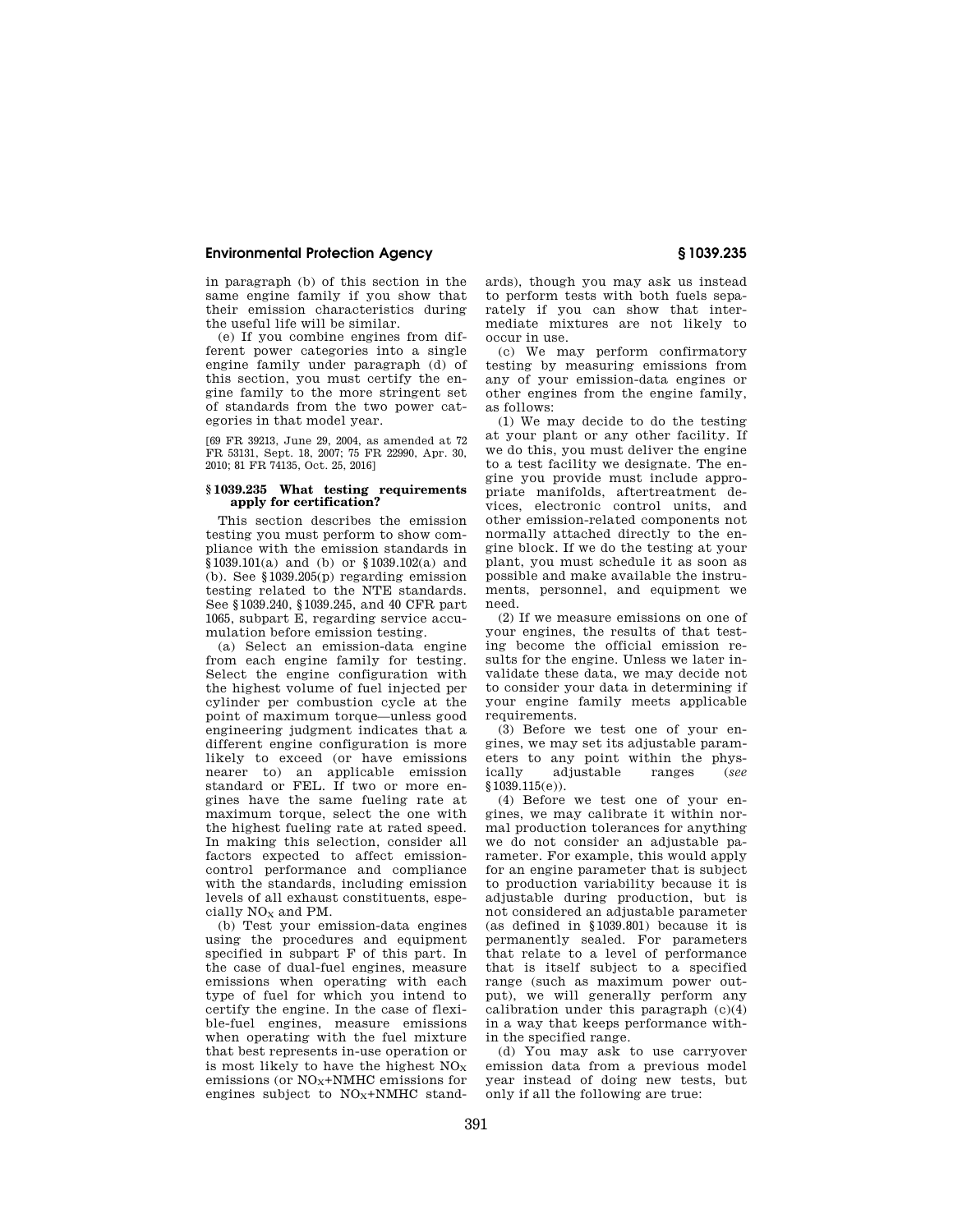in paragraph (b) of this section in the same engine family if you show that their emission characteristics during the useful life will be similar.

(e) If you combine engines from different power categories into a single engine family under paragraph (d) of this section, you must certify the engine family to the more stringent set of standards from the two power categories in that model year.

[69 FR 39213, June 29, 2004, as amended at 72 FR 53131, Sept. 18, 2007; 75 FR 22990, Apr. 30, 2010; 81 FR 74135, Oct. 25, 2016]

#### **§ 1039.235 What testing requirements apply for certification?**

This section describes the emission testing you must perform to show compliance with the emission standards in §1039.101(a) and (b) or §1039.102(a) and (b). See §1039.205(p) regarding emission testing related to the NTE standards. See §1039.240, §1039.245, and 40 CFR part 1065, subpart E, regarding service accumulation before emission testing.

(a) Select an emission-data engine from each engine family for testing. Select the engine configuration with the highest volume of fuel injected per cylinder per combustion cycle at the point of maximum torque—unless good engineering judgment indicates that a different engine configuration is more likely to exceed (or have emissions nearer to) an applicable emission standard or FEL. If two or more engines have the same fueling rate at maximum torque, select the one with the highest fueling rate at rated speed. In making this selection, consider all factors expected to affect emissioncontrol performance and compliance with the standards, including emission levels of all exhaust constituents, especially  $NO<sub>x</sub>$  and PM.

(b) Test your emission-data engines using the procedures and equipment specified in subpart F of this part. In the case of dual-fuel engines, measure emissions when operating with each type of fuel for which you intend to certify the engine. In the case of flexible-fuel engines, measure emissions when operating with the fuel mixture that best represents in-use operation or is most likely to have the highest  $NO<sub>x</sub>$ emissions (or  $NO<sub>X</sub>+NMHC$  emissions for engines subject to  $NO<sub>x</sub>+NMHC$  stand-

ards), though you may ask us instead to perform tests with both fuels separately if you can show that intermediate mixtures are not likely to occur in use.

(c) We may perform confirmatory testing by measuring emissions from any of your emission-data engines or other engines from the engine family, as follows:

(1) We may decide to do the testing at your plant or any other facility. If we do this, you must deliver the engine to a test facility we designate. The engine you provide must include appropriate manifolds, aftertreatment devices, electronic control units, and other emission-related components not normally attached directly to the engine block. If we do the testing at your plant, you must schedule it as soon as possible and make available the instruments, personnel, and equipment we need.

(2) If we measure emissions on one of your engines, the results of that testing become the official emission results for the engine. Unless we later invalidate these data, we may decide not to consider your data in determining if your engine family meets applicable requirements.

(3) Before we test one of your engines, we may set its adjustable parameters to any point within the phys-<br>ically adjustable ranges (see adjustable ranges (*see* §1039.115(e)).

(4) Before we test one of your engines, we may calibrate it within normal production tolerances for anything we do not consider an adjustable parameter. For example, this would apply for an engine parameter that is subject to production variability because it is adjustable during production, but is not considered an adjustable parameter (as defined in §1039.801) because it is permanently sealed. For parameters that relate to a level of performance that is itself subject to a specified range (such as maximum power output), we will generally perform any calibration under this paragraph  $(c)(4)$ in a way that keeps performance within the specified range.

(d) You may ask to use carryover emission data from a previous model year instead of doing new tests, but only if all the following are true: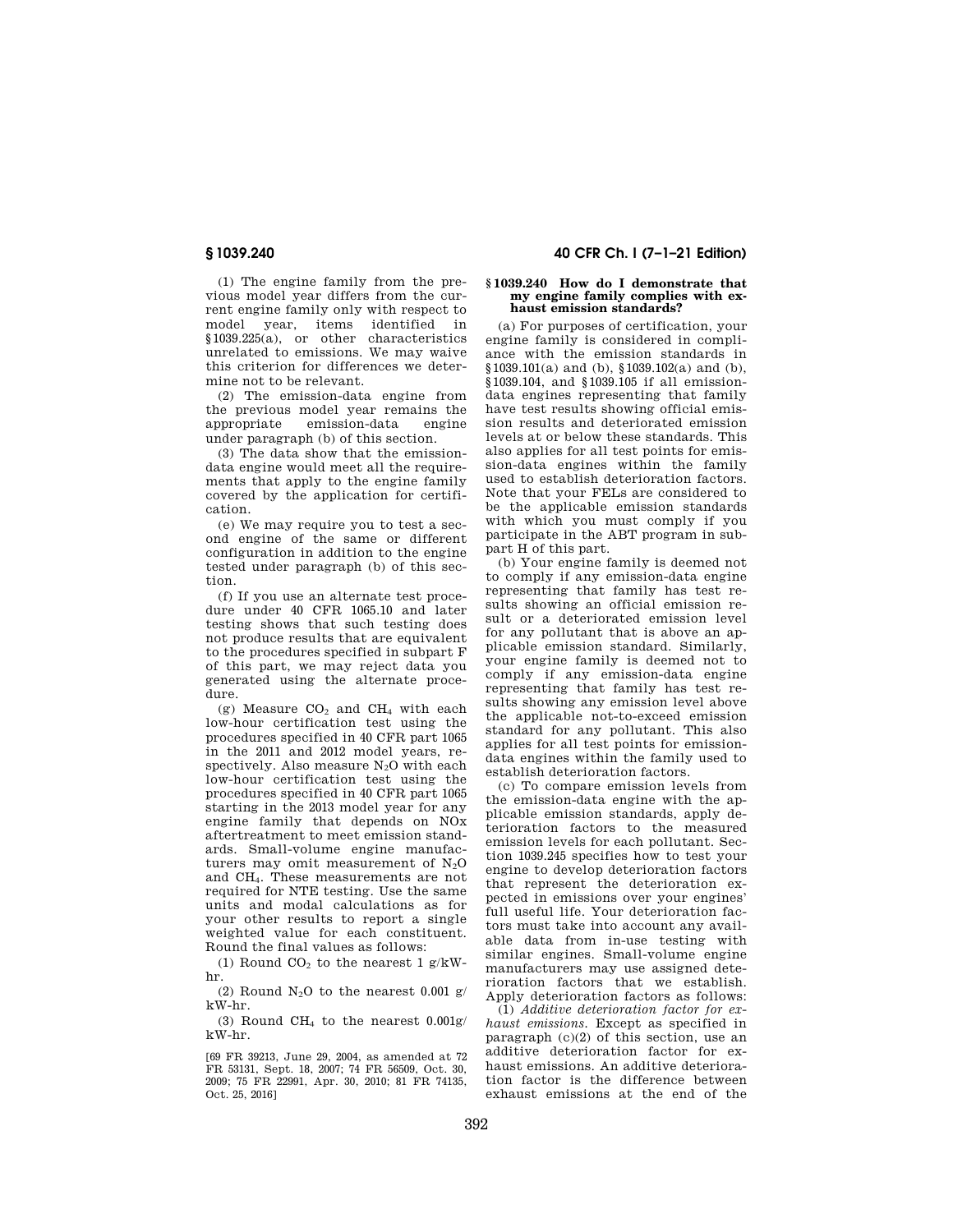(1) The engine family from the previous model year differs from the current engine family only with respect to model year, items identified in §1039.225(a), or other characteristics unrelated to emissions. We may waive this criterion for differences we determine not to be relevant.

(2) The emission-data engine from the previous model year remains the appropriate emission-data engine under paragraph (b) of this section.

(3) The data show that the emissiondata engine would meet all the requirements that apply to the engine family covered by the application for certification.

(e) We may require you to test a second engine of the same or different configuration in addition to the engine tested under paragraph (b) of this section.

(f) If you use an alternate test procedure under 40 CFR 1065.10 and later testing shows that such testing does not produce results that are equivalent to the procedures specified in subpart F of this part, we may reject data you generated using the alternate procedure.

(g) Measure  $CO<sub>2</sub>$  and  $CH<sub>4</sub>$  with each low-hour certification test using the procedures specified in 40 CFR part 1065 in the 2011 and 2012 model years, respectively. Also measure  $N_2O$  with each low-hour certification test using the procedures specified in 40 CFR part 1065 starting in the 2013 model year for any engine family that depends on NOx aftertreatment to meet emission standards. Small-volume engine manufacturers may omit measurement of  $N<sub>2</sub>O$ and CH4. These measurements are not required for NTE testing. Use the same units and modal calculations as for your other results to report a single weighted value for each constituent. Round the final values as follows:

(1) Round  $CO<sub>2</sub>$  to the nearest 1 g/kWhr.

(2) Round  $N_2O$  to the nearest 0.001 g/ kW-hr.

(3) Round CH<sub>4</sub> to the nearest  $0.001$ g/ kW-hr.

[69 FR 39213, June 29, 2004, as amended at 72 FR 53131, Sept. 18, 2007; 74 FR 56509, Oct. 30, 2009; 75 FR 22991, Apr. 30, 2010; 81 FR 74135, Oct. 25, 2016]

# **§ 1039.240 40 CFR Ch. I (7–1–21 Edition)**

#### **§ 1039.240 How do I demonstrate that my engine family complies with exhaust emission standards?**

(a) For purposes of certification, your engine family is considered in compliance with the emission standards in §1039.101(a) and (b), §1039.102(a) and (b), §1039.104, and §1039.105 if all emissiondata engines representing that family have test results showing official emission results and deteriorated emission levels at or below these standards. This also applies for all test points for emission-data engines within the family used to establish deterioration factors. Note that your FELs are considered to be the applicable emission standards with which you must comply if you participate in the ABT program in subpart H of this part.

(b) Your engine family is deemed not to comply if any emission-data engine representing that family has test results showing an official emission result or a deteriorated emission level for any pollutant that is above an applicable emission standard. Similarly, your engine family is deemed not to comply if any emission-data engine representing that family has test results showing any emission level above the applicable not-to-exceed emission standard for any pollutant. This also applies for all test points for emissiondata engines within the family used to establish deterioration factors.

(c) To compare emission levels from the emission-data engine with the applicable emission standards, apply deterioration factors to the measured emission levels for each pollutant. Section 1039.245 specifies how to test your engine to develop deterioration factors that represent the deterioration expected in emissions over your engines' full useful life. Your deterioration factors must take into account any available data from in-use testing with similar engines. Small-volume engine manufacturers may use assigned deterioration factors that we establish. Apply deterioration factors as follows:

(1) *Additive deterioration factor for exhaust emissions.* Except as specified in paragraph  $(c)(2)$  of this section, use an additive deterioration factor for exhaust emissions. An additive deterioration factor is the difference between exhaust emissions at the end of the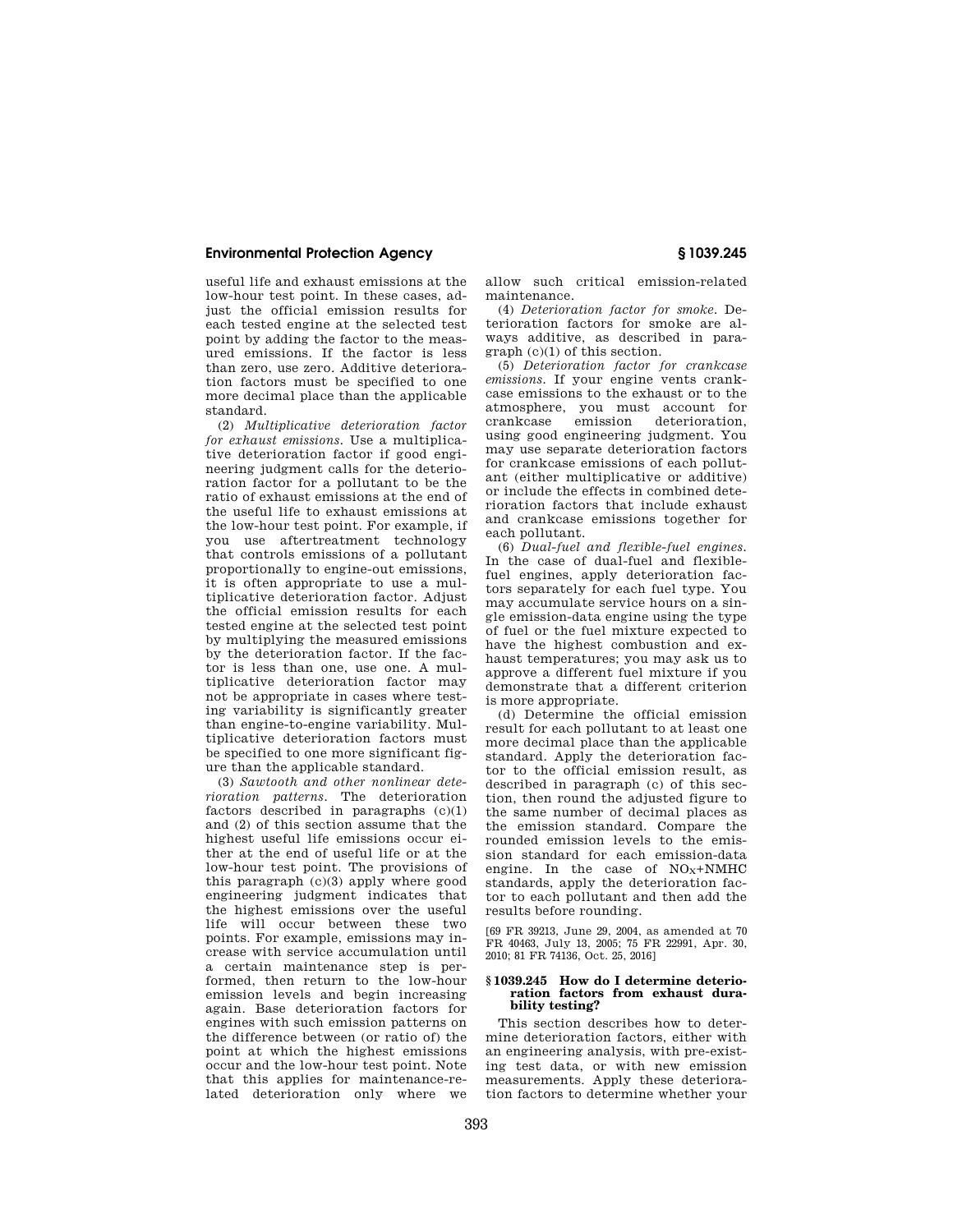useful life and exhaust emissions at the low-hour test point. In these cases, adjust the official emission results for each tested engine at the selected test point by adding the factor to the measured emissions. If the factor is less than zero, use zero. Additive deterioration factors must be specified to one more decimal place than the applicable standard.

(2) *Multiplicative deterioration factor for exhaust emissions.* Use a multiplicative deterioration factor if good engineering judgment calls for the deterioration factor for a pollutant to be the ratio of exhaust emissions at the end of the useful life to exhaust emissions at the low-hour test point. For example, if you use aftertreatment technology that controls emissions of a pollutant proportionally to engine-out emissions, it is often appropriate to use a multiplicative deterioration factor. Adjust the official emission results for each tested engine at the selected test point by multiplying the measured emissions by the deterioration factor. If the factor is less than one, use one. A multiplicative deterioration factor may not be appropriate in cases where testing variability is significantly greater than engine-to-engine variability. Multiplicative deterioration factors must be specified to one more significant figure than the applicable standard.

(3) *Sawtooth and other nonlinear deterioration patterns.* The deterioration factors described in paragraphs (c)(1) and (2) of this section assume that the highest useful life emissions occur either at the end of useful life or at the low-hour test point. The provisions of this paragraph (c)(3) apply where good engineering judgment indicates that the highest emissions over the useful life will occur between these two points. For example, emissions may increase with service accumulation until a certain maintenance step is performed, then return to the low-hour emission levels and begin increasing again. Base deterioration factors for engines with such emission patterns on the difference between (or ratio of) the point at which the highest emissions occur and the low-hour test point. Note that this applies for maintenance-related deterioration only where we

allow such critical emission-related maintenance.

(4) *Deterioration factor for smoke.* Deterioration factors for smoke are always additive, as described in paragraph (c)(1) of this section.

(5) *Deterioration factor for crankcase emissions.* If your engine vents crankcase emissions to the exhaust or to the atmosphere, you must account for crankcase emission deterioration, using good engineering judgment. You may use separate deterioration factors for crankcase emissions of each pollutant (either multiplicative or additive) or include the effects in combined deterioration factors that include exhaust and crankcase emissions together for each pollutant.

(6) *Dual-fuel and flexible-fuel engines.*  In the case of dual-fuel and flexiblefuel engines, apply deterioration factors separately for each fuel type. You may accumulate service hours on a single emission-data engine using the type of fuel or the fuel mixture expected to have the highest combustion and exhaust temperatures; you may ask us to approve a different fuel mixture if you demonstrate that a different criterion is more appropriate.

(d) Determine the official emission result for each pollutant to at least one more decimal place than the applicable standard. Apply the deterioration factor to the official emission result, as described in paragraph (c) of this section, then round the adjusted figure to the same number of decimal places as the emission standard. Compare the rounded emission levels to the emission standard for each emission-data engine. In the case of  $NO<sub>X</sub>+NMHC$ standards, apply the deterioration factor to each pollutant and then add the results before rounding.

[69 FR 39213, June 29, 2004, as amended at 70 FR 40463, July 13, 2005; 75 FR 22991, Apr. 30, 2010; 81 FR 74136, Oct. 25, 2016]

#### **§ 1039.245 How do I determine deterioration factors from exhaust durability testing?**

This section describes how to determine deterioration factors, either with an engineering analysis, with pre-existing test data, or with new emission measurements. Apply these deterioration factors to determine whether your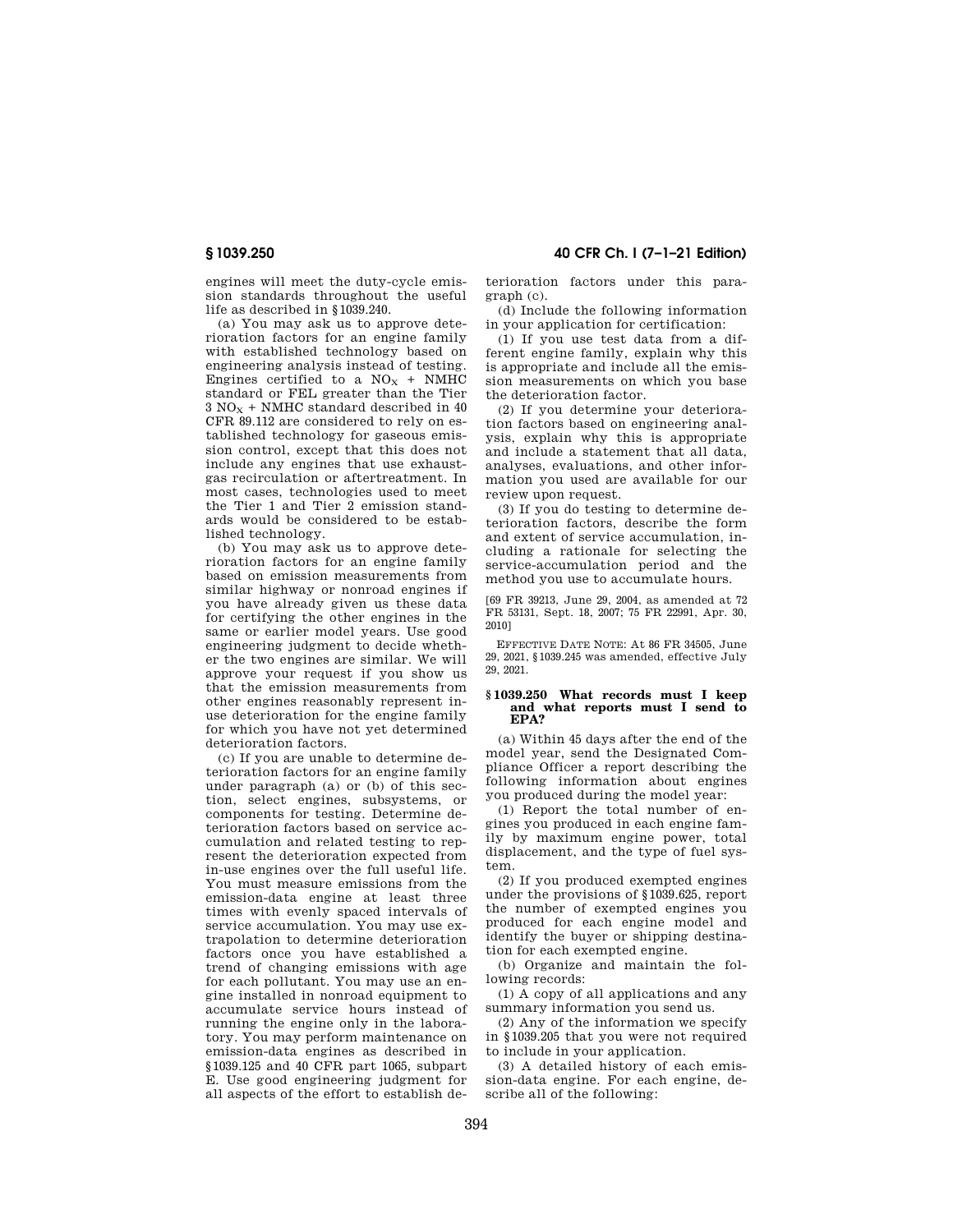engines will meet the duty-cycle emission standards throughout the useful life as described in §1039.240.

(a) You may ask us to approve deterioration factors for an engine family with established technology based on engineering analysis instead of testing. Engines certified to a  $NO<sub>X</sub>$  + NMHC standard or FEL greater than the Tier  $3$  NO<sub>x</sub> + NMHC standard described in 40 CFR 89.112 are considered to rely on established technology for gaseous emission control, except that this does not include any engines that use exhaustgas recirculation or aftertreatment. In most cases, technologies used to meet the Tier 1 and Tier 2 emission standards would be considered to be established technology.

(b) You may ask us to approve deterioration factors for an engine family based on emission measurements from similar highway or nonroad engines if you have already given us these data for certifying the other engines in the same or earlier model years. Use good engineering judgment to decide whether the two engines are similar. We will approve your request if you show us that the emission measurements from other engines reasonably represent inuse deterioration for the engine family for which you have not yet determined deterioration factors.

(c) If you are unable to determine deterioration factors for an engine family under paragraph (a) or (b) of this section, select engines, subsystems, or components for testing. Determine deterioration factors based on service accumulation and related testing to represent the deterioration expected from in-use engines over the full useful life. You must measure emissions from the emission-data engine at least three times with evenly spaced intervals of service accumulation. You may use extrapolation to determine deterioration factors once you have established a trend of changing emissions with age for each pollutant. You may use an engine installed in nonroad equipment to accumulate service hours instead of running the engine only in the laboratory. You may perform maintenance on emission-data engines as described in §1039.125 and 40 CFR part 1065, subpart E. Use good engineering judgment for all aspects of the effort to establish de-

# **§ 1039.250 40 CFR Ch. I (7–1–21 Edition)**

terioration factors under this paragraph (c).

(d) Include the following information in your application for certification:

(1) If you use test data from a different engine family, explain why this is appropriate and include all the emission measurements on which you base the deterioration factor.

(2) If you determine your deterioration factors based on engineering analysis, explain why this is appropriate and include a statement that all data, analyses, evaluations, and other information you used are available for our review upon request.

(3) If you do testing to determine deterioration factors, describe the form and extent of service accumulation, including a rationale for selecting the service-accumulation period and the method you use to accumulate hours.

[69 FR 39213, June 29, 2004, as amended at 72 FR 53131, Sept. 18, 2007; 75 FR 22991, Apr. 30, 2010]

EFFECTIVE DATE NOTE: At 86 FR 34505, June 29, 2021, §1039.245 was amended, effective July 29, 2021.

### **§ 1039.250 What records must I keep and what reports must I send to EPA?**

(a) Within 45 days after the end of the model year, send the Designated Compliance Officer a report describing the following information about engines you produced during the model year:

(1) Report the total number of engines you produced in each engine family by maximum engine power, total displacement, and the type of fuel system.

(2) If you produced exempted engines under the provisions of §1039.625, report the number of exempted engines you produced for each engine model and identify the buyer or shipping destination for each exempted engine.

(b) Organize and maintain the following records:

(1) A copy of all applications and any summary information you send us.

(2) Any of the information we specify in §1039.205 that you were not required to include in your application.

(3) A detailed history of each emission-data engine. For each engine, describe all of the following: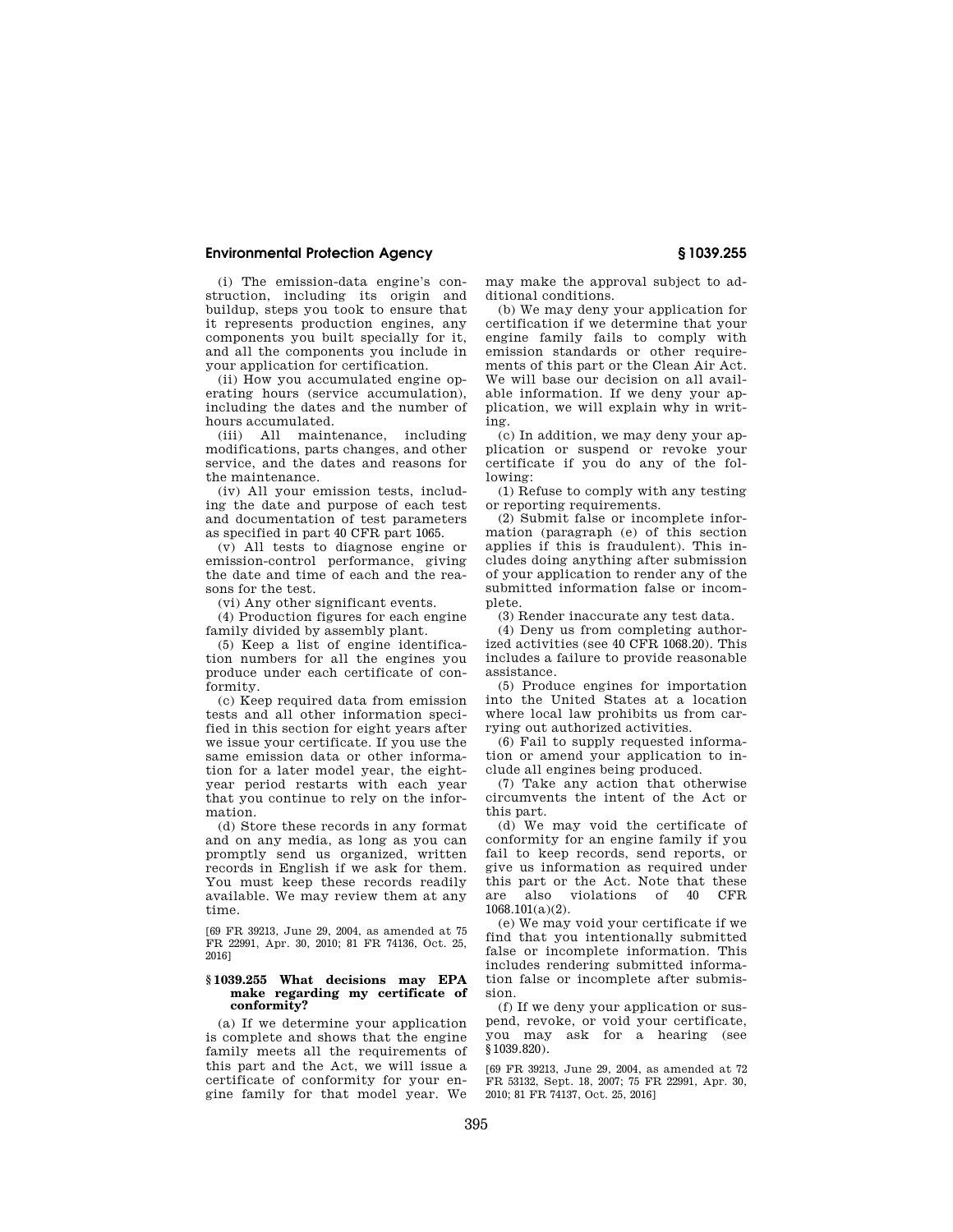(i) The emission-data engine's construction, including its origin and buildup, steps you took to ensure that it represents production engines, any components you built specially for it, and all the components you include in your application for certification.

(ii) How you accumulated engine operating hours (service accumulation), including the dates and the number of hours accumulated.

(iii) All maintenance, including modifications, parts changes, and other service, and the dates and reasons for the maintenance.

(iv) All your emission tests, including the date and purpose of each test and documentation of test parameters as specified in part 40 CFR part 1065.

(v) All tests to diagnose engine or emission-control performance, giving the date and time of each and the reasons for the test.

(vi) Any other significant events.

(4) Production figures for each engine family divided by assembly plant.

(5) Keep a list of engine identification numbers for all the engines you produce under each certificate of conformity.

(c) Keep required data from emission tests and all other information specified in this section for eight years after we issue your certificate. If you use the same emission data or other information for a later model year, the eightyear period restarts with each year that you continue to rely on the information.

(d) Store these records in any format and on any media, as long as you can promptly send us organized, written records in English if we ask for them. You must keep these records readily available. We may review them at any time.

[69 FR 39213, June 29, 2004, as amended at 75 FR 22991, Apr. 30, 2010; 81 FR 74136, Oct. 25, 2016]

#### **§ 1039.255 What decisions may EPA make regarding my certificate of conformity?**

(a) If we determine your application is complete and shows that the engine family meets all the requirements of this part and the Act, we will issue a certificate of conformity for your engine family for that model year. We

may make the approval subject to additional conditions.

(b) We may deny your application for certification if we determine that your engine family fails to comply with emission standards or other requirements of this part or the Clean Air Act. We will base our decision on all available information. If we deny your application, we will explain why in writing.

(c) In addition, we may deny your application or suspend or revoke your certificate if you do any of the following:

(1) Refuse to comply with any testing or reporting requirements.

(2) Submit false or incomplete information (paragraph (e) of this section applies if this is fraudulent). This includes doing anything after submission of your application to render any of the submitted information false or incomplete.

(3) Render inaccurate any test data.

(4) Deny us from completing authorized activities (see 40 CFR 1068.20). This includes a failure to provide reasonable assistance.

(5) Produce engines for importation into the United States at a location where local law prohibits us from carrying out authorized activities.

(6) Fail to supply requested information or amend your application to include all engines being produced.

(7) Take any action that otherwise circumvents the intent of the Act or this part.

(d) We may void the certificate of conformity for an engine family if you fail to keep records, send reports, or give us information as required under this part or the Act. Note that these are also violations of 40 CFR 1068.101(a)(2).

(e) We may void your certificate if we find that you intentionally submitted false or incomplete information. This includes rendering submitted information false or incomplete after submission.

(f) If we deny your application or suspend, revoke, or void your certificate, you may ask for a hearing (see §1039.820).

[69 FR 39213, June 29, 2004, as amended at 72 FR 53132, Sept. 18, 2007; 75 FR 22991, Apr. 30, 2010; 81 FR 74137, Oct. 25, 2016]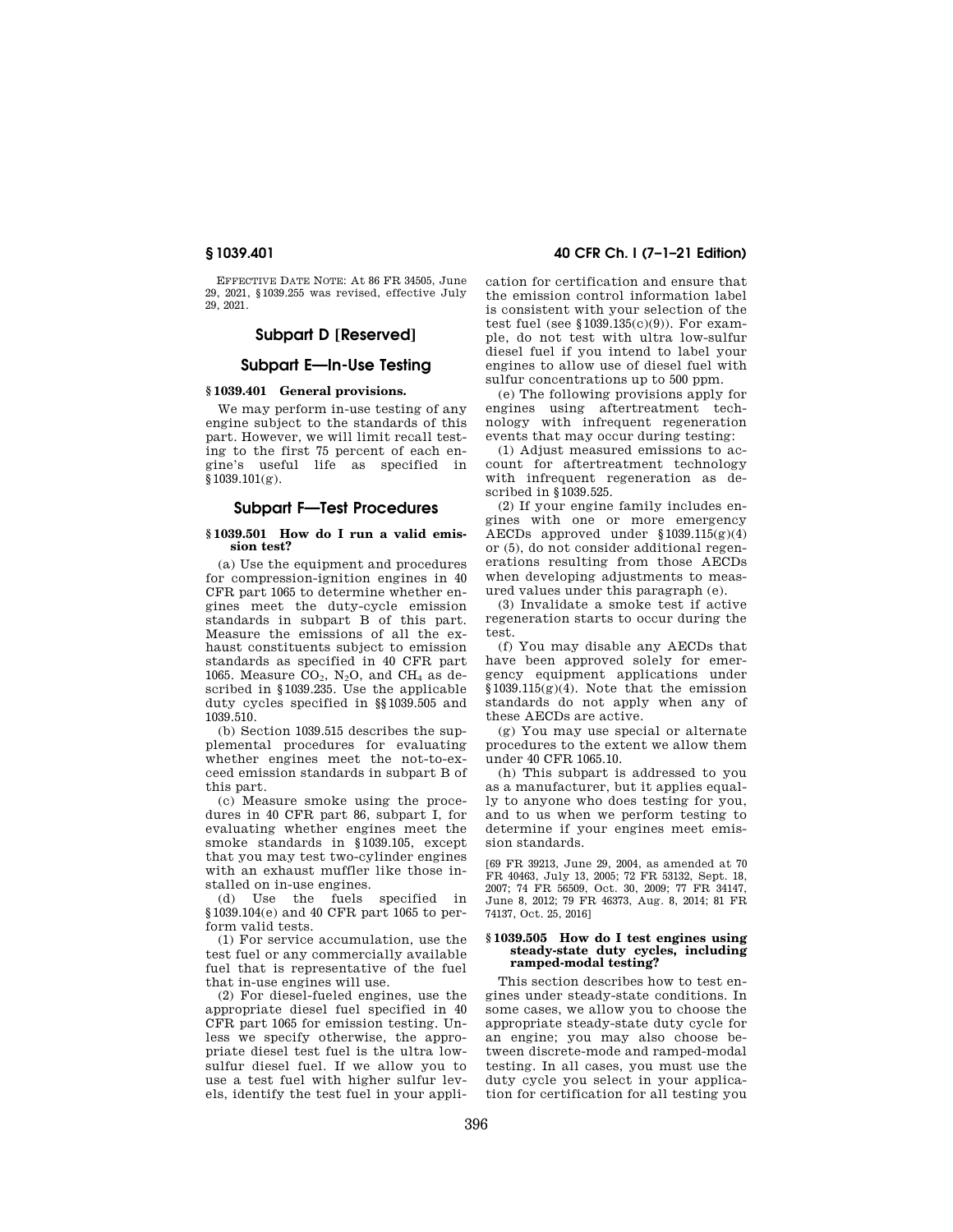EFFECTIVE DATE NOTE: At 86 FR 34505, June 29, 2021, §1039.255 was revised, effective July 29, 2021.

# **Subpart D [Reserved]**

# **Subpart E—In-Use Testing**

# **§ 1039.401 General provisions.**

We may perform in-use testing of any engine subject to the standards of this part. However, we will limit recall testing to the first 75 percent of each engine's useful life as specified in §1039.101(g).

# **Subpart F—Test Procedures**

### **§ 1039.501 How do I run a valid emission test?**

(a) Use the equipment and procedures for compression-ignition engines in 40 CFR part 1065 to determine whether engines meet the duty-cycle emission standards in subpart B of this part. Measure the emissions of all the exhaust constituents subject to emission standards as specified in 40 CFR part 1065. Measure  $CO<sub>2</sub>$ , N<sub>2</sub>O, and CH<sub>4</sub> as described in §1039.235. Use the applicable duty cycles specified in §§1039.505 and 1039.510.

(b) Section 1039.515 describes the supplemental procedures for evaluating whether engines meet the not-to-exceed emission standards in subpart B of this part.

(c) Measure smoke using the procedures in 40 CFR part 86, subpart I, for evaluating whether engines meet the smoke standards in §1039.105, except that you may test two-cylinder engines with an exhaust muffler like those installed on in-use engines.

(d) Use the fuels specified in §1039.104(e) and 40 CFR part 1065 to perform valid tests.

(1) For service accumulation, use the test fuel or any commercially available fuel that is representative of the fuel that in-use engines will use.

(2) For diesel-fueled engines, use the appropriate diesel fuel specified in 40 CFR part 1065 for emission testing. Unless we specify otherwise, the appropriate diesel test fuel is the ultra lowsulfur diesel fuel. If we allow you to use a test fuel with higher sulfur levels, identify the test fuel in your appli-

# **§ 1039.401 40 CFR Ch. I (7–1–21 Edition)**

cation for certification and ensure that the emission control information label is consistent with your selection of the test fuel (see  $$1039.135(c)(9)$ ). For example, do not test with ultra low-sulfur diesel fuel if you intend to label your engines to allow use of diesel fuel with sulfur concentrations up to 500 ppm.

(e) The following provisions apply for engines using aftertreatment technology with infrequent regeneration events that may occur during testing:

(1) Adjust measured emissions to account for aftertreatment technology with infrequent regeneration as described in §1039.525.

(2) If your engine family includes engines with one or more emergency AECDs approved under §1039.115(g)(4) or (5), do not consider additional regenerations resulting from those AECDs when developing adjustments to measured values under this paragraph (e).

(3) Invalidate a smoke test if active regeneration starts to occur during the test.

(f) You may disable any AECDs that have been approved solely for emergency equipment applications under  $$1039.115(g)(4)$ . Note that the emission standards do not apply when any of these AECDs are active.

(g) You may use special or alternate procedures to the extent we allow them under 40 CFR 1065.10.

(h) This subpart is addressed to you as a manufacturer, but it applies equally to anyone who does testing for you, and to us when we perform testing to determine if your engines meet emission standards.

[69 FR 39213, June 29, 2004, as amended at 70 FR 40463, July 13, 2005; 72 FR 53132, Sept. 18, 2007; 74 FR 56509, Oct. 30, 2009; 77 FR 34147, June 8, 2012; 79 FR 46373, Aug. 8, 2014; 81 FR 74137, Oct. 25, 2016]

#### **§ 1039.505 How do I test engines using steady-state duty cycles, including ramped-modal testing?**

This section describes how to test engines under steady-state conditions. In some cases, we allow you to choose the appropriate steady-state duty cycle for an engine; you may also choose between discrete-mode and ramped-modal testing. In all cases, you must use the duty cycle you select in your application for certification for all testing you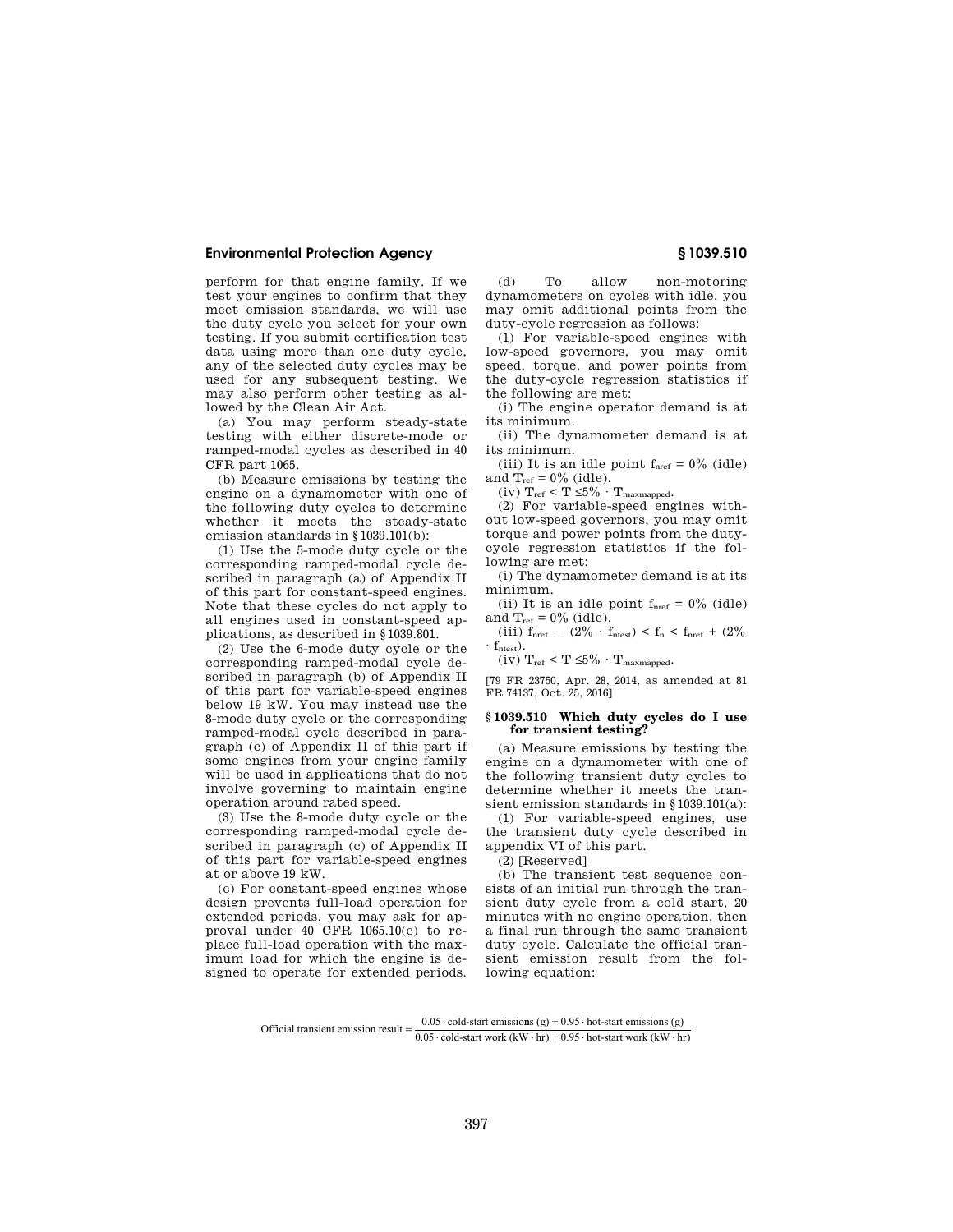perform for that engine family. If we test your engines to confirm that they meet emission standards, we will use the duty cycle you select for your own testing. If you submit certification test data using more than one duty cycle, any of the selected duty cycles may be used for any subsequent testing. We may also perform other testing as allowed by the Clean Air Act.

(a) You may perform steady-state testing with either discrete-mode or ramped-modal cycles as described in 40 CFR part 1065.

(b) Measure emissions by testing the engine on a dynamometer with one of the following duty cycles to determine whether it meets the steady-state emission standards in §1039.101(b):

(1) Use the 5-mode duty cycle or the corresponding ramped-modal cycle described in paragraph (a) of Appendix II of this part for constant-speed engines. Note that these cycles do not apply to all engines used in constant-speed applications, as described in §1039.801.

(2) Use the 6-mode duty cycle or the corresponding ramped-modal cycle described in paragraph (b) of Appendix II of this part for variable-speed engines below 19 kW. You may instead use the 8-mode duty cycle or the corresponding ramped-modal cycle described in paragraph (c) of Appendix II of this part if some engines from your engine family will be used in applications that do not involve governing to maintain engine operation around rated speed.

(3) Use the 8-mode duty cycle or the corresponding ramped-modal cycle described in paragraph (c) of Appendix II of this part for variable-speed engines at or above 19 kW.

(c) For constant-speed engines whose design prevents full-load operation for extended periods, you may ask for approval under 40 CFR 1065.10(c) to replace full-load operation with the maximum load for which the engine is designed to operate for extended periods.

(d) To allow non-motoring dynamometers on cycles with idle, you may omit additional points from the duty-cycle regression as follows:

(1) For variable-speed engines with low-speed governors, you may omit speed, torque, and power points from the duty-cycle regression statistics if the following are met:

(i) The engine operator demand is at its minimum.

(ii) The dynamometer demand is at its minimum.

(iii) It is an idle point  $f_{\text{nref}} = 0\%$  (idle) and  $T_{ref} = 0\%$  (idle).

(iv)  $T_{ref} < T \leq 5\% \cdot T_{maxmapped}$ .

(2) For variable-speed engines without low-speed governors, you may omit torque and power points from the dutycycle regression statistics if the following are met:

(i) The dynamometer demand is at its minimum.

(ii) It is an idle point  $f_{\text{nref}} = 0\%$  (idle) and  $T_{ref} = 0\%$  (idle).

(iii)  $f_{\text{nref}} - (2\% \cdot f_{\text{ntest}}) < f_{\text{n}} < f_{\text{nref}} + (2\%$  $\cdot$  f<sub>ntest</sub>).

(iv)  $T_{ref} < T \leq 5\% \cdot T_{maxmapped}$ .

[79 FR 23750, Apr. 28, 2014, as amended at 81 FR 74137, Oct. 25, 2016]

#### **§ 1039.510 Which duty cycles do I use for transient testing?**

(a) Measure emissions by testing the engine on a dynamometer with one of the following transient duty cycles to determine whether it meets the transient emission standards in §1039.101(a):

(1) For variable-speed engines, use the transient duty cycle described in appendix VI of this part.

(2) [Reserved]

(b) The transient test sequence consists of an initial run through the transient duty cycle from a cold start, 20 minutes with no engine operation, then a final run through the same transient duty cycle. Calculate the official transient emission result from the following equation:

Official transient emission result  $=$   $\frac{0.05 \text{ cold-start emissions (g)} + 0.95 \text{ hot-start emissions (g)}}{0.05 \text{ ft} + 0.95 \text{ ft}}$  $0.05 \cdot \text{cold-start work (kW} \cdot \text{hr}) + 0.95 \cdot \text{hot-start work (kW} \cdot \text{hr})$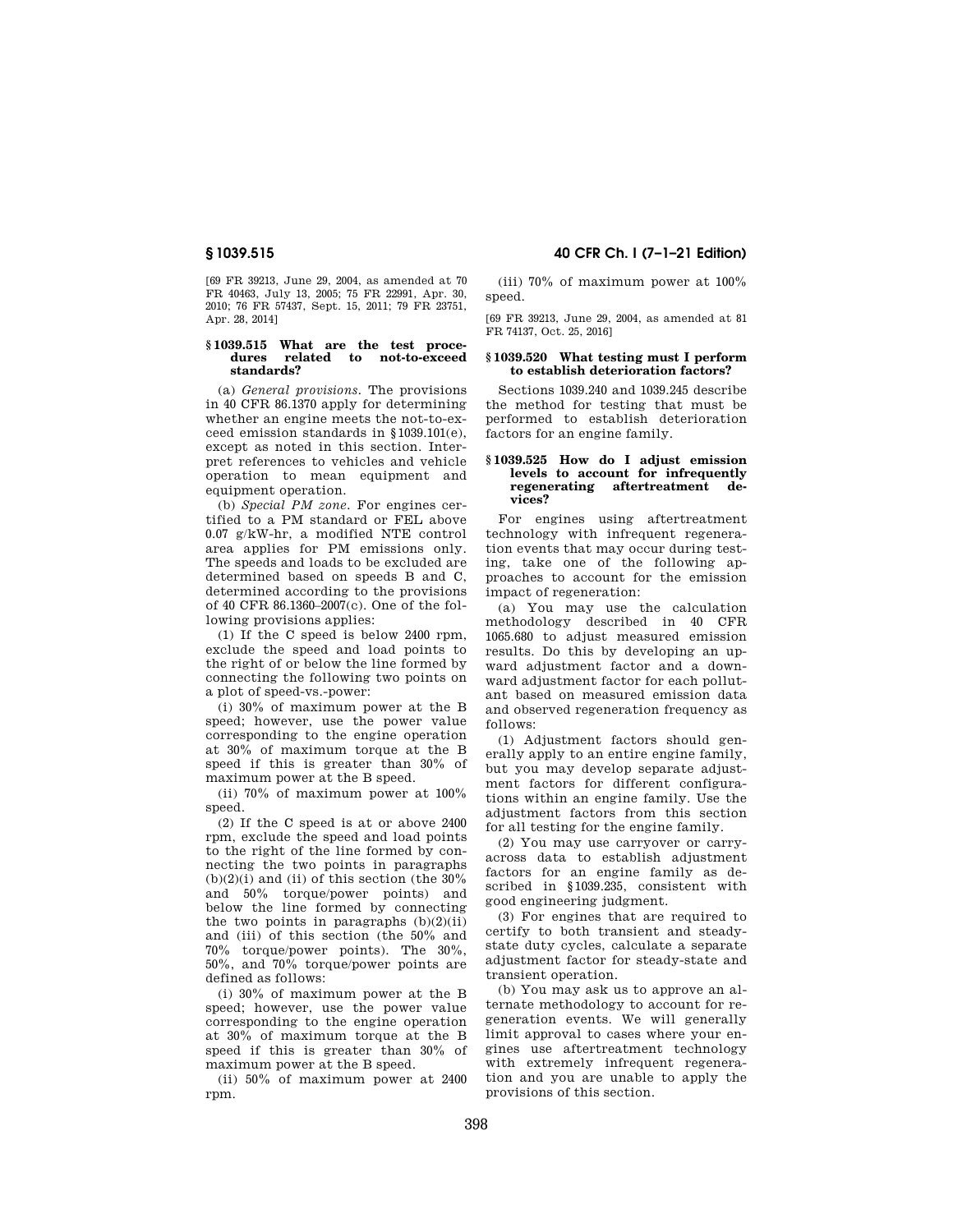[69 FR 39213, June 29, 2004, as amended at 70 FR 40463, July 13, 2005; 75 FR 22991, Apr. 30, 2010; 76 FR 57437, Sept. 15, 2011; 79 FR 23751, Apr. 28, 2014]

### **§ 1039.515 What are the test procedures related to not-to-exceed standards?**

(a) *General provisions.* The provisions in 40 CFR 86.1370 apply for determining whether an engine meets the not-to-exceed emission standards in §1039.101(e), except as noted in this section. Interpret references to vehicles and vehicle operation to mean equipment and equipment operation.

(b) *Special PM zone.* For engines certified to a PM standard or FEL above 0.07 g/kW-hr, a modified NTE control area applies for PM emissions only. The speeds and loads to be excluded are determined based on speeds B and C, determined according to the provisions of 40 CFR 86.1360–2007(c). One of the following provisions applies:

(1) If the C speed is below 2400 rpm, exclude the speed and load points to the right of or below the line formed by connecting the following two points on a plot of speed-vs.-power:

(i) 30% of maximum power at the B speed; however, use the power value corresponding to the engine operation at 30% of maximum torque at the B speed if this is greater than 30% of maximum power at the B speed.

(ii) 70% of maximum power at 100% speed.

(2) If the C speed is at or above 2400 rpm, exclude the speed and load points to the right of the line formed by connecting the two points in paragraphs  $(b)(2)(i)$  and (ii) of this section (the  $30\%$ and 50% torque/power points) and below the line formed by connecting the two points in paragraphs  $(b)(2)(ii)$ and (iii) of this section (the 50% and 70% torque/power points). The 30%, 50%, and 70% torque/power points are defined as follows:

(i) 30% of maximum power at the B speed; however, use the power value corresponding to the engine operation at 30% of maximum torque at the B speed if this is greater than 30% of maximum power at the B speed.

(ii) 50% of maximum power at 2400 rpm.

# **§ 1039.515 40 CFR Ch. I (7–1–21 Edition)**

(iii) 70% of maximum power at 100% speed.

[69 FR 39213, June 29, 2004, as amended at 81 FR 74137, Oct. 25, 2016]

#### **§ 1039.520 What testing must I perform to establish deterioration factors?**

Sections 1039.240 and 1039.245 describe the method for testing that must be performed to establish deterioration factors for an engine family.

## **§ 1039.525 How do I adjust emission levels to account for infrequently regenerating aftertreatment devices?**

For engines using aftertreatment technology with infrequent regeneration events that may occur during testing, take one of the following approaches to account for the emission impact of regeneration:

(a) You may use the calculation methodology described in 40 CFR 1065.680 to adjust measured emission results. Do this by developing an upward adjustment factor and a downward adjustment factor for each pollutant based on measured emission data and observed regeneration frequency as follows:

(1) Adjustment factors should generally apply to an entire engine family, but you may develop separate adjustment factors for different configurations within an engine family. Use the adjustment factors from this section for all testing for the engine family.

(2) You may use carryover or carryacross data to establish adjustment factors for an engine family as described in §1039.235, consistent with good engineering judgment.

(3) For engines that are required to certify to both transient and steadystate duty cycles, calculate a separate adjustment factor for steady-state and transient operation.

(b) You may ask us to approve an alternate methodology to account for regeneration events. We will generally limit approval to cases where your engines use aftertreatment technology with extremely infrequent regeneration and you are unable to apply the provisions of this section.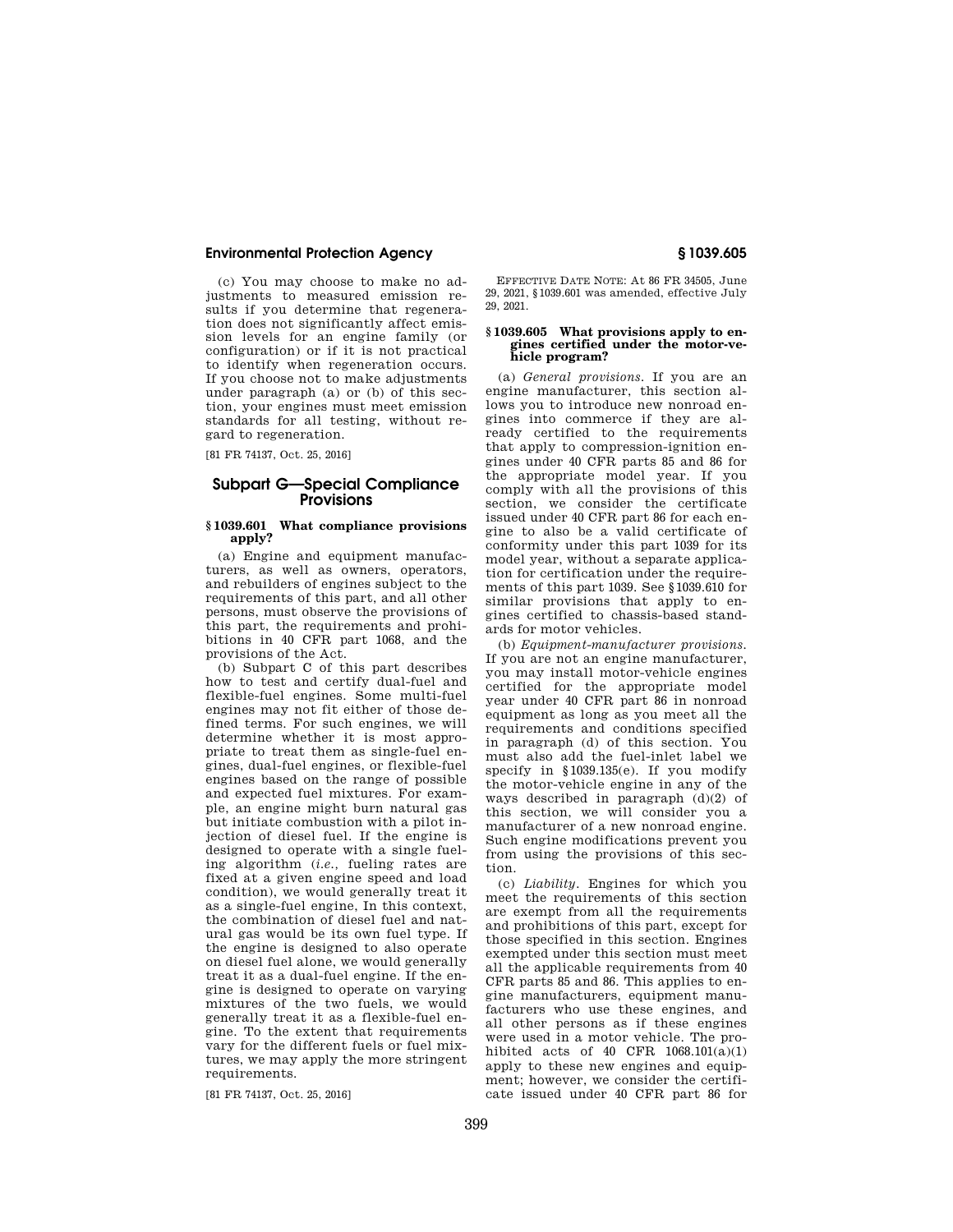(c) You may choose to make no adjustments to measured emission results if you determine that regeneration does not significantly affect emission levels for an engine family (or configuration) or if it is not practical to identify when regeneration occurs. If you choose not to make adjustments under paragraph (a) or (b) of this section, your engines must meet emission standards for all testing, without regard to regeneration.

[81 FR 74137, Oct. 25, 2016]

# **Subpart G—Special Compliance Provisions**

### **§ 1039.601 What compliance provisions apply?**

(a) Engine and equipment manufacturers, as well as owners, operators, and rebuilders of engines subject to the requirements of this part, and all other persons, must observe the provisions of this part, the requirements and prohibitions in 40 CFR part 1068, and the provisions of the Act.

(b) Subpart C of this part describes how to test and certify dual-fuel and flexible-fuel engines. Some multi-fuel engines may not fit either of those defined terms. For such engines, we will determine whether it is most appropriate to treat them as single-fuel engines, dual-fuel engines, or flexible-fuel engines based on the range of possible and expected fuel mixtures. For example, an engine might burn natural gas but initiate combustion with a pilot injection of diesel fuel. If the engine is designed to operate with a single fueling algorithm (*i.e.,* fueling rates are fixed at a given engine speed and load condition), we would generally treat it as a single-fuel engine, In this context, the combination of diesel fuel and natural gas would be its own fuel type. If the engine is designed to also operate on diesel fuel alone, we would generally treat it as a dual-fuel engine. If the engine is designed to operate on varying mixtures of the two fuels, we would generally treat it as a flexible-fuel engine. To the extent that requirements vary for the different fuels or fuel mixtures, we may apply the more stringent requirements.

[81 FR 74137, Oct. 25, 2016]

EFFECTIVE DATE NOTE: At 86 FR 34505, June 29, 2021, §1039.601 was amended, effective July 29, 2021.

## **§ 1039.605 What provisions apply to engines certified under the motor-vehicle program?**

(a) *General provisions.* If you are an engine manufacturer, this section allows you to introduce new nonroad engines into commerce if they are already certified to the requirements that apply to compression-ignition engines under 40 CFR parts 85 and 86 for the appropriate model year. If you comply with all the provisions of this section, we consider the certificate issued under 40 CFR part 86 for each engine to also be a valid certificate of conformity under this part 1039 for its model year, without a separate application for certification under the requirements of this part 1039. See §1039.610 for similar provisions that apply to engines certified to chassis-based standards for motor vehicles.

(b) *Equipment-manufacturer provisions.*  If you are not an engine manufacturer, you may install motor-vehicle engines certified for the appropriate model year under 40 CFR part 86 in nonroad equipment as long as you meet all the requirements and conditions specified in paragraph (d) of this section. You must also add the fuel-inlet label we specify in §1039.135(e). If you modify the motor-vehicle engine in any of the ways described in paragraph (d)(2) of this section, we will consider you a manufacturer of a new nonroad engine. Such engine modifications prevent you from using the provisions of this section.

(c) *Liability.* Engines for which you meet the requirements of this section are exempt from all the requirements and prohibitions of this part, except for those specified in this section. Engines exempted under this section must meet all the applicable requirements from 40 CFR parts 85 and 86. This applies to engine manufacturers, equipment manufacturers who use these engines, and all other persons as if these engines were used in a motor vehicle. The prohibited acts of 40 CFR  $1068.101(a)(1)$ apply to these new engines and equipment; however, we consider the certificate issued under 40 CFR part 86 for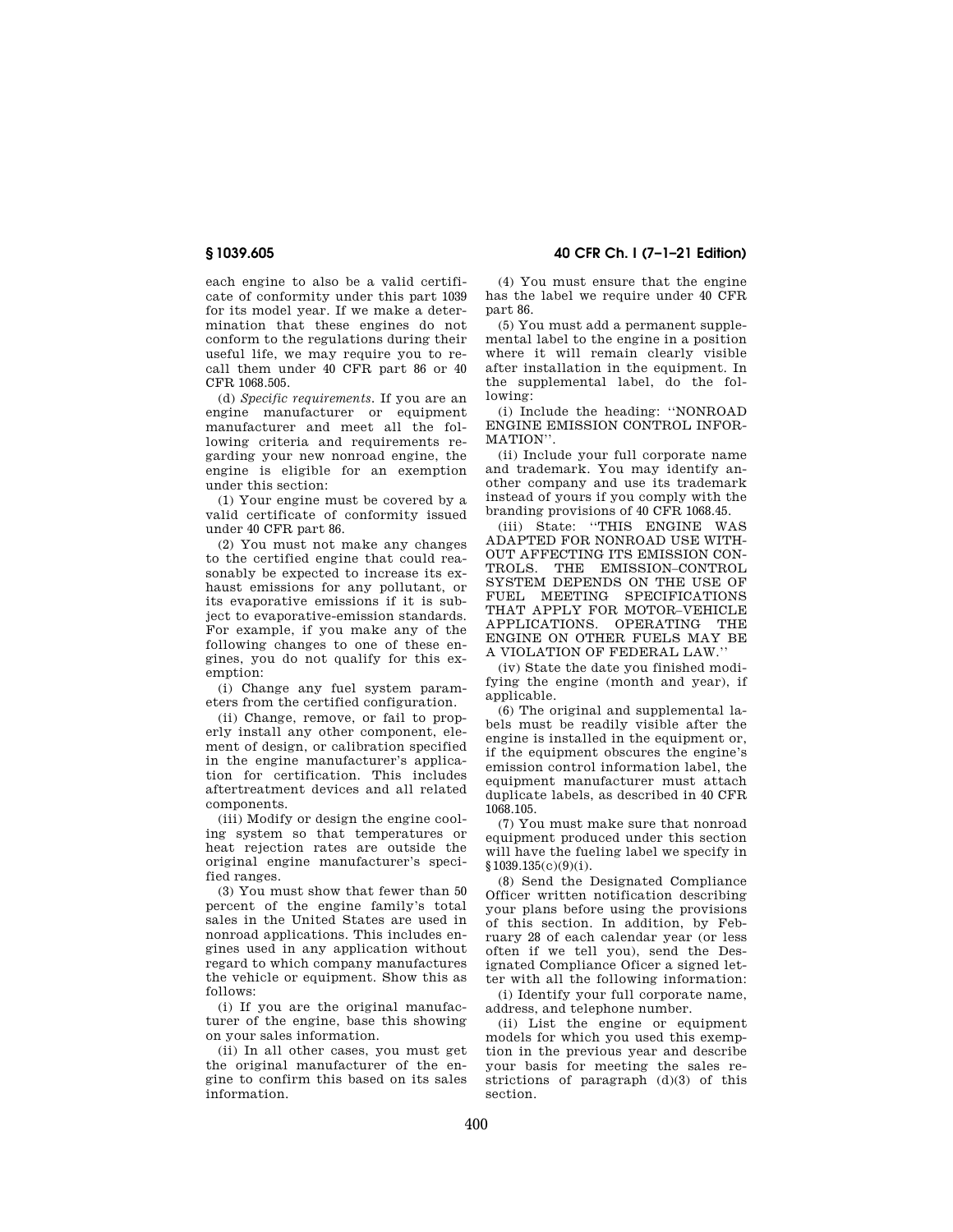each engine to also be a valid certificate of conformity under this part 1039 for its model year. If we make a determination that these engines do not conform to the regulations during their useful life, we may require you to recall them under 40 CFR part 86 or 40 CFR 1068.505.

(d) *Specific requirements.* If you are an engine manufacturer or equipment manufacturer and meet all the following criteria and requirements regarding your new nonroad engine, the engine is eligible for an exemption under this section:

(1) Your engine must be covered by a valid certificate of conformity issued under 40 CFR part 86.

(2) You must not make any changes to the certified engine that could reasonably be expected to increase its exhaust emissions for any pollutant, or its evaporative emissions if it is subject to evaporative-emission standards. For example, if you make any of the following changes to one of these engines, you do not qualify for this exemption:

(i) Change any fuel system parameters from the certified configuration.

(ii) Change, remove, or fail to properly install any other component, element of design, or calibration specified in the engine manufacturer's application for certification. This includes aftertreatment devices and all related components.

(iii) Modify or design the engine cooling system so that temperatures or heat rejection rates are outside the original engine manufacturer's specified ranges.

(3) You must show that fewer than 50 percent of the engine family's total sales in the United States are used in nonroad applications. This includes engines used in any application without regard to which company manufactures the vehicle or equipment. Show this as follows:

(i) If you are the original manufacturer of the engine, base this showing on your sales information.

(ii) In all other cases, you must get the original manufacturer of the engine to confirm this based on its sales information.

**§ 1039.605 40 CFR Ch. I (7–1–21 Edition)** 

(4) You must ensure that the engine has the label we require under 40 CFR part 86.

(5) You must add a permanent supplemental label to the engine in a position where it will remain clearly visible after installation in the equipment. In the supplemental label, do the following:

(i) Include the heading: ''NONROAD ENGINE EMISSION CONTROL INFOR-MATION''.

(ii) Include your full corporate name and trademark. You may identify another company and use its trademark instead of yours if you comply with the branding provisions of 40 CFR 1068.45.

(iii) State: ''THIS ENGINE WAS ADAPTED FOR NONROAD USE WITH-OUT AFFECTING ITS EMISSION CON-TROLS. THE EMISSION–CONTROL SYSTEM DEPENDS ON THE USE OF FUEL MEETING SPECIFICATIONS THAT APPLY FOR MOTOR–VEHICLE APPLICATIONS. OPERATING THE ENGINE ON OTHER FUELS MAY BE A VIOLATION OF FEDERAL LAW.''

(iv) State the date you finished modifying the engine (month and year), if applicable.

(6) The original and supplemental labels must be readily visible after the engine is installed in the equipment or, if the equipment obscures the engine's emission control information label, the equipment manufacturer must attach duplicate labels, as described in 40 CFR 1068.105.

(7) You must make sure that nonroad equipment produced under this section will have the fueling label we specify in §1039.135(c)(9)(i).

(8) Send the Designated Compliance Officer written notification describing your plans before using the provisions of this section. In addition, by February 28 of each calendar year (or less often if we tell you), send the Designated Compliance Oficer a signed letter with all the following information:

(i) Identify your full corporate name, address, and telephone number.

(ii) List the engine or equipment models for which you used this exemption in the previous year and describe your basis for meeting the sales restrictions of paragraph (d)(3) of this section.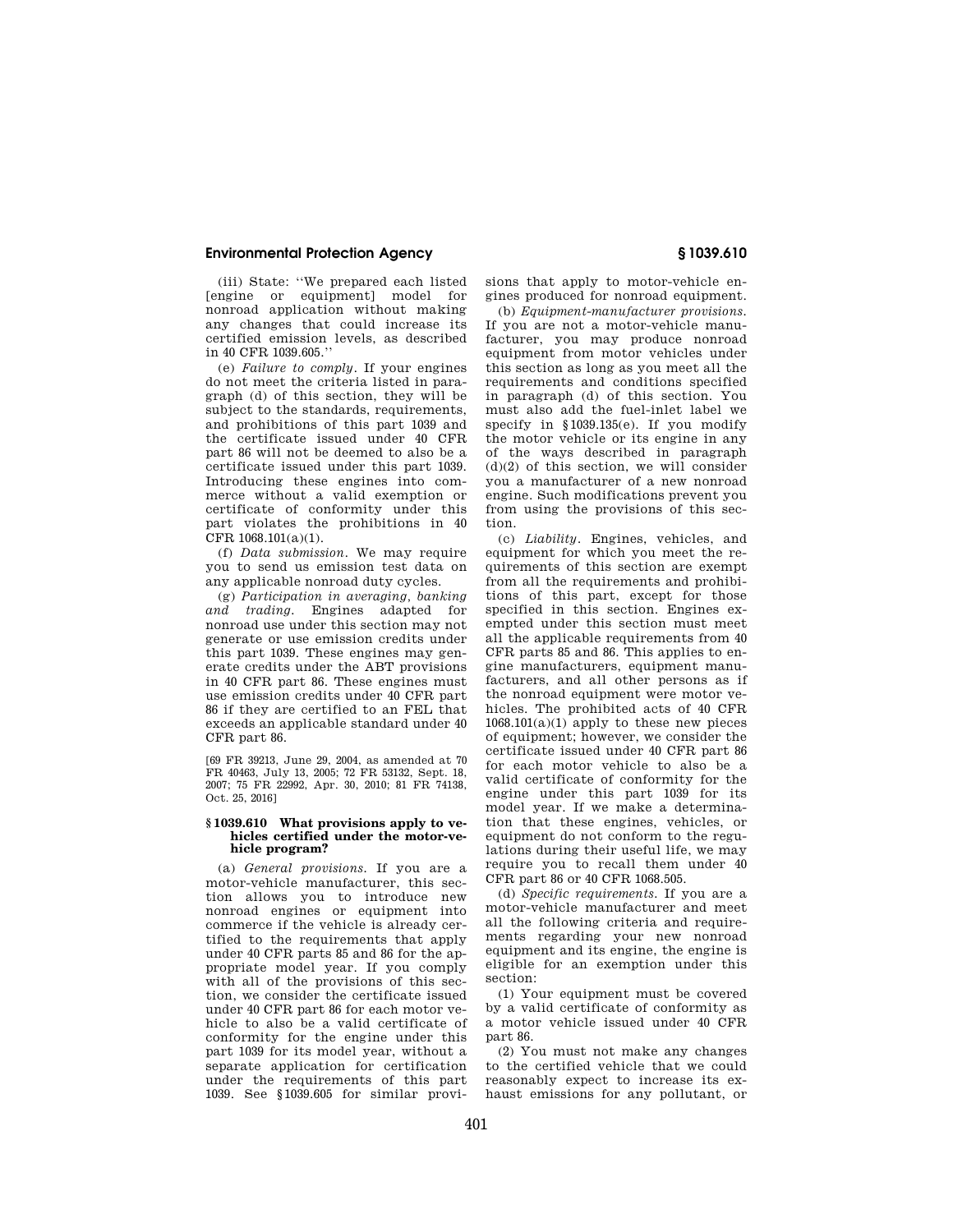(iii) State: ''We prepared each listed [engine or equipment] model for nonroad application without making any changes that could increase its certified emission levels, as described in 40 CFR 1039.605.''

(e) *Failure to comply.* If your engines do not meet the criteria listed in paragraph (d) of this section, they will be subject to the standards, requirements, and prohibitions of this part 1039 and the certificate issued under 40 CFR part 86 will not be deemed to also be a certificate issued under this part 1039. Introducing these engines into commerce without a valid exemption or certificate of conformity under this part violates the prohibitions in 40 CFR 1068.101(a)(1).

(f) *Data submission.* We may require you to send us emission test data on any applicable nonroad duty cycles.

(g) *Participation in averaging, banking and trading.* Engines adapted for nonroad use under this section may not generate or use emission credits under this part 1039. These engines may generate credits under the ABT provisions in 40 CFR part 86. These engines must use emission credits under 40 CFR part 86 if they are certified to an FEL that exceeds an applicable standard under 40 CFR part 86.

[69 FR 39213, June 29, 2004, as amended at 70 FR 40463, July 13, 2005; 72 FR 53132, Sept. 18, 2007; 75 FR 22992, Apr. 30, 2010; 81 FR 74138, Oct. 25, 2016]

### **§ 1039.610 What provisions apply to vehicles certified under the motor-vehicle program?**

(a) *General provisions.* If you are a motor-vehicle manufacturer, this section allows you to introduce new nonroad engines or equipment into commerce if the vehicle is already certified to the requirements that apply under 40 CFR parts 85 and 86 for the appropriate model year. If you comply with all of the provisions of this section, we consider the certificate issued under 40 CFR part 86 for each motor vehicle to also be a valid certificate of conformity for the engine under this part 1039 for its model year, without a separate application for certification under the requirements of this part 1039. See §1039.605 for similar provisions that apply to motor-vehicle engines produced for nonroad equipment.

(b) *Equipment-manufacturer provisions.*  If you are not a motor-vehicle manufacturer, you may produce nonroad equipment from motor vehicles under this section as long as you meet all the requirements and conditions specified in paragraph (d) of this section. You must also add the fuel-inlet label we specify in §1039.135(e). If you modify the motor vehicle or its engine in any of the ways described in paragraph  $(d)(2)$  of this section, we will consider you a manufacturer of a new nonroad engine. Such modifications prevent you from using the provisions of this section.

(c) *Liability.* Engines, vehicles, and equipment for which you meet the requirements of this section are exempt from all the requirements and prohibitions of this part, except for those specified in this section. Engines exempted under this section must meet all the applicable requirements from 40 CFR parts 85 and 86. This applies to engine manufacturers, equipment manufacturers, and all other persons as if the nonroad equipment were motor vehicles. The prohibited acts of 40 CFR  $1068.101(a)(1)$  apply to these new pieces of equipment; however, we consider the certificate issued under 40 CFR part 86 for each motor vehicle to also be a valid certificate of conformity for the engine under this part 1039 for its model year. If we make a determination that these engines, vehicles, or equipment do not conform to the regulations during their useful life, we may require you to recall them under 40 CFR part 86 or 40 CFR 1068.505.

(d) *Specific requirements.* If you are a motor-vehicle manufacturer and meet all the following criteria and requirements regarding your new nonroad equipment and its engine, the engine is eligible for an exemption under this section:

(1) Your equipment must be covered by a valid certificate of conformity as a motor vehicle issued under 40 CFR part 86.

(2) You must not make any changes to the certified vehicle that we could reasonably expect to increase its exhaust emissions for any pollutant, or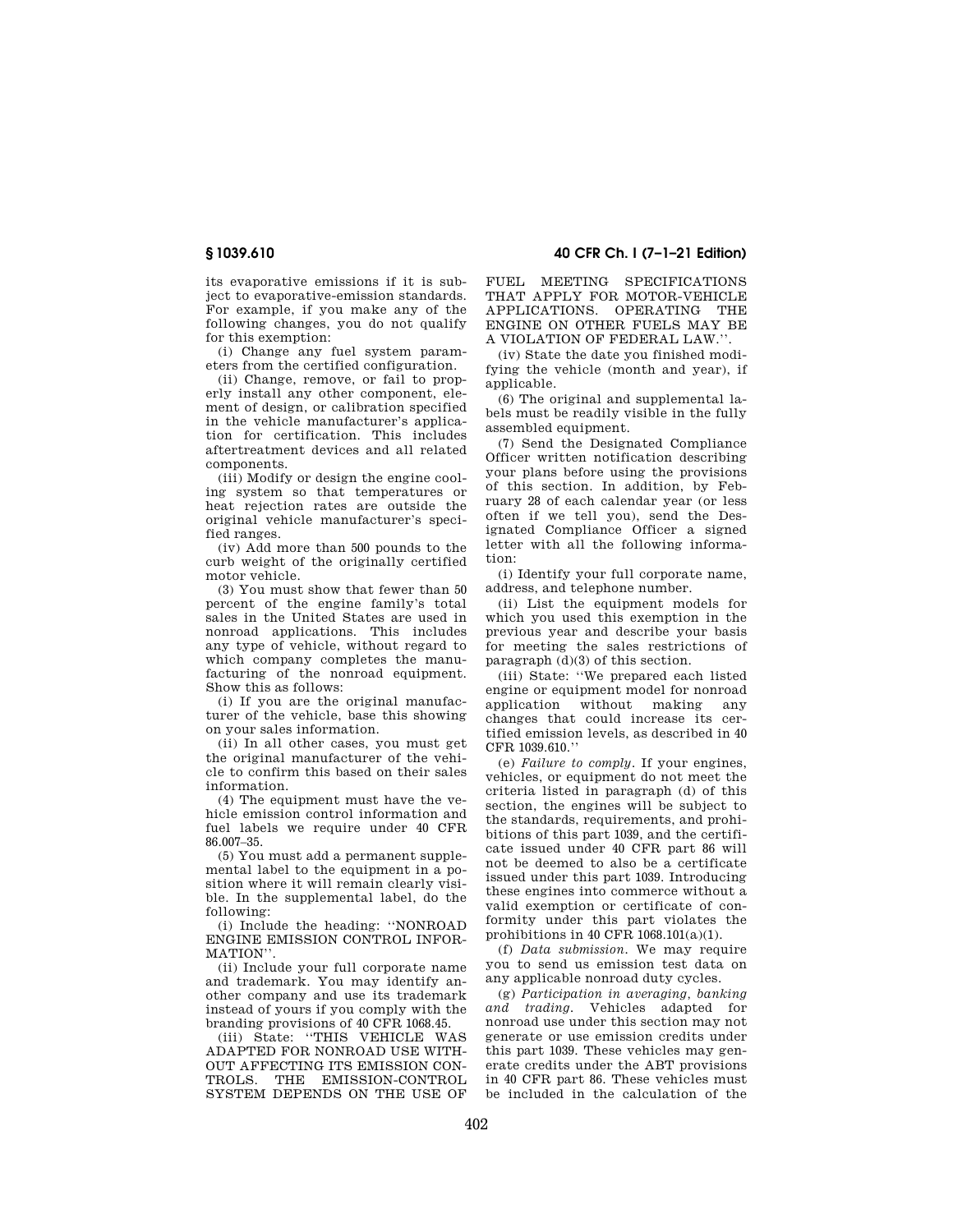its evaporative emissions if it is subject to evaporative-emission standards. For example, if you make any of the following changes, you do not qualify for this exemption:

(i) Change any fuel system parameters from the certified configuration.

(ii) Change, remove, or fail to properly install any other component, element of design, or calibration specified in the vehicle manufacturer's application for certification. This includes aftertreatment devices and all related components.

(iii) Modify or design the engine cooling system so that temperatures or heat rejection rates are outside the original vehicle manufacturer's specified ranges.

(iv) Add more than 500 pounds to the curb weight of the originally certified motor vehicle.

(3) You must show that fewer than 50 percent of the engine family's total sales in the United States are used in nonroad applications. This includes any type of vehicle, without regard to which company completes the manufacturing of the nonroad equipment. Show this as follows:

(i) If you are the original manufacturer of the vehicle, base this showing on your sales information.

(ii) In all other cases, you must get the original manufacturer of the vehicle to confirm this based on their sales information.

(4) The equipment must have the vehicle emission control information and fuel labels we require under 40 CFR 86.007–35.

(5) You must add a permanent supplemental label to the equipment in a position where it will remain clearly visible. In the supplemental label, do the following:

(i) Include the heading: ''NONROAD ENGINE EMISSION CONTROL INFOR-MATION''.

(ii) Include your full corporate name and trademark. You may identify another company and use its trademark instead of yours if you comply with the branding provisions of 40 CFR 1068.45.

(iii) State: ''THIS VEHICLE WAS ADAPTED FOR NONROAD USE WITH-OUT AFFECTING ITS EMISSION CON-TROLS. THE EMISSION-CONTROL SYSTEM DEPENDS ON THE USE OF

**§ 1039.610 40 CFR Ch. I (7–1–21 Edition)** 

FUEL MEETING SPECIFICATIONS THAT APPLY FOR MOTOR-VEHICLE APPLICATIONS. OPERATING THE ENGINE ON OTHER FUELS MAY BE A VIOLATION OF FEDERAL LAW.''.

(iv) State the date you finished modifying the vehicle (month and year), if applicable.

(6) The original and supplemental labels must be readily visible in the fully assembled equipment.

(7) Send the Designated Compliance Officer written notification describing your plans before using the provisions of this section. In addition, by February 28 of each calendar year (or less often if we tell you), send the Designated Compliance Officer a signed letter with all the following information:

(i) Identify your full corporate name, address, and telephone number.

(ii) List the equipment models for which you used this exemption in the previous year and describe your basis for meeting the sales restrictions of paragraph (d)(3) of this section.

(iii) State: ''We prepared each listed engine or equipment model for nonroad application without making any changes that could increase its certified emission levels, as described in 40 CFR 1039.610.''

(e) *Failure to comply.* If your engines, vehicles, or equipment do not meet the criteria listed in paragraph (d) of this section, the engines will be subject to the standards, requirements, and prohibitions of this part 1039, and the certificate issued under 40 CFR part 86 will not be deemed to also be a certificate issued under this part 1039. Introducing these engines into commerce without a valid exemption or certificate of conformity under this part violates the prohibitions in 40 CFR 1068.101(a)(1).

(f) *Data submission.* We may require you to send us emission test data on any applicable nonroad duty cycles.

(g) *Participation in averaging, banking and trading.* Vehicles adapted for nonroad use under this section may not generate or use emission credits under this part 1039. These vehicles may generate credits under the ABT provisions in 40 CFR part 86. These vehicles must be included in the calculation of the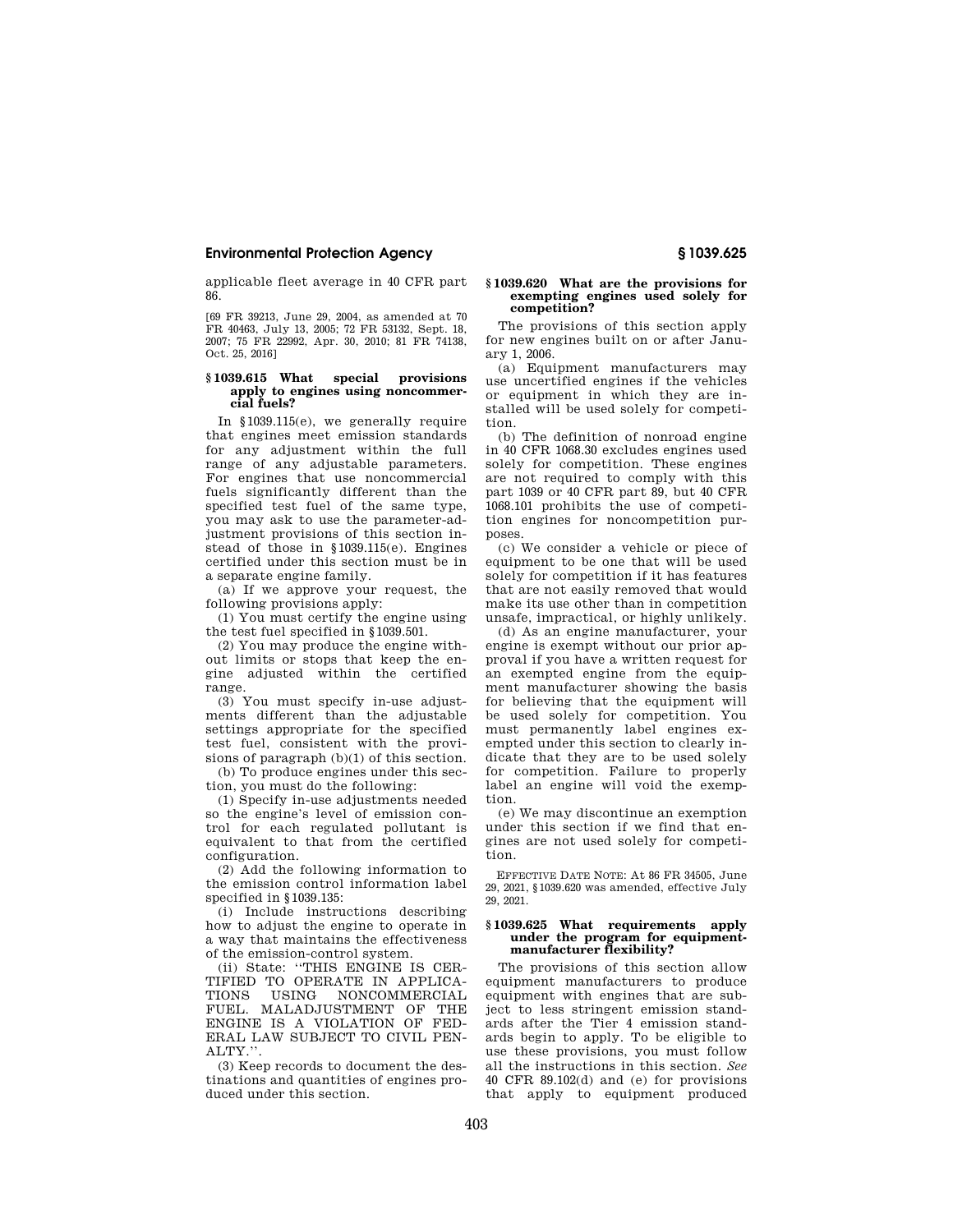applicable fleet average in 40 CFR part 86.

[69 FR 39213, June 29, 2004, as amended at 70 FR 40463, July 13, 2005; 72 FR 53132, Sept. 18, 2007; 75 FR 22992, Apr. 30, 2010; 81 FR 74138, Oct. 25, 2016]

#### **§ 1039.615 What special provisions apply to engines using noncommercial fuels?**

In §1039.115(e), we generally require that engines meet emission standards for any adjustment within the full range of any adjustable parameters. For engines that use noncommercial fuels significantly different than the specified test fuel of the same type, you may ask to use the parameter-adjustment provisions of this section instead of those in §1039.115(e). Engines certified under this section must be in a separate engine family.

(a) If we approve your request, the following provisions apply:

(1) You must certify the engine using the test fuel specified in §1039.501.

(2) You may produce the engine without limits or stops that keep the engine adjusted within the certified range.

(3) You must specify in-use adjustments different than the adjustable settings appropriate for the specified test fuel, consistent with the provisions of paragraph (b)(1) of this section.

(b) To produce engines under this section, you must do the following:

(1) Specify in-use adjustments needed so the engine's level of emission control for each regulated pollutant is equivalent to that from the certified configuration.

(2) Add the following information to the emission control information label specified in §1039.135:

(i) Include instructions describing how to adjust the engine to operate in a way that maintains the effectiveness of the emission-control system.

(ii) State: ''THIS ENGINE IS CER-TIFIED TO OPERATE IN APPLICA-<br>TIONS USING NONCOMMERCIAL TIONS USING NONCOMMERCIAL FUEL. MALADJUSTMENT OF THE ENGINE IS A VIOLATION OF FED-ERAL LAW SUBJECT TO CIVIL PEN-ALTY.''.

(3) Keep records to document the destinations and quantities of engines produced under this section.

#### **§ 1039.620 What are the provisions for exempting engines used solely for competition?**

The provisions of this section apply for new engines built on or after January 1, 2006.

(a) Equipment manufacturers may use uncertified engines if the vehicles or equipment in which they are installed will be used solely for competition.

(b) The definition of nonroad engine in 40 CFR 1068.30 excludes engines used solely for competition. These engines are not required to comply with this part 1039 or 40 CFR part 89, but 40 CFR 1068.101 prohibits the use of competition engines for noncompetition purposes.

(c) We consider a vehicle or piece of equipment to be one that will be used solely for competition if it has features that are not easily removed that would make its use other than in competition unsafe, impractical, or highly unlikely.

(d) As an engine manufacturer, your engine is exempt without our prior approval if you have a written request for an exempted engine from the equipment manufacturer showing the basis for believing that the equipment will be used solely for competition. You must permanently label engines exempted under this section to clearly indicate that they are to be used solely for competition. Failure to properly label an engine will void the exemption.

(e) We may discontinue an exemption under this section if we find that engines are not used solely for competition.

EFFECTIVE DATE NOTE: At 86 FR 34505, June 29, 2021, §1039.620 was amended, effective July 29, 2021.

#### **§ 1039.625 What requirements apply under the program for equipmentmanufacturer flexibility?**

The provisions of this section allow equipment manufacturers to produce equipment with engines that are subject to less stringent emission standards after the Tier 4 emission standards begin to apply. To be eligible to use these provisions, you must follow all the instructions in this section. *See*  40 CFR 89.102(d) and (e) for provisions that apply to equipment produced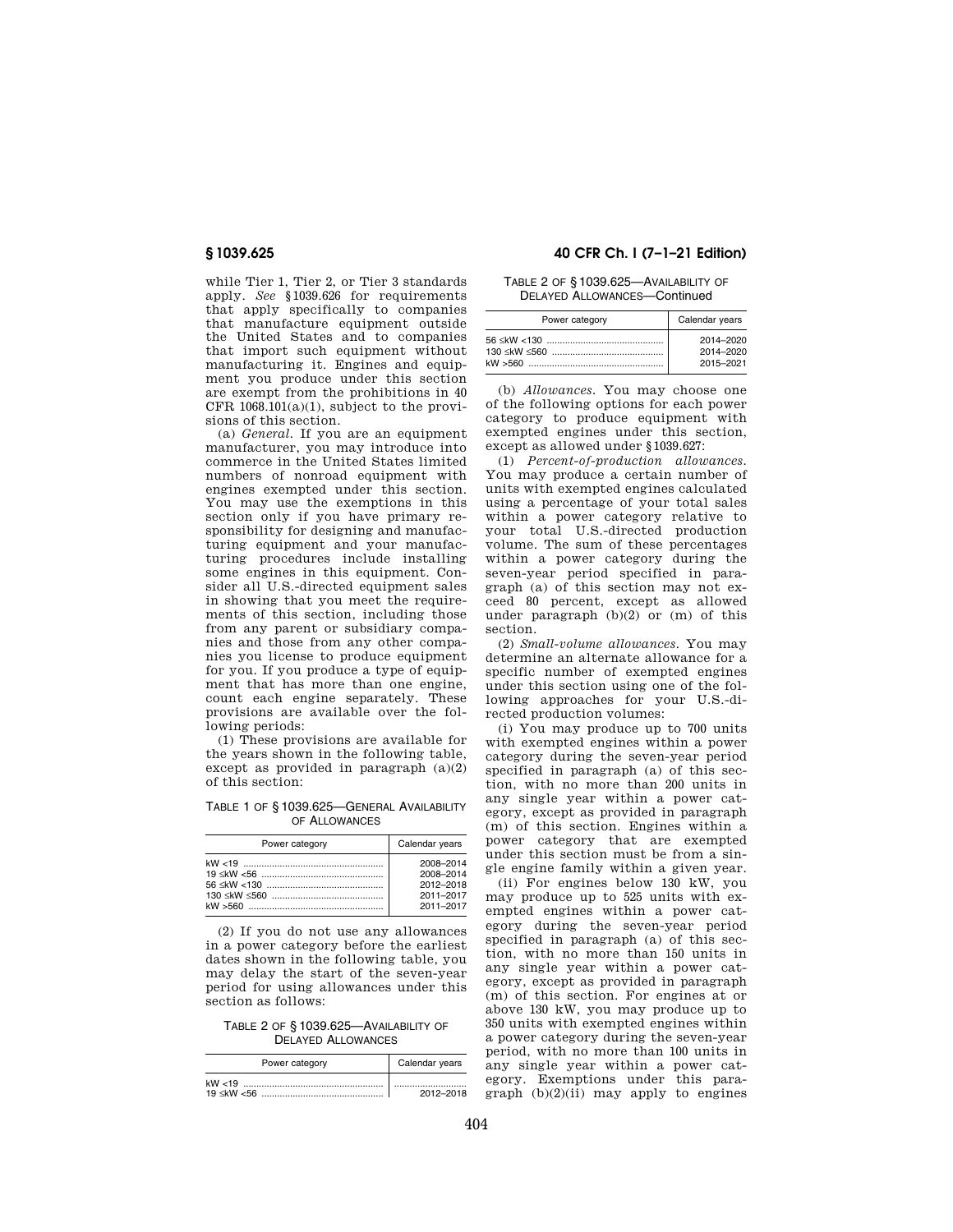while Tier 1, Tier 2, or Tier 3 standards apply. *See* §1039.626 for requirements that apply specifically to companies that manufacture equipment outside the United States and to companies that import such equipment without manufacturing it. Engines and equipment you produce under this section are exempt from the prohibitions in 40 CFR  $1068.101(a)(1)$ , subject to the provisions of this section.

(a) *General.* If you are an equipment manufacturer, you may introduce into commerce in the United States limited numbers of nonroad equipment with engines exempted under this section. You may use the exemptions in this section only if you have primary responsibility for designing and manufacturing equipment and your manufacturing procedures include installing some engines in this equipment. Consider all U.S.-directed equipment sales in showing that you meet the requirements of this section, including those from any parent or subsidiary companies and those from any other companies you license to produce equipment for you. If you produce a type of equipment that has more than one engine, count each engine separately. These provisions are available over the following periods:

(1) These provisions are available for the years shown in the following table, except as provided in paragraph  $(a)(2)$ of this section:

TABLE 1 OF § 1039.625—GENERAL AVAILABILITY OF ALLOWANCES

| Power category | Calendar years |
|----------------|----------------|
|                | 2008-2014      |
|                | 2008-2014      |
|                | 2012-2018      |
|                | 2011-2017      |
|                | 2011-2017      |

(2) If you do not use any allowances in a power category before the earliest dates shown in the following table, you may delay the start of the seven-year period for using allowances under this section as follows:

TABLE 2 OF § 1039.625—AVAILABILITY OF DELAYED ALLOWANCES

| Power category | Calendar years |
|----------------|----------------|
|                |                |
|                | 2012-2018      |

# **§ 1039.625 40 CFR Ch. I (7–1–21 Edition)**

# TABLE 2 OF § 1039.625—AVAILABILITY OF DELAYED ALLOWANCES—Continued

| Power category | Calendar years |
|----------------|----------------|
|                | 2014-2020      |
|                | 2014-2020      |
|                | 2015-2021      |

(b) *Allowances.* You may choose one of the following options for each power category to produce equipment with exempted engines under this section, except as allowed under §1039.627:

(1) *Percent-of-production allowances.*  You may produce a certain number of units with exempted engines calculated using a percentage of your total sales within a power category relative to your total U.S.-directed production volume. The sum of these percentages within a power category during the seven-year period specified in paragraph (a) of this section may not exceed 80 percent, except as allowed under paragraph (b)(2) or (m) of this section.

(2) *Small-volume allowances.* You may determine an alternate allowance for a specific number of exempted engines under this section using one of the following approaches for your U.S.-directed production volumes:

(i) You may produce up to 700 units with exempted engines within a power category during the seven-year period specified in paragraph (a) of this section, with no more than 200 units in any single year within a power category, except as provided in paragraph (m) of this section. Engines within a power category that are exempted under this section must be from a single engine family within a given year.

(ii) For engines below 130 kW, you may produce up to 525 units with exempted engines within a power category during the seven-year period specified in paragraph (a) of this section, with no more than 150 units in any single year within a power category, except as provided in paragraph (m) of this section. For engines at or above 130 kW, you may produce up to 350 units with exempted engines within a power category during the seven-year period, with no more than 100 units in any single year within a power category. Exemptions under this paragraph  $(b)(2)(ii)$  may apply to engines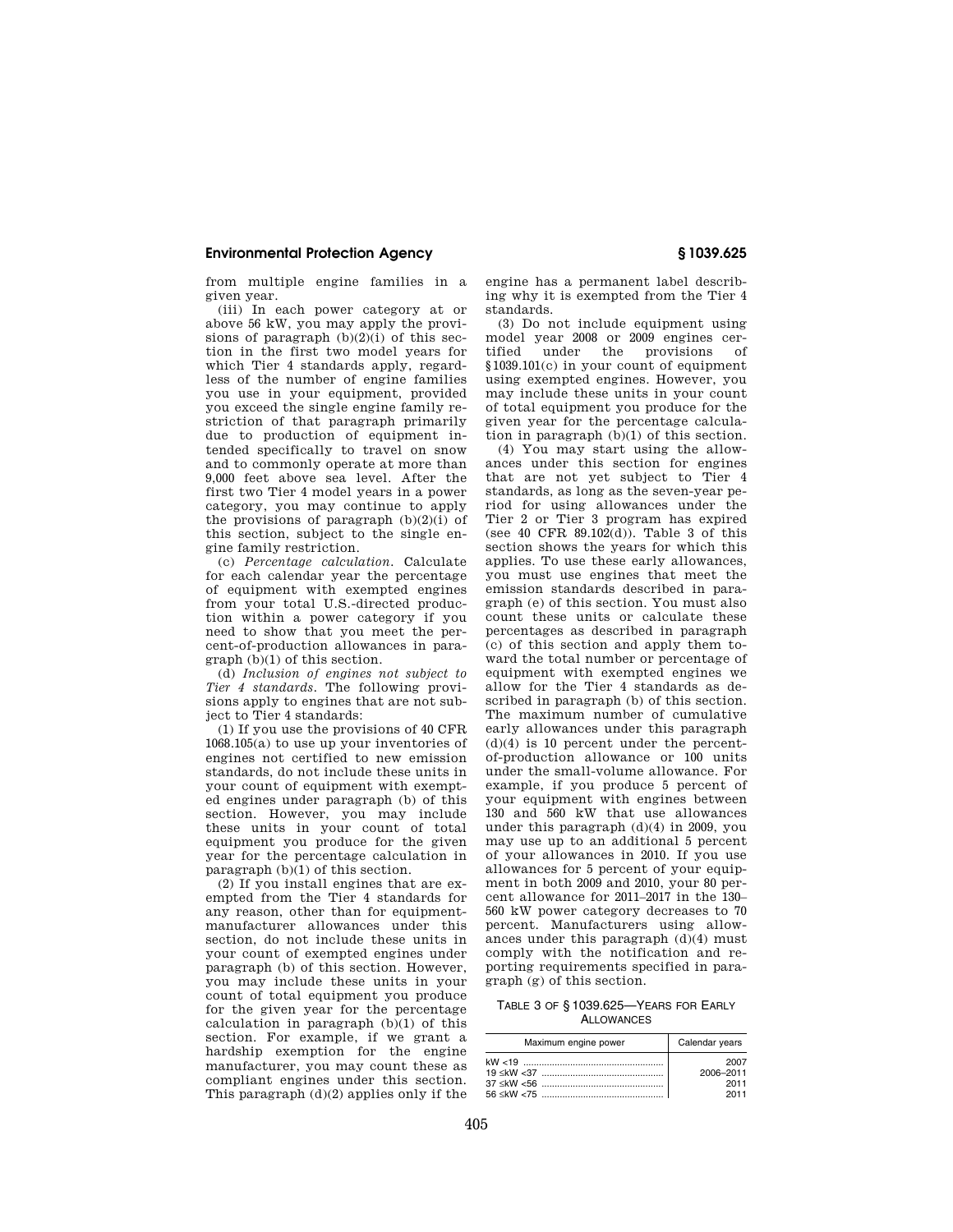from multiple engine families in a given year.

(iii) In each power category at or above 56 kW, you may apply the provisions of paragraph  $(b)(2)(i)$  of this section in the first two model years for which Tier 4 standards apply, regardless of the number of engine families you use in your equipment, provided you exceed the single engine family restriction of that paragraph primarily due to production of equipment intended specifically to travel on snow and to commonly operate at more than 9,000 feet above sea level. After the first two Tier 4 model years in a power category, you may continue to apply the provisions of paragraph (b)(2)(i) of this section, subject to the single engine family restriction.

(c) *Percentage calculation.* Calculate for each calendar year the percentage of equipment with exempted engines from your total U.S.-directed production within a power category if you need to show that you meet the percent-of-production allowances in paragraph (b)(1) of this section.

(d) *Inclusion of engines not subject to Tier 4 standards.* The following provisions apply to engines that are not subject to Tier 4 standards:

(1) If you use the provisions of 40 CFR 1068.105(a) to use up your inventories of engines not certified to new emission standards, do not include these units in your count of equipment with exempted engines under paragraph (b) of this section. However, you may include these units in your count of total equipment you produce for the given year for the percentage calculation in paragraph  $(b)(1)$  of this section.

(2) If you install engines that are exempted from the Tier 4 standards for any reason, other than for equipmentmanufacturer allowances under this section, do not include these units in your count of exempted engines under paragraph (b) of this section. However, you may include these units in your count of total equipment you produce for the given year for the percentage calculation in paragraph (b)(1) of this section. For example, if we grant a hardship exemption for the engine manufacturer, you may count these as compliant engines under this section. This paragraph  $(d)(2)$  applies only if the

engine has a permanent label describing why it is exempted from the Tier 4 standards.

(3) Do not include equipment using model year 2008 or 2009 engines certified under the provisions of §1039.101(c) in your count of equipment using exempted engines. However, you may include these units in your count of total equipment you produce for the given year for the percentage calculation in paragraph (b)(1) of this section.

(4) You may start using the allowances under this section for engines that are not yet subject to Tier 4 standards, as long as the seven-year period for using allowances under the Tier 2 or Tier 3 program has expired (see 40 CFR 89.102(d)). Table 3 of this section shows the years for which this applies. To use these early allowances, you must use engines that meet the emission standards described in paragraph (e) of this section. You must also count these units or calculate these percentages as described in paragraph (c) of this section and apply them toward the total number or percentage of equipment with exempted engines we allow for the Tier 4 standards as described in paragraph (b) of this section. The maximum number of cumulative early allowances under this paragraph (d)(4) is 10 percent under the percentof-production allowance or 100 units under the small-volume allowance. For example, if you produce 5 percent of your equipment with engines between 130 and 560 kW that use allowances under this paragraph (d)(4) in 2009, you may use up to an additional 5 percent of your allowances in 2010. If you use allowances for 5 percent of your equipment in both 2009 and 2010, your 80 percent allowance for 2011–2017 in the 130– 560 kW power category decreases to 70 percent. Manufacturers using allowances under this paragraph (d)(4) must comply with the notification and reporting requirements specified in paragraph (g) of this section.

TABLE 3 OF § 1039.625—YEARS FOR EARLY ALLOWANCES

| Maximum engine power | Calendar years |
|----------------------|----------------|
|                      | 2007           |
|                      | 2006-2011      |
|                      | 2011           |
|                      | 2011           |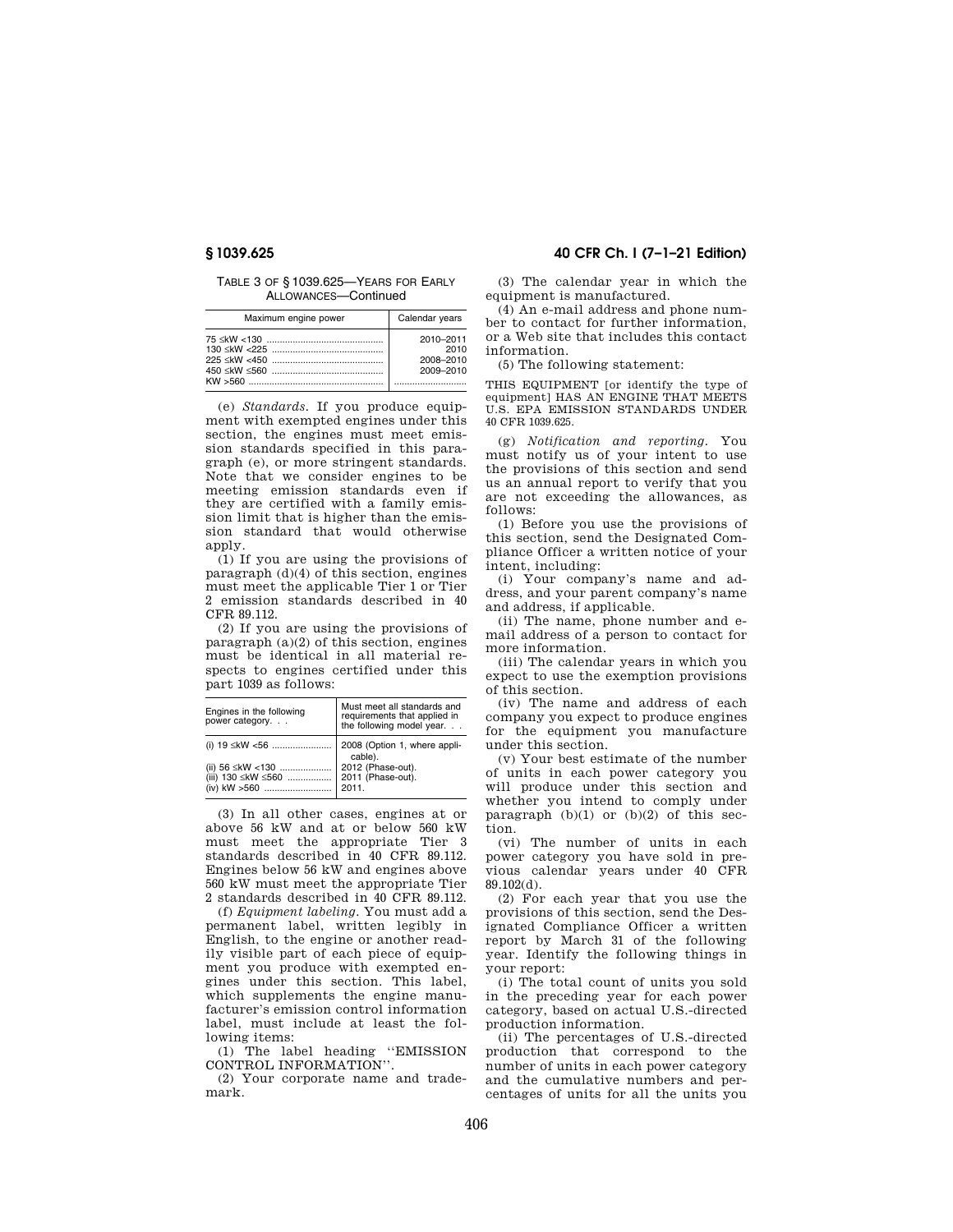TABLE 3 OF § 1039.625—YEARS FOR EARLY ALLOWANCES—Continued

| Maximum engine power | Calendar years                              |
|----------------------|---------------------------------------------|
|                      | 2010-2011<br>2010<br>2008-2010<br>2009-2010 |

(e) *Standards.* If you produce equipment with exempted engines under this section, the engines must meet emission standards specified in this paragraph (e), or more stringent standards. Note that we consider engines to be meeting emission standards even if they are certified with a family emission limit that is higher than the emission standard that would otherwise a<sub>pply</sub>.

(1) If you are using the provisions of paragraph (d)(4) of this section, engines must meet the applicable Tier 1 or Tier 2 emission standards described in 40 CFR 89.112.

(2) If you are using the provisions of paragraph  $(a)(2)$  of this section, engines must be identical in all material respects to engines certified under this part 1039 as follows:

| Engines in the following<br>power category. | Must meet all standards and<br>requirements that applied in<br>the following model year. |
|---------------------------------------------|------------------------------------------------------------------------------------------|
| (i) $19 \leq kW < 56$                       | 2008 (Option 1, where appli-<br>cable).                                                  |
|                                             | 2012 (Phase-out).                                                                        |
| (iii) 130 ≤kW ≤560                          | 2011 (Phase-out).                                                                        |
| (iv) kW >560                                | 2011.                                                                                    |

(3) In all other cases, engines at or above 56 kW and at or below 560 kW must meet the appropriate Tier 3 standards described in 40 CFR 89.112. Engines below 56 kW and engines above 560 kW must meet the appropriate Tier 2 standards described in 40 CFR 89.112.

(f) *Equipment labeling.* You must add a permanent label, written legibly in English, to the engine or another readily visible part of each piece of equipment you produce with exempted engines under this section. This label, which supplements the engine manufacturer's emission control information label, must include at least the following items:

(1) The label heading ''EMISSION CONTROL INFORMATION''.

(2) Your corporate name and trademark.

# **§ 1039.625 40 CFR Ch. I (7–1–21 Edition)**

(3) The calendar year in which the equipment is manufactured.

(4) An e-mail address and phone number to contact for further information, or a Web site that includes this contact information.

(5) The following statement:

THIS EQUIPMENT [or identify the type of equipment] HAS AN ENGINE THAT MEETS U.S. EPA EMISSION STANDARDS UNDER 40 CFR 1039.625.

(g) *Notification and reporting.* You must notify us of your intent to use the provisions of this section and send us an annual report to verify that you are not exceeding the allowances, as follows:

(1) Before you use the provisions of this section, send the Designated Compliance Officer a written notice of your intent, including:

(i) Your company's name and address, and your parent company's name and address, if applicable.

(ii) The name, phone number and email address of a person to contact for more information.

(iii) The calendar years in which you expect to use the exemption provisions of this section.

(iv) The name and address of each company you expect to produce engines for the equipment you manufacture under this section.

(v) Your best estimate of the number of units in each power category you will produce under this section and whether you intend to comply under paragraph  $(b)(1)$  or  $(b)(2)$  of this section.

(vi) The number of units in each power category you have sold in previous calendar years under 40 CFR 89.102(d).

(2) For each year that you use the provisions of this section, send the Designated Compliance Officer a written report by March 31 of the following year. Identify the following things in your report:

(i) The total count of units you sold in the preceding year for each power category, based on actual U.S.-directed production information.

(ii) The percentages of U.S.-directed production that correspond to the number of units in each power category and the cumulative numbers and percentages of units for all the units you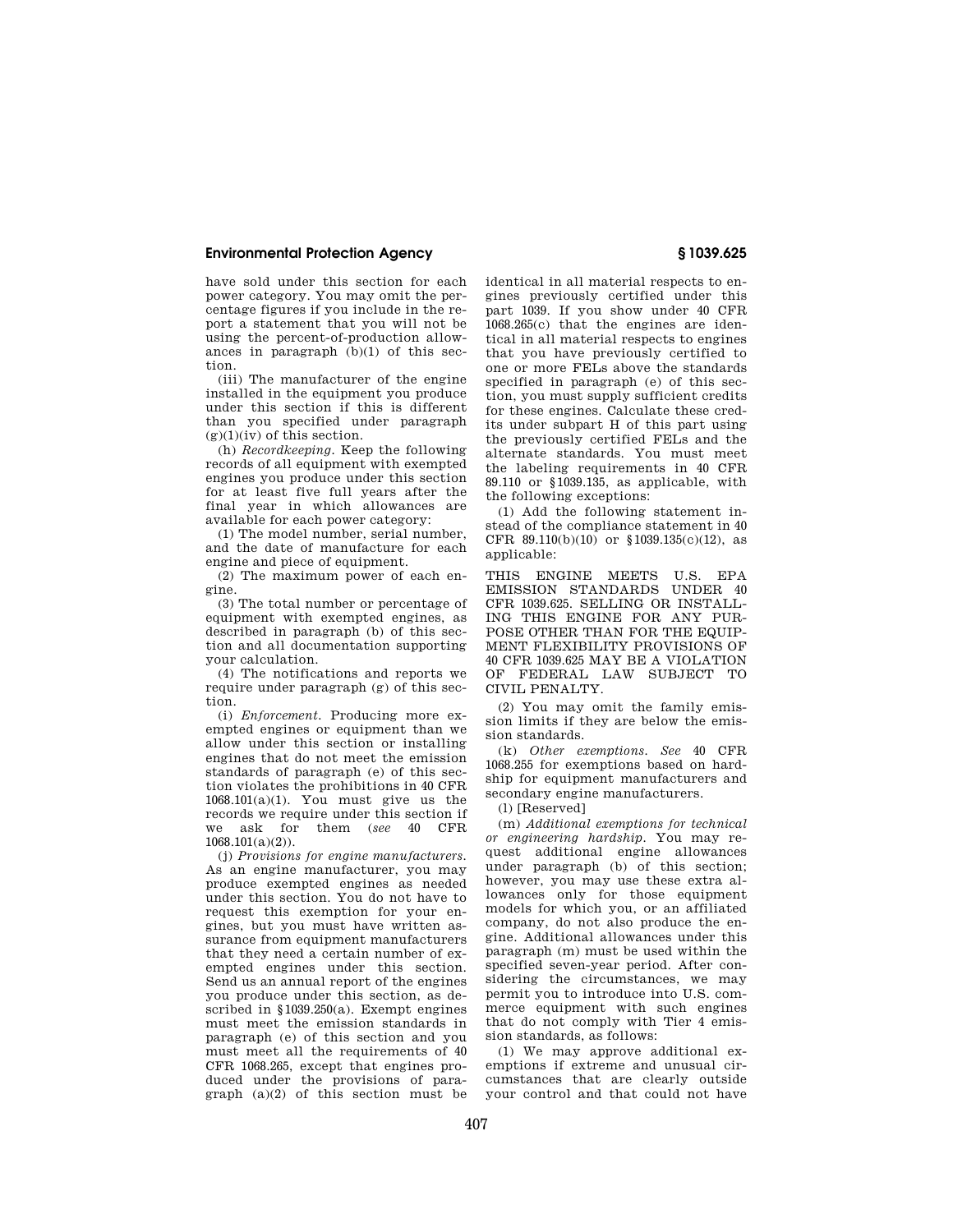have sold under this section for each power category. You may omit the percentage figures if you include in the report a statement that you will not be using the percent-of-production allowances in paragraph (b)(1) of this section.

(iii) The manufacturer of the engine installed in the equipment you produce under this section if this is different than you specified under paragraph  $(g)(1)(iv)$  of this section.

(h) *Recordkeeping.* Keep the following records of all equipment with exempted engines you produce under this section for at least five full years after the final year in which allowances are available for each power category:

(1) The model number, serial number, and the date of manufacture for each engine and piece of equipment.

(2) The maximum power of each engine.

(3) The total number or percentage of equipment with exempted engines, as described in paragraph (b) of this section and all documentation supporting your calculation.

(4) The notifications and reports we require under paragraph (g) of this section.

(i) *Enforcement.* Producing more exempted engines or equipment than we allow under this section or installing engines that do not meet the emission standards of paragraph (e) of this section violates the prohibitions in 40 CFR  $1068.101(a)(1)$ . You must give us the records we require under this section if we ask for them (*see* 40 CFR  $1068.101(a)(2)$ .

(j) *Provisions for engine manufacturers.*  As an engine manufacturer, you may produce exempted engines as needed under this section. You do not have to request this exemption for your engines, but you must have written assurance from equipment manufacturers that they need a certain number of exempted engines under this section. Send us an annual report of the engines you produce under this section, as described in §1039.250(a). Exempt engines must meet the emission standards in paragraph (e) of this section and you must meet all the requirements of 40 CFR 1068.265, except that engines produced under the provisions of paragraph  $(a)(2)$  of this section must be identical in all material respects to engines previously certified under this part 1039. If you show under 40 CFR 1068.265(c) that the engines are identical in all material respects to engines that you have previously certified to one or more FELs above the standards specified in paragraph (e) of this section, you must supply sufficient credits for these engines. Calculate these credits under subpart H of this part using the previously certified FELs and the alternate standards. You must meet the labeling requirements in 40 CFR 89.110 or §1039.135, as applicable, with the following exceptions:

(1) Add the following statement instead of the compliance statement in 40 CFR 89.110(b)(10) or §1039.135(c)(12), as applicable:

THIS ENGINE MEETS U.S. EPA EMISSION STANDARDS UNDER 40 CFR 1039.625. SELLING OR INSTALL-ING THIS ENGINE FOR ANY PUR-POSE OTHER THAN FOR THE EQUIP-MENT FLEXIBILITY PROVISIONS OF 40 CFR 1039.625 MAY BE A VIOLATION OF FEDERAL LAW SUBJECT TO CIVIL PENALTY.

(2) You may omit the family emission limits if they are below the emission standards.

(k) *Other exemptions. See* 40 CFR 1068.255 for exemptions based on hardship for equipment manufacturers and secondary engine manufacturers.

(l) [Reserved]

(m) *Additional exemptions for technical or engineering hardship.* You may request additional engine allowances under paragraph (b) of this section; however, you may use these extra allowances only for those equipment models for which you, or an affiliated company, do not also produce the engine. Additional allowances under this paragraph (m) must be used within the specified seven-year period. After considering the circumstances, we may permit you to introduce into U.S. commerce equipment with such engines that do not comply with Tier 4 emission standards, as follows:

(1) We may approve additional exemptions if extreme and unusual circumstances that are clearly outside your control and that could not have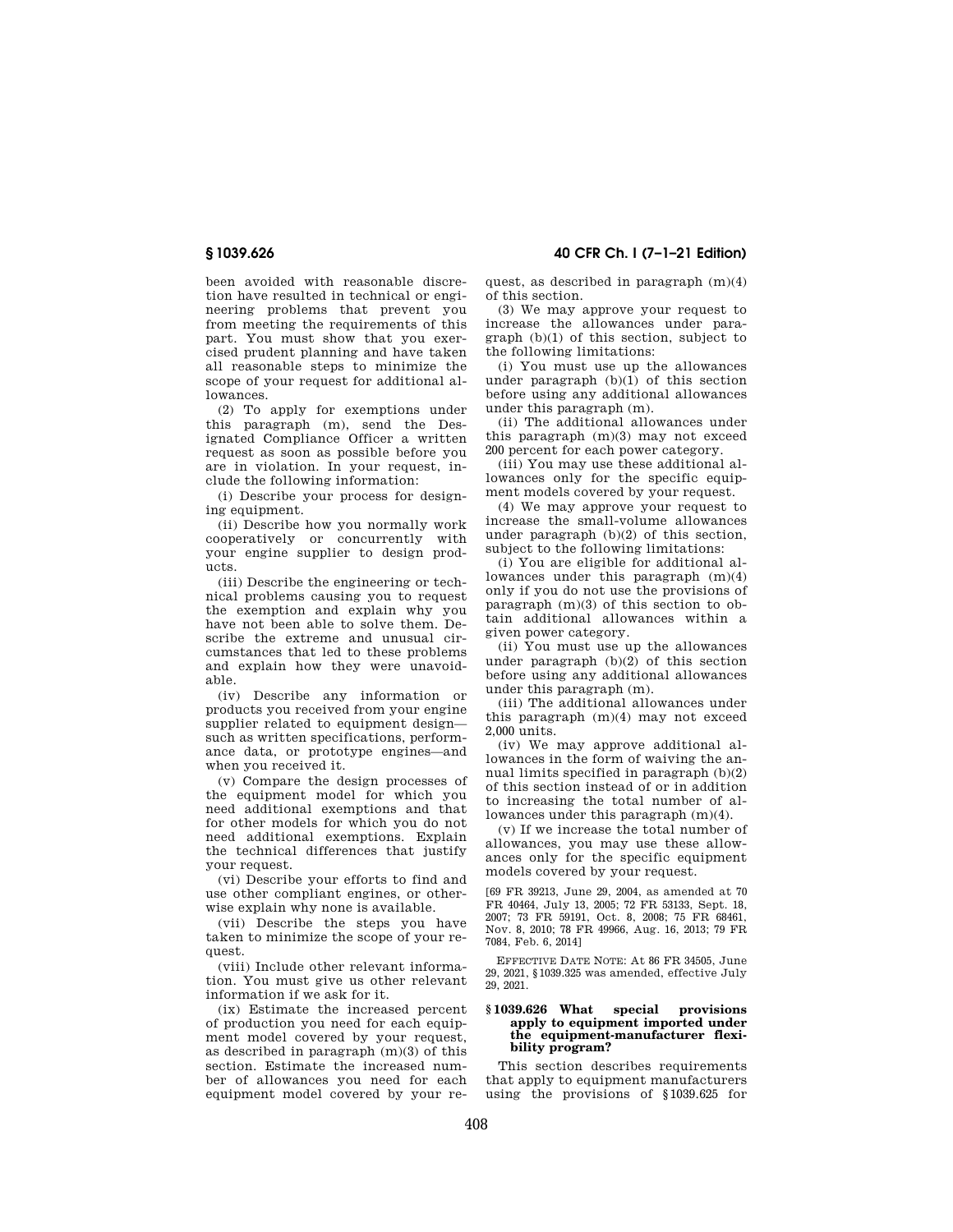been avoided with reasonable discretion have resulted in technical or engineering problems that prevent you from meeting the requirements of this part. You must show that you exercised prudent planning and have taken all reasonable steps to minimize the scope of your request for additional allowances.

(2) To apply for exemptions under this paragraph (m), send the Designated Compliance Officer a written request as soon as possible before you are in violation. In your request, include the following information:

(i) Describe your process for designing equipment.

(ii) Describe how you normally work cooperatively or concurrently with your engine supplier to design products.

(iii) Describe the engineering or technical problems causing you to request the exemption and explain why you have not been able to solve them. Describe the extreme and unusual circumstances that led to these problems and explain how they were unavoidable.

(iv) Describe any information or products you received from your engine supplier related to equipment design such as written specifications, performance data, or prototype engines—and when you received it.

(v) Compare the design processes of the equipment model for which you need additional exemptions and that for other models for which you do not need additional exemptions. Explain the technical differences that justify your request.

(vi) Describe your efforts to find and use other compliant engines, or otherwise explain why none is available.

(vii) Describe the steps you have taken to minimize the scope of your request.

(viii) Include other relevant information. You must give us other relevant information if we ask for it.

(ix) Estimate the increased percent of production you need for each equipment model covered by your request, as described in paragraph (m)(3) of this section. Estimate the increased number of allowances you need for each equipment model covered by your request, as described in paragraph (m)(4) of this section.

(3) We may approve your request to increase the allowances under paragraph (b)(1) of this section, subject to the following limitations:

(i) You must use up the allowances under paragraph (b)(1) of this section before using any additional allowances under this paragraph (m).

(ii) The additional allowances under this paragraph (m)(3) may not exceed 200 percent for each power category.

(iii) You may use these additional allowances only for the specific equipment models covered by your request.

(4) We may approve your request to increase the small-volume allowances under paragraph (b)(2) of this section, subject to the following limitations:

(i) You are eligible for additional allowances under this paragraph (m)(4) only if you do not use the provisions of paragraph (m)(3) of this section to obtain additional allowances within a given power category.

(ii) You must use up the allowances under paragraph  $(b)(2)$  of this section before using any additional allowances under this paragraph (m).

(iii) The additional allowances under this paragraph (m)(4) may not exceed 2,000 units.

(iv) We may approve additional allowances in the form of waiving the annual limits specified in paragraph (b)(2) of this section instead of or in addition to increasing the total number of allowances under this paragraph (m)(4).

(v) If we increase the total number of allowances, you may use these allowances only for the specific equipment models covered by your request.

[69 FR 39213, June 29, 2004, as amended at 70 FR 40464, July 13, 2005; 72 FR 53133, Sept. 18, 2007; 73 FR 59191, Oct. 8, 2008; 75 FR 68461, Nov. 8, 2010; 78 FR 49966, Aug. 16, 2013; 79 FR 7084, Feb. 6, 2014]

EFFECTIVE DATE NOTE: At 86 FR 34505, June 29, 2021, §1039.325 was amended, effective July 29, 2021.

#### **§ 1039.626 What special provisions apply to equipment imported under the equipment-manufacturer flexibility program?**

This section describes requirements that apply to equipment manufacturers using the provisions of §1039.625 for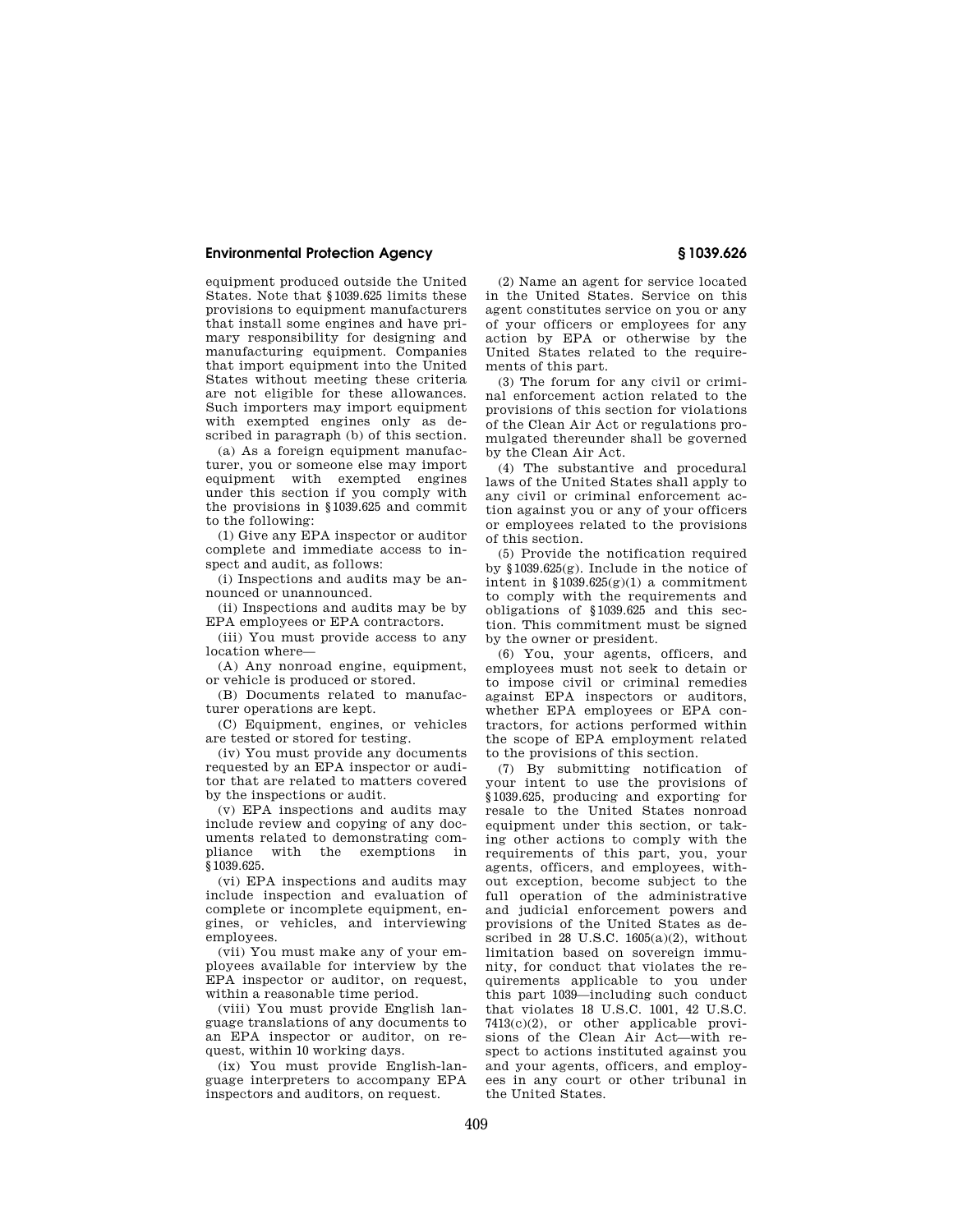equipment produced outside the United States. Note that §1039.625 limits these provisions to equipment manufacturers that install some engines and have primary responsibility for designing and manufacturing equipment. Companies that import equipment into the United States without meeting these criteria are not eligible for these allowances. Such importers may import equipment with exempted engines only as described in paragraph (b) of this section.

(a) As a foreign equipment manufacturer, you or someone else may import equipment with exempted engines under this section if you comply with the provisions in §1039.625 and commit to the following:

(1) Give any EPA inspector or auditor complete and immediate access to inspect and audit, as follows:

(i) Inspections and audits may be announced or unannounced.

(ii) Inspections and audits may be by EPA employees or EPA contractors.

(iii) You must provide access to any location where—

(A) Any nonroad engine, equipment, or vehicle is produced or stored.

(B) Documents related to manufacturer operations are kept.

(C) Equipment, engines, or vehicles are tested or stored for testing.

(iv) You must provide any documents requested by an EPA inspector or auditor that are related to matters covered by the inspections or audit.

(v) EPA inspections and audits may include review and copying of any documents related to demonstrating compliance with the exemptions in §1039.625.

(vi) EPA inspections and audits may include inspection and evaluation of complete or incomplete equipment, engines, or vehicles, and interviewing employees.

(vii) You must make any of your employees available for interview by the EPA inspector or auditor, on request, within a reasonable time period.

(viii) You must provide English language translations of any documents to an EPA inspector or auditor, on request, within 10 working days.

(ix) You must provide English-language interpreters to accompany EPA inspectors and auditors, on request.

(2) Name an agent for service located in the United States. Service on this agent constitutes service on you or any of your officers or employees for any action by EPA or otherwise by the United States related to the requirements of this part.

(3) The forum for any civil or criminal enforcement action related to the provisions of this section for violations of the Clean Air Act or regulations promulgated thereunder shall be governed by the Clean Air Act.

(4) The substantive and procedural laws of the United States shall apply to any civil or criminal enforcement action against you or any of your officers or employees related to the provisions of this section.

(5) Provide the notification required by §1039.625(g). Include in the notice of intent in §1039.625(g)(1) a commitment to comply with the requirements and obligations of §1039.625 and this section. This commitment must be signed by the owner or president.

(6) You, your agents, officers, and employees must not seek to detain or to impose civil or criminal remedies against EPA inspectors or auditors, whether EPA employees or EPA contractors, for actions performed within the scope of EPA employment related to the provisions of this section.

(7) By submitting notification of your intent to use the provisions of §1039.625, producing and exporting for resale to the United States nonroad equipment under this section, or taking other actions to comply with the requirements of this part, you, your agents, officers, and employees, without exception, become subject to the full operation of the administrative and judicial enforcement powers and provisions of the United States as described in 28 U.S.C.  $1605(a)(2)$ , without limitation based on sovereign immunity, for conduct that violates the requirements applicable to you under this part 1039—including such conduct that violates 18 U.S.C. 1001, 42 U.S.C. 7413(c)(2), or other applicable provisions of the Clean Air Act—with respect to actions instituted against you and your agents, officers, and employees in any court or other tribunal in the United States.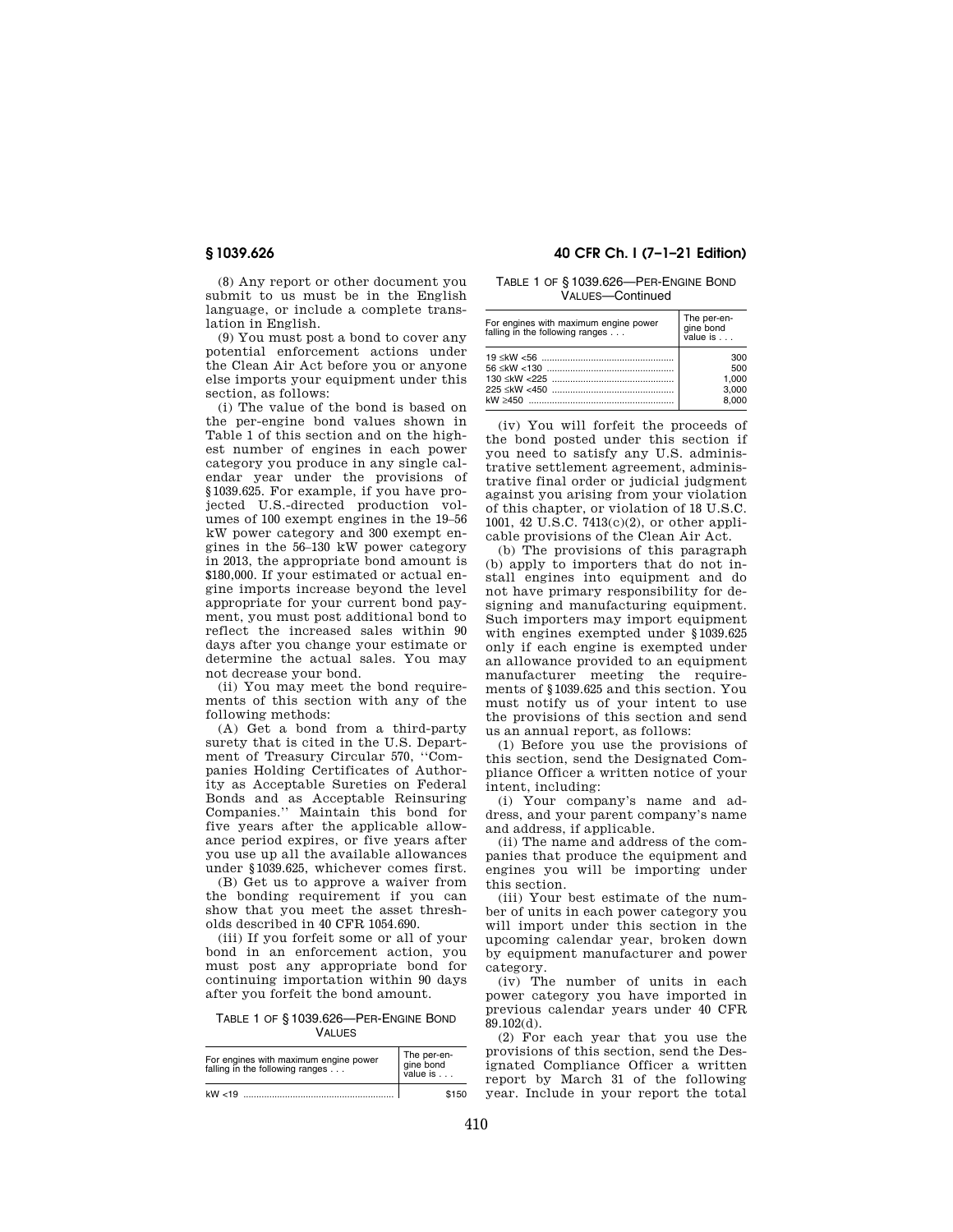(8) Any report or other document you submit to us must be in the English language, or include a complete translation in English.

(9) You must post a bond to cover any potential enforcement actions under the Clean Air Act before you or anyone else imports your equipment under this section, as follows:

(i) The value of the bond is based on the per-engine bond values shown in Table 1 of this section and on the highest number of engines in each power category you produce in any single calendar year under the provisions of §1039.625. For example, if you have projected U.S.-directed production volumes of 100 exempt engines in the 19–56 kW power category and 300 exempt engines in the 56–130 kW power category in 2013, the appropriate bond amount is \$180,000. If your estimated or actual engine imports increase beyond the level appropriate for your current bond payment, you must post additional bond to reflect the increased sales within 90 days after you change your estimate or determine the actual sales. You may not decrease your bond.

(ii) You may meet the bond requirements of this section with any of the following methods:

(A) Get a bond from a third-party surety that is cited in the U.S. Department of Treasury Circular 570, ''Companies Holding Certificates of Authority as Acceptable Sureties on Federal Bonds and as Acceptable Reinsuring Companies.'' Maintain this bond for five years after the applicable allowance period expires, or five years after you use up all the available allowances under §1039.625, whichever comes first.

(B) Get us to approve a waiver from the bonding requirement if you can show that you meet the asset thresholds described in 40 CFR 1054.690.

(iii) If you forfeit some or all of your bond in an enforcement action, you must post any appropriate bond for continuing importation within 90 days after you forfeit the bond amount.

TABLE 1 OF § 1039.626—PER-ENGINE BOND **VALUES** 

| For engines with maximum engine power<br>falling in the following ranges | The per-en-<br>gine bond<br>value is |
|--------------------------------------------------------------------------|--------------------------------------|
| kW < 19                                                                  | \$150                                |

# **§ 1039.626 40 CFR Ch. I (7–1–21 Edition)**

TABLE 1 OF § 1039.626—PER-ENGINE BOND VALUES—Continued

| For engines with maximum engine power<br>falling in the following ranges | The per-en-<br>gine bond<br>value is |
|--------------------------------------------------------------------------|--------------------------------------|
|                                                                          | 300                                  |
|                                                                          | 500                                  |
|                                                                          | 1.000                                |
|                                                                          | 3,000                                |
|                                                                          | 8.000                                |

(iv) You will forfeit the proceeds of the bond posted under this section if you need to satisfy any U.S. administrative settlement agreement, administrative final order or judicial judgment against you arising from your violation of this chapter, or violation of 18 U.S.C. 1001, 42 U.S.C. 7413(c)(2), or other applicable provisions of the Clean Air Act.

(b) The provisions of this paragraph (b) apply to importers that do not install engines into equipment and do not have primary responsibility for designing and manufacturing equipment. Such importers may import equipment with engines exempted under §1039.625 only if each engine is exempted under an allowance provided to an equipment manufacturer meeting the requirements of §1039.625 and this section. You must notify us of your intent to use the provisions of this section and send us an annual report, as follows:

(1) Before you use the provisions of this section, send the Designated Compliance Officer a written notice of your intent, including:

(i) Your company's name and address, and your parent company's name and address, if applicable.

(ii) The name and address of the companies that produce the equipment and engines you will be importing under this section.

(iii) Your best estimate of the number of units in each power category you will import under this section in the upcoming calendar year, broken down by equipment manufacturer and power category.

(iv) The number of units in each power category you have imported in previous calendar years under 40 CFR  $89.102(d)$ .

(2) For each year that you use the provisions of this section, send the Designated Compliance Officer a written report by March 31 of the following year. Include in your report the total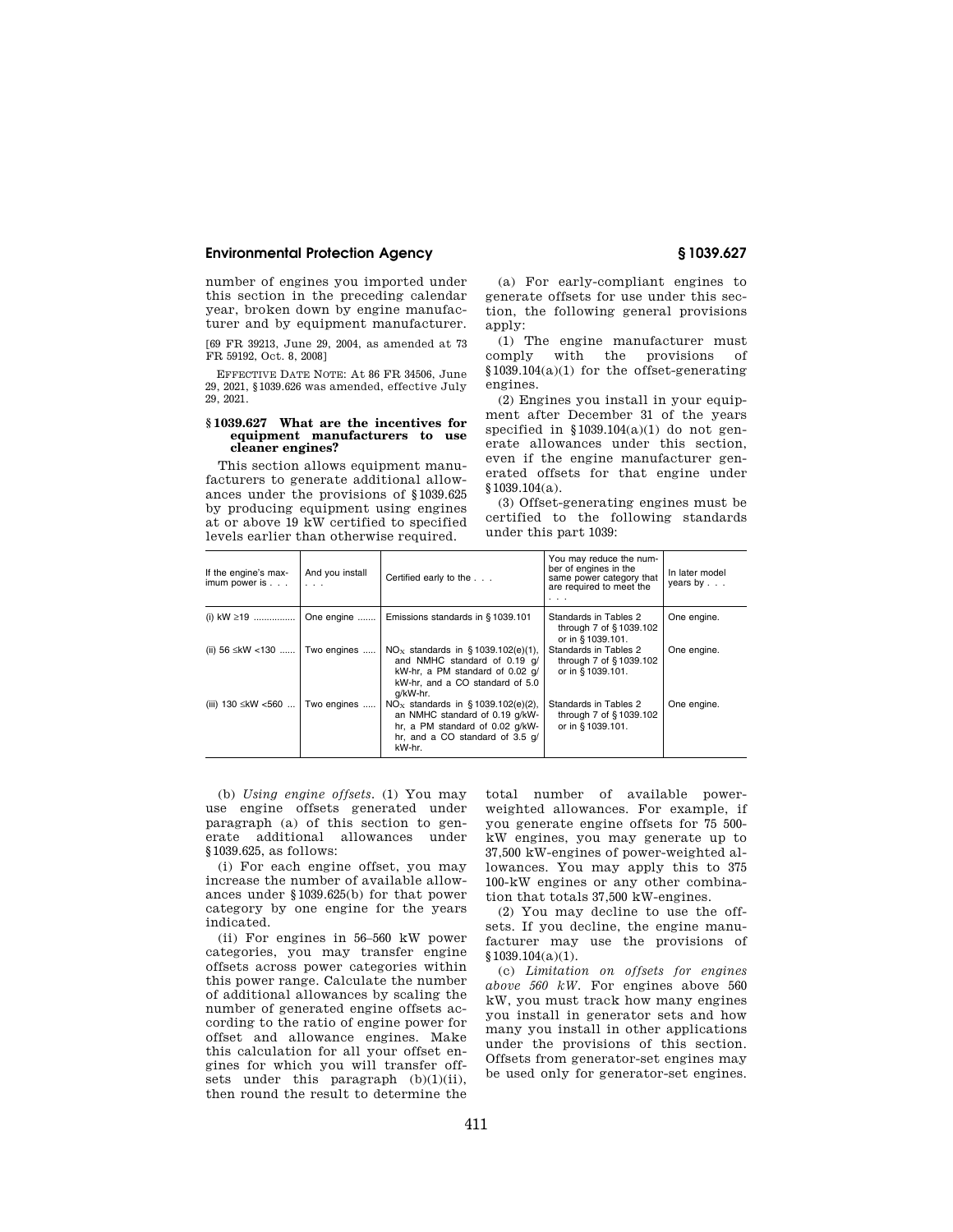number of engines you imported under this section in the preceding calendar year, broken down by engine manufacturer and by equipment manufacturer.

[69 FR 39213, June 29, 2004, as amended at 73 FR 59192, Oct. 8, 2008]

EFFECTIVE DATE NOTE: At 86 FR 34506, June 29, 2021, §1039.626 was amended, effective July 29, 2021.

#### **§ 1039.627 What are the incentives for equipment manufacturers to use cleaner engines?**

This section allows equipment manufacturers to generate additional allowances under the provisions of §1039.625 by producing equipment using engines at or above 19 kW certified to specified levels earlier than otherwise required.

(a) For early-compliant engines to generate offsets for use under this section, the following general provisions apply:

(1) The engine manufacturer must comply with the provisions of §1039.104(a)(1) for the offset-generating engines.

(2) Engines you install in your equipment after December 31 of the years specified in §1039.104(a)(1) do not generate allowances under this section, even if the engine manufacturer generated offsets for that engine under §1039.104(a).

(3) Offset-generating engines must be certified to the following standards under this part 1039:

| If the engine's max-<br>imum power is $.$ | And you install<br>$\cdots$ | Certified early to the                                                                                                                                | You may reduce the num-<br>ber of engines in the<br>same power category that<br>are required to meet the<br>$\cdots$ | In later model<br>years by $\ldots$ |
|-------------------------------------------|-----------------------------|-------------------------------------------------------------------------------------------------------------------------------------------------------|----------------------------------------------------------------------------------------------------------------------|-------------------------------------|
| (i) $kW \ge 19$                           | One engine                  | Emissions standards in §1039.101                                                                                                                      | Standards in Tables 2<br>through 7 of §1039.102<br>or in §1039.101.                                                  | One engine.                         |
| (ii) 56 ≤kW <130                          | Two engines                 | $NOx$ standards in §1039.102(e)(1),<br>and NMHC standard of 0.19 q/<br>kW-hr, a PM standard of 0.02 q/<br>kW-hr, and a CO standard of 5.0<br>g/kW-hr. | Standards in Tables 2<br>through 7 of §1039.102<br>or in §1039.101.                                                  | One engine.                         |
| (iii) 130 ≤kW <560                        | Two engines                 | $NOx$ standards in §1039.102(e)(2),<br>an NMHC standard of 0.19 q/kW-<br>hr, a PM standard of 0.02 q/kW-<br>hr, and a CO standard of 3.5 q/<br>kW-hr. | Standards in Tables 2<br>through 7 of §1039.102<br>or in §1039.101.                                                  | One engine.                         |

(b) *Using engine offsets.* (1) You may use engine offsets generated under paragraph (a) of this section to generate additional allowances under §1039.625, as follows:

(i) For each engine offset, you may increase the number of available allowances under §1039.625(b) for that power category by one engine for the years indicated.

(ii) For engines in 56–560 kW power categories, you may transfer engine offsets across power categories within this power range. Calculate the number of additional allowances by scaling the number of generated engine offsets according to the ratio of engine power for offset and allowance engines. Make this calculation for all your offset engines for which you will transfer offsets under this paragraph (b)(1)(ii), then round the result to determine the

total number of available powerweighted allowances. For example, if you generate engine offsets for 75 500 kW engines, you may generate up to 37,500 kW-engines of power-weighted allowances. You may apply this to 375 100-kW engines or any other combination that totals 37,500 kW-engines.

(2) You may decline to use the offsets. If you decline, the engine manufacturer may use the provisions of §1039.104(a)(1).

(c) *Limitation on offsets for engines above 560 kW.* For engines above 560 kW, you must track how many engines you install in generator sets and how many you install in other applications under the provisions of this section. Offsets from generator-set engines may be used only for generator-set engines.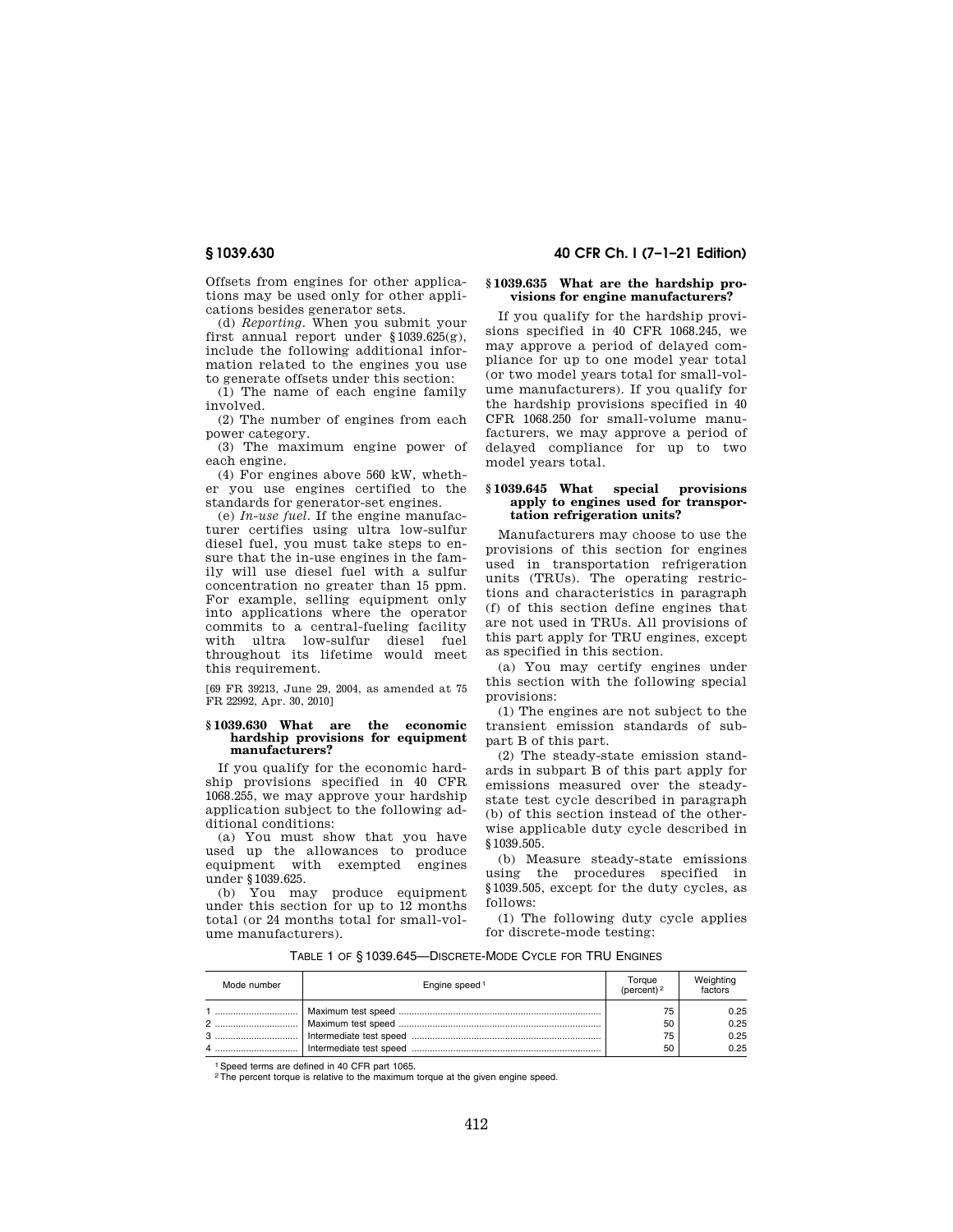Offsets from engines for other applications may be used only for other applications besides generator sets.

(d) *Reporting.* When you submit your first annual report under §1039.625(g), include the following additional information related to the engines you use to generate offsets under this section:

(1) The name of each engine family involved.

(2) The number of engines from each power category.

(3) The maximum engine power of each engine.

(4) For engines above 560 kW, whether you use engines certified to the standards for generator-set engines.

(e) *In-use fuel.* If the engine manufacturer certifies using ultra low-sulfur diesel fuel, you must take steps to ensure that the in-use engines in the family will use diesel fuel with a sulfur concentration no greater than 15 ppm. For example, selling equipment only into applications where the operator commits to a central-fueling facility with ultra low-sulfur diesel fuel throughout its lifetime would meet this requirement.

[69 FR 39213, June 29, 2004, as amended at 75 FR 22992, Apr. 30, 2010]

### **§ 1039.630 What are the economic hardship provisions for equipment manufacturers?**

If you qualify for the economic hardship provisions specified in 40 CFR 1068.255, we may approve your hardship application subject to the following additional conditions:

(a) You must show that you have used up the allowances to produce equipment with exempted engines under §1039.625.

(b) You may produce equipment under this section for up to 12 months total (or 24 months total for small-volume manufacturers).

# **§ 1039.630 40 CFR Ch. I (7–1–21 Edition)**

## **§ 1039.635 What are the hardship provisions for engine manufacturers?**

If you qualify for the hardship provisions specified in 40 CFR 1068.245, we may approve a period of delayed compliance for up to one model year total (or two model years total for small-volume manufacturers). If you qualify for the hardship provisions specified in 40 CFR 1068.250 for small-volume manufacturers, we may approve a period of delayed compliance for up to two model years total.

## **§ 1039.645 What special provisions apply to engines used for transportation refrigeration units?**

Manufacturers may choose to use the provisions of this section for engines used in transportation refrigeration units (TRUs). The operating restrictions and characteristics in paragraph (f) of this section define engines that are not used in TRUs. All provisions of this part apply for TRU engines, except as specified in this section.

(a) You may certify engines under this section with the following special provisions:

(1) The engines are not subject to the transient emission standards of subpart B of this part.

(2) The steady-state emission standards in subpart B of this part apply for emissions measured over the steadystate test cycle described in paragraph (b) of this section instead of the otherwise applicable duty cycle described in §1039.505.

(b) Measure steady-state emissions using the procedures specified in §1039.505, except for the duty cycles, as follows:

(1) The following duty cycle applies for discrete-mode testing:

TABLE 1 OF § 1039.645—DISCRETE-MODE CYCLE FOR TRU ENGINES

| Mode number | Engine speed <sup>1</sup> | Toraue<br>(percent) $2$ | Weighting<br>factors |
|-------------|---------------------------|-------------------------|----------------------|
|             |                           | 75                      | 0.25                 |
|             |                           | 50                      | 0.25                 |
|             |                           | 75                      | 0.25                 |
|             |                           | 50                      | 0.25                 |

<sup>1</sup> Speed terms are defined in 40 CFR part 1065.

<sup>2</sup>The percent torque is relative to the maximum torque at the given engine speed.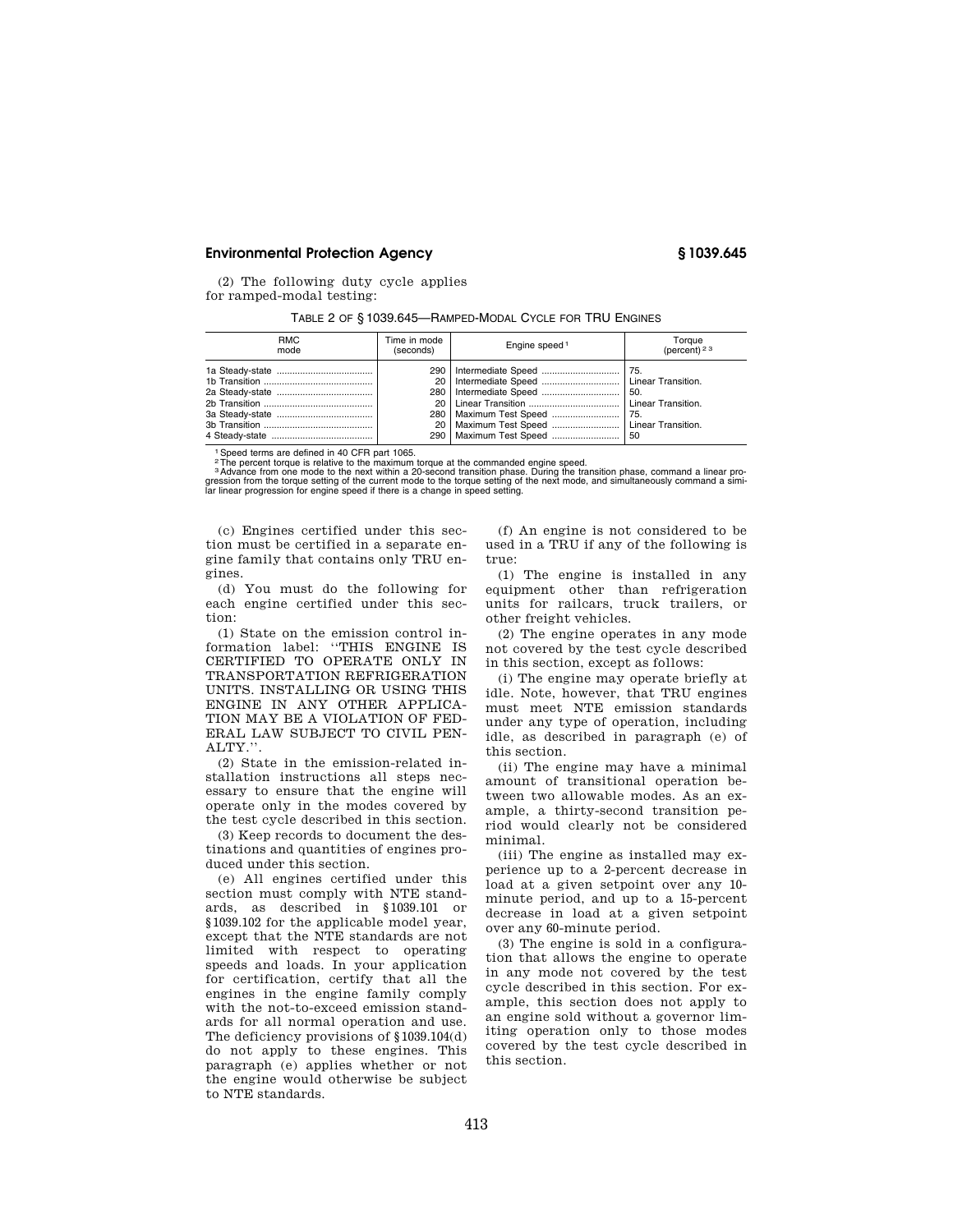(2) The following duty cycle applies for ramped-modal testing:

| TABLE 2 OF § 1039.645—RAMPED-MODAL CYCLE FOR TRU ENGINES |  |  |  |
|----------------------------------------------------------|--|--|--|
|----------------------------------------------------------|--|--|--|

| <b>RMC</b><br>mode | Time in mode<br>(seconds) | Engine speed <sup>1</sup>                                                                                                  | Torque<br>(percent) <sup>23</sup> |
|--------------------|---------------------------|----------------------------------------------------------------------------------------------------------------------------|-----------------------------------|
|                    |                           | 20   Intermediate Speed    Linear Transition.<br>20   Maximum Test Speed    Linear Transition.<br>290   Maximum Test Speed | -50.<br>50                        |

1Speed terms are defined in 40 CFR part 1065.

<sup>2</sup>The percent torque is relative to the maximum torque at the commanded engine speed.<br><sup>3</sup> Advance from one mode to the next within a 20-second transition phase. During the transition phase, command a linear pro-<br>gression

(c) Engines certified under this section must be certified in a separate engine family that contains only TRU engines.

(d) You must do the following for each engine certified under this section:

(1) State on the emission control information label: ''THIS ENGINE IS CERTIFIED TO OPERATE ONLY IN TRANSPORTATION REFRIGERATION UNITS. INSTALLING OR USING THIS ENGINE IN ANY OTHER APPLICA-TION MAY BE A VIOLATION OF FED-ERAL LAW SUBJECT TO CIVIL PEN-ALTY.''.

(2) State in the emission-related installation instructions all steps necessary to ensure that the engine will operate only in the modes covered by the test cycle described in this section.

(3) Keep records to document the destinations and quantities of engines produced under this section.

(e) All engines certified under this section must comply with NTE standards, as described in §1039.101 or §1039.102 for the applicable model year, except that the NTE standards are not limited with respect to operating speeds and loads. In your application for certification, certify that all the engines in the engine family comply with the not-to-exceed emission standards for all normal operation and use. The deficiency provisions of §1039.104(d) do not apply to these engines. This paragraph (e) applies whether or not the engine would otherwise be subject to NTE standards.

(f) An engine is not considered to be used in a TRU if any of the following is true:

(1) The engine is installed in any equipment other than refrigeration units for railcars, truck trailers, or other freight vehicles.

(2) The engine operates in any mode not covered by the test cycle described in this section, except as follows:

(i) The engine may operate briefly at idle. Note, however, that TRU engines must meet NTE emission standards under any type of operation, including idle, as described in paragraph (e) of this section.

(ii) The engine may have a minimal amount of transitional operation between two allowable modes. As an example, a thirty-second transition period would clearly not be considered minimal.

(iii) The engine as installed may experience up to a 2-percent decrease in load at a given setpoint over any 10 minute period, and up to a 15-percent decrease in load at a given setpoint over any 60-minute period.

(3) The engine is sold in a configuration that allows the engine to operate in any mode not covered by the test cycle described in this section. For example, this section does not apply to an engine sold without a governor limiting operation only to those modes covered by the test cycle described in this section.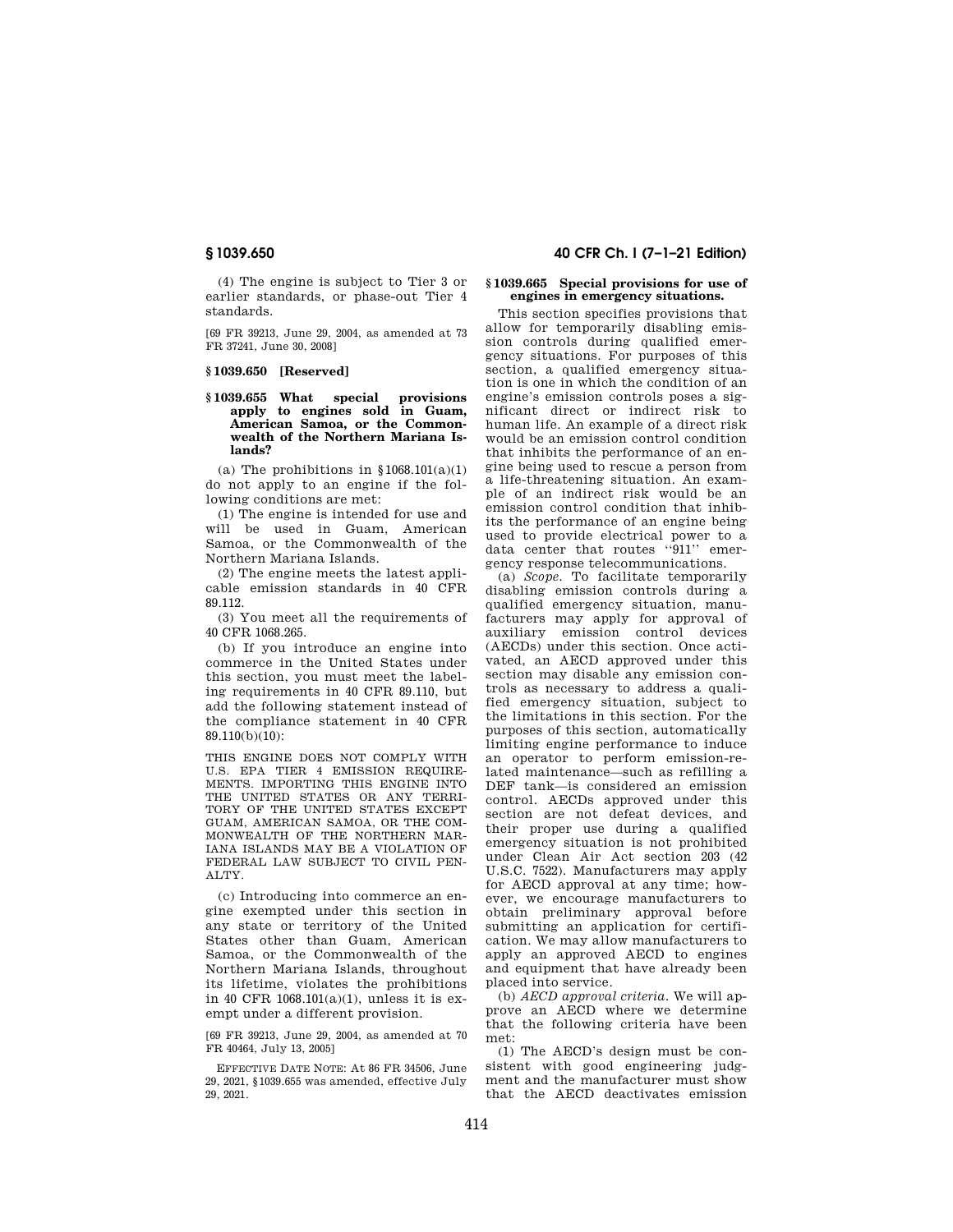(4) The engine is subject to Tier 3 or earlier standards, or phase-out Tier 4 standards.

[69 FR 39213, June 29, 2004, as amended at 73 FR 37241, June 30, 2008]

#### **§ 1039.650 [Reserved]**

### **§ 1039.655 What special provisions apply to engines sold in Guam, American Samoa, or the Commonwealth of the Northern Mariana Islands?**

(a) The prohibitions in  $$1068.101(a)(1)$ do not apply to an engine if the following conditions are met:

(1) The engine is intended for use and will be used in Guam, American Samoa, or the Commonwealth of the Northern Mariana Islands.

(2) The engine meets the latest applicable emission standards in 40 CFR 89.112.

(3) You meet all the requirements of 40 CFR 1068.265.

(b) If you introduce an engine into commerce in the United States under this section, you must meet the labeling requirements in 40 CFR 89.110, but add the following statement instead of the compliance statement in 40 CFR 89.110(b)(10):

THIS ENGINE DOES NOT COMPLY WITH U.S. EPA TIER 4 EMISSION REQUIRE-MENTS. IMPORTING THIS ENGINE INTO THE UNITED STATES OR ANY TERRI-TORY OF THE UNITED STATES EXCEPT GUAM, AMERICAN SAMOA, OR THE COM-MONWEALTH OF THE NORTHERN MAR-IANA ISLANDS MAY BE A VIOLATION OF FEDERAL LAW SUBJECT TO CIVIL PEN-ALTY.

(c) Introducing into commerce an engine exempted under this section in any state or territory of the United States other than Guam, American Samoa, or the Commonwealth of the Northern Mariana Islands, throughout its lifetime, violates the prohibitions in 40 CFR 1068.101(a)(1), unless it is exempt under a different provision.

[69 FR 39213, June 29, 2004, as amended at 70 FR 40464, July 13, 2005]

EFFECTIVE DATE NOTE: At 86 FR 34506, June 29, 2021, §1039.655 was amended, effective July 29, 2021.

# **§ 1039.650 40 CFR Ch. I (7–1–21 Edition)**

### **§ 1039.665 Special provisions for use of engines in emergency situations.**

This section specifies provisions that allow for temporarily disabling emission controls during qualified emergency situations. For purposes of this section, a qualified emergency situation is one in which the condition of an engine's emission controls poses a significant direct or indirect risk to human life. An example of a direct risk would be an emission control condition that inhibits the performance of an engine being used to rescue a person from a life-threatening situation. An example of an indirect risk would be an emission control condition that inhibits the performance of an engine being used to provide electrical power to a data center that routes ''911'' emergency response telecommunications.

(a) *Scope.* To facilitate temporarily disabling emission controls during a qualified emergency situation, manufacturers may apply for approval of auxiliary emission control devices (AECDs) under this section. Once activated, an AECD approved under this section may disable any emission controls as necessary to address a qualified emergency situation, subject to the limitations in this section. For the purposes of this section, automatically limiting engine performance to induce an operator to perform emission-related maintenance—such as refilling a DEF tank—is considered an emission control. AECDs approved under this section are not defeat devices, and their proper use during a qualified emergency situation is not prohibited under Clean Air Act section 203 (42 U.S.C. 7522). Manufacturers may apply for AECD approval at any time; however, we encourage manufacturers to obtain preliminary approval before submitting an application for certification. We may allow manufacturers to apply an approved AECD to engines and equipment that have already been placed into service.

(b) *AECD approval criteria.* We will approve an AECD where we determine that the following criteria have been met:

(1) The AECD's design must be consistent with good engineering judgment and the manufacturer must show that the AECD deactivates emission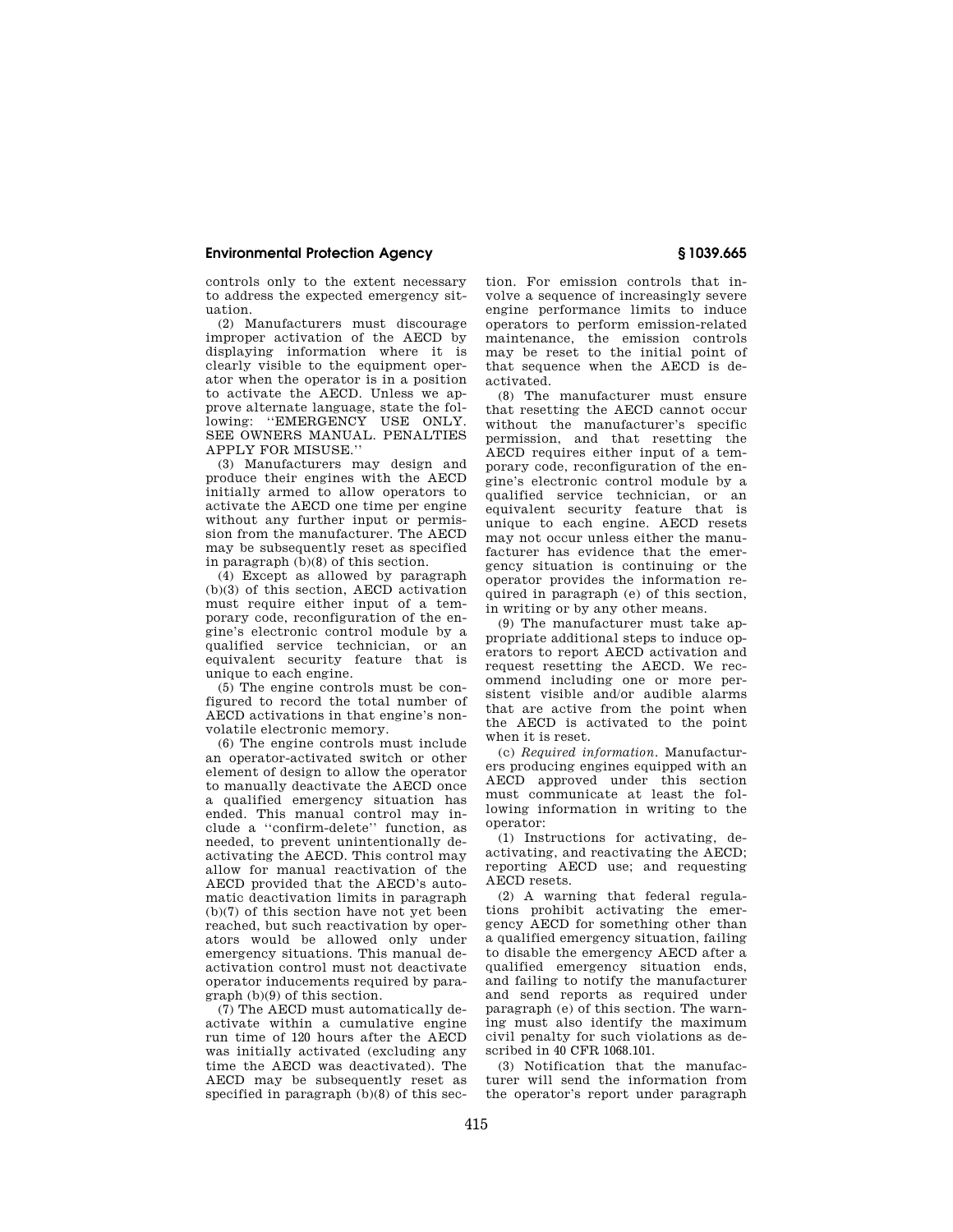controls only to the extent necessary to address the expected emergency situation.

(2) Manufacturers must discourage improper activation of the AECD by displaying information where it is clearly visible to the equipment operator when the operator is in a position to activate the AECD. Unless we approve alternate language, state the following: "EMERGENCY USE ONLY. SEE OWNERS MANUAL. PENALTIES APPLY FOR MISUSE.''

(3) Manufacturers may design and produce their engines with the AECD initially armed to allow operators to activate the AECD one time per engine without any further input or permission from the manufacturer. The AECD may be subsequently reset as specified in paragraph (b)(8) of this section.

(4) Except as allowed by paragraph (b)(3) of this section, AECD activation must require either input of a temporary code, reconfiguration of the engine's electronic control module by a qualified service technician, or an equivalent security feature that is unique to each engine.

(5) The engine controls must be configured to record the total number of AECD activations in that engine's nonvolatile electronic memory.

(6) The engine controls must include an operator-activated switch or other element of design to allow the operator to manually deactivate the AECD once a qualified emergency situation has ended. This manual control may include a ''confirm-delete'' function, as needed, to prevent unintentionally deactivating the AECD. This control may allow for manual reactivation of the AECD provided that the AECD's automatic deactivation limits in paragraph (b)(7) of this section have not yet been reached, but such reactivation by operators would be allowed only under emergency situations. This manual deactivation control must not deactivate operator inducements required by para $graph (b)(9)$  of this section.

(7) The AECD must automatically deactivate within a cumulative engine run time of 120 hours after the AECD was initially activated (excluding any time the AECD was deactivated). The AECD may be subsequently reset as specified in paragraph  $(b)(8)$  of this sec-

tion. For emission controls that involve a sequence of increasingly severe engine performance limits to induce operators to perform emission-related maintenance, the emission controls may be reset to the initial point of that sequence when the AECD is deactivated.

(8) The manufacturer must ensure that resetting the AECD cannot occur without the manufacturer's specific permission, and that resetting the AECD requires either input of a temporary code, reconfiguration of the engine's electronic control module by a qualified service technician, or an equivalent security feature that is unique to each engine. AECD resets may not occur unless either the manufacturer has evidence that the emergency situation is continuing or the operator provides the information required in paragraph (e) of this section, in writing or by any other means.

(9) The manufacturer must take appropriate additional steps to induce operators to report AECD activation and request resetting the AECD. We recommend including one or more persistent visible and/or audible alarms that are active from the point when the AECD is activated to the point when it is reset.

(c) *Required information.* Manufacturers producing engines equipped with an AECD approved under this section must communicate at least the following information in writing to the operator:

(1) Instructions for activating, deactivating, and reactivating the AECD; reporting AECD use; and requesting AECD resets.

(2) A warning that federal regulations prohibit activating the emergency AECD for something other than a qualified emergency situation, failing to disable the emergency AECD after a qualified emergency situation ends, and failing to notify the manufacturer and send reports as required under paragraph (e) of this section. The warning must also identify the maximum civil penalty for such violations as described in 40 CFR 1068.101.

(3) Notification that the manufacturer will send the information from the operator's report under paragraph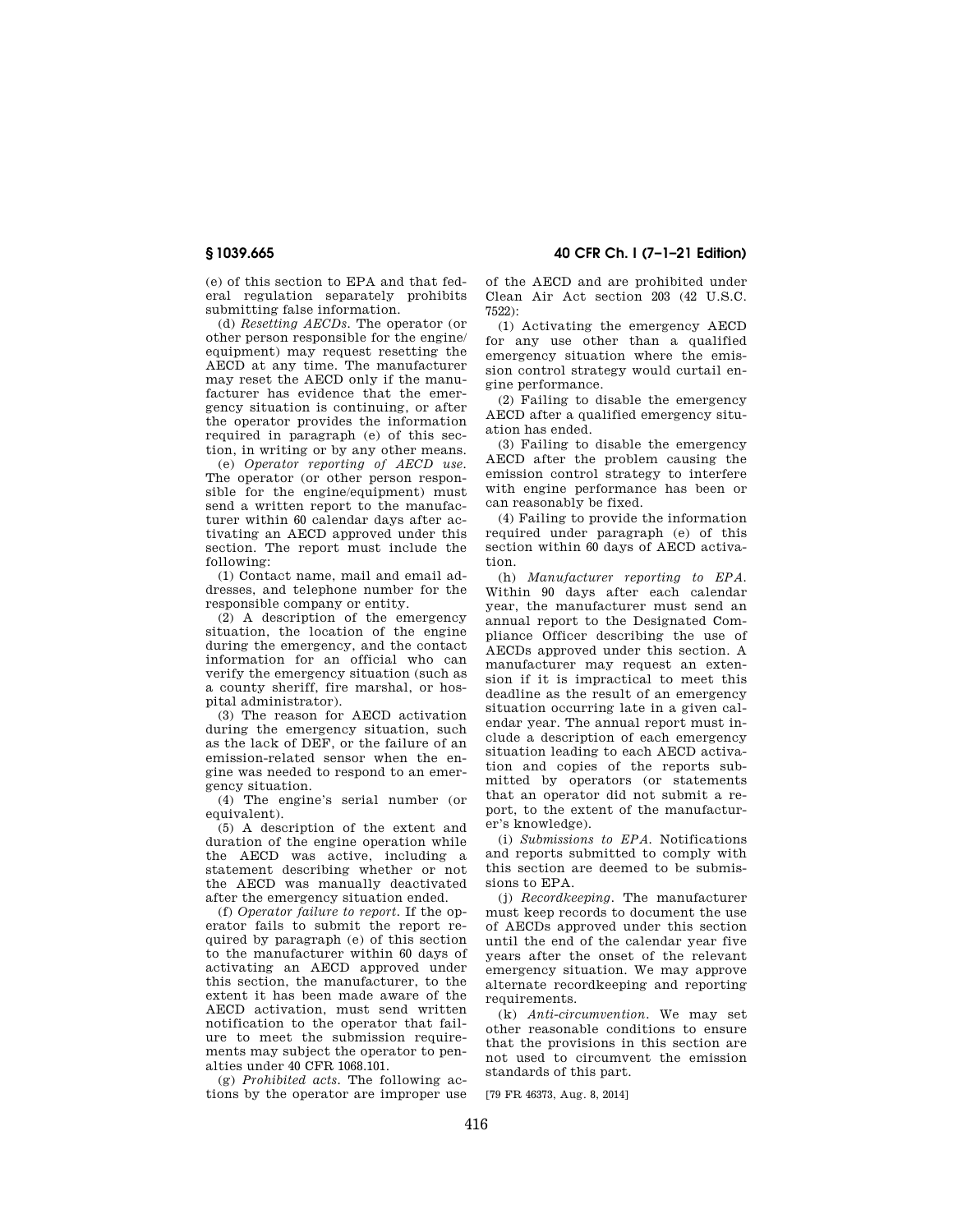(e) of this section to EPA and that federal regulation separately prohibits submitting false information.

(d) *Resetting AECDs.* The operator (or other person responsible for the engine/ equipment) may request resetting the AECD at any time. The manufacturer may reset the AECD only if the manufacturer has evidence that the emergency situation is continuing, or after the operator provides the information required in paragraph (e) of this section, in writing or by any other means.

(e) *Operator reporting of AECD use.*  The operator (or other person responsible for the engine/equipment) must send a written report to the manufacturer within 60 calendar days after activating an AECD approved under this section. The report must include the following:

(1) Contact name, mail and email addresses, and telephone number for the responsible company or entity.

(2) A description of the emergency situation, the location of the engine during the emergency, and the contact information for an official who can verify the emergency situation (such as a county sheriff, fire marshal, or hospital administrator).

(3) The reason for AECD activation during the emergency situation, such as the lack of DEF, or the failure of an emission-related sensor when the engine was needed to respond to an emergency situation.

(4) The engine's serial number (or equivalent).

(5) A description of the extent and duration of the engine operation while the AECD was active, including a statement describing whether or not the AECD was manually deactivated after the emergency situation ended.

(f) *Operator failure to report.* If the operator fails to submit the report required by paragraph (e) of this section to the manufacturer within 60 days of activating an AECD approved under this section, the manufacturer, to the extent it has been made aware of the AECD activation, must send written notification to the operator that failure to meet the submission requirements may subject the operator to penalties under 40 CFR 1068.101.

(g) *Prohibited acts.* The following actions by the operator are improper use

**§ 1039.665 40 CFR Ch. I (7–1–21 Edition)** 

of the AECD and are prohibited under Clean Air Act section 203 (42 U.S.C. 7522):

(1) Activating the emergency AECD for any use other than a qualified emergency situation where the emission control strategy would curtail engine performance.

(2) Failing to disable the emergency AECD after a qualified emergency situation has ended.

(3) Failing to disable the emergency AECD after the problem causing the emission control strategy to interfere with engine performance has been or can reasonably be fixed.

(4) Failing to provide the information required under paragraph (e) of this section within 60 days of AECD activation.

(h) *Manufacturer reporting to EPA.*  Within 90 days after each calendar year, the manufacturer must send an annual report to the Designated Compliance Officer describing the use of AECDs approved under this section. A manufacturer may request an extension if it is impractical to meet this deadline as the result of an emergency situation occurring late in a given calendar year. The annual report must include a description of each emergency situation leading to each AECD activation and copies of the reports submitted by operators (or statements that an operator did not submit a report, to the extent of the manufacturer's knowledge).

(i) *Submissions to EPA.* Notifications and reports submitted to comply with this section are deemed to be submissions to EPA.

(j) *Recordkeeping.* The manufacturer must keep records to document the use of AECDs approved under this section until the end of the calendar year five years after the onset of the relevant emergency situation. We may approve alternate recordkeeping and reporting requirements

(k) *Anti-circumvention.* We may set other reasonable conditions to ensure that the provisions in this section are not used to circumvent the emission standards of this part.

[79 FR 46373, Aug. 8, 2014]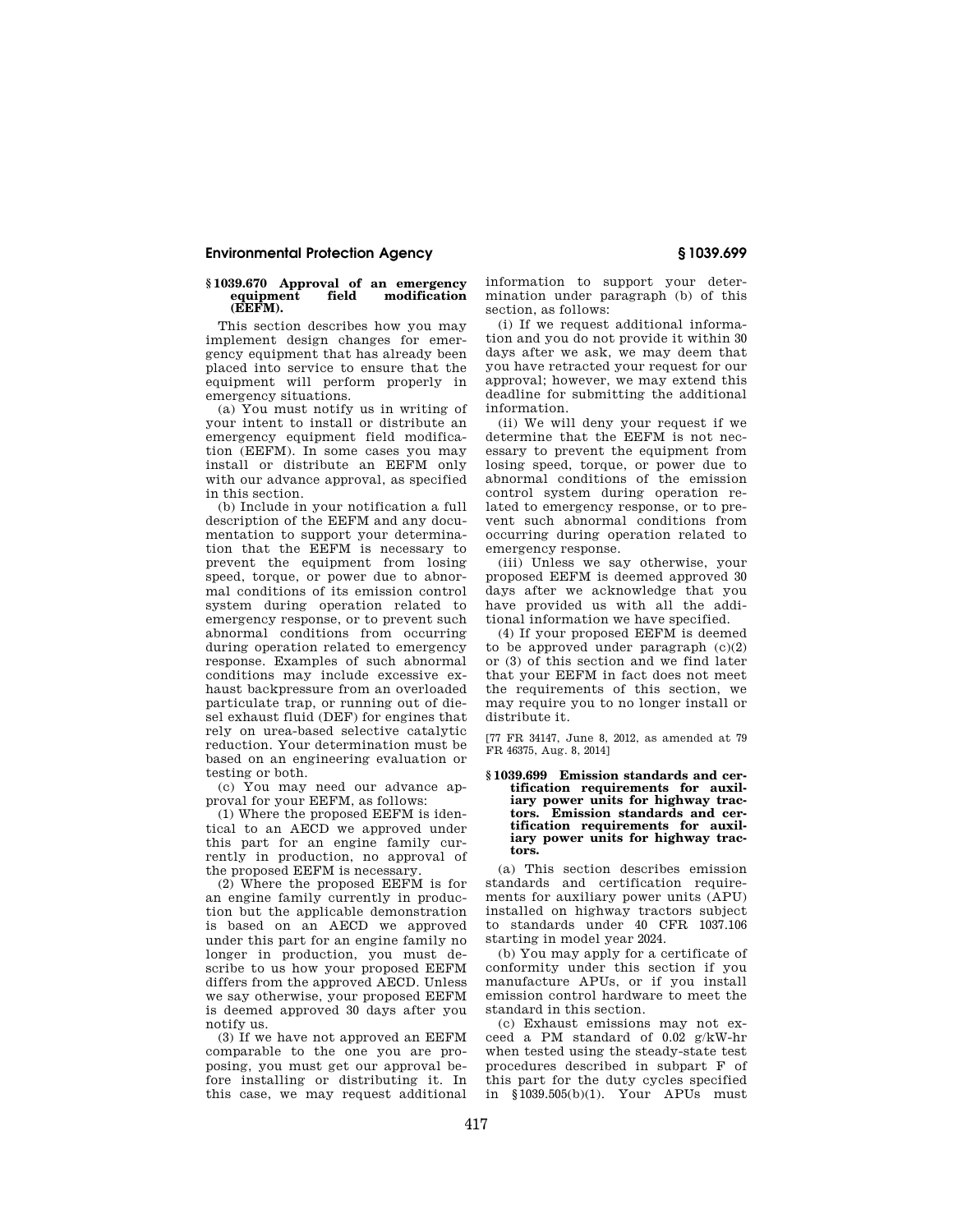#### **§ 1039.670 Approval of an emergency equipment (EEFM).**

This section describes how you may implement design changes for emergency equipment that has already been placed into service to ensure that the equipment will perform properly in emergency situations.

(a) You must notify us in writing of your intent to install or distribute an emergency equipment field modification (EEFM). In some cases you may install or distribute an EEFM only with our advance approval, as specified in this section.

(b) Include in your notification a full description of the EEFM and any documentation to support your determination that the EEFM is necessary to prevent the equipment from losing speed, torque, or power due to abnormal conditions of its emission control system during operation related to emergency response, or to prevent such abnormal conditions from occurring during operation related to emergency response. Examples of such abnormal conditions may include excessive exhaust backpressure from an overloaded particulate trap, or running out of diesel exhaust fluid (DEF) for engines that rely on urea-based selective catalytic reduction. Your determination must be based on an engineering evaluation or testing or both.

(c) You may need our advance approval for your EEFM, as follows:

(1) Where the proposed EEFM is identical to an AECD we approved under this part for an engine family currently in production, no approval of the proposed EEFM is necessary.

(2) Where the proposed EEFM is for an engine family currently in production but the applicable demonstration is based on an AECD we approved under this part for an engine family no longer in production, you must describe to us how your proposed EEFM differs from the approved AECD. Unless we say otherwise, your proposed EEFM is deemed approved 30 days after you notify us.

(3) If we have not approved an EEFM comparable to the one you are proposing, you must get our approval before installing or distributing it. In this case, we may request additional information to support your determination under paragraph (b) of this section, as follows:

(i) If we request additional information and you do not provide it within 30 days after we ask, we may deem that you have retracted your request for our approval; however, we may extend this deadline for submitting the additional information.

(ii) We will deny your request if we determine that the EEFM is not necessary to prevent the equipment from losing speed, torque, or power due to abnormal conditions of the emission control system during operation related to emergency response, or to prevent such abnormal conditions from occurring during operation related to emergency response.

(iii) Unless we say otherwise, your proposed EEFM is deemed approved 30 days after we acknowledge that you have provided us with all the additional information we have specified.

(4) If your proposed EEFM is deemed to be approved under paragraph  $(c)(2)$ or (3) of this section and we find later that your EEFM in fact does not meet the requirements of this section, we may require you to no longer install or distribute it.

[77 FR 34147, June 8, 2012, as amended at 79 FR 46375, Aug. 8, 2014]

#### **§ 1039.699 Emission standards and certification requirements for auxiliary power units for highway tractors. Emission standards and certification requirements for auxiliary power units for highway tractors.**

(a) This section describes emission standards and certification requirements for auxiliary power units (APU) installed on highway tractors subject to standards under 40 CFR 1037.106 starting in model year 2024.

(b) You may apply for a certificate of conformity under this section if you manufacture APUs, or if you install emission control hardware to meet the standard in this section.

(c) Exhaust emissions may not exceed a PM standard of 0.02 g/kW-hr when tested using the steady-state test procedures described in subpart F of this part for the duty cycles specified in §1039.505(b)(1). Your APUs must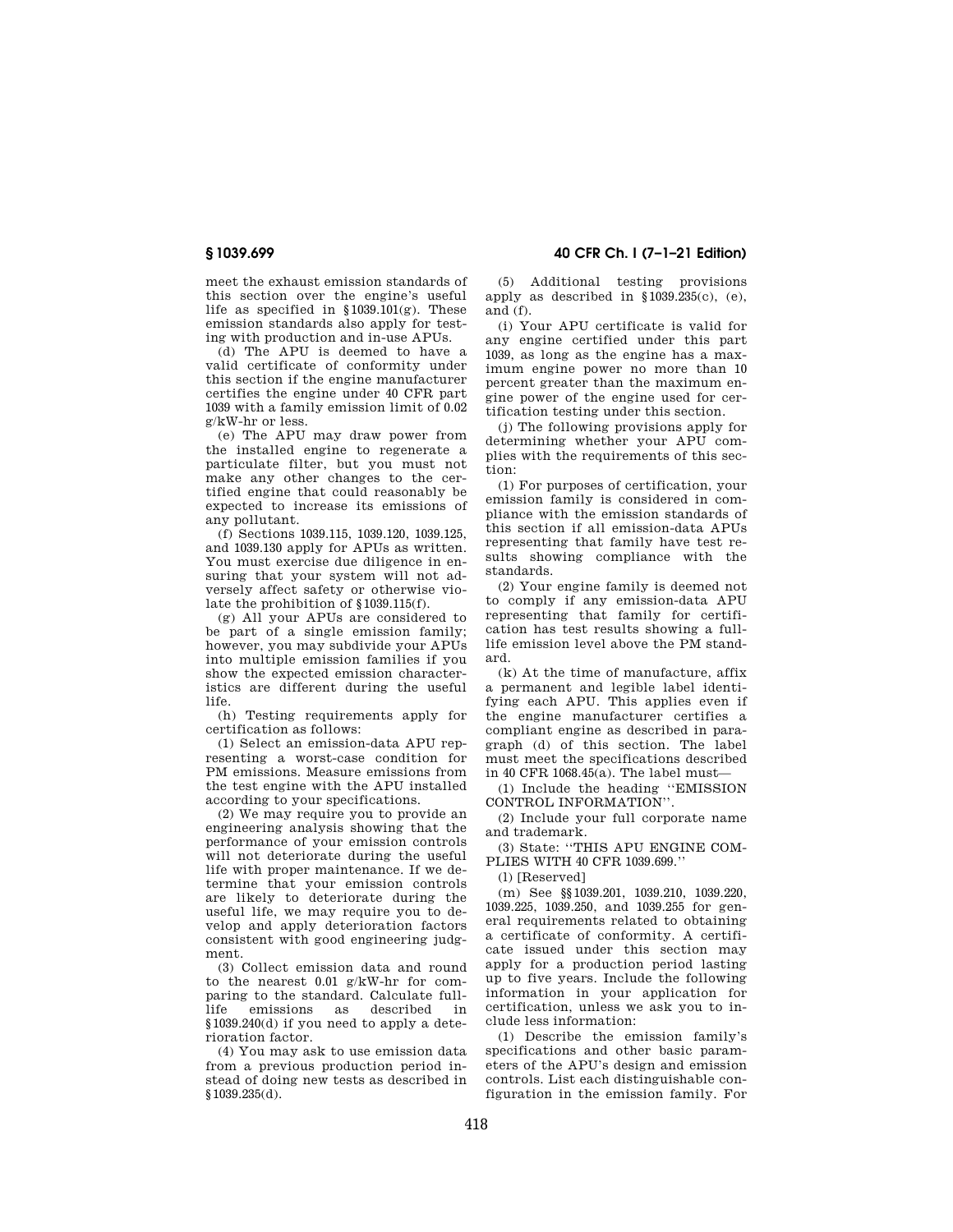meet the exhaust emission standards of this section over the engine's useful life as specified in  $$1039.101(g)$ . These emission standards also apply for testing with production and in-use APUs.

(d) The APU is deemed to have a valid certificate of conformity under this section if the engine manufacturer certifies the engine under 40 CFR part 1039 with a family emission limit of 0.02 g/kW-hr or less.

(e) The APU may draw power from the installed engine to regenerate a particulate filter, but you must not make any other changes to the certified engine that could reasonably be expected to increase its emissions of any pollutant.

(f) Sections 1039.115, 1039.120, 1039.125, and 1039.130 apply for APUs as written. You must exercise due diligence in ensuring that your system will not adversely affect safety or otherwise violate the prohibition of §1039.115(f).

(g) All your APUs are considered to be part of a single emission family; however, you may subdivide your APUs into multiple emission families if you show the expected emission characteristics are different during the useful life.

(h) Testing requirements apply for certification as follows:

(1) Select an emission-data APU representing a worst-case condition for PM emissions. Measure emissions from the test engine with the APU installed according to your specifications.

(2) We may require you to provide an engineering analysis showing that the performance of your emission controls will not deteriorate during the useful life with proper maintenance. If we determine that your emission controls are likely to deteriorate during the useful life, we may require you to develop and apply deterioration factors consistent with good engineering judgment.

(3) Collect emission data and round to the nearest  $0.01$  g/kW-hr for comparing to the standard. Calculate fulllife emissions as described in §1039.240(d) if you need to apply a deterioration factor.

(4) You may ask to use emission data from a previous production period instead of doing new tests as described in §1039.235(d).

**§ 1039.699 40 CFR Ch. I (7–1–21 Edition)** 

(5) Additional testing provisions apply as described in §1039.235(c), (e), and (f).

(i) Your APU certificate is valid for any engine certified under this part 1039, as long as the engine has a maximum engine power no more than 10 percent greater than the maximum engine power of the engine used for certification testing under this section.

(j) The following provisions apply for determining whether your APU complies with the requirements of this section:

(1) For purposes of certification, your emission family is considered in compliance with the emission standards of this section if all emission-data APUs representing that family have test results showing compliance with the standards.

(2) Your engine family is deemed not to comply if any emission-data APU representing that family for certification has test results showing a fulllife emission level above the PM standard.

(k) At the time of manufacture, affix a permanent and legible label identifying each APU. This applies even if the engine manufacturer certifies a compliant engine as described in paragraph (d) of this section. The label must meet the specifications described in 40 CFR 1068.45(a). The label must—

(1) Include the heading ''EMISSION CONTROL INFORMATION''.

(2) Include your full corporate name and trademark.

(3) State: ''THIS APU ENGINE COM-PLIES WITH 40 CFR 1039.699.''

(l) [Reserved]

(m) See §§1039.201, 1039.210, 1039.220, 1039.225, 1039.250, and 1039.255 for general requirements related to obtaining a certificate of conformity. A certificate issued under this section may apply for a production period lasting up to five years. Include the following information in your application for certification, unless we ask you to include less information:

(1) Describe the emission family's specifications and other basic parameters of the APU's design and emission controls. List each distinguishable configuration in the emission family. For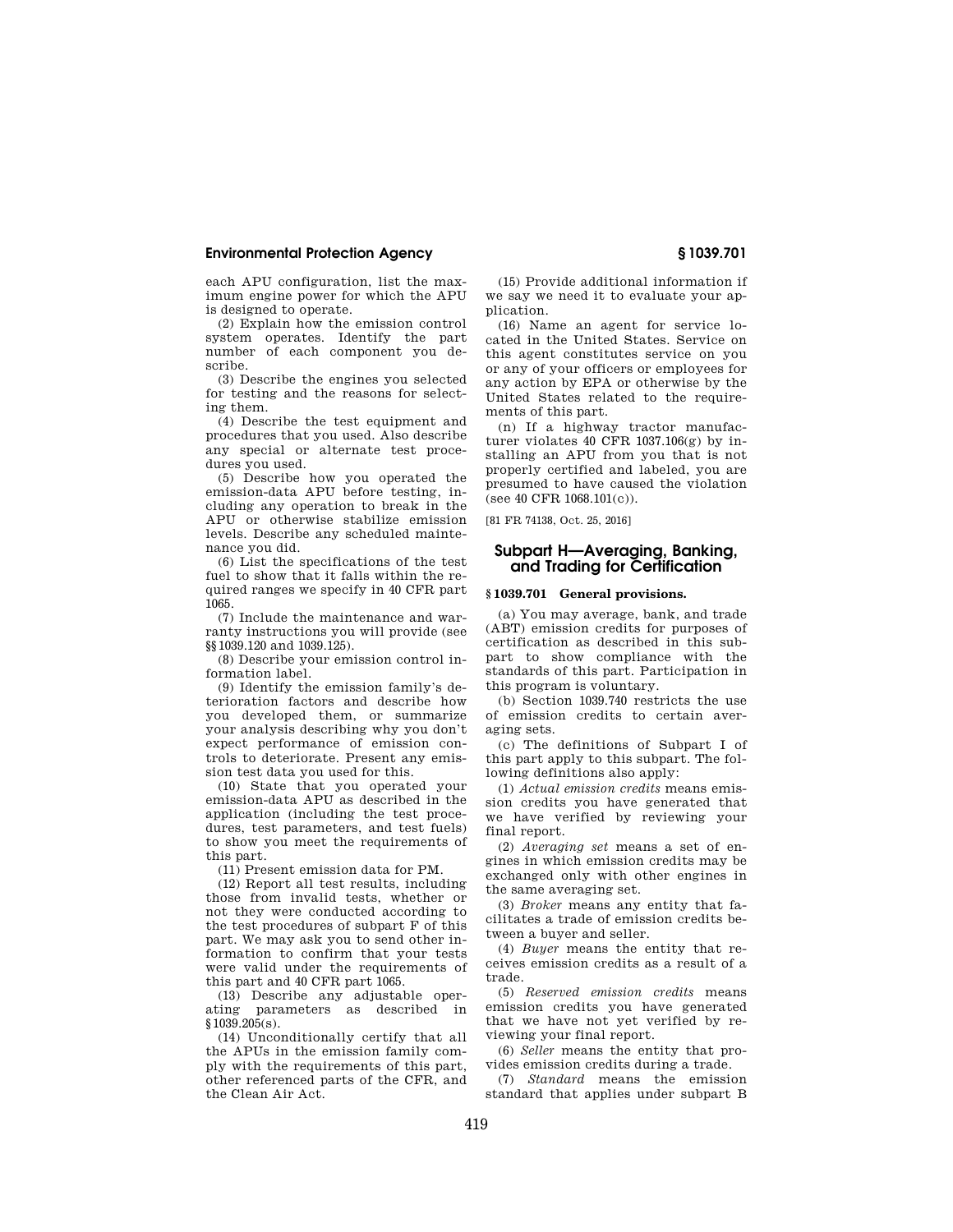each APU configuration, list the maximum engine power for which the APU is designed to operate.

(2) Explain how the emission control system operates. Identify the part number of each component you describe.

(3) Describe the engines you selected for testing and the reasons for selecting them.

(4) Describe the test equipment and procedures that you used. Also describe any special or alternate test procedures you used.

(5) Describe how you operated the emission-data APU before testing, including any operation to break in the APU or otherwise stabilize emission levels. Describe any scheduled maintenance you did.

(6) List the specifications of the test fuel to show that it falls within the required ranges we specify in 40 CFR part 1065.

(7) Include the maintenance and warranty instructions you will provide (see §§1039.120 and 1039.125).

(8) Describe your emission control information label.

(9) Identify the emission family's deterioration factors and describe how you developed them, or summarize your analysis describing why you don't expect performance of emission controls to deteriorate. Present any emission test data you used for this.

(10) State that you operated your emission-data APU as described in the application (including the test procedures, test parameters, and test fuels) to show you meet the requirements of this part.

(11) Present emission data for PM.

(12) Report all test results, including those from invalid tests, whether or not they were conducted according to the test procedures of subpart F of this part. We may ask you to send other information to confirm that your tests were valid under the requirements of this part and 40 CFR part 1065.

(13) Describe any adjustable operating parameters as described in  $$1039.205(s)$ .

(14) Unconditionally certify that all the APUs in the emission family comply with the requirements of this part, other referenced parts of the CFR, and the Clean Air Act.

(15) Provide additional information if we say we need it to evaluate your application.

(16) Name an agent for service located in the United States. Service on this agent constitutes service on you or any of your officers or employees for any action by EPA or otherwise by the United States related to the requirements of this part.

(n) If a highway tractor manufacturer violates 40 CFR 1037.106(g) by installing an APU from you that is not properly certified and labeled, you are presumed to have caused the violation  $($ see 40 CFR  $1068.101(c)$ .

[81 FR 74138, Oct. 25, 2016]

# **Subpart H—Averaging, Banking, and Trading for Certification**

#### **§ 1039.701 General provisions.**

(a) You may average, bank, and trade (ABT) emission credits for purposes of certification as described in this subpart to show compliance with the standards of this part. Participation in this program is voluntary.

(b) Section 1039.740 restricts the use of emission credits to certain averaging sets.

(c) The definitions of Subpart I of this part apply to this subpart. The following definitions also apply:

(1) *Actual emission credits* means emission credits you have generated that we have verified by reviewing your final report.

(2) *Averaging set* means a set of engines in which emission credits may be exchanged only with other engines in the same averaging set.

(3) *Broker* means any entity that facilitates a trade of emission credits between a buyer and seller.

(4) *Buyer* means the entity that receives emission credits as a result of a trade.

(5) *Reserved emission credits* means emission credits you have generated that we have not yet verified by reviewing your final report.

(6) *Seller* means the entity that provides emission credits during a trade.

(7) *Standard* means the emission standard that applies under subpart B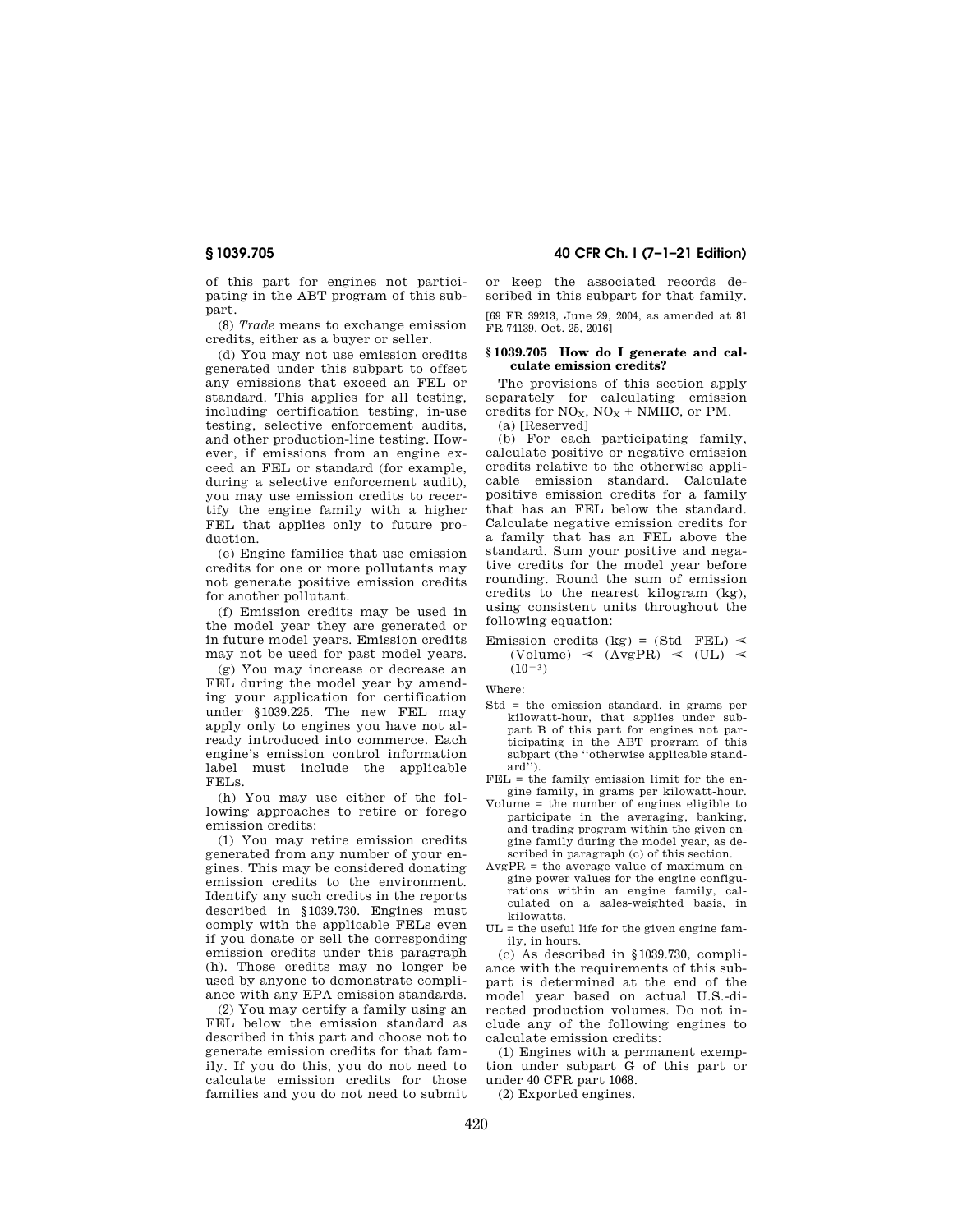of this part for engines not participating in the ABT program of this subpart.

(8) *Trade* means to exchange emission credits, either as a buyer or seller.

(d) You may not use emission credits generated under this subpart to offset any emissions that exceed an FEL or standard. This applies for all testing, including certification testing, in-use testing, selective enforcement audits, and other production-line testing. However, if emissions from an engine exceed an FEL or standard (for example, during a selective enforcement audit), you may use emission credits to recertify the engine family with a higher FEL that applies only to future production.

(e) Engine families that use emission credits for one or more pollutants may not generate positive emission credits for another pollutant.

(f) Emission credits may be used in the model year they are generated or in future model years. Emission credits may not be used for past model years.

(g) You may increase or decrease an FEL during the model year by amending your application for certification under §1039.225. The new FEL may apply only to engines you have not already introduced into commerce. Each engine's emission control information label must include the applicable FELs.

(h) You may use either of the following approaches to retire or forego emission credits:

(1) You may retire emission credits generated from any number of your engines. This may be considered donating emission credits to the environment. Identify any such credits in the reports described in §1039.730. Engines must comply with the applicable FELs even if you donate or sell the corresponding emission credits under this paragraph (h). Those credits may no longer be used by anyone to demonstrate compliance with any EPA emission standards.

(2) You may certify a family using an FEL below the emission standard as described in this part and choose not to generate emission credits for that family. If you do this, you do not need to calculate emission credits for those families and you do not need to submit

**§ 1039.705 40 CFR Ch. I (7–1–21 Edition)** 

or keep the associated records described in this subpart for that family. [69 FR 39213, June 29, 2004, as amended at 81 FR 74139, Oct. 25, 2016]

#### **§ 1039.705 How do I generate and calculate emission credits?**

The provisions of this section apply separately for calculating emission credits for  $NO_X$ ,  $NO_X + NMHC$ , or PM. (a) [Reserved]

(b) For each participating family, calculate positive or negative emission credits relative to the otherwise applicable emission standard. Calculate positive emission credits for a family that has an FEL below the standard. Calculate negative emission credits for a family that has an FEL above the standard. Sum your positive and negative credits for the model year before rounding. Round the sum of emission credits to the nearest kilogram (kg), using consistent units throughout the following equation:

#### Emission credits (kg) =  $(Std - FEL)$   $\leq$  $(Volume) \le (AvgPR) \le (UL) \le$  $(10^{-3})$

Where:

- Std = the emission standard, in grams per kilowatt-hour, that applies under subpart B of this part for engines not participating in the ABT program of this subpart (the ''otherwise applicable standard'').
- FEL = the family emission limit for the engine family, in grams per kilowatt-hour.
- Volume = the number of engines eligible to participate in the averaging, banking, and trading program within the given engine family during the model year, as described in paragraph (c) of this section.
- AvgPR = the average value of maximum engine power values for the engine configurations within an engine family, calculated on a sales-weighted basis, in kilowatts.
- $UL =$  the useful life for the given engine family, in hours.

(c) As described in §1039.730, compliance with the requirements of this subpart is determined at the end of the model year based on actual U.S.-directed production volumes. Do not include any of the following engines to calculate emission credits:

(1) Engines with a permanent exemption under subpart G of this part or under 40 CFR part 1068.

(2) Exported engines.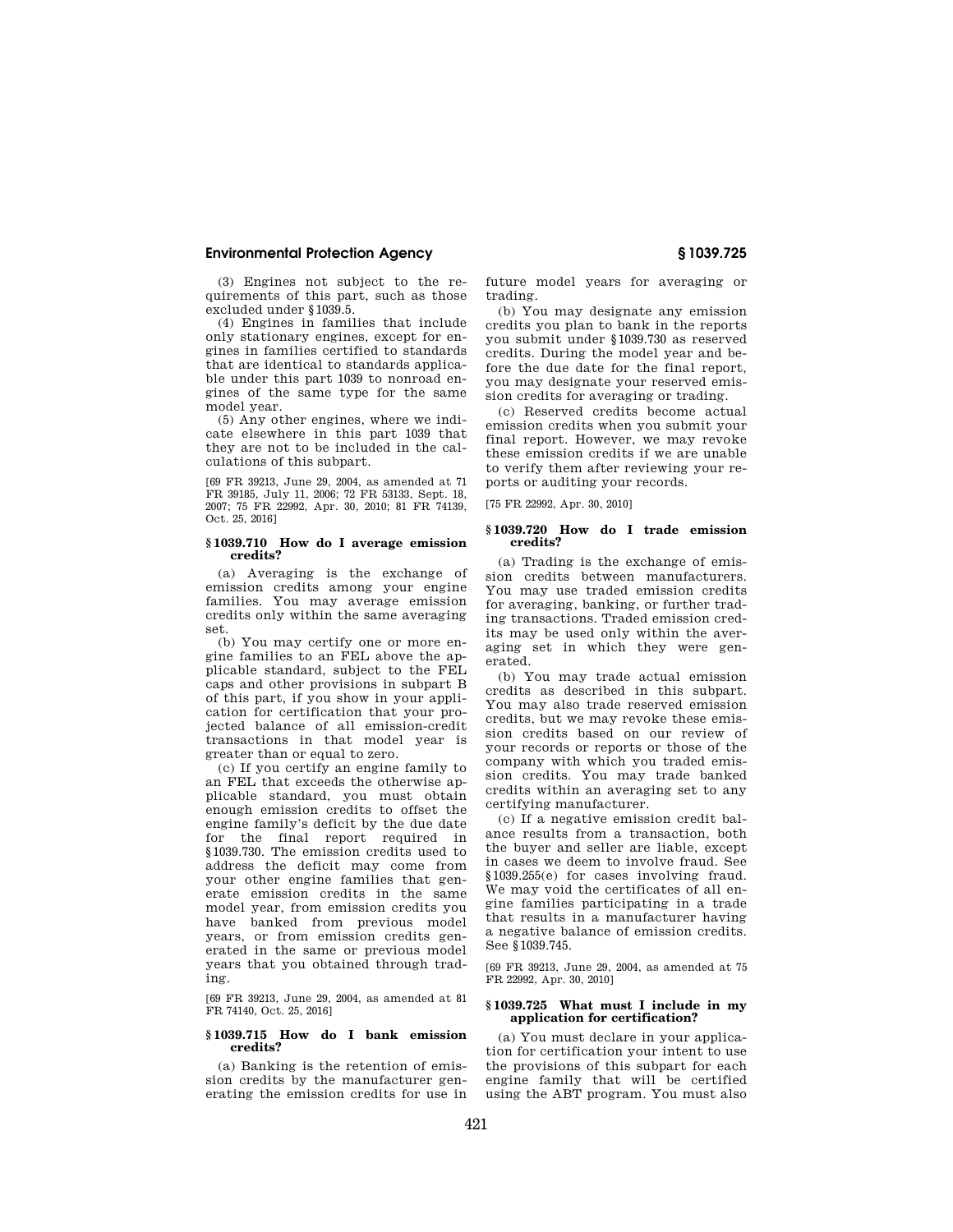(3) Engines not subject to the requirements of this part, such as those excluded under §1039.5.

(4) Engines in families that include only stationary engines, except for engines in families certified to standards that are identical to standards applicable under this part 1039 to nonroad engines of the same type for the same model year.

(5) Any other engines, where we indicate elsewhere in this part 1039 that they are not to be included in the calculations of this subpart.

[69 FR 39213, June 29, 2004, as amended at 71 FR 39185, July 11, 2006; 72 FR 53133, Sept. 18, 2007; 75 FR 22992, Apr. 30, 2010; 81 FR 74139, Oct. 25, 2016]

### **§ 1039.710 How do I average emission credits?**

(a) Averaging is the exchange of emission credits among your engine families. You may average emission credits only within the same averaging set.

(b) You may certify one or more engine families to an FEL above the applicable standard, subject to the FEL caps and other provisions in subpart B of this part, if you show in your application for certification that your projected balance of all emission-credit transactions in that model year is greater than or equal to zero.

(c) If you certify an engine family to an FEL that exceeds the otherwise applicable standard, you must obtain enough emission credits to offset the engine family's deficit by the due date for the final report required in §1039.730. The emission credits used to address the deficit may come from your other engine families that generate emission credits in the same model year, from emission credits you have banked from previous model years, or from emission credits generated in the same or previous model years that you obtained through trading.

[69 FR 39213, June 29, 2004, as amended at 81 FR 74140, Oct. 25, 2016]

### **§ 1039.715 How do I bank emission credits?**

(a) Banking is the retention of emission credits by the manufacturer generating the emission credits for use in future model years for averaging or trading.

(b) You may designate any emission credits you plan to bank in the reports you submit under §1039.730 as reserved credits. During the model year and before the due date for the final report, you may designate your reserved emission credits for averaging or trading.

(c) Reserved credits become actual emission credits when you submit your final report. However, we may revoke these emission credits if we are unable to verify them after reviewing your reports or auditing your records.

[75 FR 22992, Apr. 30, 2010]

## **§ 1039.720 How do I trade emission credits?**

(a) Trading is the exchange of emission credits between manufacturers. You may use traded emission credits for averaging, banking, or further trading transactions. Traded emission credits may be used only within the averaging set in which they were generated.

(b) You may trade actual emission credits as described in this subpart. You may also trade reserved emission credits, but we may revoke these emission credits based on our review of your records or reports or those of the company with which you traded emission credits. You may trade banked credits within an averaging set to any certifying manufacturer.

(c) If a negative emission credit balance results from a transaction, both the buyer and seller are liable, except in cases we deem to involve fraud. See §1039.255(e) for cases involving fraud. We may void the certificates of all engine families participating in a trade that results in a manufacturer having a negative balance of emission credits. See §1039.745.

[69 FR 39213, June 29, 2004, as amended at 75 FR 22992, Apr. 30, 2010]

#### **§ 1039.725 What must I include in my application for certification?**

(a) You must declare in your application for certification your intent to use the provisions of this subpart for each engine family that will be certified using the ABT program. You must also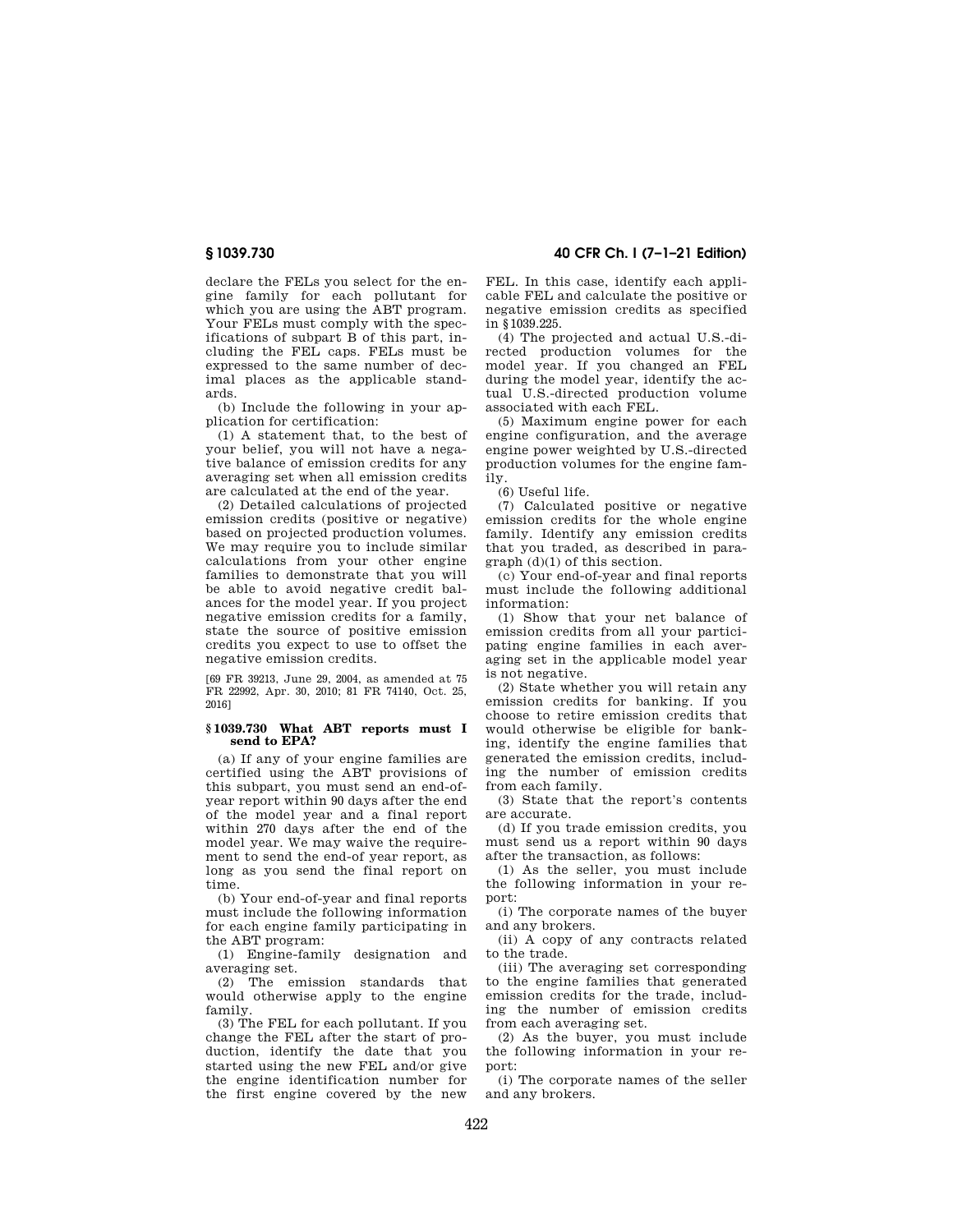declare the FELs you select for the engine family for each pollutant for which you are using the ABT program. Your FELs must comply with the specifications of subpart B of this part, including the FEL caps. FELs must be expressed to the same number of decimal places as the applicable standards.

(b) Include the following in your application for certification:

(1) A statement that, to the best of your belief, you will not have a negative balance of emission credits for any averaging set when all emission credits are calculated at the end of the year.

(2) Detailed calculations of projected emission credits (positive or negative) based on projected production volumes. We may require you to include similar calculations from your other engine families to demonstrate that you will be able to avoid negative credit balances for the model year. If you project negative emission credits for a family, state the source of positive emission credits you expect to use to offset the negative emission credits.

[69 FR 39213, June 29, 2004, as amended at 75 FR 22992, Apr. 30, 2010; 81 FR 74140, Oct. 25, 2016]

# **§ 1039.730 What ABT reports must I send to EPA?**

(a) If any of your engine families are certified using the ABT provisions of this subpart, you must send an end-ofyear report within 90 days after the end of the model year and a final report within 270 days after the end of the model year. We may waive the requirement to send the end-of year report, as long as you send the final report on time.

(b) Your end-of-year and final reports must include the following information for each engine family participating in the ABT program:

(1) Engine-family designation and averaging set.

(2) The emission standards that would otherwise apply to the engine family.

(3) The FEL for each pollutant. If you change the FEL after the start of production, identify the date that you started using the new FEL and/or give the engine identification number for the first engine covered by the new

**§ 1039.730 40 CFR Ch. I (7–1–21 Edition)** 

FEL. In this case, identify each applicable FEL and calculate the positive or negative emission credits as specified in §1039.225.

(4) The projected and actual U.S.-directed production volumes for the model year. If you changed an FEL during the model year, identify the actual U.S.-directed production volume associated with each FEL.

(5) Maximum engine power for each engine configuration, and the average engine power weighted by U.S.-directed production volumes for the engine family.

(6) Useful life.

(7) Calculated positive or negative emission credits for the whole engine family. Identify any emission credits that you traded, as described in paragraph (d)(1) of this section.

(c) Your end-of-year and final reports must include the following additional information:

(1) Show that your net balance of emission credits from all your participating engine families in each averaging set in the applicable model year is not negative.

(2) State whether you will retain any emission credits for banking. If you choose to retire emission credits that would otherwise be eligible for banking, identify the engine families that generated the emission credits, including the number of emission credits from each family.

(3) State that the report's contents are accurate.

(d) If you trade emission credits, you must send us a report within 90 days after the transaction, as follows:

(1) As the seller, you must include the following information in your report:

(i) The corporate names of the buyer and any brokers.

(ii) A copy of any contracts related to the trade.

(iii) The averaging set corresponding to the engine families that generated emission credits for the trade, including the number of emission credits from each averaging set.

(2) As the buyer, you must include the following information in your report:

(i) The corporate names of the seller and any brokers.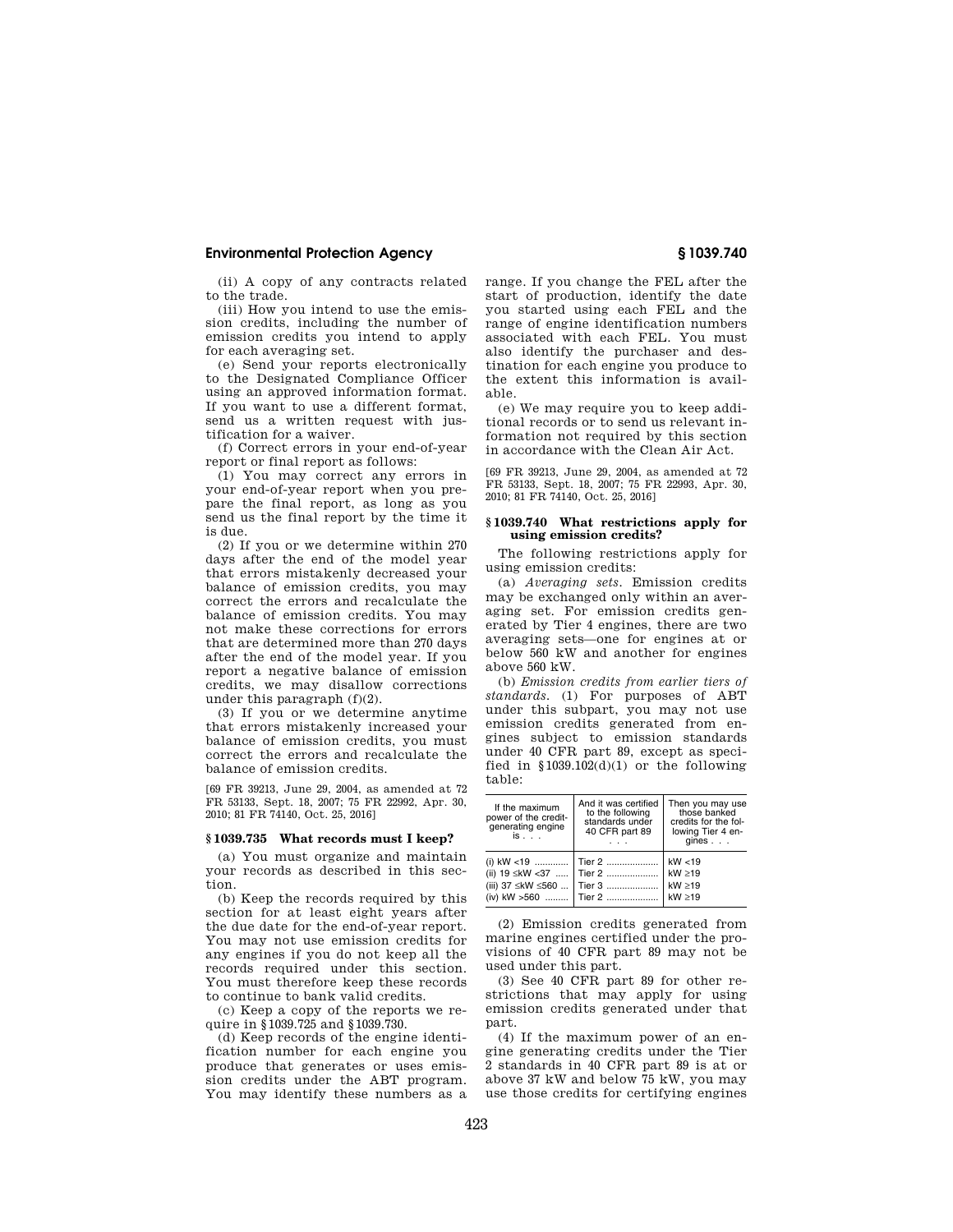(ii) A copy of any contracts related to the trade.

(iii) How you intend to use the emission credits, including the number of emission credits you intend to apply for each averaging set.

(e) Send your reports electronically to the Designated Compliance Officer using an approved information format. If you want to use a different format, send us a written request with justification for a waiver.

(f) Correct errors in your end-of-year report or final report as follows:

(1) You may correct any errors in your end-of-year report when you prepare the final report, as long as you send us the final report by the time it is due.

(2) If you or we determine within 270 days after the end of the model year that errors mistakenly decreased your balance of emission credits, you may correct the errors and recalculate the balance of emission credits. You may not make these corrections for errors that are determined more than 270 days after the end of the model year. If you report a negative balance of emission credits, we may disallow corrections under this paragraph (f)(2).

(3) If you or we determine anytime that errors mistakenly increased your balance of emission credits, you must correct the errors and recalculate the balance of emission credits.

[69 FR 39213, June 29, 2004, as amended at 72 FR 53133, Sept. 18, 2007; 75 FR 22992, Apr. 30, 2010; 81 FR 74140, Oct. 25, 2016]

### **§ 1039.735 What records must I keep?**

(a) You must organize and maintain your records as described in this section.

(b) Keep the records required by this section for at least eight years after the due date for the end-of-year report. You may not use emission credits for any engines if you do not keep all the records required under this section. You must therefore keep these records to continue to bank valid credits.

(c) Keep a copy of the reports we require in §1039.725 and §1039.730.

(d) Keep records of the engine identification number for each engine you produce that generates or uses emission credits under the ABT program. You may identify these numbers as a range. If you change the FEL after the start of production, identify the date you started using each FEL and the range of engine identification numbers associated with each FEL. You must also identify the purchaser and destination for each engine you produce to the extent this information is available.

(e) We may require you to keep additional records or to send us relevant information not required by this section in accordance with the Clean Air Act.

[69 FR 39213, June 29, 2004, as amended at 72 FR 53133, Sept. 18, 2007; 75 FR 22993, Apr. 30, 2010; 81 FR 74140, Oct. 25, 2016]

## **§ 1039.740 What restrictions apply for using emission credits?**

The following restrictions apply for using emission credits:

(a) *Averaging sets.* Emission credits may be exchanged only within an averaging set. For emission credits generated by Tier 4 engines, there are two averaging sets—one for engines at or below 560 kW and another for engines above 560 kW.

(b) *Emission credits from earlier tiers of standards.* (1) For purposes of ABT under this subpart, you may not use emission credits generated from engines subject to emission standards under 40 CFR part 89, except as specified in  $$1039.102(d)(1)$  or the following table:

| If the maximum<br>power of the credit-<br>generating engine<br>is | And it was certified<br>to the following<br>standards under<br>40 CFR part 89 | Then you may use<br>those banked<br>credits for the fol-<br>lowing Tier 4 en-<br>$qines \dots$ |
|-------------------------------------------------------------------|-------------------------------------------------------------------------------|------------------------------------------------------------------------------------------------|
| (i) kW <19    Tier 2<br>(iii) 37 ≤kW ≤560    Tier 3               | (ii) 19 ≤kW <37  Tier 2<br>(iv) kW >560    Tier 2                             | kW < 19<br>kW > 19<br>kW > 19<br>$kW \geq 19$                                                  |

(2) Emission credits generated from marine engines certified under the provisions of 40 CFR part 89 may not be used under this part.

(3) See 40 CFR part 89 for other restrictions that may apply for using emission credits generated under that part.

(4) If the maximum power of an engine generating credits under the Tier 2 standards in 40 CFR part 89 is at or above 37 kW and below 75 kW, you may use those credits for certifying engines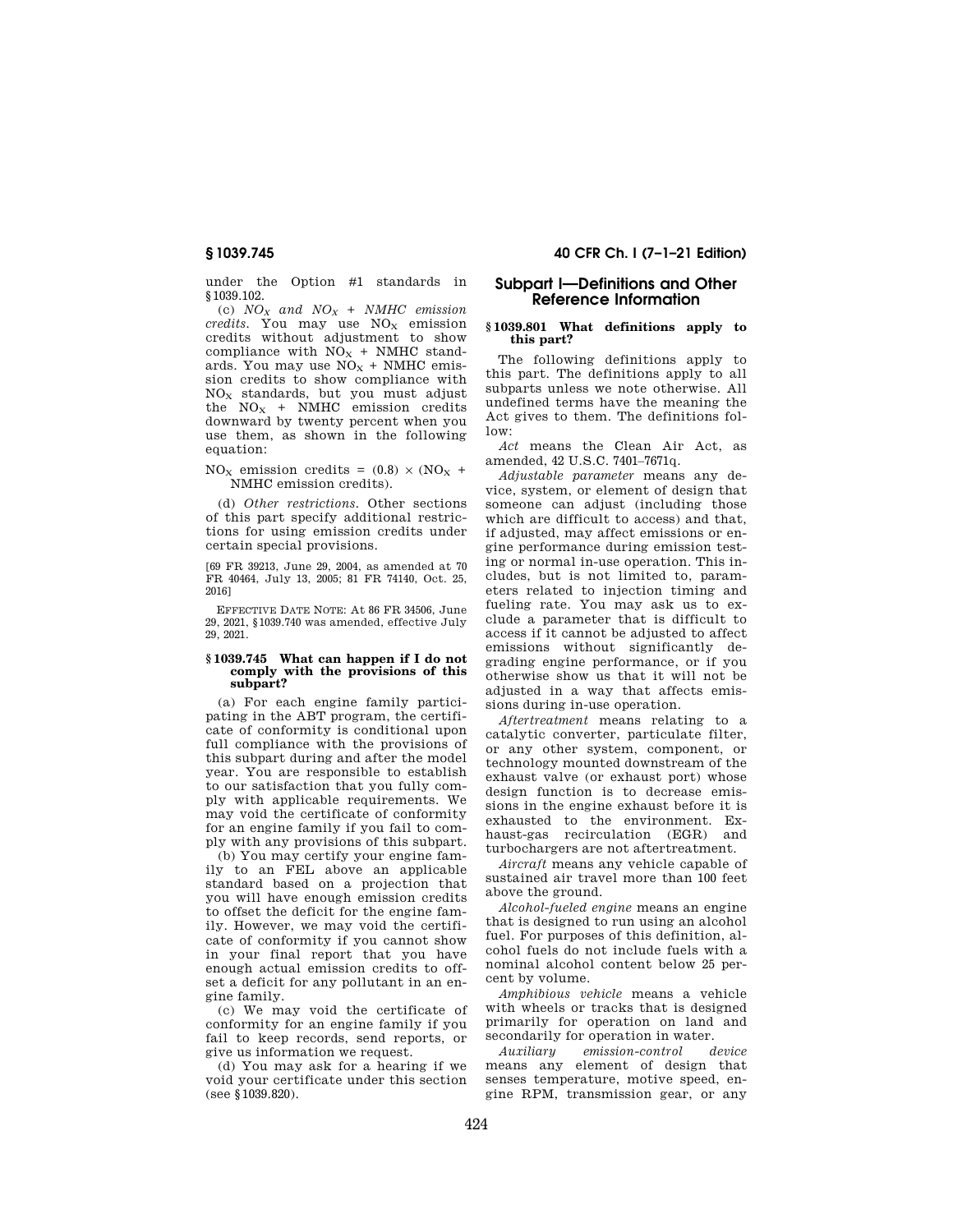under the Option #1 standards in §1039.102.

(c) *NO<sup>X</sup> and NO<sup>X</sup> + NMHC emission credits*. You may use NO<sub>X</sub> emission credits without adjustment to show compliance with  $NO<sub>X</sub>$  + NMHC standards. You may use  $NO<sub>x</sub> + NMIC$  emission credits to show compliance with  $NO<sub>x</sub>$  standards, but you must adjust the  $NO_x$  + NMHC emission credits downward by twenty percent when you use them, as shown in the following equation:

 $NO<sub>x</sub>$  emission credits = (0.8)  $\times$  (NO<sub>x</sub> + NMHC emission credits).

(d) *Other restrictions.* Other sections of this part specify additional restrictions for using emission credits under certain special provisions.

[69 FR 39213, June 29, 2004, as amended at 70 FR 40464, July 13, 2005; 81 FR 74140, Oct. 25, 2016]

EFFECTIVE DATE NOTE: At 86 FR 34506, June 29, 2021, §1039.740 was amended, effective July 29, 2021.

#### **§ 1039.745 What can happen if I do not comply with the provisions of this subpart?**

(a) For each engine family participating in the ABT program, the certificate of conformity is conditional upon full compliance with the provisions of this subpart during and after the model year. You are responsible to establish to our satisfaction that you fully comply with applicable requirements. We may void the certificate of conformity for an engine family if you fail to comply with any provisions of this subpart.

(b) You may certify your engine family to an FEL above an applicable standard based on a projection that you will have enough emission credits to offset the deficit for the engine family. However, we may void the certificate of conformity if you cannot show in your final report that you have enough actual emission credits to offset a deficit for any pollutant in an engine family.

(c) We may void the certificate of conformity for an engine family if you fail to keep records, send reports, or give us information we request.

(d) You may ask for a hearing if we void your certificate under this section (see §1039.820).

# **§ 1039.745 40 CFR Ch. I (7–1–21 Edition)**

# **Subpart I—Definitions and Other Reference Information**

# **§ 1039.801 What definitions apply to this part?**

The following definitions apply to this part. The definitions apply to all subparts unless we note otherwise. All undefined terms have the meaning the Act gives to them. The definitions follow:

*Act* means the Clean Air Act, as amended, 42 U.S.C. 7401–7671q.

*Adjustable parameter* means any device, system, or element of design that someone can adjust (including those which are difficult to access) and that, if adjusted, may affect emissions or engine performance during emission testing or normal in-use operation. This includes, but is not limited to, parameters related to injection timing and fueling rate. You may ask us to exclude a parameter that is difficult to access if it cannot be adjusted to affect emissions without significantly degrading engine performance, or if you otherwise show us that it will not be adjusted in a way that affects emissions during in-use operation.

*Aftertreatment* means relating to a catalytic converter, particulate filter, or any other system, component, or technology mounted downstream of the exhaust valve (or exhaust port) whose design function is to decrease emissions in the engine exhaust before it is exhausted to the environment. Exhaust-gas recirculation (EGR) and turbochargers are not aftertreatment.

*Aircraft* means any vehicle capable of sustained air travel more than 100 feet above the ground.

*Alcohol-fueled engine* means an engine that is designed to run using an alcohol fuel. For purposes of this definition, alcohol fuels do not include fuels with a nominal alcohol content below 25 percent by volume.

*Amphibious vehicle* means a vehicle with wheels or tracks that is designed primarily for operation on land and secondarily for operation in water.

*Auxiliary emission-control device*  means any element of design that senses temperature, motive speed, engine RPM, transmission gear, or any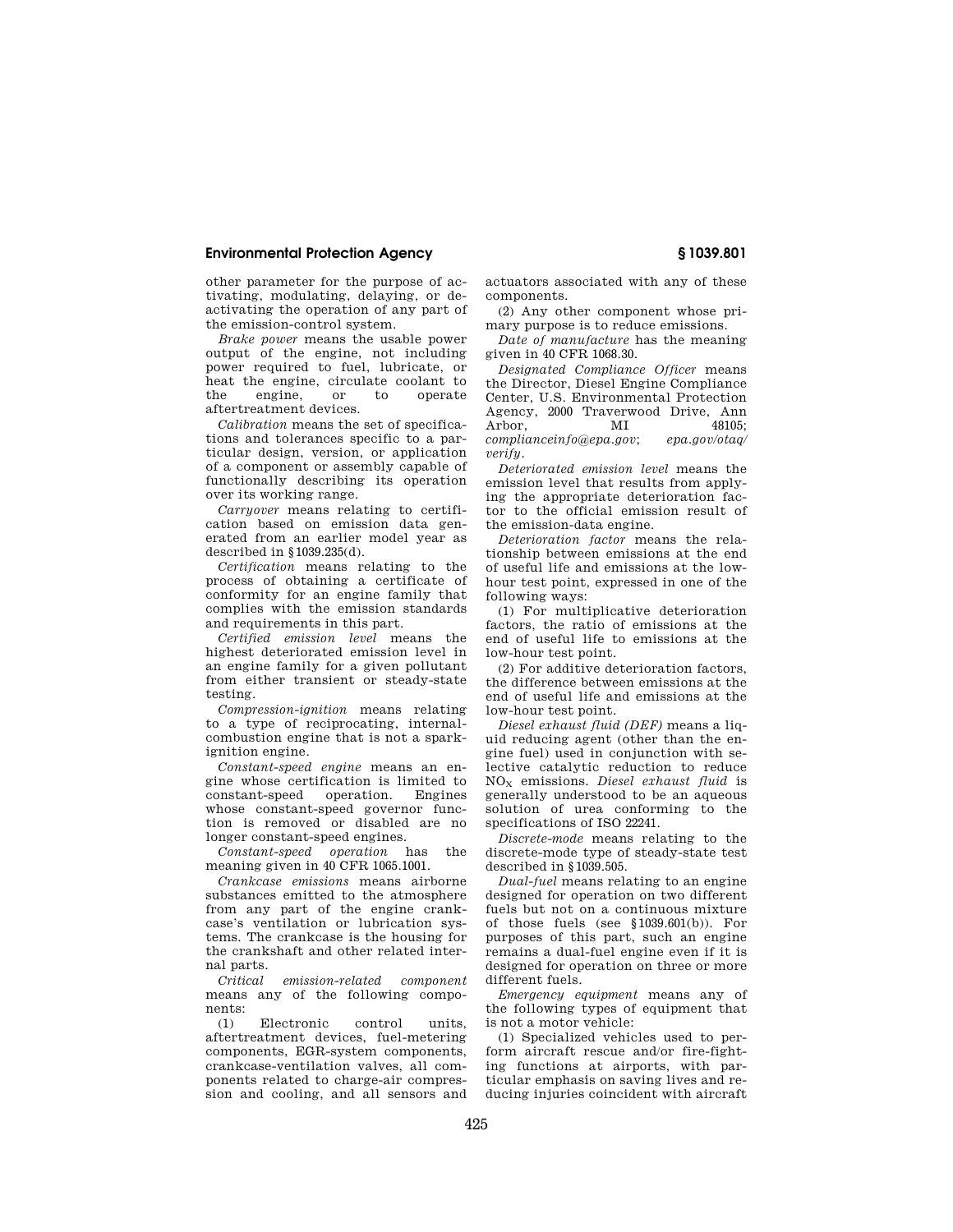other parameter for the purpose of activating, modulating, delaying, or deactivating the operation of any part of the emission-control system.

*Brake power* means the usable power output of the engine, not including power required to fuel, lubricate, or heat the engine, circulate coolant to the engine, or to operate aftertreatment devices.

*Calibration* means the set of specifications and tolerances specific to a particular design, version, or application of a component or assembly capable of functionally describing its operation over its working range.

*Carryover* means relating to certification based on emission data generated from an earlier model year as described in §1039.235(d).

*Certification* means relating to the process of obtaining a certificate of conformity for an engine family that complies with the emission standards and requirements in this part.

*Certified emission level* means the highest deteriorated emission level in an engine family for a given pollutant from either transient or steady-state testing.

*Compression-ignition* means relating to a type of reciprocating, internalcombustion engine that is not a sparkignition engine.

*Constant-speed engine* means an engine whose certification is limited to constant-speed operation. Engines whose constant-speed governor function is removed or disabled are no longer constant-speed engines.

*Constant-speed operation* has the meaning given in 40 CFR 1065.1001.

*Crankcase emissions* means airborne substances emitted to the atmosphere from any part of the engine crankcase's ventilation or lubrication systems. The crankcase is the housing for the crankshaft and other related internal parts.

*Critical emission-related component*  means any of the following components:

(1) Electronic control units, aftertreatment devices, fuel-metering components, EGR-system components, crankcase-ventilation valves, all components related to charge-air compression and cooling, and all sensors and actuators associated with any of these components.

(2) Any other component whose primary purpose is to reduce emissions.

*Date of manufacture* has the meaning given in 40 CFR 1068.30.

*Designated Compliance Officer* means the Director, Diesel Engine Compliance Center, U.S. Environmental Protection Agency, 2000 Traverwood Drive, Ann Arbor, MI 48105; *complianceinfo@epa.gov*; *epa.gov/otaq/ verify.* 

*Deteriorated emission level* means the emission level that results from applying the appropriate deterioration factor to the official emission result of the emission-data engine.

*Deterioration factor* means the relationship between emissions at the end of useful life and emissions at the lowhour test point, expressed in one of the following ways:

(1) For multiplicative deterioration factors, the ratio of emissions at the end of useful life to emissions at the low-hour test point.

(2) For additive deterioration factors, the difference between emissions at the end of useful life and emissions at the low-hour test point.

*Diesel exhaust fluid (DEF)* means a liquid reducing agent (other than the engine fuel) used in conjunction with selective catalytic reduction to reduce NO<sup>X</sup> emissions. *Diesel exhaust fluid* is generally understood to be an aqueous solution of urea conforming to the specifications of ISO 22241.

*Discrete-mode* means relating to the discrete-mode type of steady-state test described in §1039.505.

*Dual-fuel* means relating to an engine designed for operation on two different fuels but not on a continuous mixture of those fuels (see §1039.601(b)). For purposes of this part, such an engine remains a dual-fuel engine even if it is designed for operation on three or more different fuels.

*Emergency equipment* means any of the following types of equipment that is not a motor vehicle:

(1) Specialized vehicles used to perform aircraft rescue and/or fire-fighting functions at airports, with particular emphasis on saving lives and reducing injuries coincident with aircraft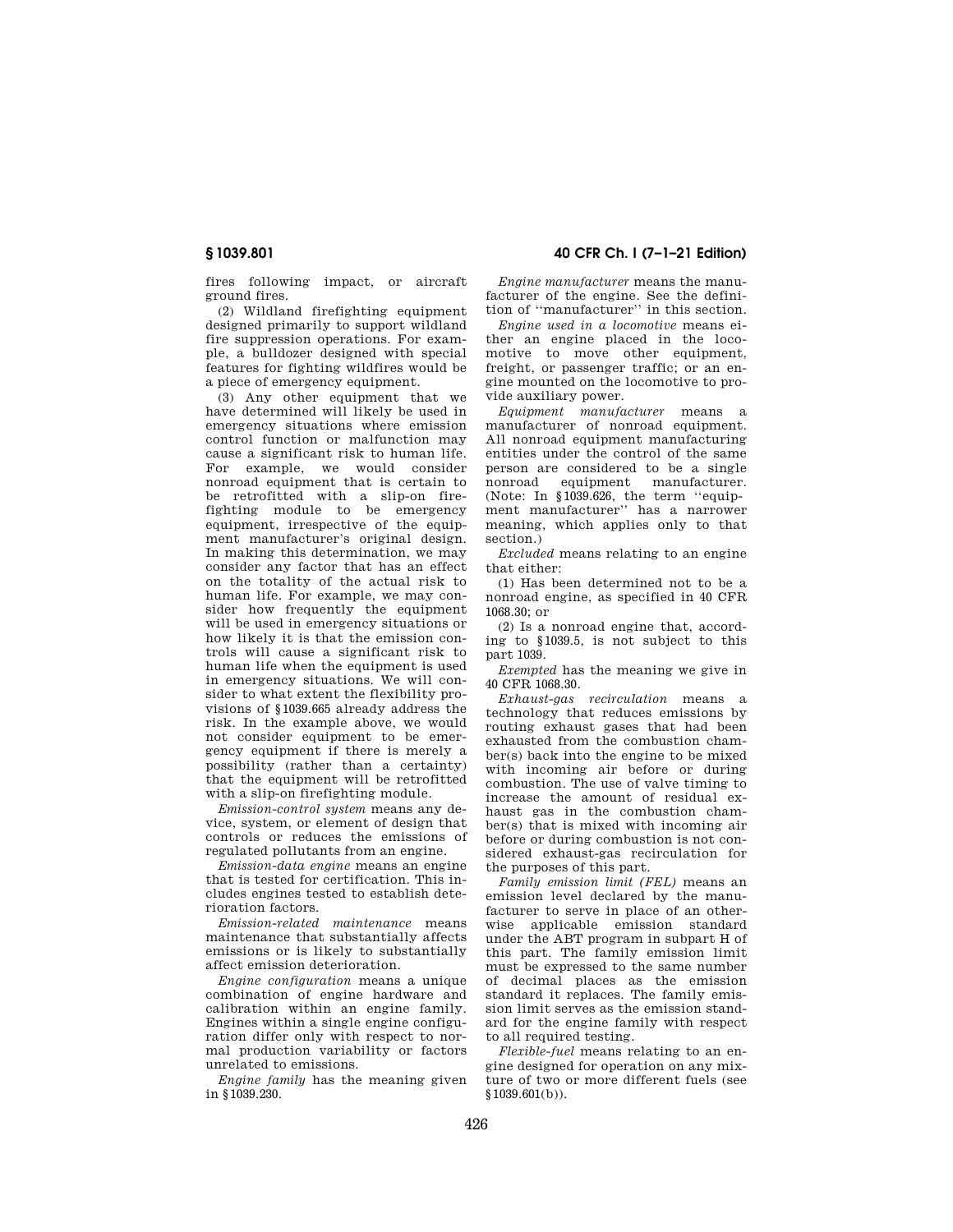fires following impact, or aircraft ground fires.

(2) Wildland firefighting equipment designed primarily to support wildland fire suppression operations. For example, a bulldozer designed with special features for fighting wildfires would be a piece of emergency equipment.

(3) Any other equipment that we have determined will likely be used in emergency situations where emission control function or malfunction may cause a significant risk to human life. For example, we would consider nonroad equipment that is certain to be retrofitted with a slip-on firefighting module to be emergency equipment, irrespective of the equipment manufacturer's original design. In making this determination, we may consider any factor that has an effect on the totality of the actual risk to human life. For example, we may consider how frequently the equipment will be used in emergency situations or how likely it is that the emission controls will cause a significant risk to human life when the equipment is used in emergency situations. We will consider to what extent the flexibility provisions of §1039.665 already address the risk. In the example above, we would not consider equipment to be emergency equipment if there is merely a possibility (rather than a certainty) that the equipment will be retrofitted with a slip-on firefighting module.

*Emission-control system* means any device, system, or element of design that controls or reduces the emissions of regulated pollutants from an engine.

*Emission-data engine* means an engine that is tested for certification. This includes engines tested to establish deterioration factors.

*Emission-related maintenance* means maintenance that substantially affects emissions or is likely to substantially affect emission deterioration.

*Engine configuration* means a unique combination of engine hardware and calibration within an engine family. Engines within a single engine configuration differ only with respect to normal production variability or factors unrelated to emissions.

*Engine family* has the meaning given in §1039.230.

**§ 1039.801 40 CFR Ch. I (7–1–21 Edition)** 

*Engine manufacturer* means the manufacturer of the engine. See the definition of ''manufacturer'' in this section.

*Engine used in a locomotive* means either an engine placed in the locomotive to move other equipment, freight, or passenger traffic; or an engine mounted on the locomotive to provide auxiliary power.

*Equipment manufacturer* means a manufacturer of nonroad equipment. All nonroad equipment manufacturing entities under the control of the same person are considered to be a single nonroad equipment manufacturer. (Note: In §1039.626, the term ''equipment manufacturer'' has a narrower meaning, which applies only to that section.)

*Excluded* means relating to an engine that either:

(1) Has been determined not to be a nonroad engine, as specified in 40 CFR 1068.30; or

(2) Is a nonroad engine that, according to §1039.5, is not subject to this part 1039.

*Exempted* has the meaning we give in 40 CFR 1068.30.

*Exhaust-gas recirculation* means a technology that reduces emissions by routing exhaust gases that had been exhausted from the combustion chamber(s) back into the engine to be mixed with incoming air before or during combustion. The use of valve timing to increase the amount of residual exhaust gas in the combustion chamber(s) that is mixed with incoming air before or during combustion is not considered exhaust-gas recirculation for the purposes of this part.

*Family emission limit (FEL)* means an emission level declared by the manufacturer to serve in place of an otherwise applicable emission standard under the ABT program in subpart H of this part. The family emission limit must be expressed to the same number of decimal places as the emission standard it replaces. The family emission limit serves as the emission standard for the engine family with respect to all required testing.

*Flexible-fuel* means relating to an engine designed for operation on any mixture of two or more different fuels (see §1039.601(b)).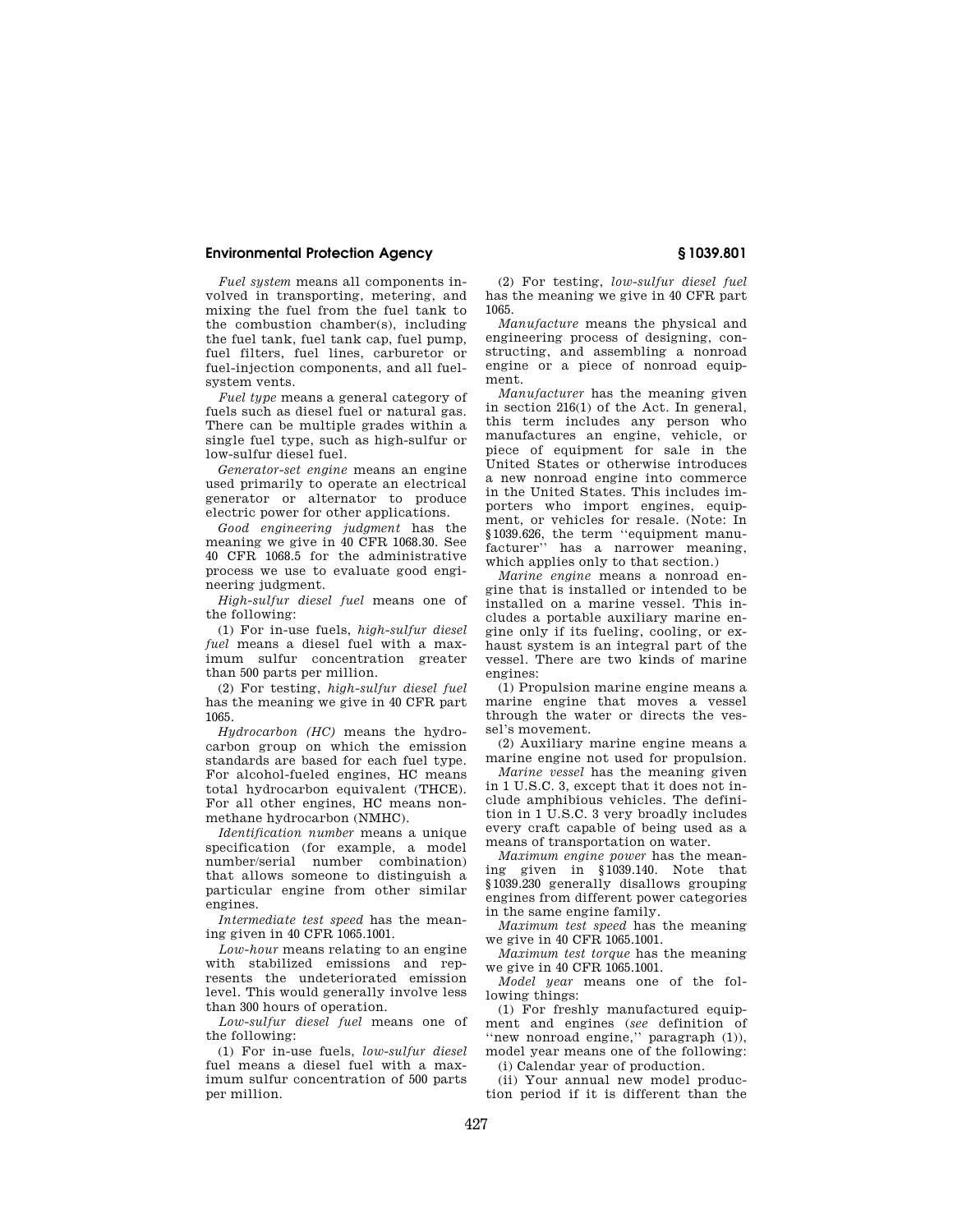*Fuel system* means all components involved in transporting, metering, and mixing the fuel from the fuel tank to the combustion chamber(s), including the fuel tank, fuel tank cap, fuel pump, fuel filters, fuel lines, carburetor or fuel-injection components, and all fuelsystem vents.

*Fuel type* means a general category of fuels such as diesel fuel or natural gas. There can be multiple grades within a single fuel type, such as high-sulfur or low-sulfur diesel fuel.

*Generator-set engine* means an engine used primarily to operate an electrical generator or alternator to produce electric power for other applications.

*Good engineering judgment* has the meaning we give in 40 CFR 1068.30. See 40 CFR 1068.5 for the administrative process we use to evaluate good engineering judgment.

*High-sulfur diesel fuel* means one of the following:

(1) For in-use fuels, *high-sulfur diesel fuel* means a diesel fuel with a maximum sulfur concentration greater than 500 parts per million.

(2) For testing, *high-sulfur diesel fuel*  has the meaning we give in 40 CFR part 1065.

*Hydrocarbon (HC)* means the hydrocarbon group on which the emission standards are based for each fuel type. For alcohol-fueled engines, HC means total hydrocarbon equivalent (THCE). For all other engines, HC means nonmethane hydrocarbon (NMHC).

*Identification number* means a unique specification (for example, a model number/serial number combination) that allows someone to distinguish a particular engine from other similar engines.

*Intermediate test speed* has the meaning given in 40 CFR 1065.1001.

*Low-hour* means relating to an engine with stabilized emissions and represents the undeteriorated emission level. This would generally involve less than 300 hours of operation.

*Low-sulfur diesel fuel* means one of the following:

(1) For in-use fuels, *low-sulfur diesel*  fuel means a diesel fuel with a maximum sulfur concentration of 500 parts per million.

(2) For testing, *low-sulfur diesel fuel*  has the meaning we give in 40 CFR part 1065.

*Manufacture* means the physical and engineering process of designing, constructing, and assembling a nonroad engine or a piece of nonroad equipment.

*Manufacturer* has the meaning given in section 216(1) of the Act. In general, this term includes any person who manufactures an engine, vehicle, or piece of equipment for sale in the United States or otherwise introduces a new nonroad engine into commerce in the United States. This includes importers who import engines, equipment, or vehicles for resale. (Note: In §1039.626, the term ''equipment manufacturer" has a narrower meaning, which applies only to that section.)

*Marine engine* means a nonroad engine that is installed or intended to be installed on a marine vessel. This includes a portable auxiliary marine engine only if its fueling, cooling, or exhaust system is an integral part of the vessel. There are two kinds of marine engines:

(1) Propulsion marine engine means a marine engine that moves a vessel through the water or directs the vessel's movement.

(2) Auxiliary marine engine means a marine engine not used for propulsion.

*Marine vessel* has the meaning given in 1 U.S.C. 3, except that it does not include amphibious vehicles. The definition in 1 U.S.C. 3 very broadly includes every craft capable of being used as a means of transportation on water.

*Maximum engine power* has the meaning given in §1039.140. Note that §1039.230 generally disallows grouping engines from different power categories in the same engine family.

*Maximum test speed* has the meaning we give in 40 CFR 1065.1001.

*Maximum test torque* has the meaning we give in 40 CFR 1065.1001.

*Model year* means one of the following things:

(1) For freshly manufactured equipment and engines (*see* definition of ''new nonroad engine,'' paragraph (1)), model year means one of the following:

(i) Calendar year of production.

(ii) Your annual new model production period if it is different than the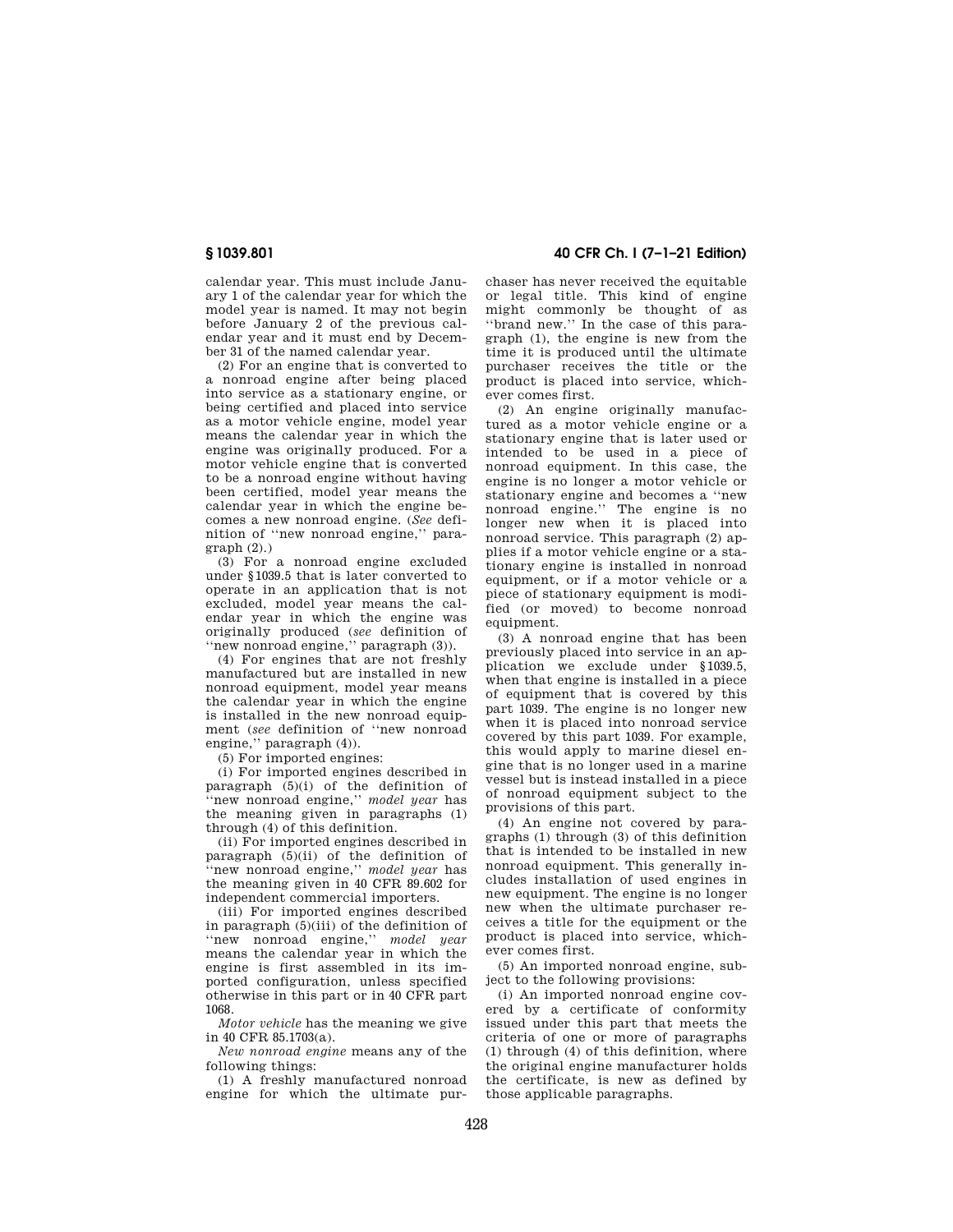calendar year. This must include January 1 of the calendar year for which the model year is named. It may not begin before January 2 of the previous calendar year and it must end by December 31 of the named calendar year.

(2) For an engine that is converted to a nonroad engine after being placed into service as a stationary engine, or being certified and placed into service as a motor vehicle engine, model year means the calendar year in which the engine was originally produced. For a motor vehicle engine that is converted to be a nonroad engine without having been certified, model year means the calendar year in which the engine becomes a new nonroad engine. (*See* definition of ''new nonroad engine,'' para $graph (2)$ )

(3) For a nonroad engine excluded under §1039.5 that is later converted to operate in an application that is not excluded, model year means the calendar year in which the engine was originally produced (*see* definition of ''new nonroad engine,'' paragraph (3)).

(4) For engines that are not freshly manufactured but are installed in new nonroad equipment, model year means the calendar year in which the engine is installed in the new nonroad equipment (*see* definition of ''new nonroad engine," paragraph  $(4)$ ).

(5) For imported engines:

(i) For imported engines described in paragraph  $(5)(i)$  of the definition of ''new nonroad engine,'' *model year* has the meaning given in paragraphs (1) through (4) of this definition.

(ii) For imported engines described in paragraph  $(5)(ii)$  of the definition of ''new nonroad engine,'' *model year* has the meaning given in 40 CFR 89.602 for independent commercial importers.

(iii) For imported engines described in paragraph (5)(iii) of the definition of ''new nonroad engine,'' *model year*  means the calendar year in which the engine is first assembled in its imported configuration, unless specified otherwise in this part or in 40 CFR part 1068.

*Motor vehicle* has the meaning we give in 40 CFR 85.1703(a).

*New nonroad engine* means any of the following things:

(1) A freshly manufactured nonroad engine for which the ultimate pur-

**§ 1039.801 40 CFR Ch. I (7–1–21 Edition)** 

chaser has never received the equitable or legal title. This kind of engine might commonly be thought of as ''brand new.'' In the case of this paragraph (1), the engine is new from the time it is produced until the ultimate purchaser receives the title or the product is placed into service, whichever comes first.

(2) An engine originally manufactured as a motor vehicle engine or a stationary engine that is later used or intended to be used in a piece of nonroad equipment. In this case, the engine is no longer a motor vehicle or stationary engine and becomes a ''new nonroad engine.'' The engine is no longer new when it is placed into nonroad service. This paragraph (2) applies if a motor vehicle engine or a stationary engine is installed in nonroad equipment, or if a motor vehicle or a piece of stationary equipment is modified (or moved) to become nonroad equipment.

(3) A nonroad engine that has been previously placed into service in an application we exclude under §1039.5, when that engine is installed in a piece of equipment that is covered by this part 1039. The engine is no longer new when it is placed into nonroad service covered by this part 1039. For example, this would apply to marine diesel engine that is no longer used in a marine vessel but is instead installed in a piece of nonroad equipment subject to the provisions of this part.

(4) An engine not covered by paragraphs (1) through (3) of this definition that is intended to be installed in new nonroad equipment. This generally includes installation of used engines in new equipment. The engine is no longer new when the ultimate purchaser receives a title for the equipment or the product is placed into service, whichever comes first.

(5) An imported nonroad engine, subject to the following provisions:

(i) An imported nonroad engine covered by a certificate of conformity issued under this part that meets the criteria of one or more of paragraphs (1) through (4) of this definition, where the original engine manufacturer holds the certificate, is new as defined by those applicable paragraphs.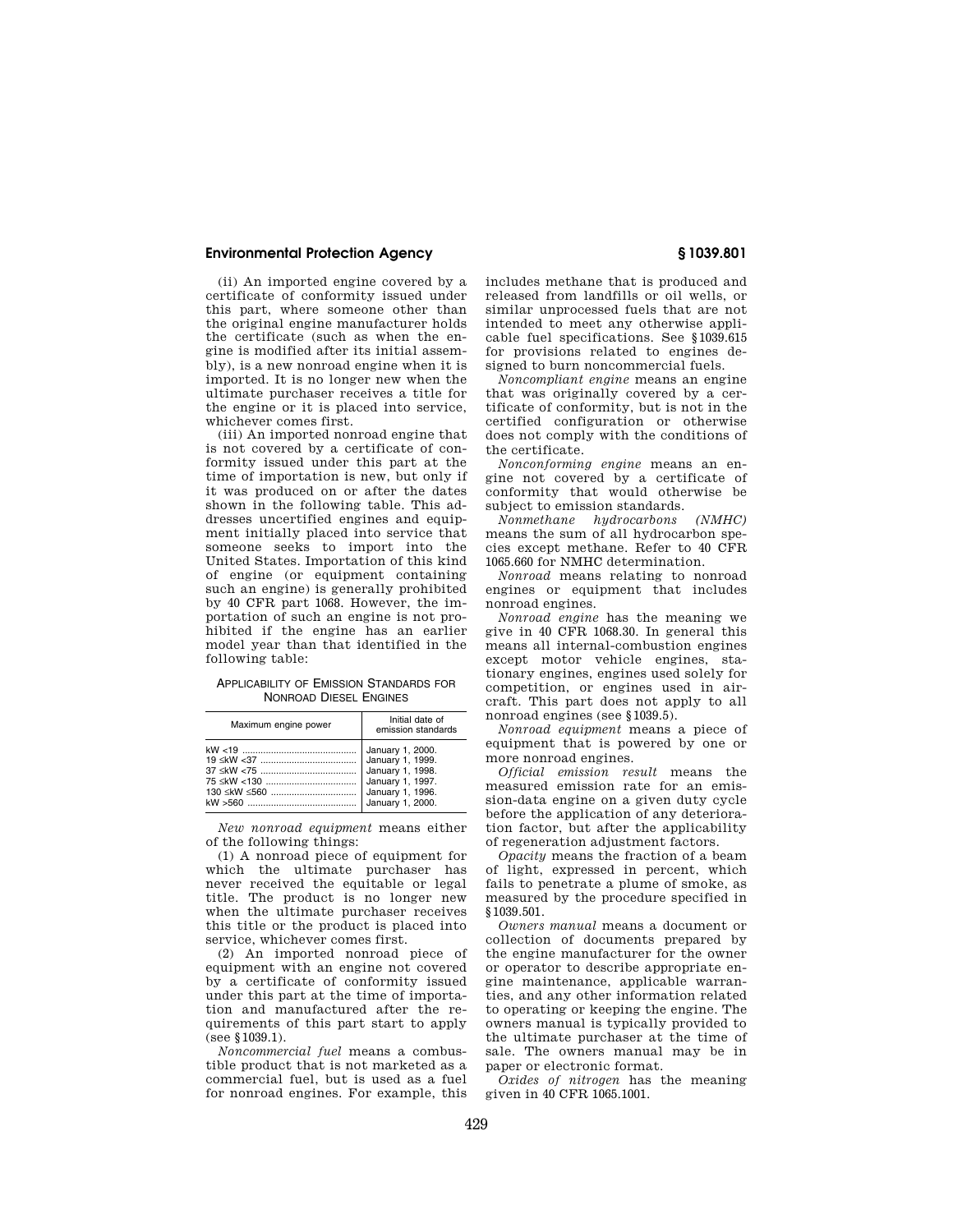(ii) An imported engine covered by a certificate of conformity issued under this part, where someone other than the original engine manufacturer holds the certificate (such as when the engine is modified after its initial assembly), is a new nonroad engine when it is imported. It is no longer new when the ultimate purchaser receives a title for the engine or it is placed into service, whichever comes first.

(iii) An imported nonroad engine that is not covered by a certificate of conformity issued under this part at the time of importation is new, but only if it was produced on or after the dates shown in the following table. This addresses uncertified engines and equipment initially placed into service that someone seeks to import into the United States. Importation of this kind of engine (or equipment containing such an engine) is generally prohibited by 40 CFR part 1068. However, the importation of such an engine is not prohibited if the engine has an earlier model year than that identified in the following table:

APPLICABILITY OF EMISSION STANDARDS FOR NONROAD DIESEL ENGINES

| Maximum engine power           | Initial date of<br>emission standards                    |
|--------------------------------|----------------------------------------------------------|
| 130 ≤kW ≤560  January 1, 1996. | January 1, 2000.<br>January 1, 1997.<br>January 1, 2000. |

*New nonroad equipment* means either of the following things:

(1) A nonroad piece of equipment for which the ultimate purchaser has never received the equitable or legal title. The product is no longer new when the ultimate purchaser receives this title or the product is placed into service, whichever comes first.

(2) An imported nonroad piece of equipment with an engine not covered by a certificate of conformity issued under this part at the time of importation and manufactured after the requirements of this part start to apply (see §1039.1).

*Noncommercial fuel* means a combustible product that is not marketed as a commercial fuel, but is used as a fuel for nonroad engines. For example, this includes methane that is produced and released from landfills or oil wells, or similar unprocessed fuels that are not intended to meet any otherwise applicable fuel specifications. See §1039.615 for provisions related to engines designed to burn noncommercial fuels.

*Noncompliant engine* means an engine that was originally covered by a certificate of conformity, but is not in the certified configuration or otherwise does not comply with the conditions of the certificate.

*Nonconforming engine* means an engine not covered by a certificate of conformity that would otherwise be subject to emission standards.<br>Nonmethane hudrocarbons (NMHC)

 $Nonmethane$  *hydrocarbons* means the sum of all hydrocarbon species except methane. Refer to 40 CFR 1065.660 for NMHC determination.

*Nonroad* means relating to nonroad engines or equipment that includes nonroad engines.

*Nonroad engine* has the meaning we give in 40 CFR 1068.30. In general this means all internal-combustion engines except motor vehicle engines, stationary engines, engines used solely for competition, or engines used in aircraft. This part does not apply to all nonroad engines (see §1039.5).

*Nonroad equipment* means a piece of equipment that is powered by one or more nonroad engines.

*Official emission result* means the measured emission rate for an emission-data engine on a given duty cycle before the application of any deterioration factor, but after the applicability of regeneration adjustment factors.

*Opacity* means the fraction of a beam of light, expressed in percent, which fails to penetrate a plume of smoke, as measured by the procedure specified in §1039.501.

*Owners manual* means a document or collection of documents prepared by the engine manufacturer for the owner or operator to describe appropriate engine maintenance, applicable warranties, and any other information related to operating or keeping the engine. The owners manual is typically provided to the ultimate purchaser at the time of sale. The owners manual may be in paper or electronic format.

*Oxides of nitrogen* has the meaning given in 40 CFR 1065.1001.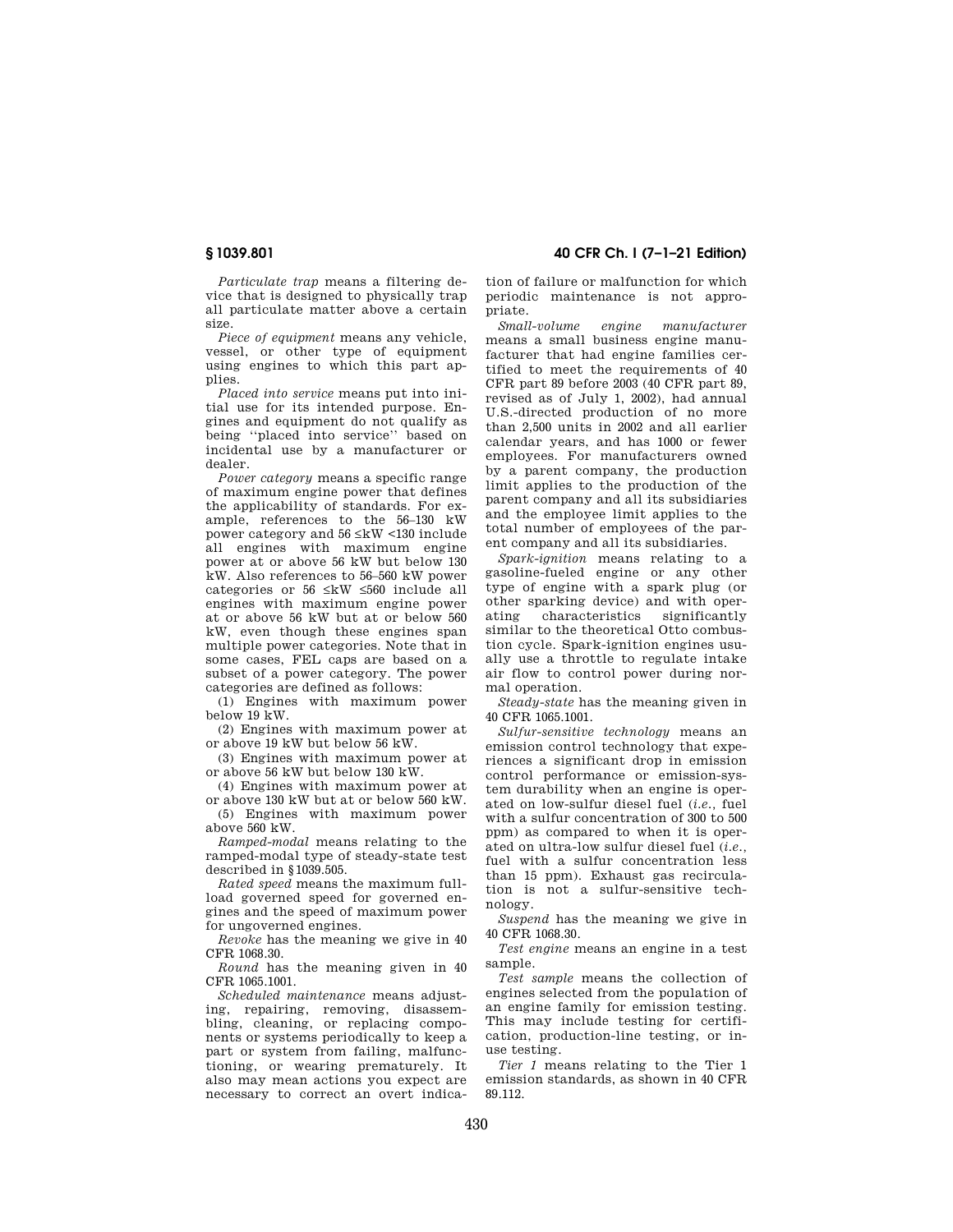**§ 1039.801 40 CFR Ch. I (7–1–21 Edition)** 

*Particulate trap* means a filtering device that is designed to physically trap all particulate matter above a certain size.

*Piece of equipment* means any vehicle, vessel, or other type of equipment using engines to which this part applies.

*Placed into service* means put into initial use for its intended purpose. Engines and equipment do not qualify as being ''placed into service'' based on incidental use by a manufacturer or dealer.

*Power category* means a specific range of maximum engine power that defines the applicability of standards. For example, references to the 56–130 kW power category and 56 ≤kW <130 include all engines with maximum engine power at or above 56 kW but below 130 kW. Also references to 56–560 kW power categories or 56 ≤kW ≤560 include all engines with maximum engine power at or above 56 kW but at or below 560 kW, even though these engines span multiple power categories. Note that in some cases, FEL caps are based on a subset of a power category. The power categories are defined as follows:

(1) Engines with maximum power below 19 kW.

(2) Engines with maximum power at or above 19 kW but below 56 kW.

(3) Engines with maximum power at or above 56 kW but below 130 kW.

(4) Engines with maximum power at or above 130 kW but at or below 560 kW.

(5) Engines with maximum power above 560 kW.

*Ramped-modal* means relating to the ramped-modal type of steady-state test described in §1039.505.

*Rated speed* means the maximum fullload governed speed for governed engines and the speed of maximum power for ungoverned engines.

*Revoke* has the meaning we give in 40 CFR 1068.30.

*Round* has the meaning given in 40 CFR 1065.1001.

*Scheduled maintenance* means adjusting, repairing, removing, disassembling, cleaning, or replacing components or systems periodically to keep a part or system from failing, malfunctioning, or wearing prematurely. It also may mean actions you expect are necessary to correct an overt indica-

tion of failure or malfunction for which periodic maintenance is not appropriate.

*Small-volume engine manufacturer*  means a small business engine manufacturer that had engine families certified to meet the requirements of 40 CFR part 89 before 2003 (40 CFR part 89, revised as of July 1, 2002), had annual U.S.-directed production of no more than 2,500 units in 2002 and all earlier calendar years, and has 1000 or fewer employees. For manufacturers owned by a parent company, the production limit applies to the production of the parent company and all its subsidiaries and the employee limit applies to the total number of employees of the parent company and all its subsidiaries.

*Spark-ignition* means relating to a gasoline-fueled engine or any other type of engine with a spark plug (or other sparking device) and with operating characteristics significantly similar to the theoretical Otto combustion cycle. Spark-ignition engines usually use a throttle to regulate intake air flow to control power during normal operation.

*Steady-state* has the meaning given in 40 CFR 1065.1001.

*Sulfur-sensitive technology* means an emission control technology that experiences a significant drop in emission control performance or emission-system durability when an engine is operated on low-sulfur diesel fuel (*i.e.,* fuel with a sulfur concentration of 300 to 500 ppm) as compared to when it is operated on ultra-low sulfur diesel fuel (*i.e.,*  fuel with a sulfur concentration less than 15 ppm). Exhaust gas recirculation is not a sulfur-sensitive technology.

*Suspend* has the meaning we give in 40 CFR 1068.30.

*Test engine* means an engine in a test sample.

*Test sample* means the collection of engines selected from the population of an engine family for emission testing. This may include testing for certification, production-line testing, or inuse testing.

*Tier 1* means relating to the Tier 1 emission standards, as shown in 40 CFR 89.112.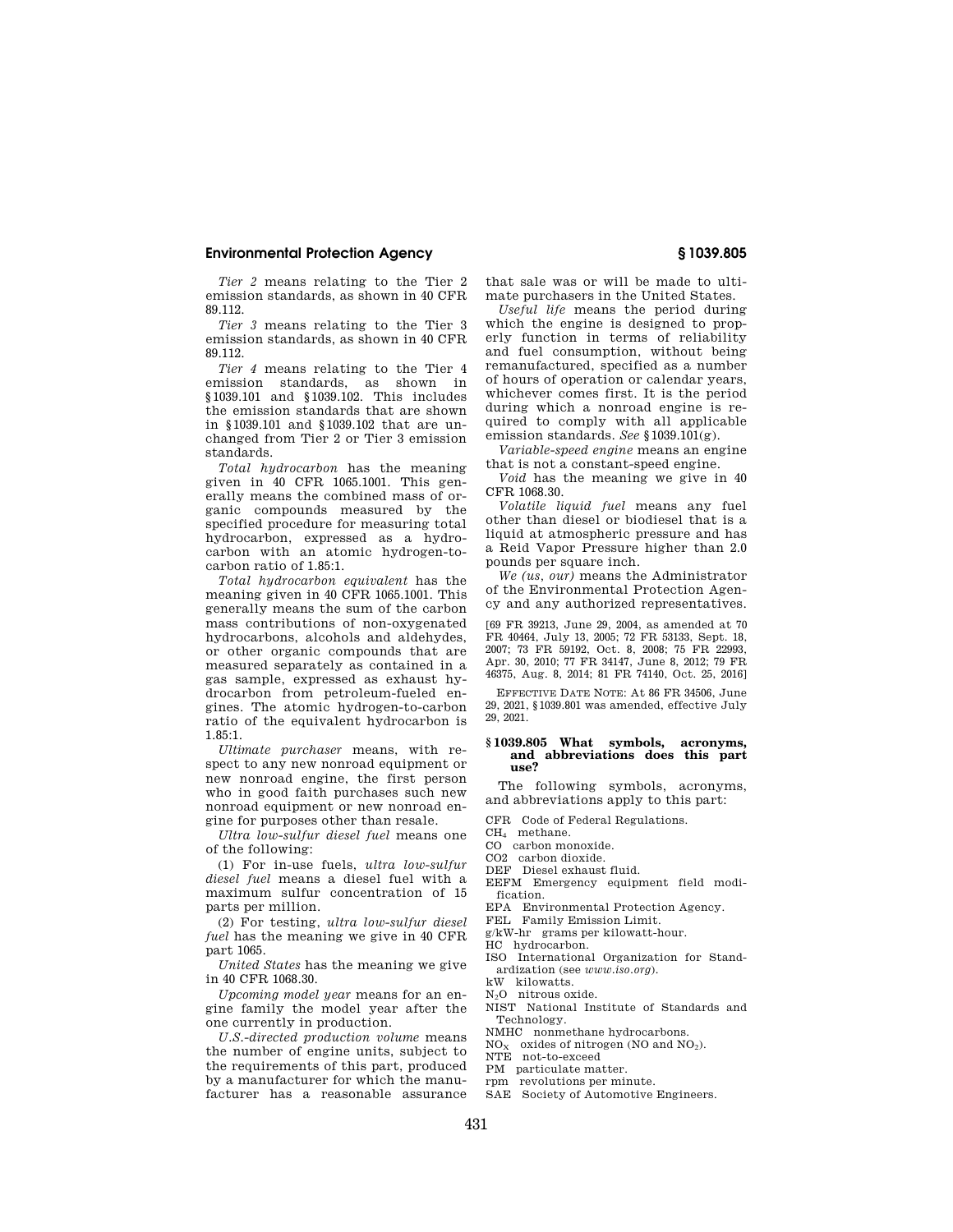#### **Environmental Protection Agency § 1039.805**

*Tier 2* means relating to the Tier 2 emission standards, as shown in 40 CFR 89.112.

*Tier 3* means relating to the Tier 3 emission standards, as shown in 40 CFR 89.112.

*Tier 4* means relating to the Tier 4 emission standards, as shown in §1039.101 and §1039.102. This includes the emission standards that are shown in §1039.101 and §1039.102 that are unchanged from Tier 2 or Tier 3 emission standards.

*Total hydrocarbon* has the meaning given in 40 CFR 1065.1001. This generally means the combined mass of organic compounds measured by the specified procedure for measuring total hydrocarbon, expressed as a hydrocarbon with an atomic hydrogen-tocarbon ratio of 1.85:1.

*Total hydrocarbon equivalent* has the meaning given in 40 CFR 1065.1001. This generally means the sum of the carbon mass contributions of non-oxygenated hydrocarbons, alcohols and aldehydes, or other organic compounds that are measured separately as contained in a gas sample, expressed as exhaust hydrocarbon from petroleum-fueled engines. The atomic hydrogen-to-carbon ratio of the equivalent hydrocarbon is 1.85:1.

*Ultimate purchaser* means, with respect to any new nonroad equipment or new nonroad engine, the first person who in good faith purchases such new nonroad equipment or new nonroad engine for purposes other than resale.

*Ultra low-sulfur diesel fuel* means one of the following:

(1) For in-use fuels, *ultra low-sulfur diesel fuel* means a diesel fuel with a maximum sulfur concentration of 15 parts per million.

(2) For testing, *ultra low-sulfur diesel fuel* has the meaning we give in 40 CFR part 1065.

*United States* has the meaning we give in 40 CFR 1068.30.

*Upcoming model year* means for an engine family the model year after the one currently in production.

*U.S.-directed production volume* means the number of engine units, subject to the requirements of this part, produced by a manufacturer for which the manufacturer has a reasonable assurance

that sale was or will be made to ultimate purchasers in the United States.

*Useful life* means the period during which the engine is designed to properly function in terms of reliability and fuel consumption, without being remanufactured, specified as a number of hours of operation or calendar years, whichever comes first. It is the period during which a nonroad engine is required to comply with all applicable emission standards. *See* §1039.101(g).

*Variable-speed engine* means an engine that is not a constant-speed engine.

*Void* has the meaning we give in 40 CFR 1068.30.

*Volatile liquid fuel* means any fuel other than diesel or biodiesel that is a liquid at atmospheric pressure and has a Reid Vapor Pressure higher than 2.0 pounds per square inch.

*We (us, our)* means the Administrator of the Environmental Protection Agency and any authorized representatives.

[69 FR 39213, June 29, 2004, as amended at 70 FR 40464, July 13, 2005; 72 FR 53133, Sept. 18, 2007; 73 FR 59192, Oct. 8, 2008; 75 FR 22993, Apr. 30, 2010; 77 FR 34147, June 8, 2012; 79 FR 46375, Aug. 8, 2014; 81 FR 74140, Oct. 25, 2016]

EFFECTIVE DATE NOTE: At 86 FR 34506, June 29, 2021, §1039.801 was amended, effective July 29, 2021.

#### **§ 1039.805 What symbols, acronyms, and abbreviations does this part use?**

The following symbols, acronyms, and abbreviations apply to this part:

CFR Code of Federal Regulations.

CH<sup>4</sup> methane.

CO carbon monoxide.

CO2 carbon dioxide.

- DEF Diesel exhaust fluid.
- EEFM Emergency equipment field modification.

EPA Environmental Protection Agency.

FEL Family Emission Limit.

g/kW-hr grams per kilowatt-hour.

- HC hydrocarbon.
- ISO International Organization for Standardization (see *www.iso.org*).

kW kilowatts.

N<sub>2</sub>O nitrous oxide.

NIST National Institute of Standards and Technology.

NMHC nonmethane hydrocarbons.

 $NO<sub>X</sub>$  oxides of nitrogen (NO and NO<sub>2</sub>).<br>NTE not-to-exceed

- PM particulate matter.
- rpm revolutions per minute.
- SAE Society of Automotive Engineers.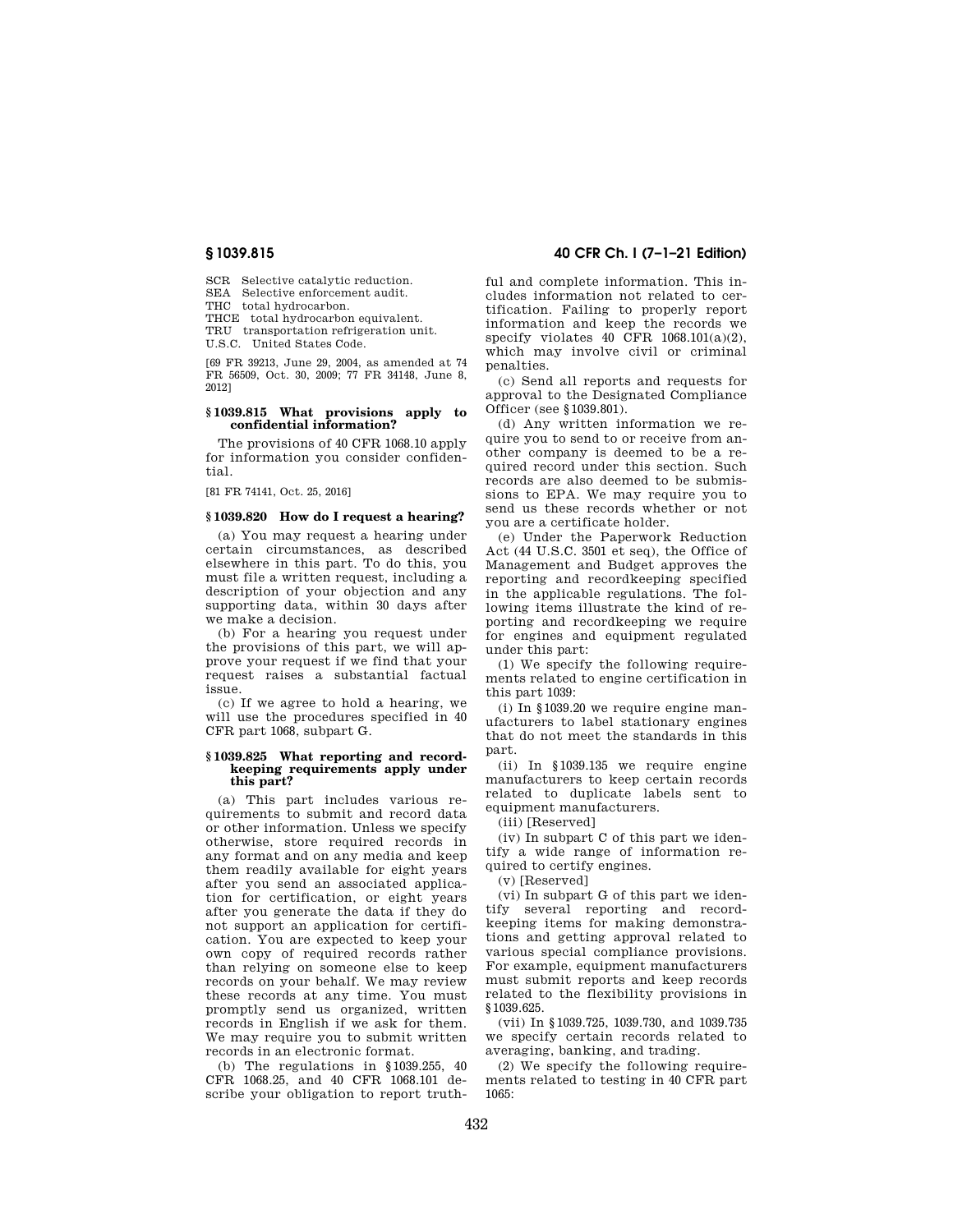SCR Selective catalytic reduction.

SEA Selective enforcement audit. THC total hydrocarbon.

THCE total hydrocarbon equivalent.

TRU transportation refrigeration unit.

U.S.C. United States Code.

[69 FR 39213, June 29, 2004, as amended at 74 FR 56509, Oct. 30, 2009; 77 FR 34148, June 8, 2012]

#### **§ 1039.815 What provisions apply to confidential information?**

The provisions of 40 CFR 1068.10 apply for information you consider confidential.

[81 FR 74141, Oct. 25, 2016]

#### **§ 1039.820 How do I request a hearing?**

(a) You may request a hearing under certain circumstances, as described elsewhere in this part. To do this, you must file a written request, including a description of your objection and any supporting data, within 30 days after we make a decision.

(b) For a hearing you request under the provisions of this part, we will approve your request if we find that your request raises a substantial factual issue.

(c) If we agree to hold a hearing, we will use the procedures specified in 40 CFR part 1068, subpart G.

#### **§ 1039.825 What reporting and recordkeeping requirements apply under this part?**

(a) This part includes various requirements to submit and record data or other information. Unless we specify otherwise, store required records in any format and on any media and keep them readily available for eight years after you send an associated application for certification, or eight years after you generate the data if they do not support an application for certification. You are expected to keep your own copy of required records rather than relying on someone else to keep records on your behalf. We may review these records at any time. You must promptly send us organized, written records in English if we ask for them. We may require you to submit written records in an electronic format.

(b) The regulations in §1039.255, 40 CFR 1068.25, and 40 CFR 1068.101 describe your obligation to report truth-

#### **§ 1039.815 40 CFR Ch. I (7–1–21 Edition)**

ful and complete information. This includes information not related to certification. Failing to properly report information and keep the records we specify violates 40 CFR  $1068.101(a)(2)$ . which may involve civil or criminal penalties.

(c) Send all reports and requests for approval to the Designated Compliance Officer (see §1039.801).

(d) Any written information we require you to send to or receive from another company is deemed to be a required record under this section. Such records are also deemed to be submissions to EPA. We may require you to send us these records whether or not you are a certificate holder.

(e) Under the Paperwork Reduction Act (44 U.S.C. 3501 et seq), the Office of Management and Budget approves the reporting and recordkeeping specified in the applicable regulations. The following items illustrate the kind of reporting and recordkeeping we require for engines and equipment regulated under this part:

(1) We specify the following requirements related to engine certification in this part 1039:

(i) In §1039.20 we require engine manufacturers to label stationary engines that do not meet the standards in this part.

(ii) In §1039.135 we require engine manufacturers to keep certain records related to duplicate labels sent to equipment manufacturers.

(iii) [Reserved]

(iv) In subpart C of this part we identify a wide range of information required to certify engines.

(v) [Reserved]

(vi) In subpart G of this part we identify several reporting and recordkeeping items for making demonstrations and getting approval related to various special compliance provisions. For example, equipment manufacturers must submit reports and keep records related to the flexibility provisions in §1039.625.

(vii) In §1039.725, 1039.730, and 1039.735 we specify certain records related to averaging, banking, and trading.

(2) We specify the following requirements related to testing in 40 CFR part 1065: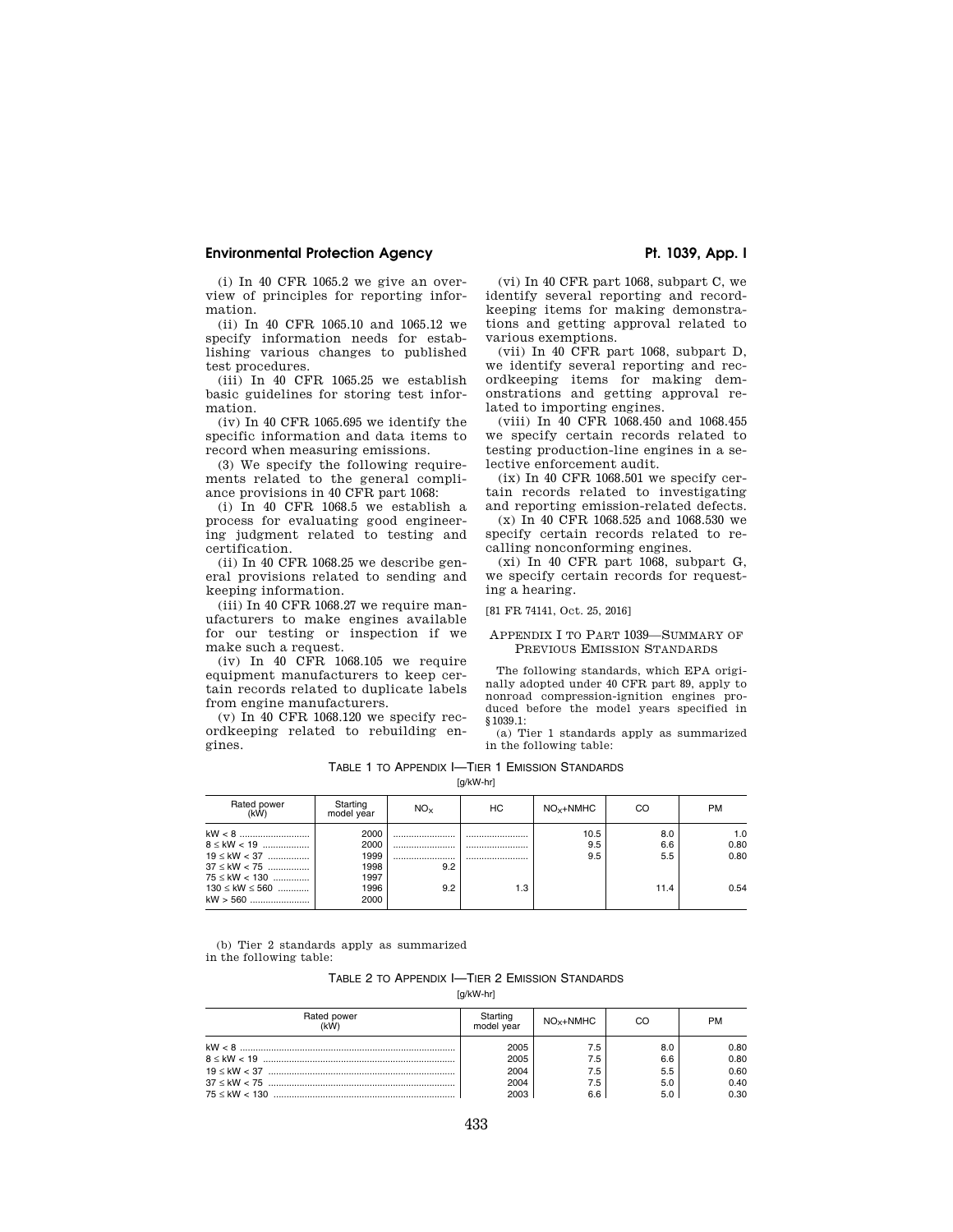#### **Environmental Protection Agency**  Pt. 1039, App. I

(i) In 40 CFR 1065.2 we give an overview of principles for reporting information.

(ii) In 40 CFR 1065.10 and 1065.12 we specify information needs for establishing various changes to published test procedures.

(iii) In 40 CFR 1065.25 we establish basic guidelines for storing test information.

(iv) In 40 CFR 1065.695 we identify the specific information and data items to record when measuring emissions.

(3) We specify the following requirements related to the general compliance provisions in 40 CFR part 1068:

(i) In 40 CFR 1068.5 we establish a process for evaluating good engineering judgment related to testing and certification.

(ii) In 40 CFR 1068.25 we describe general provisions related to sending and keeping information.

 $(iii)$  In 40 CFR 1068.27 we require manufacturers to make engines available for our testing or inspection if we make such a request.

(iv) In 40 CFR 1068.105 we require equipment manufacturers to keep certain records related to duplicate labels from engine manufacturers.

(v) In 40 CFR 1068.120 we specify recordkeeping related to rebuilding engines.

(vi) In 40 CFR part 1068, subpart C, we identify several reporting and recordkeeping items for making demonstrations and getting approval related to various exemptions.

(vii) In 40 CFR part 1068, subpart D, we identify several reporting and recordkeeping items for making demonstrations and getting approval related to importing engines.

(viii) In 40 CFR 1068.450 and 1068.455 we specify certain records related to testing production-line engines in a selective enforcement audit.

 $(ix)$  In 40 CFR 1068.501 we specify certain records related to investigating and reporting emission-related defects.

(x) In 40 CFR 1068.525 and 1068.530 we specify certain records related to recalling nonconforming engines.

(xi) In 40 CFR part 1068, subpart G, we specify certain records for requesting a hearing.

[81 FR 74141, Oct. 25, 2016]

#### APPENDIX I TO PART 1039—SUMMARY OF PREVIOUS EMISSION STANDARDS

The following standards, which EPA originally adopted under 40 CFR part 89, apply to nonroad compression-ignition engines produced before the model years specified in §1039.1:

(a) Tier 1 standards apply as summarized in the following table:

| TABLE 1 TO APPENDIX I—TIER 1 EMISSION STANDARDS |  |
|-------------------------------------------------|--|
| fa/kW-hrl                                       |  |

| Rated power<br>(kW)                                                                                                              | Starting<br>model year                               | NO <sub>x</sub>        | НC              | $NOx+NMHC$         | CO                        | <b>PM</b>                   |
|----------------------------------------------------------------------------------------------------------------------------------|------------------------------------------------------|------------------------|-----------------|--------------------|---------------------------|-----------------------------|
| $8 \leq$ kW $< 19$<br>$19 \leq$ kW < 37<br>$37 \leq$ kW $< 75$<br>$75 \leq$ kW $< 130$<br>$130 \leq$ kW $\leq$ 560<br>$kW > 560$ | 2000<br>2000<br>1999<br>1998<br>1997<br>1996<br>2000 | <br><br><br>9.2<br>9.2 | <br><br><br>1.3 | 10.5<br>9.5<br>9.5 | 8.0<br>6.6<br>5.5<br>11.4 | 1.0<br>0.80<br>0.80<br>0.54 |

(b) Tier 2 standards apply as summarized in the following table:

| TABLE 2 TO APPENDIX I-TIER 2 EMISSION STANDARDS |
|-------------------------------------------------|
| [g/kW-hr]                                       |

| Rated power<br>(kW) | Starting<br>model vear | $NO_{X}+NMHC$ | CO  | <b>PM</b> |
|---------------------|------------------------|---------------|-----|-----------|
|                     | 2005                   | 7.5           | 8.0 | 0.80      |
|                     | 2005                   | 7.5           | 6.6 | 0.80      |
|                     | 2004                   | 7.5           | 5.5 | 0.60      |
|                     | 2004                   | 7.5           | 5.0 | 0.40      |
|                     | 2003                   | 6.6           | 5.0 | 0.30      |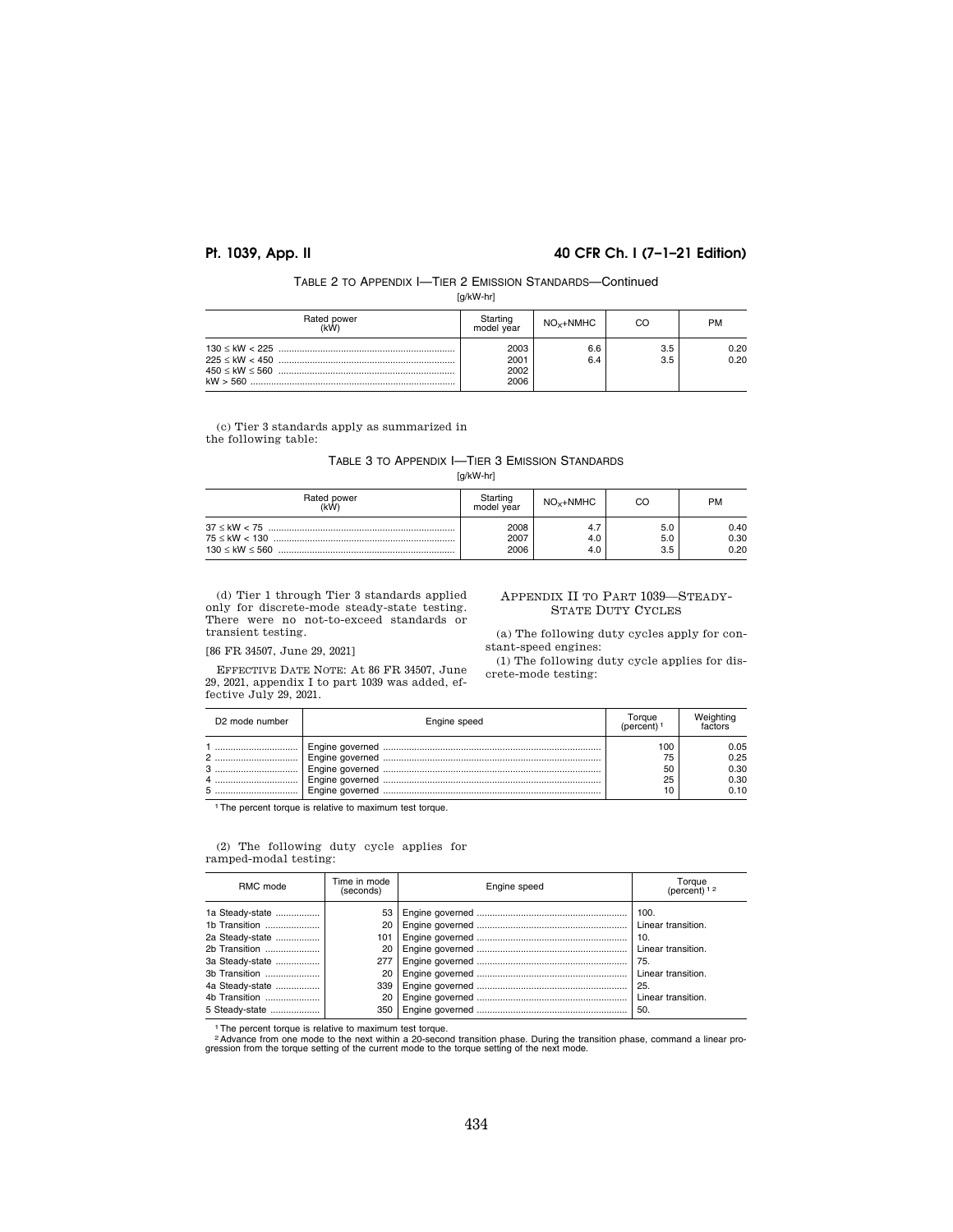### **Pt. 1039, App. II 40 CFR Ch. I (7–1–21 Edition)**

[g/kW-hr]

| Rated power<br>(kW) | Starting<br>model year       | $NO_{x}+NMHC$ | CO         | PM           |
|---------------------|------------------------------|---------------|------------|--------------|
|                     | 2003<br>2001<br>2002<br>2006 | 6.6<br>6.4    | 3.5<br>3.5 | 0.20<br>0.20 |

(c) Tier 3 standards apply as summarized in the following table:

### TABLE 3 TO APPENDIX I—TIER 3 EMISSION STANDARDS

[g/kW-hr]

| Rated power<br>(kW) | Starting<br>model year | $NOx+NMHC$ | CO                | PM                   |
|---------------------|------------------------|------------|-------------------|----------------------|
|                     | 2008<br>2007<br>2006   | 4.0<br>4.0 | 5.0<br>5.0<br>3.5 | 0.40<br>0.30<br>0.20 |

(d) Tier 1 through Tier 3 standards applied only for discrete-mode steady-state testing. There were no not-to-exceed standards or transient testing.

# [86 FR 34507, June 29, 2021]

EFFECTIVE DATE NOTE: At 86 FR 34507, June 29, 2021, appendix I to part 1039 was added, effective July 29, 2021.

APPENDIX II TO PART 1039—STEADY-STATE DUTY CYCLES

(a) The following duty cycles apply for constant-speed engines:

(1) The following duty cycle applies for discrete-mode testing:

| D <sub>2</sub> mode number | Engine speed | $O$ raue             |                                      |
|----------------------------|--------------|----------------------|--------------------------------------|
| <br>2<br>                  |              | 00<br>75<br>50<br>25 | 0.05<br>0.25<br>0.30<br>0.30<br>0.10 |

<sup>1</sup>The percent torque is relative to maximum test torque.

#### (2) The following duty cycle applies for ramped-modal testing:

| RMC mode                         | Time in mode<br>(seconds) | Engine speed | Torque<br>(percent) 1 2   |
|----------------------------------|---------------------------|--------------|---------------------------|
| 1a Steady-state<br>1b Transition |                           |              |                           |
| 2a Steady-state                  | 101                       |              |                           |
| 2b Transition<br>3a Steady-state | 20<br>2771                |              | Linear transition.        |
| 3b Transition                    | 20                        |              |                           |
| 4a Steady-state<br>4b Transition | 339<br>20                 |              | 25.<br>Linear transition. |
| 5 Steady-state                   | 350 <sub>1</sub>          |              | 50.                       |

1The percent torque is relative to maximum test torque.

2Advance from one mode to the next within a 20-second transition phase. During the transition phase, command a linear pro-gression from the torque setting of the current mode to the torque setting of the next mode.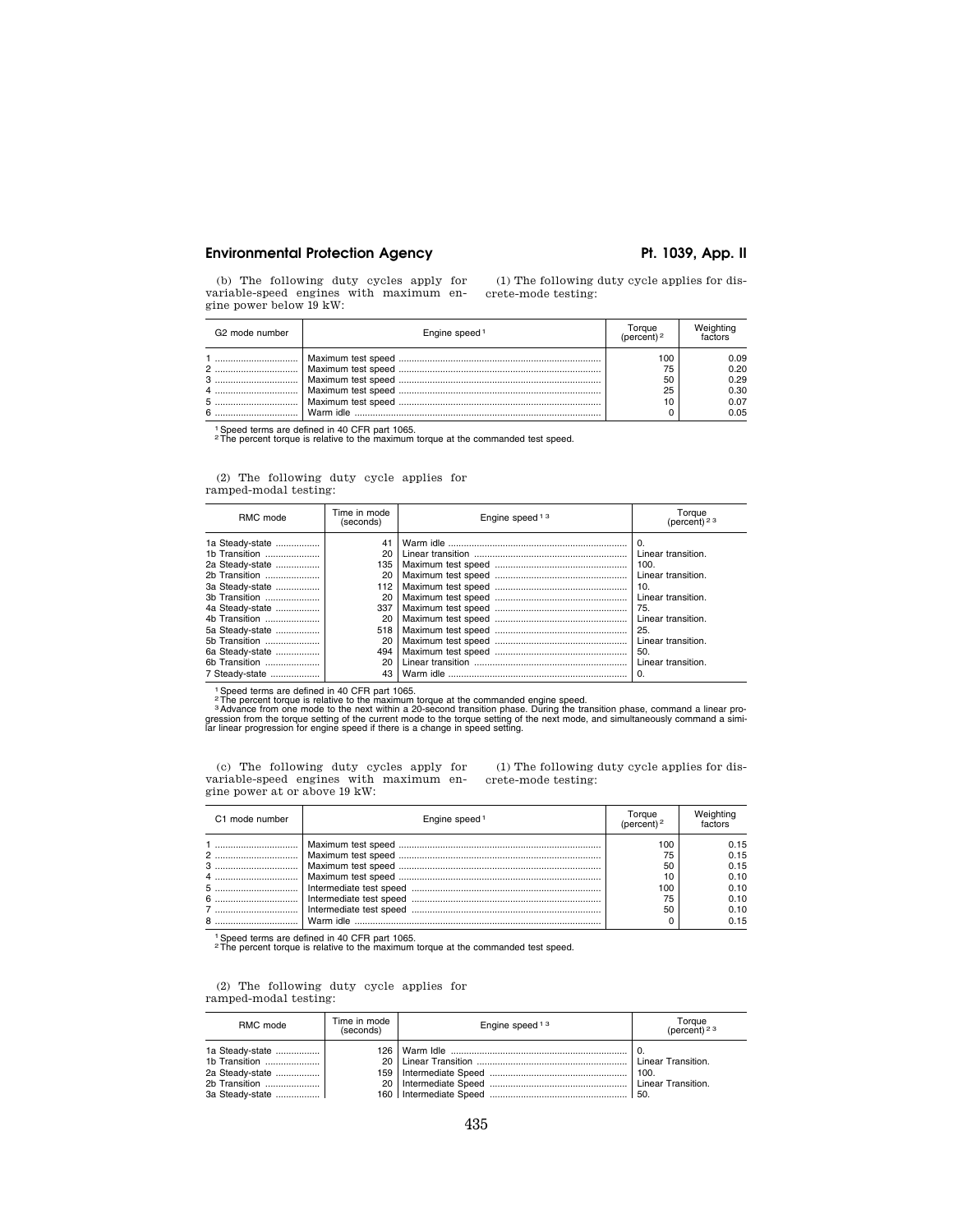#### Environmental Protection Agency **Pt. 1039, App. II**

(b) The following duty cycles apply for variable-speed engines with maximum engine power below 19 kW:

(1) The following duty cycle applies for discrete-mode testing:

| G <sub>2</sub> mode number | Engine speed <sup>1</sup> | Forgue         |                                              |
|----------------------------|---------------------------|----------------|----------------------------------------------|
| 4                          |                           | 75<br>50<br>25 | 0.09<br>0.20<br>0.29<br>0.30<br>0.07<br>0.05 |

1Speed terms are defined in 40 CFR part 1065. 2The percent torque is relative to the maximum torque at the commanded test speed.

(2) The following duty cycle applies for ramped-modal testing:

| RMC mode                                                                                                                                                                                                                               | Time in mode<br>(seconds)                                                                                                                    | Engine speed <sup>13</sup> | Torque<br>(percent) <sup>23</sup>                                                                                                                                                      |
|----------------------------------------------------------------------------------------------------------------------------------------------------------------------------------------------------------------------------------------|----------------------------------------------------------------------------------------------------------------------------------------------|----------------------------|----------------------------------------------------------------------------------------------------------------------------------------------------------------------------------------|
| 1a Steady-state<br>1b Transition<br>2a Steady-state<br>2b Transition<br>3a Steady-state<br>3b Transition<br>4a Steady-state<br>4b Transition<br>5a Steady-state<br>5b Transition<br>6a Steady-state<br>6b Transition<br>7 Steady-state | 20 <sub>1</sub><br>135  <br>20 <sub>1</sub><br>112 <sub>1</sub><br>20<br>337<br>20 <sub>1</sub><br>518<br>20<br>494<br>20 <sub>1</sub><br>43 |                            | 0.<br>Linear transition.<br>100.<br>Linear transition.<br>10.<br>Linear transition.<br>75.<br>Linear transition.<br>25.<br>Linear transition.<br>50.<br>Linear transition.<br>$\Omega$ |

<sup>1</sup> Speed terms are defined in 40 CFR part 1065.<br><sup>2</sup> The percent torque is relative to the maximum torque at the commanded engine speed.<br><sup>2</sup> Advance from one mode to the next within a 20-second transition phase. During the

(c) The following duty cycles apply for variable-speed engines with maximum engine power at or above 19 kW: (1) The following duty cycle applies for discrete-mode testing:

| C1 mode number | Engine speed <sup>1</sup> |     |      |
|----------------|---------------------------|-----|------|
|                |                           | 00  | 0.15 |
|                |                           | 75  | 0.15 |
|                |                           | 50  | 0.15 |
|                |                           |     | 0.10 |
|                |                           | 100 | 0.10 |
|                |                           | 75  | 0.10 |
|                |                           | 50  | 0.10 |
| 8              |                           |     | 0.15 |

1Speed terms are defined in 40 CFR part 1065. 2The percent torque is relative to the maximum torque at the commanded test speed.

(2) The following duty cycle applies for ramped-modal testing:

| RMC mode                                                  | Time in mode<br>(seconds) | Engine speed <sup>13</sup> | Torque<br>(percent) <sup>23</sup> |
|-----------------------------------------------------------|---------------------------|----------------------------|-----------------------------------|
| 1a Steady-state  <br>2a Steady-state  <br>3a Steady-state |                           |                            | ' 0.                              |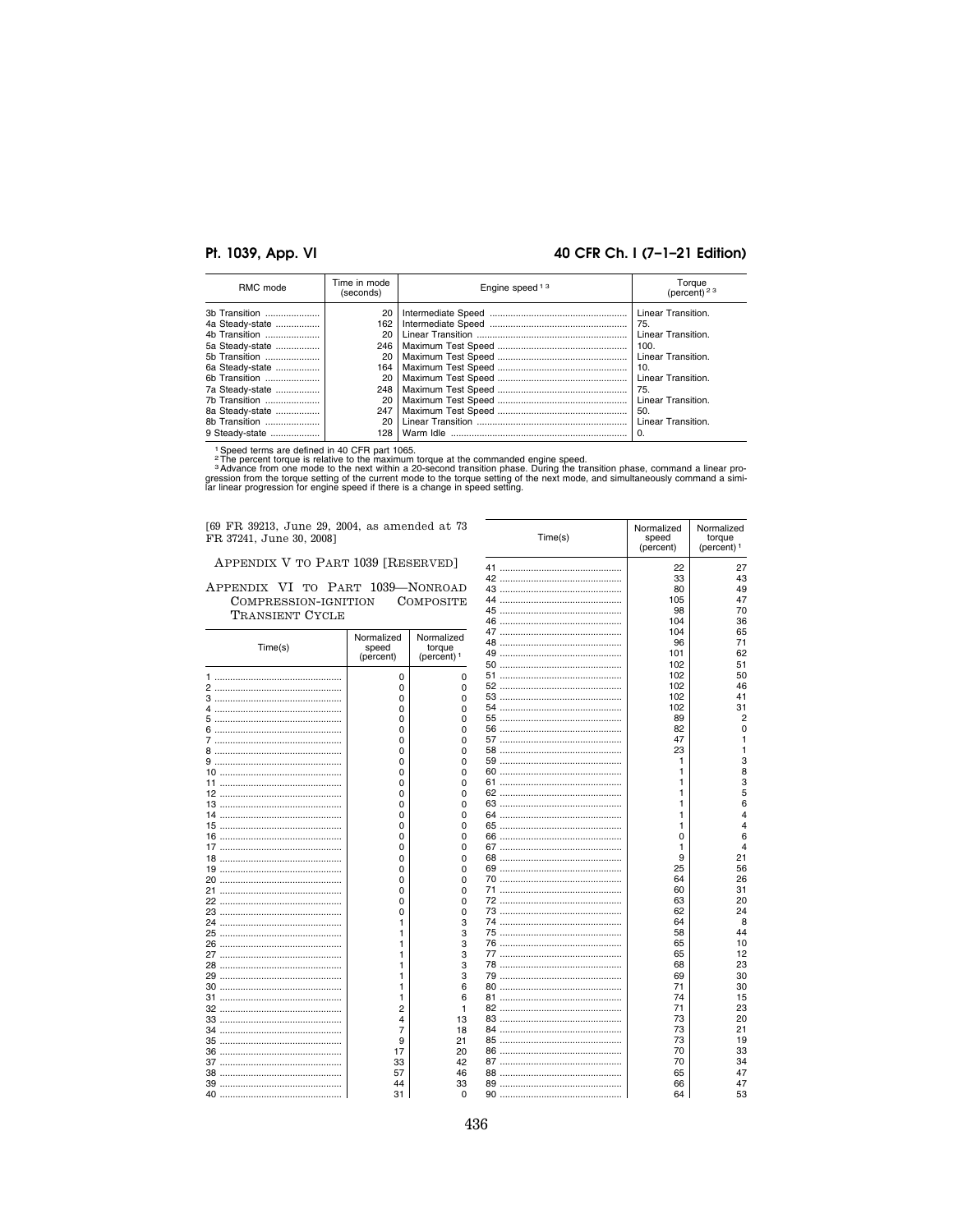### 40 CFR Ch. I (7-1-21 Edition)

| RMC mode        | Time in mode<br>(seconds) | Engine speed <sup>13</sup> | Torque<br>(percent) <sup>23</sup> |
|-----------------|---------------------------|----------------------------|-----------------------------------|
| 3b Transition   | 20                        |                            | Linear Transition.                |
| 4a Steady-state | 162                       |                            | 75.                               |
| 4b Transition   | 20                        |                            | Linear Transition.                |
| 5a Steady-state | 246                       |                            | 100.                              |
| 5b Transition   | 20                        |                            | Linear Transition.                |
| 6a Steady-state | 164                       |                            | 10.                               |
| 6b Transition   | 20                        |                            | Linear Transition.                |
| 7a Steady-state | 248                       |                            | 75.                               |
| 7b Transition   | 20                        |                            | Linear Transition.                |
| 8a Steady-state | 247                       |                            | 50.                               |
| 8b Transition   | 20                        |                            | Linear Transition.                |
| 9 Steady-state  | 128                       |                            | $\Omega$                          |

<sup>1</sup>Speed terms are defined in 40 CFR part 1065.<br>
<sup>2</sup>The percent torque is relative to the maximum torque at the commanded engine speed.<br>
<sup>3</sup> Advance from one mode to the next within a 20-second transition phase. During the

[69 FR 39213, June 29, 2004, as amended at 73 FR 37241, June 30, 2008]

APPENDIX V TO PART 1039 [RESERVED]

#### APPENDIX VI TO PART 1039-NONROAD COMPRESSION-IGNITION COMPOSITE TRANSIENT CYCLE

| Time(s) | Normalized<br>speed<br>(percent) | Normalized<br>torque<br>(percent) <sup>1</sup> |
|---------|----------------------------------|------------------------------------------------|
|         | 0                                | 0                                              |
|         | 0                                | 0                                              |
| 3       | 0                                | 0                                              |
| 4       | 0                                | 0                                              |
| 5       | 0                                | 0                                              |
| 6       | 0                                | 0                                              |
| 7       | 0                                | 0                                              |
| 8       | 0                                | 0                                              |
|         | 0                                | 0                                              |
|         | 0                                | 0                                              |
| 11      | 0                                | 0                                              |
|         | 0                                | 0                                              |
|         | 0                                | 0                                              |
| 14      | 0                                | 0                                              |
|         | 0                                | 0                                              |
|         | 0                                | 0                                              |
|         | 0                                | 0                                              |
|         | 0                                | 0                                              |
|         | 0                                | 0                                              |
| 20      | 0                                | 0                                              |
| 21      | 0                                | 0                                              |
|         | 0                                | 0                                              |
|         |                                  |                                                |
|         | 0<br>1                           | 0<br>3                                         |
| 24      | 1                                |                                                |
|         |                                  | 3                                              |
|         | 1                                | 3                                              |
|         | 1                                | 3                                              |
|         | 1                                | 3                                              |
|         | 1                                | 3                                              |
|         | 1                                | 6                                              |
| 31      | 1                                | 6                                              |
|         | $\overline{2}$                   | 1                                              |
|         | 4                                | 13                                             |
| 34      | 7                                | 18                                             |
|         | 9                                | 21                                             |
|         | 17                               | 20                                             |
| 37      | 33                               | 42                                             |
|         | 57                               | 46                                             |
|         | 44                               | 33                                             |
| 40      | 31                               | $\Omega$                                       |

|          | Time(s)       | Normalized<br>speed<br>(percent) | Normalized<br>torque<br>(percent) <sup>1</sup> |
|----------|---------------|----------------------------------|------------------------------------------------|
|          |               | 22                               | 27                                             |
| 42       |               | 33                               | 43                                             |
|          |               | 80                               | 49                                             |
| 44       |               | 105                              | 47                                             |
| 45       |               | 98                               | 70                                             |
| 46       |               | 104                              | 36                                             |
| 47       |               | 104                              | 65                                             |
| 48       |               | 96                               | 71                                             |
| 49       |               | 101                              | 62                                             |
| 50       | $\sim$        | 102                              | 51                                             |
| 51       |               | 102                              | 50                                             |
| 52       |               | 102                              | 46                                             |
|          |               | 102                              | 41                                             |
| 54       |               | 102                              | 31                                             |
| 55       |               | 89                               | 2                                              |
| 56       | $\cdots$      | 82                               | 0                                              |
| 57       |               | 47                               | 1                                              |
| 58       |               | 23                               | $\mathbf{1}$                                   |
| 59       |               | 1                                | 3                                              |
| 60       |               | 1                                | 8                                              |
| 61       |               | 1                                | 3                                              |
| 62       |               | 1                                | 5                                              |
| 63       |               | 1                                | 6                                              |
| 64       | $\ddotsc$     | 1                                | $\overline{4}$                                 |
| 65       |               | 1                                | $\overline{4}$                                 |
|          |               | 0                                | 6                                              |
| 67       |               | 1                                | $\overline{4}$                                 |
| 68       |               | 9                                | 21                                             |
| 69       | $\ddotsc$<br> | 25                               | 56                                             |
| 70       |               | 64                               | 26                                             |
| 71       |               | 60                               | 31                                             |
|          |               | 63                               | 20                                             |
| 73       |               | 62                               | 24                                             |
| 74       |               | 64                               | 8                                              |
| 75       |               | 58                               | 44                                             |
|          |               | 65                               | 10                                             |
| 77       |               | 65                               | 12                                             |
| 78<br>79 |               | 68<br>69                         | 23<br>30                                       |
|          |               | 71                               | 30                                             |
| 80<br>81 |               | 74                               | 15                                             |
| 82       |               | 71                               | 23                                             |
| 83       | $\ddotsc$     | 73                               | 20                                             |
| 84       |               | 73                               | 21                                             |
| 85       |               | 73                               | 19                                             |
|          |               | 70                               | 33                                             |
|          |               | 70                               | 34                                             |
| 88       |               | 65                               | 47                                             |
| 89       |               | 66                               | 47                                             |
| 90       |               | 64                               | 53                                             |
|          |               |                                  |                                                |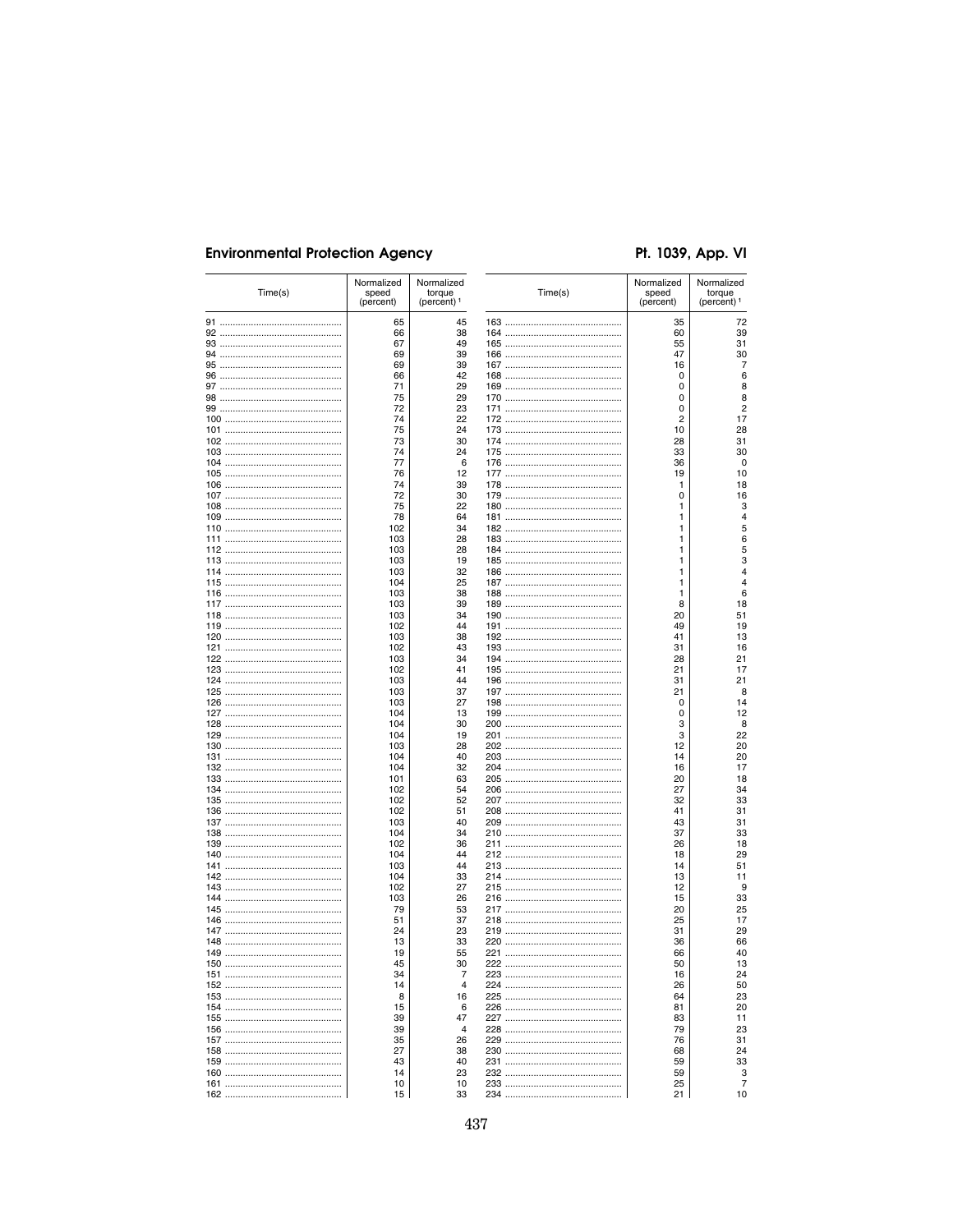# Pt. 1039, App. VI

| Time(s) | Normalized<br>speed<br>(percent) | Normalized<br>torque<br>(percent) <sup>1</sup> | Time(s) | Normalized<br>speed<br>(percent) | Normalized<br>torque<br>(percent) <sup>1</sup> |
|---------|----------------------------------|------------------------------------------------|---------|----------------------------------|------------------------------------------------|
|         | 65                               | 45                                             |         | 35                               | 72                                             |
|         | 66                               | 38                                             |         | 60                               | 39                                             |
|         | 67                               | 49                                             |         | 55                               | 31                                             |
|         | 69                               | 39                                             |         | 47                               |                                                |
|         | 69                               | 39                                             |         | 16                               |                                                |
|         | 66                               | 42                                             |         | 0                                |                                                |
|         | 71                               | 29                                             |         | 0                                |                                                |
|         | 75                               | 29                                             |         | 0                                |                                                |
|         | 72                               | 23                                             |         | 0                                |                                                |
|         | 74                               | 22                                             |         | 2                                |                                                |
|         | 75                               | 24                                             |         | 10                               | 28                                             |
|         | 73                               | 30                                             |         | 28                               | 31                                             |
|         | 74                               | 24                                             |         | 33                               | 30                                             |
|         | 77                               | 6                                              |         | 36                               |                                                |
|         | 76                               | 12                                             |         | 19                               |                                                |
|         | 74                               | 39                                             |         | 1                                |                                                |
|         | 72                               | 30                                             |         | 0                                |                                                |
|         |                                  |                                                |         |                                  |                                                |
|         | 75                               | 22                                             |         | 1                                |                                                |
|         | 78                               | 64                                             |         | 1                                |                                                |
|         | 102                              | 34                                             |         | 1                                |                                                |
|         | 103                              | 28                                             |         | 1                                |                                                |
|         | 103                              | 28                                             |         | 1                                |                                                |
|         | 103                              | 19                                             |         | 1                                |                                                |
|         | 103                              | 32                                             |         | 1                                |                                                |
|         | 104                              | 25                                             |         | 1                                |                                                |
|         | 103                              | 38                                             |         | 1                                |                                                |
|         | 103                              | 39                                             |         | 8                                |                                                |
|         | 103                              | 34                                             |         | 20                               | 51                                             |
|         | 102                              | 44                                             |         | 49                               | 19                                             |
|         | 103                              | 38                                             |         | 41                               |                                                |
|         | 102                              | 43                                             |         | 31                               |                                                |
|         | 103                              | 34                                             |         | 28                               | 21                                             |
|         | 102                              | 41                                             |         | 21                               |                                                |
|         | 103                              | 44                                             |         | 31                               | 21                                             |
|         | 103                              | 37                                             |         | 21                               |                                                |
|         | 103                              | 27                                             |         | 0                                |                                                |
|         | 104                              | 13                                             |         | 0                                |                                                |
|         | 104                              | 30                                             |         | 3                                |                                                |
|         | 104                              | 19                                             |         | 3                                | 22                                             |
|         | 103                              | 28                                             |         | 12                               |                                                |
|         | 104                              | 40                                             |         | 14                               | 20<br>20                                       |
|         | 104                              | 32                                             |         | 16                               |                                                |
|         |                                  |                                                |         |                                  |                                                |
|         | 101                              | 63                                             |         | 20                               | 34                                             |
|         | 102                              | 54                                             |         | 27                               |                                                |
|         | 102                              | 52                                             |         | 32                               | 33                                             |
|         | 102                              | 51                                             |         | 41                               | 31                                             |
|         | 103                              | 40                                             |         | 43                               |                                                |
|         | 104                              | 34                                             |         | 37                               | 33                                             |
|         | 102                              | 36                                             |         | 26                               |                                                |
|         | 104                              | 44                                             |         | 18                               | 29                                             |
|         | 103                              | 44                                             |         | 14                               | 51                                             |
|         | 104                              | 33                                             |         | 13                               |                                                |
|         | 102                              | 27                                             |         | 12                               |                                                |
|         | 103                              | 26                                             |         | 15                               | 33                                             |
|         | 79                               | 53                                             |         | 20                               | 25                                             |
|         | 51                               | 37                                             |         | 25                               |                                                |
|         | 24                               | 23                                             |         | 31                               | 29                                             |
|         | 13                               | 33                                             |         | 36                               |                                                |
|         | 19                               | 55                                             |         | 66                               |                                                |
| 150     | 45                               | 30                                             | 222     | 50                               |                                                |
|         | 34                               | 7                                              |         | 16                               | 24                                             |
|         | 14                               | 4                                              |         | 26                               | 50                                             |
|         | 8                                | 16                                             |         | 64                               |                                                |
|         | 15                               | 6                                              |         | 81                               | 23<br>20                                       |
|         | 39                               | 47                                             |         | 83                               | 11                                             |
|         | 39                               | $\overline{4}$                                 |         | 79                               |                                                |
|         |                                  |                                                |         |                                  | 23<br>31                                       |
|         | 35                               | 26                                             |         | 76                               |                                                |
|         |                                  |                                                |         |                                  |                                                |
|         | 27                               | 38                                             |         | 68                               | 24                                             |
|         | 43                               | 40                                             |         | 59                               | 33                                             |
|         | 14<br>10                         | 23<br>10                                       |         | 59<br>25                         |                                                |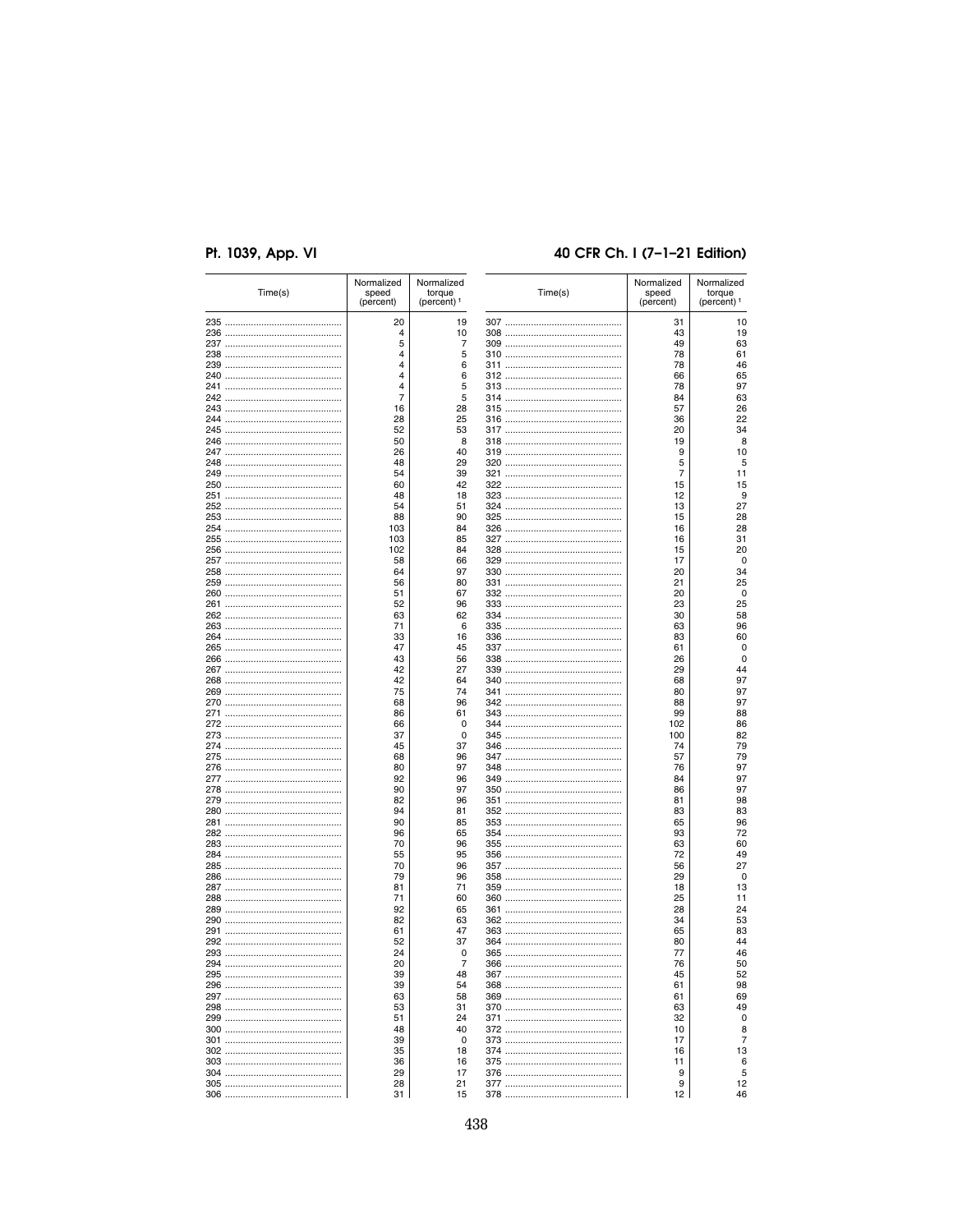# 40 CFR Ch. I (7-1-21 Edition)

| Time(s) | Normalized<br>speed<br>(percent) | Normalized<br>torque<br>(percent) <sup>1</sup> | Time(s) | Normalized<br>speed<br>(percent) | Normalized<br>torque<br>(percent) <sup>1</sup> |
|---------|----------------------------------|------------------------------------------------|---------|----------------------------------|------------------------------------------------|
|         | 20                               | 19                                             |         | 31                               | 10                                             |
|         | 4                                | 10                                             |         | 43                               | 19                                             |
|         | 5                                | 7                                              |         | 49                               | 63                                             |
|         |                                  |                                                |         |                                  |                                                |
|         | 4                                | 5                                              |         | 78                               | 61                                             |
|         | 4                                | 6                                              |         | 78                               | 46                                             |
|         | 4                                | 6                                              |         | 66                               | 65                                             |
|         | 4                                | 5                                              |         | 78                               | 97                                             |
|         | 7                                | 5                                              |         | 84                               | 63                                             |
|         |                                  |                                                |         |                                  |                                                |
|         | 16                               | 28                                             |         | 57                               | 26                                             |
|         | 28                               | 25                                             |         | 36                               | 22                                             |
|         | 52                               | 53                                             |         | 20                               | 34                                             |
|         | 50                               | 8                                              |         | 19                               |                                                |
|         |                                  |                                                |         |                                  |                                                |
|         | 26                               | 40                                             |         | 9                                | 10                                             |
|         | 48                               | 29                                             |         | 5                                |                                                |
|         | 54                               | 39                                             |         | 7                                | 11                                             |
|         | 60                               | 42                                             |         | 15                               | 15                                             |
|         |                                  |                                                |         |                                  |                                                |
|         | 48                               | 18                                             |         | 12                               |                                                |
|         | 54                               | 51                                             |         | 13                               | 27                                             |
|         | 88                               | 90                                             |         | 15                               | 28                                             |
|         | 103                              | 84                                             |         | 16                               | 28                                             |
|         |                                  |                                                |         |                                  |                                                |
|         | 103                              | 85                                             |         | 16                               | 31                                             |
|         | 102                              | 84                                             |         | 15                               | 20                                             |
|         | 58                               | 66                                             |         | 17                               |                                                |
|         | 64                               | 97                                             |         | 20                               |                                                |
|         |                                  |                                                |         |                                  | 34                                             |
|         | 56                               | 80                                             |         | 21                               | 25                                             |
|         | 51                               | 67                                             |         | 20                               |                                                |
|         | 52                               | 96                                             |         | 23                               | 25                                             |
|         | 63                               | 62                                             |         | 30                               | 58                                             |
|         |                                  |                                                |         |                                  |                                                |
|         | 71                               | 6                                              |         | 63                               | 96                                             |
|         | 33                               | 16                                             |         | 83                               | 60                                             |
|         | 47                               | 45                                             |         | 61                               |                                                |
|         | 43                               | 56                                             |         | 26                               |                                                |
|         |                                  |                                                |         |                                  |                                                |
|         | 42                               | 27                                             |         | 29                               |                                                |
|         | 42                               | 64                                             |         | 68                               | 97                                             |
|         | 75                               | 74                                             |         | 80                               | 97                                             |
|         | 68                               | 96                                             |         | 88                               | 97                                             |
|         |                                  | 61                                             |         | 99                               | 88                                             |
|         | 86                               |                                                |         |                                  |                                                |
|         | 66                               | $\mathbf 0$                                    |         | 102                              | 86                                             |
|         | 37                               | 0                                              |         | 100                              | 82                                             |
|         | 45                               | 37                                             |         | 74                               | 79                                             |
|         | 68                               | 96                                             |         | 57                               | 79                                             |
|         |                                  |                                                |         |                                  |                                                |
|         | 80                               | 97                                             |         | 76                               | 97                                             |
|         | 92                               | 96                                             |         | 84                               | 97                                             |
|         | 90                               | 97                                             |         | 86                               | 97                                             |
|         | 82                               | 96                                             |         | 81                               | 98                                             |
|         |                                  |                                                |         |                                  |                                                |
|         | 94                               | 81                                             |         | 83                               | 83                                             |
|         | 90                               | 85                                             |         | 65                               | 96                                             |
|         | 96                               | 65                                             |         | 93                               | 72                                             |
|         | 70                               | 96                                             |         | 63                               | 60                                             |
|         |                                  |                                                |         |                                  |                                                |
|         | 55                               | 95                                             |         | 72                               | 49                                             |
|         | 70                               | 96                                             |         | 56                               | 27                                             |
|         | 79                               | 96                                             |         | 29                               |                                                |
|         | 81                               | 71                                             |         | 18                               |                                                |
|         |                                  |                                                |         |                                  | 13<br>11                                       |
|         | 71                               | 60                                             |         | 25                               |                                                |
|         | 92                               | 65                                             |         | 28                               | 24                                             |
|         | 82                               | 63                                             |         | 34                               | 53                                             |
|         | 61                               | 47                                             |         | 65                               | 83                                             |
|         |                                  |                                                |         |                                  |                                                |
|         | 52                               | 37                                             |         | 80                               |                                                |
|         | 24                               | 0                                              |         | 77                               | 46                                             |
| 294     | 20                               | 7                                              | 366     | 76                               |                                                |
|         | 39                               | 48                                             |         | 45                               |                                                |
|         | 39                               | 54                                             |         | 61                               | 52<br>98                                       |
|         |                                  |                                                |         |                                  |                                                |
|         | 63                               | 58                                             |         | 61                               | 69                                             |
|         | 53                               | 31                                             |         | 63                               | 49                                             |
|         | 51                               | 24                                             |         | 32                               |                                                |
|         | 48                               | 40                                             |         | 10                               |                                                |
|         |                                  |                                                |         |                                  |                                                |
|         | 39                               | 0                                              |         | 17                               |                                                |
|         |                                  | 18                                             |         | 16                               | 13                                             |
|         | 35                               |                                                |         |                                  |                                                |
|         |                                  |                                                |         |                                  |                                                |
|         | 36                               | 16                                             |         | 11                               |                                                |
|         | 29                               | 17                                             |         | 9                                |                                                |
|         | 28<br>31                         | 21                                             |         | 9<br>12                          | 12                                             |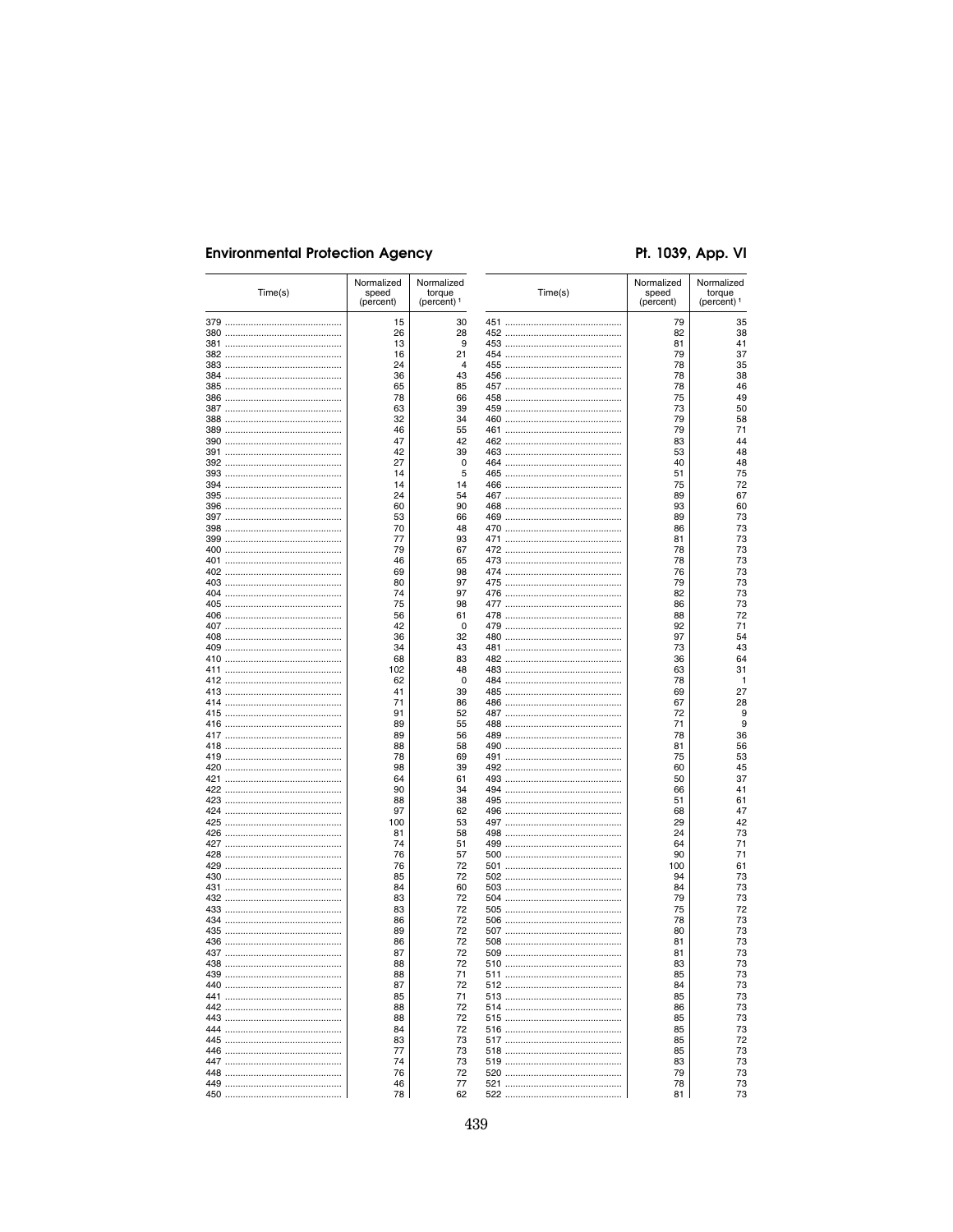# Pt. 1039, App. VI

|     | Time(s) | Normalized<br>speed<br>(percent) | Normalized<br>torque<br>(percent) <sup>1</sup> |     | Time(s) | Normalized<br>speed<br>(percent) | Normalized<br>torque<br>(percent) <sup>1</sup> |
|-----|---------|----------------------------------|------------------------------------------------|-----|---------|----------------------------------|------------------------------------------------|
|     |         | 15                               | 30                                             |     |         | 79                               | 35                                             |
|     |         | 26                               | 28                                             |     |         | 82                               | 38                                             |
|     |         | 13                               | 9                                              |     |         | 81                               | 41                                             |
|     |         | 16                               | 21                                             |     |         | 79                               | 37                                             |
|     |         | 24<br>36                         | $\overline{4}$<br>43                           |     |         | 78<br>78                         | 35<br>38                                       |
|     |         | 65                               | 85                                             |     |         | 78                               | 46                                             |
|     |         | 78                               | 66                                             |     |         | 75                               | 49                                             |
|     |         | 63                               | 39                                             |     |         | 73                               | 50                                             |
|     |         | 32                               | 34                                             |     |         | 79                               | 58                                             |
|     |         | 46                               | 55                                             |     |         | 79                               | 71                                             |
|     |         | 47                               | 42                                             |     |         | 83                               | 44                                             |
|     |         | 42                               | 39                                             |     |         | 53                               | 48                                             |
|     |         | 27                               | $\mathbf 0$                                    |     |         | 40                               | 48                                             |
|     |         | 14<br>14                         | 5<br>14                                        |     |         | 51<br>75                         | 75<br>72                                       |
|     |         | 24                               | 54                                             |     |         | 89                               | 67                                             |
|     |         | 60                               | 90                                             |     |         | 93                               | 60                                             |
|     |         | 53                               | 66                                             |     |         | 89                               | 73                                             |
|     |         | 70                               | 48                                             |     |         | 86                               | 73                                             |
|     |         | 77                               | 93                                             |     |         | 81                               | 73                                             |
|     |         | 79                               | 67                                             |     |         | 78                               | 73                                             |
|     |         | 46                               | 65                                             |     |         | 78                               | 73                                             |
|     |         | 69                               | 98                                             |     |         | 76                               | 73                                             |
|     |         | 80                               | 97                                             |     |         | 79                               | 73                                             |
|     |         | 74                               | 97                                             |     |         | 82                               | 73                                             |
|     |         | 75<br>56                         | 98<br>61                                       |     |         | 86<br>88                         | 73<br>72                                       |
|     |         | 42                               | $\mathbf 0$                                    |     |         | 92                               | 71                                             |
|     |         | 36                               | 32                                             |     |         | 97                               | 54                                             |
|     |         | 34                               | 43                                             |     |         | 73                               | 43                                             |
|     |         | 68                               | 83                                             |     |         | 36                               | 64                                             |
|     |         | 102                              | 48                                             |     |         | 63                               | 31                                             |
|     |         | 62                               | 0                                              |     |         | 78                               | 1                                              |
|     |         | 41                               | 39                                             |     |         | 69                               | 27                                             |
|     |         | 71                               | 86                                             |     |         | 67                               | 28                                             |
|     |         | 91                               | 52                                             |     |         | 72                               | 9                                              |
|     |         | 89                               | 55                                             |     |         | 71                               | 9                                              |
|     |         | 89<br>88                         | 56<br>58                                       |     |         | 78<br>81                         | 36<br>56                                       |
|     |         | 78                               | 69                                             |     |         | 75                               | 53                                             |
|     |         | 98                               | 39                                             |     |         | 60                               | 45                                             |
|     |         | 64                               | 61                                             |     |         | 50                               | 37                                             |
|     |         | 90                               | 34                                             |     |         | 66                               | 41                                             |
|     |         | 88                               | 38                                             |     |         | 51                               | 61                                             |
|     |         | 97                               | 62                                             |     |         | 68                               | 47                                             |
|     |         | 100                              | 53                                             |     |         | 29                               | 42                                             |
|     |         | 81                               | 58                                             |     |         | 24                               | 73                                             |
|     |         | 74                               | 51                                             |     |         | 64                               | 71                                             |
|     |         | 76                               | 57                                             |     |         | 90                               | 71                                             |
|     |         | 76<br>85                         | 72<br>72                                       |     |         | 100<br>94                        | 61<br>73                                       |
|     |         | 84                               | 60                                             |     |         | 84                               | 73                                             |
|     |         | 83                               | 72                                             |     |         | 79                               | 73                                             |
|     |         | 83                               | 72                                             |     |         | 75                               | 72                                             |
|     |         | 86                               | 72                                             |     |         | 78                               | 73                                             |
|     |         | 89                               | 72                                             |     |         | 80                               | 73                                             |
|     |         | 86                               | 72                                             |     |         | 81                               | 73                                             |
|     |         | 87                               | 72                                             |     |         | 81                               | 73                                             |
| 438 |         | 88                               | 72                                             | 510 |         | 83                               | 73                                             |
|     |         | 88                               | 71                                             |     |         | 85                               | 73                                             |
|     |         | 87                               | 72                                             |     |         | 84                               | 73                                             |
|     |         | 85                               | 71                                             |     |         | 85                               | 73                                             |
|     |         | 88<br>88                         | 72<br>72                                       |     |         | 86<br>85                         | 73<br>73                                       |
|     |         | 84                               | 72                                             |     |         | 85                               | 73                                             |
|     |         | 83                               | 73                                             |     |         | 85                               | 72                                             |
|     |         | 77                               | 73                                             |     |         | 85                               | 73                                             |
|     |         | 74                               | 73                                             |     |         | 83                               | 73                                             |
|     |         | 76                               | 72                                             |     |         | 79                               | 73                                             |
|     |         | 46                               | 77                                             |     |         | 78                               | 73                                             |
|     |         | 78                               | 62                                             |     |         | 81                               | 73                                             |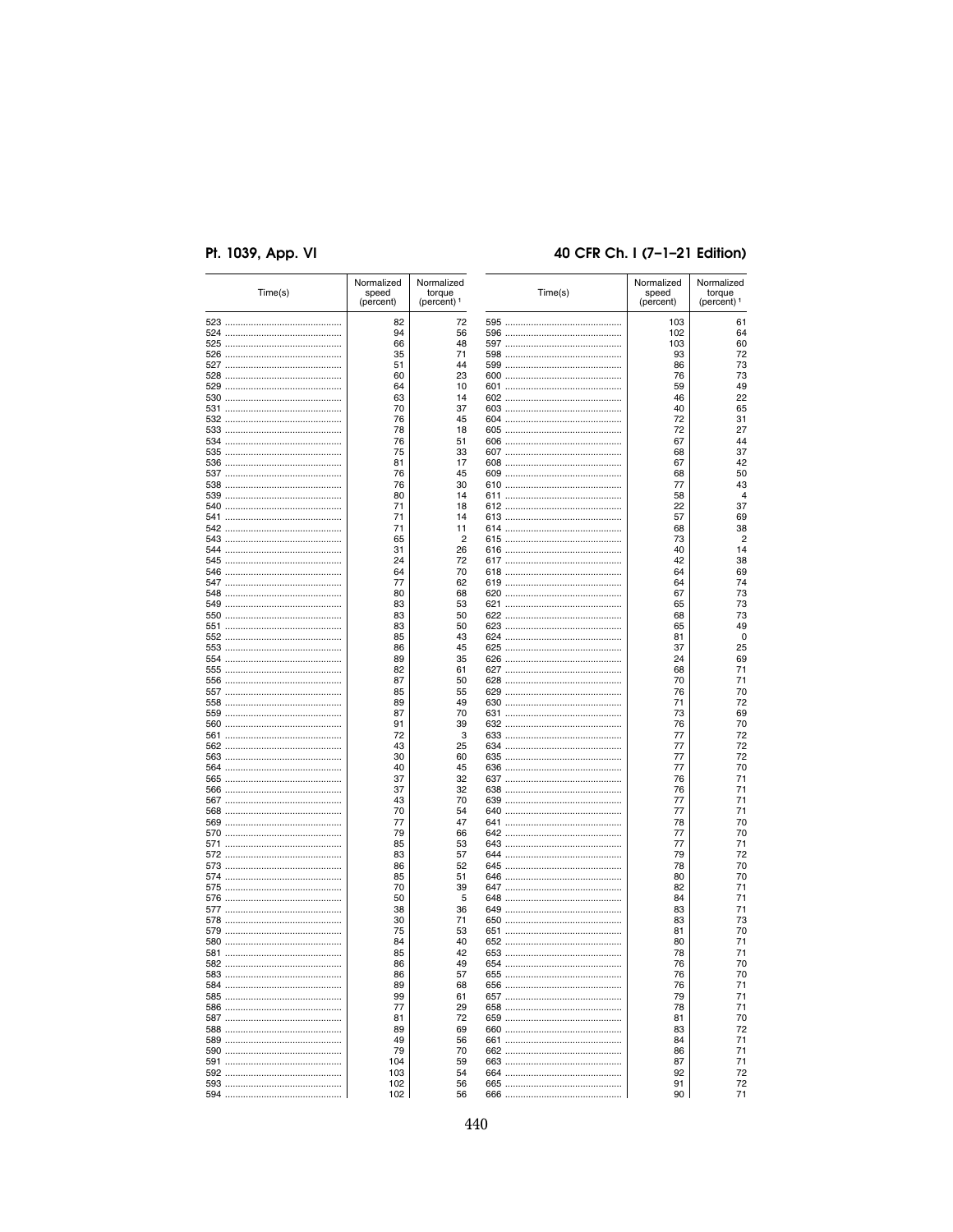# 40 CFR Ch. I (7-1-21 Edition)

|     | (percent)  | (percent) <sup>1</sup> |     | (percent) | torque<br>(percent) <sup>1</sup> |
|-----|------------|------------------------|-----|-----------|----------------------------------|
|     | 82         | 72                     |     | 103       | 61                               |
|     | 94         | 56                     |     | 102       | 64                               |
|     | 66         | 48                     |     | 103       | 60                               |
|     | 35         | 71                     |     | 93        | 72                               |
|     | 51         | 44                     |     | 86        | 73                               |
|     | 60         | 23                     |     | 76        | 73                               |
|     | 64         | 10                     |     | 59        | 49                               |
|     | 63         | 14                     |     | 46        | 22                               |
|     | 70         | 37                     |     | 40        | 65                               |
|     | 76<br>78   | 45<br>18               |     | 72<br>72  | 31<br>27                         |
|     | 76         | 51                     |     | 67        | 44                               |
|     | 75         | 33                     |     | 68        | 37                               |
|     | 81         | 17                     |     | 67        | 42                               |
|     | 76         | 45                     |     | 68        | 50                               |
|     | 76         | 30                     |     | 77        | 43                               |
|     | 80         | 14                     |     | 58        | $\overline{4}$                   |
|     | 71         | 18                     |     | 22        | 37                               |
|     | 71         | 14                     |     | 57        | 69                               |
|     | 71         | 11                     |     | 68        | 38                               |
|     | 65         | $\overline{2}$         |     | 73        | $\overline{2}$                   |
|     | 31         | 26                     |     | 40        | 14                               |
|     | 24         | 72                     |     | 42        | 38                               |
|     | 64         | 70                     |     | 64        | 69                               |
|     | 77         | 62                     |     | 64        | 74                               |
|     | 80         | 68                     |     | 67        | 73                               |
|     | 83         | 53                     |     | 65        | 73                               |
|     | 83         | 50                     |     | 68        | 73                               |
|     | 83         | 50                     |     | 65        | 49                               |
|     | 85         | 43                     |     | 81        | 0                                |
|     | 86         | 45                     |     | 37        | 25                               |
|     | 89         | 35                     |     | 24        | 69                               |
|     | 82         | 61                     |     | 68        | 71<br>71                         |
|     | 87<br>85   | 50<br>55               |     | 70<br>76  | 70                               |
|     | 89         | 49                     |     | 71        | 72                               |
|     | 87         | 70                     |     | 73        | 69                               |
|     | 91         | 39                     |     | 76        | 70                               |
|     | 72         | 3                      |     | 77        | 72                               |
|     | 43         | 25                     |     | 77        | 72                               |
|     | 30         | 60                     |     | 77        | 72                               |
|     | 40         | 45                     |     | 77        | 70                               |
|     | 37         | 32                     |     | 76        | 71                               |
|     | 37         | 32                     |     | 76        | 71                               |
|     | 43         | 70                     |     | 77        | 71                               |
|     | 70         | 54                     |     | 77        | 71                               |
|     | 77         | 47                     |     | 78        | 70                               |
|     | 79         | 66                     |     | 77        | 70                               |
|     | 85         | 53                     |     | 77        | 71                               |
|     | 83         | 57                     |     | 79        | 72                               |
|     | 86         | 52                     |     | 78        | 70                               |
|     | 85         | 51                     |     | 80        | 70                               |
|     | 70         | 39                     |     | 82        | 71                               |
|     | 50<br>38   | 5<br>36                |     | 84<br>83  | 71<br>71                         |
|     | 30         | 71                     |     | 83        | 73                               |
|     | 75         | 53                     |     | 81        | 70                               |
|     | 84         | 40                     |     | 80        | 71                               |
|     | 85         | 42                     |     | 78        | 71                               |
| 582 | 86         | 49                     | 654 | 76        | 70                               |
|     | 86         | 57                     |     | 76        | 70                               |
|     | 89         | 68                     |     | 76        | 71                               |
|     | 99         | 61                     |     | 79        | 71                               |
|     | 77         | 29                     |     | 78        | 71                               |
|     | 81         | 72                     |     | 81        | 70                               |
|     | 89         | 69                     |     | 83        | 72                               |
|     | 49         | 56                     |     | 84        | 71                               |
|     | 79         | 70                     |     | 86        | 71                               |
|     |            |                        |     |           |                                  |
|     | 104        | 59                     |     | 87        | 71                               |
|     | 103<br>102 | 54<br>56               |     | 92<br>91  | 72<br>72                         |

440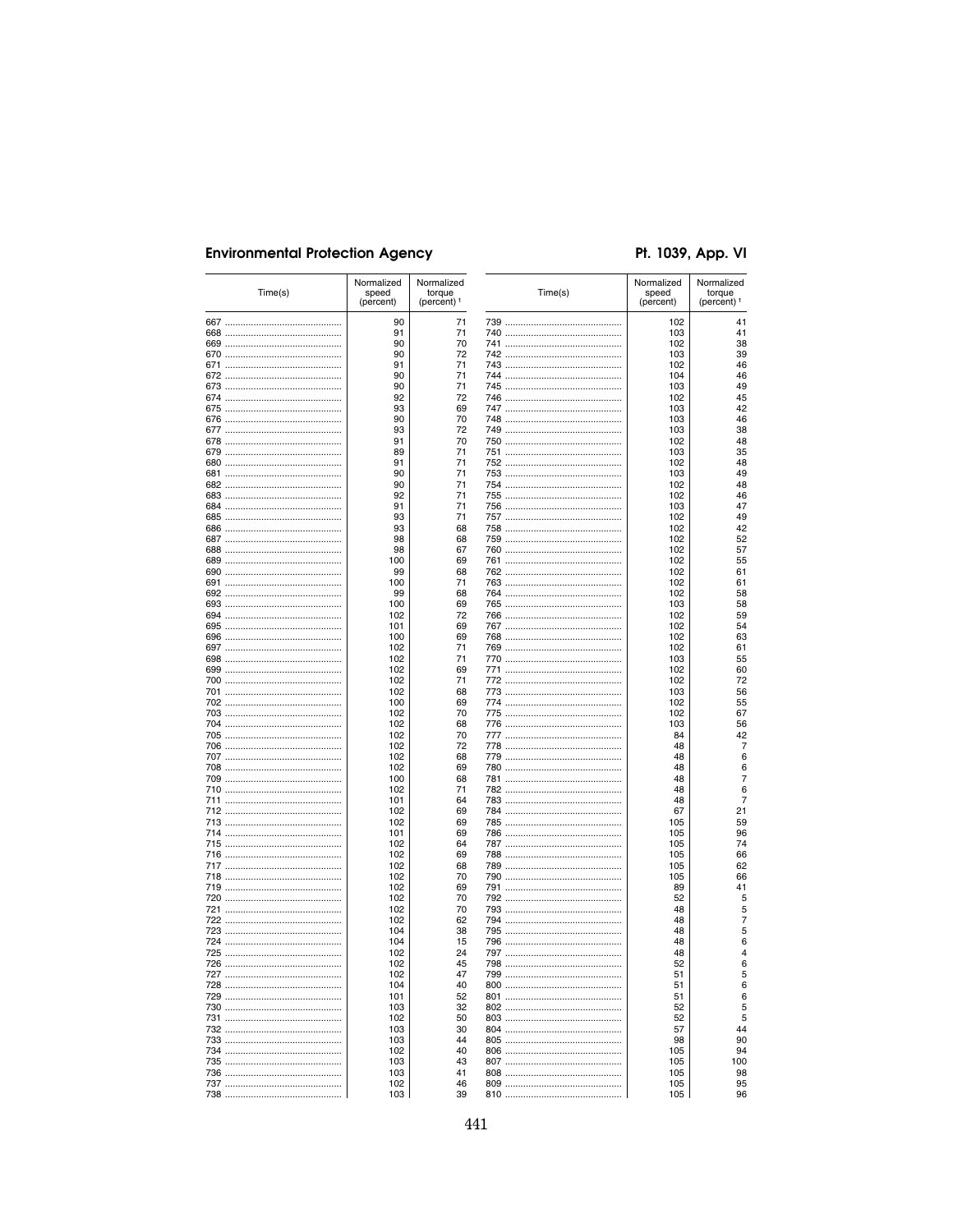# Pt. 1039, App. VI

4143994644945246984945444444425255561556894361556022666676676721299646626641557564666554499409859645264499422255561556956756276676721299646626641557564665665544994

| Time(s) | Normalized<br>speed<br>(percent) | Normalized<br>torque<br>(percent) <sup>1</sup> |     | Time(s) | Normalized<br>speed<br>(percent) | Normalized<br>torque<br>(percent) <sup>1</sup> |
|---------|----------------------------------|------------------------------------------------|-----|---------|----------------------------------|------------------------------------------------|
|         | 90                               | 71                                             |     |         | 102                              | 41                                             |
|         | 91                               | 71                                             |     |         | 103                              | 41                                             |
|         | 90                               | 70                                             |     |         | 102                              | 38                                             |
|         | 90<br>91                         | 72<br>71                                       |     |         | 103<br>102                       | 39<br>46                                       |
|         | 90                               | 71                                             |     |         | 104                              | 46                                             |
|         | 90                               | 71                                             |     |         | 103                              | 49                                             |
|         | 92                               | 72                                             |     |         | 102                              | 45                                             |
|         | 93<br>90                         | 69<br>70                                       |     |         | 103<br>103                       | 42<br>46                                       |
|         | 93                               | 72                                             |     |         | 103                              | 38                                             |
|         | 91                               | 70                                             |     |         | 102                              | 48                                             |
|         | 89                               | 71                                             |     |         | 103                              | 35                                             |
|         | 91                               | 71                                             |     |         | 102                              | 48                                             |
|         | 90<br>90                         | 71<br>71                                       |     |         | 103<br>102                       | 49<br>48                                       |
|         | 92                               | 71                                             |     |         | 102                              | 46                                             |
|         | 91                               | 71                                             |     |         | 103                              | 47                                             |
|         | 93                               | 71                                             |     |         | 102                              | 49                                             |
|         | 93                               | 68                                             |     |         | 102                              | 42                                             |
|         | 98<br>98                         | 68<br>67                                       |     |         | 102<br>102                       | 52<br>57                                       |
|         | 100                              | 69                                             |     |         | 102                              | 55                                             |
|         | 99                               | 68                                             |     |         | 102                              | 61                                             |
|         | 100                              | 71                                             |     |         | 102                              | 61                                             |
|         | 99                               | 68                                             |     |         | 102                              | 58                                             |
|         | 100                              | 69<br>72                                       |     |         | 103<br>102                       | 58<br>59                                       |
|         | 102<br>101                       | 69                                             |     |         | 102                              | 54                                             |
|         | 100                              | 69                                             |     |         | 102                              | 63                                             |
|         | 102                              | 71                                             |     |         | 102                              | 61                                             |
|         | 102                              | 71                                             |     |         | 103                              | 55                                             |
|         | 102<br>102                       | 69<br>71                                       |     |         | 102<br>102                       | 60<br>72                                       |
|         | 102                              | 68                                             |     |         | 103                              | 56                                             |
|         | 100                              | 69                                             |     |         | 102                              | 55                                             |
|         | 102                              | 70                                             |     |         | 102                              | 67                                             |
|         | 102                              | 68                                             |     |         | 103                              | 56                                             |
|         | 102<br>102                       | 70<br>72                                       |     |         | 84<br>48                         | 42<br>7                                        |
|         | 102                              | 68                                             |     |         | 48                               | 6                                              |
|         | 102                              | 69                                             |     |         | 48                               | 6                                              |
|         | 100                              | 68                                             |     |         | 48                               | 7                                              |
|         | 102                              | 71                                             |     |         | 48                               | 6                                              |
|         | 101<br>102                       | 64<br>69                                       |     |         | 48<br>67                         | 7<br>21                                        |
|         | 102                              | 69                                             |     |         | 105                              | 59                                             |
|         | 101                              | 69                                             |     |         | 105                              | 96                                             |
|         | 102                              | 64                                             |     |         | 105                              | 74                                             |
|         | 102                              | 69                                             |     |         | 105                              | 66                                             |
|         | 102<br>102                       | 68<br>70                                       |     |         | 105<br>105                       | 62<br>66                                       |
|         | 102                              | 69                                             |     |         | 89                               | 41                                             |
|         | 102                              | 70                                             |     |         | 52                               | 5                                              |
|         | 102                              | 70                                             |     |         | 48                               | 5                                              |
|         | 102                              | 62                                             |     |         | 48                               | 7                                              |
|         | 104<br>104                       | 38<br>15                                       |     |         | 48<br>48                         | 5<br>6                                         |
|         | 102                              | 24                                             |     |         | 48                               | Δ                                              |
| 726     | 102                              | 45                                             | 798 |         | 52                               |                                                |
|         | 102                              | 47                                             |     |         | 51                               | 5                                              |
|         | 104                              | 40                                             |     |         | 51                               | 6                                              |
|         | 101<br>103                       | 52<br>32                                       |     |         | 51<br>52                         | 6<br>5                                         |
|         | 102                              | 50                                             |     |         | 52                               | 5                                              |
|         | 103                              | 30                                             |     |         | 57                               | 44                                             |
|         | 103                              | 44                                             |     |         | 98                               | 90                                             |
|         | 102                              | 40                                             |     |         | 105                              | 94                                             |
|         | 103<br>103                       | 43<br>41                                       |     |         | 105<br>105                       | 100<br>98                                      |
|         | 102                              | 46                                             |     |         | 105                              | 95                                             |
|         | 103                              | 39                                             |     |         | 105                              | 96                                             |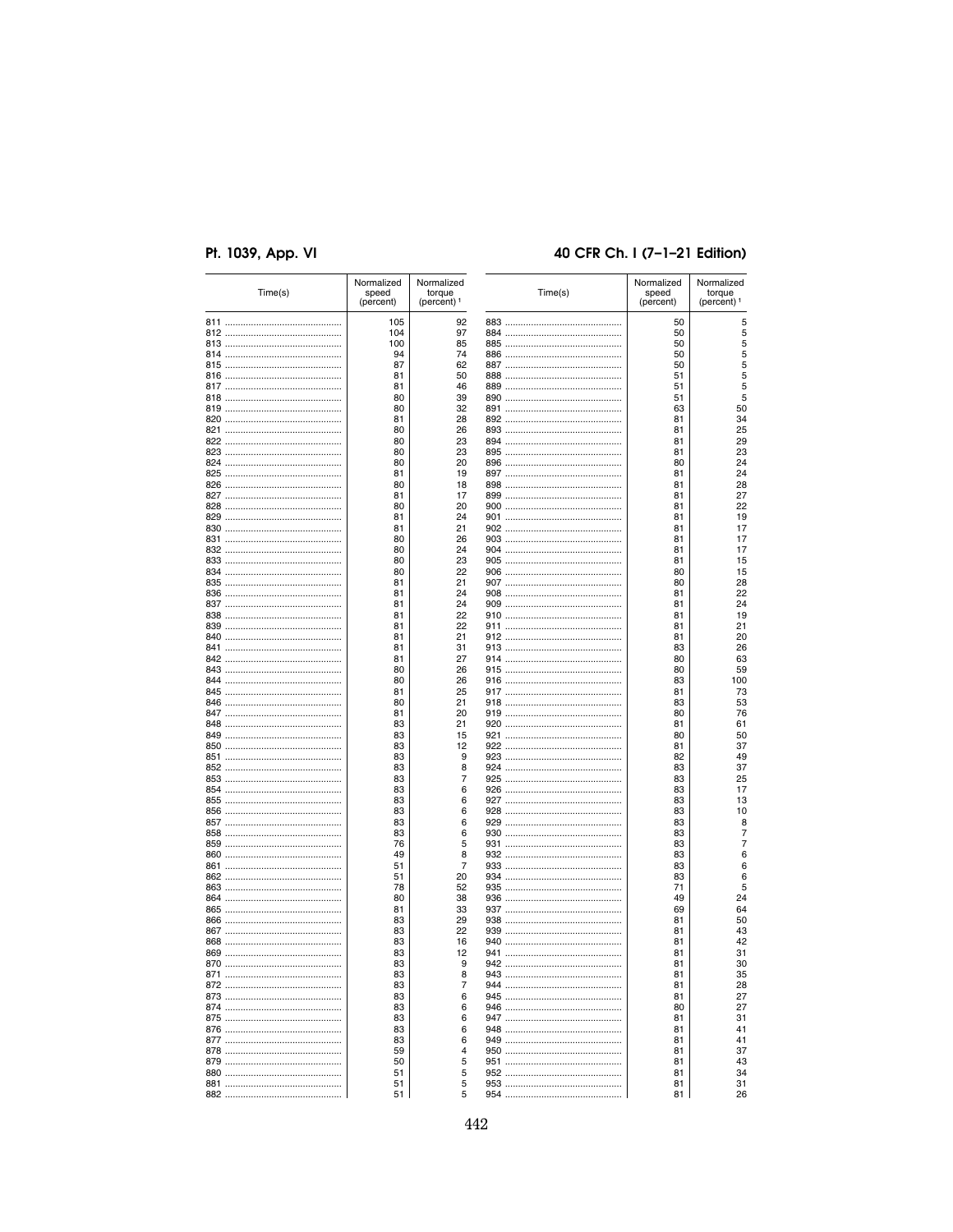# 40 CFR Ch. I (7-1-21 Edition)

| Time(s) | Normalized<br>speed<br>(percent) | Normalized<br>torque<br>(percent) <sup>1</sup> |     | Time(s) | Normalized<br>speed<br>(percent) | Normalized<br>torque<br>(percent) <sup>1</sup> |
|---------|----------------------------------|------------------------------------------------|-----|---------|----------------------------------|------------------------------------------------|
|         | 105                              | 92                                             |     |         | 50                               | 5                                              |
|         | 104                              | 97                                             |     |         | 50                               | 5                                              |
|         | 100                              | 85                                             |     |         | 50                               | 5                                              |
|         | 94                               | 74                                             |     |         | 50                               | 5                                              |
|         | 87                               | 62                                             |     |         | 50                               | 5                                              |
|         | 81                               | 50                                             |     |         | 51                               | 5                                              |
|         | 81                               | 46                                             |     |         | 51                               | 5                                              |
|         | 80                               | 39                                             |     |         | 51                               | 5                                              |
|         | 80                               | 32                                             |     |         | 63                               | 50                                             |
|         | 81                               | 28                                             |     |         | 81                               | 34                                             |
|         | 80                               | 26                                             |     |         | 81                               | 25                                             |
|         | 80                               | 23                                             |     |         | 81                               | 29                                             |
|         | 80                               | 23                                             |     |         | 81                               | 23                                             |
|         | 80                               | 20                                             |     |         | 80                               | 24                                             |
|         | 81                               | 19                                             |     |         | 81                               | 24                                             |
|         | 80                               | 18                                             |     |         | 81                               | 28                                             |
|         | 81                               | 17                                             |     |         | 81                               | 27                                             |
|         | 80                               | 20                                             |     |         | 81                               | 22                                             |
|         | 81                               | 24                                             |     |         | 81                               | 19                                             |
|         | 81                               | 21                                             |     |         | 81                               | 17                                             |
|         | 80                               | 26                                             |     |         | 81                               | 17                                             |
|         | 80                               | 24                                             |     |         | 81                               | 17                                             |
|         | 80                               | 23                                             |     |         | 81                               | 15                                             |
|         | 80                               | 22                                             |     |         | 80                               | 15                                             |
|         | 81                               | 21                                             |     |         | 80                               | 28                                             |
|         | 81                               | 24                                             |     |         | 81                               | 22                                             |
|         | 81                               | 24                                             |     |         | 81                               | 24                                             |
|         | 81                               | 22                                             |     |         | 81                               |                                                |
|         |                                  |                                                |     |         |                                  | 19                                             |
|         | 81                               | 22                                             |     |         | 81                               | 21                                             |
|         | 81                               | 21                                             |     |         | 81                               | 20                                             |
|         | 81                               | 31                                             |     |         | 83                               | 26                                             |
|         | 81                               | 27                                             |     |         | 80                               | 63                                             |
|         | 80                               | 26                                             |     |         | 80                               | 59                                             |
|         | 80                               | 26                                             |     |         | 83                               | 100                                            |
|         | 81                               | 25                                             |     |         | 81                               | 73                                             |
|         | 80                               | 21                                             |     |         | 83                               | 53                                             |
|         | 81                               | 20                                             |     |         | 80                               | 76                                             |
|         | 83                               | 21                                             |     |         | 81                               | 61                                             |
|         | 83                               | 15                                             |     |         | 80                               | 50                                             |
|         | 83                               | 12                                             |     |         | 81                               | 37                                             |
|         | 83                               | 9                                              |     |         | 82                               | 49                                             |
|         | 83                               | 8                                              |     |         | 83                               | 37                                             |
|         | 83                               | 7                                              |     |         | 83                               | 25                                             |
|         | 83                               | 6                                              |     |         | 83                               | 17                                             |
|         | 83                               | 6                                              |     |         | 83                               | 13                                             |
|         | 83                               | 6                                              |     |         | 83                               | 10                                             |
|         | 83                               | 6                                              |     |         | 83                               | 8                                              |
|         | 83                               | 6                                              |     |         | 83                               | 7                                              |
|         | 76                               | 5                                              |     |         | 83                               | 7                                              |
|         | 49                               | 8                                              |     |         | 83                               | 6                                              |
|         | 51                               | 7                                              |     |         | 83                               | 6                                              |
|         | 51                               | 20                                             |     |         | 83                               | 6                                              |
|         | 78                               | 52                                             |     |         | 71                               | 5                                              |
|         | 80                               | 38                                             |     |         | 49                               | 24                                             |
|         | 81                               | 33                                             |     |         | 69                               | 64                                             |
|         | 83                               | 29                                             |     |         | 81                               | 50                                             |
|         | 83                               | 22                                             |     |         | 81                               | 43                                             |
|         | 83                               | 16                                             |     |         | 81                               | 42                                             |
|         | 83                               | 12                                             |     |         | 81                               | 31                                             |
| 870     | 83                               | q                                              | 942 |         | 81                               | ß۲                                             |
|         | 83                               | 8                                              |     |         | 81                               | 35                                             |
|         | 83                               | 7                                              |     |         | 81                               | 28                                             |
|         | 83                               | 6                                              |     |         | 81                               | 27                                             |
|         | 83                               | 6                                              |     |         | 80                               | 27                                             |
|         | 83                               | 6                                              |     |         | 81                               | 31                                             |
|         | 83                               | 6                                              |     |         | 81                               | 41                                             |
|         | 83                               | 6                                              |     |         |                                  | 41                                             |
|         | 59                               | 4                                              |     |         | 81                               |                                                |
|         |                                  |                                                |     |         | 81                               | 37                                             |
|         | 50                               | 5                                              |     |         | 81                               | 43                                             |
|         | 51                               | 5                                              |     |         | 81                               | 34                                             |
|         | 51                               | 5                                              |     |         | 81                               | 31                                             |
|         | 51                               | 5                                              |     |         | 81                               | 26                                             |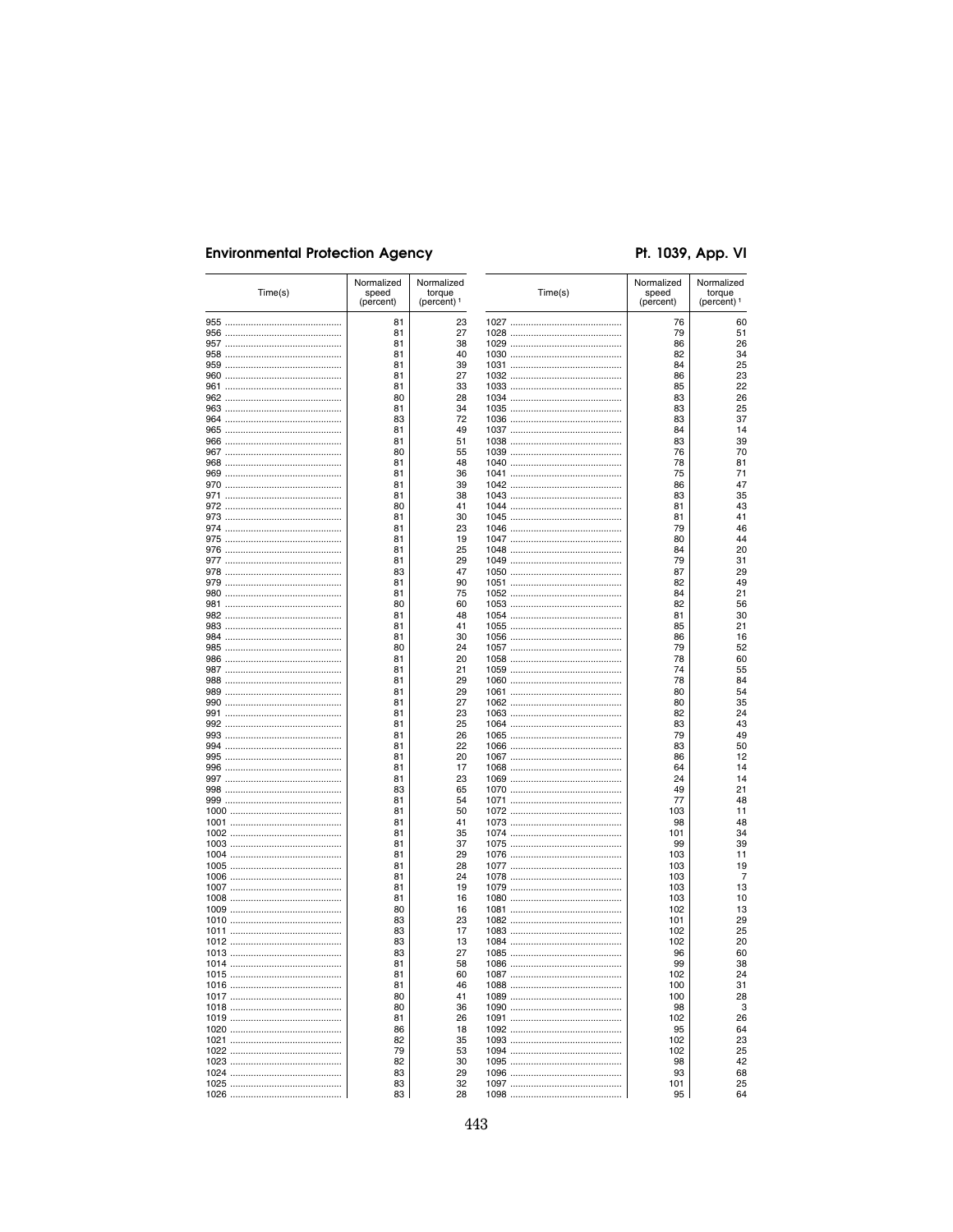# Pt. 1039, App. VI

| Time(s) | Normalized<br>speed<br>(percent) | Normalized<br>torque<br>(percent) <sup>1</sup> | Time(s) | Normalized<br>speed<br>(percent) | Normalized<br>torque<br>(percent) <sup>1</sup> |
|---------|----------------------------------|------------------------------------------------|---------|----------------------------------|------------------------------------------------|
|         | 81                               | 23                                             |         | 76                               | 60                                             |
|         | 81                               | 27                                             |         | 79                               | 51                                             |
|         | 81                               | 38                                             |         | 86                               | 26                                             |
|         | 81<br>81                         | 40<br>39                                       |         | 82<br>84                         | 34<br>25                                       |
|         | 81                               | 27                                             |         | 86                               | 23                                             |
|         | 81                               | 33                                             |         | 85                               | 22                                             |
|         | 80                               | 28                                             |         | 83                               | 26                                             |
|         | 81                               | 34                                             |         | 83                               | 25                                             |
|         | 83                               | 72                                             |         | 83                               | 37                                             |
|         | 81                               | 49                                             |         | 84                               | 14                                             |
|         | 81                               | 51                                             |         | 83                               | 39                                             |
|         | 80                               | 55                                             |         | 76                               | 70                                             |
|         | 81                               | 48                                             |         | 78                               | 81                                             |
|         | 81                               | 36                                             |         | 75                               | 71                                             |
|         | 81                               | 39                                             |         | 86                               | 47                                             |
|         | 81                               | 38<br>41                                       |         | 83                               | 35                                             |
|         | 80<br>81                         | 30                                             |         | 81<br>81                         | 43<br>41                                       |
|         | 81                               | 23                                             |         | 79                               | 46                                             |
|         | 81                               | 19                                             |         | 80                               | 44                                             |
|         | 81                               | 25                                             |         | 84                               | 20                                             |
|         | 81                               | 29                                             |         | 79                               | 31                                             |
|         | 83                               | 47                                             |         | 87                               | 29                                             |
|         | 81                               | 90                                             |         | 82                               | 49                                             |
|         | 81                               | 75                                             |         | 84                               | 21                                             |
|         | 80                               | 60                                             |         | 82                               | 56                                             |
|         | 81                               | 48                                             |         | 81                               | 30                                             |
|         | 81                               | 41                                             |         | 85                               | 21                                             |
|         | 81                               | 30                                             |         | 86                               | 16                                             |
|         | 80                               | 24                                             |         | 79                               | 52                                             |
|         | 81                               | 20                                             |         | 78                               | 60                                             |
|         | 81                               | 21                                             |         | 74                               | 55                                             |
|         | 81                               | 29                                             |         | 78                               | 84                                             |
|         | 81<br>81                         | 29<br>27                                       |         | 80<br>80                         | 54                                             |
|         | 81                               | 23                                             |         | 82                               | 35<br>24                                       |
|         | 81                               | 25                                             |         | 83                               | 43                                             |
|         | 81                               | 26                                             |         | 79                               | 49                                             |
|         | 81                               | 22                                             |         | 83                               | 50                                             |
|         | 81                               | 20                                             |         | 86                               | 12                                             |
|         | 81                               | 17                                             |         | 64                               | 14                                             |
|         | 81                               | 23                                             |         | 24                               | 14                                             |
|         | 83                               | 65                                             |         | 49                               | 21                                             |
|         | 81                               | 54                                             |         | 77                               | 48                                             |
|         | 81                               | 50                                             |         | 103                              | 11                                             |
|         | 81                               | 41                                             |         | 98                               | 48                                             |
|         | 81                               | 35                                             |         | 101                              | 34                                             |
|         | 81                               | 37                                             |         | 99                               | 39                                             |
|         | 81<br>81                         | 29<br>28                                       |         | 103<br>103                       | 11<br>19                                       |
|         | 81                               | 24                                             |         | 103                              | 7                                              |
|         | 81                               | 19                                             |         | 103                              | 13                                             |
|         | 81                               | 16                                             |         | 103                              | 10                                             |
|         | 80                               | 16                                             |         | 102                              | 13                                             |
|         | 83                               | 23                                             |         | 101                              | 29                                             |
|         | 83                               | 17                                             |         | 102                              | 25                                             |
|         | 83                               | 13                                             |         | 102                              | 20                                             |
|         | 83                               | 27                                             |         | 96                               | 60                                             |
|         | 81                               | 58                                             | 1086.   | 99                               | 38                                             |
|         | 81                               | 60                                             |         | 102                              | 24                                             |
|         | 81                               | 46                                             |         | 100                              | 31                                             |
|         | 80                               | 41                                             |         | 100                              | 28                                             |
|         | 80                               | 36                                             |         | 98                               | 3                                              |
|         | 81                               | 26                                             |         | 102                              | 26                                             |
|         | 86<br>82                         | 18<br>35                                       |         | 95<br>102                        | 64<br>23                                       |
|         | 79                               | 53                                             |         | 102                              | 25                                             |
|         | 82                               | 30                                             |         | 98                               | 42                                             |
|         | 83                               | 29                                             |         | 93                               | 68                                             |
|         | 83                               | 32                                             |         | 101                              | 25                                             |
|         |                                  |                                                |         |                                  |                                                |